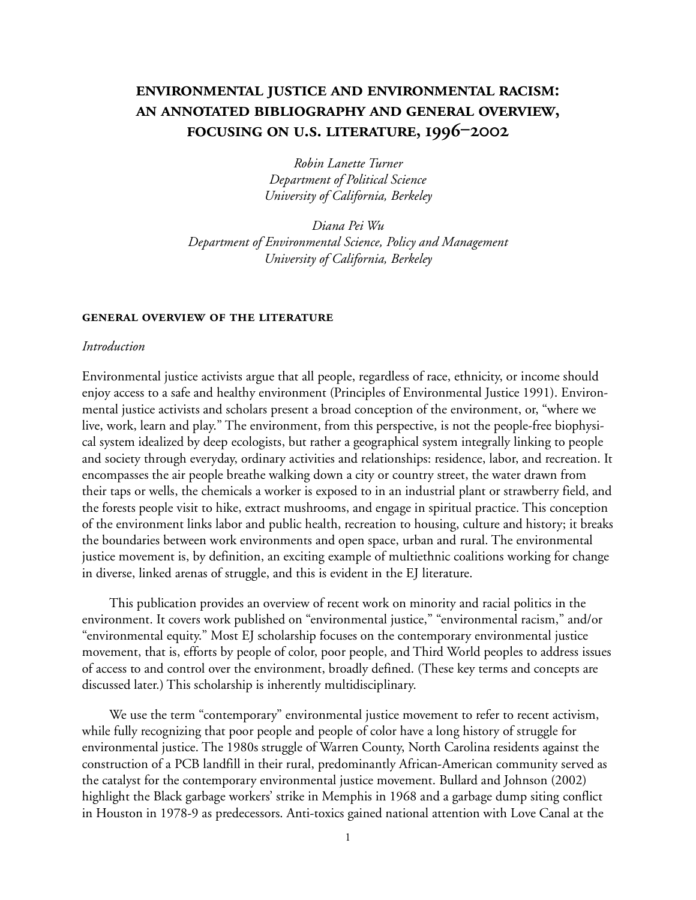# **ENVIRONMENTAL JUSTICE AND ENVIRONMENTAL RACISM:** AN ANNOTATED BIBLIOGRAPHY AND GENERAL OVERVIEW, **FOCUSING ON U.S. LITERATURE, 1996-2002**

*Robin Lanette Turner Department of Political Science University of California, Berkeley*

*Diana Pei Wu Department of Environmental Science, Policy and Management University of California, Berkeley*

#### **GENERAL OVERVIEW OF THE LITERATURE**

## *Introduction*

Environmental justice activists argue that all people, regardless of race, ethnicity, or income should enjoy access to a safe and healthy environment (Principles of Environmental Justice 1991). Environmental justice activists and scholars present a broad conception of the environment, or, "where we live, work, learn and play." The environment, from this perspective, is not the people-free biophysical system idealized by deep ecologists, but rather a geographical system integrally linking to people and society through everyday, ordinary activities and relationships: residence, labor, and recreation. It encompasses the air people breathe walking down a city or country street, the water drawn from their taps or wells, the chemicals a worker is exposed to in an industrial plant or strawberry field, and the forests people visit to hike, extract mushrooms, and engage in spiritual practice. This conception of the environment links labor and public health, recreation to housing, culture and history; it breaks the boundaries between work environments and open space, urban and rural. The environmental justice movement is, by definition, an exciting example of multiethnic coalitions working for change in diverse, linked arenas of struggle, and this is evident in the EJ literature.

This publication provides an overview of recent work on minority and racial politics in the environment. It covers work published on "environmental justice," "environmental racism," and/or "environmental equity." Most EJ scholarship focuses on the contemporary environmental justice movement, that is, efforts by people of color, poor people, and Third World peoples to address issues of access to and control over the environment, broadly defined. (These key terms and concepts are discussed later.) This scholarship is inherently multidisciplinary.

We use the term "contemporary" environmental justice movement to refer to recent activism, while fully recognizing that poor people and people of color have a long history of struggle for environmental justice. The 1980s struggle of Warren County, North Carolina residents against the construction of a PCB landfill in their rural, predominantly African-American community served as the catalyst for the contemporary environmental justice movement. Bullard and Johnson (2002) highlight the Black garbage workers' strike in Memphis in 1968 and a garbage dump siting conflict in Houston in 1978-9 as predecessors. Anti-toxics gained national attention with Love Canal at the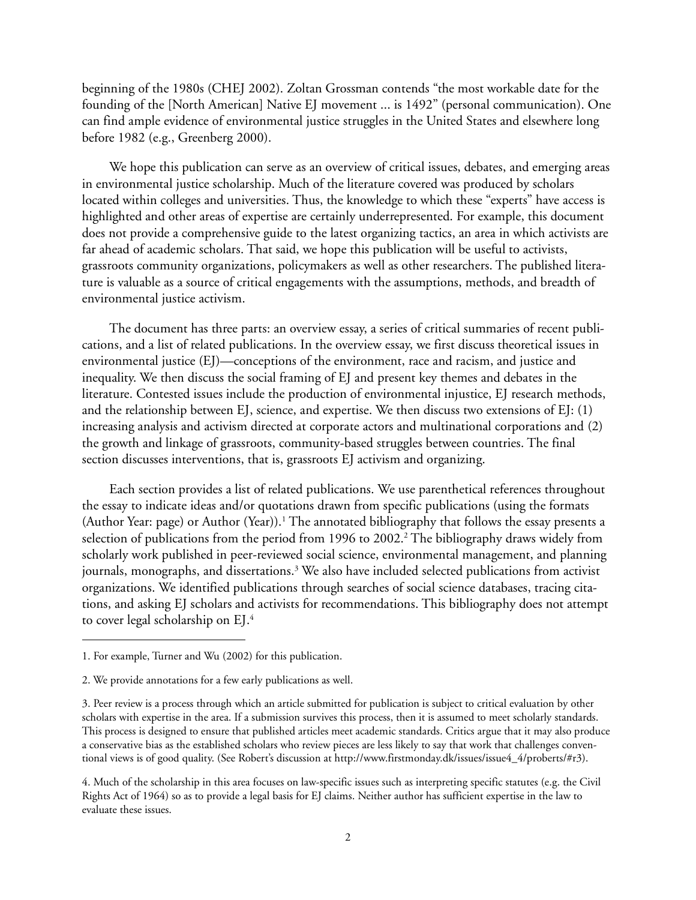beginning of the 1980s (CHEJ 2002). Zoltan Grossman contends "the most workable date for the founding of the [North American] Native EJ movement ... is 1492" (personal communication). One can find ample evidence of environmental justice struggles in the United States and elsewhere long before 1982 (e.g., Greenberg 2000).

We hope this publication can serve as an overview of critical issues, debates, and emerging areas in environmental justice scholarship. Much of the literature covered was produced by scholars located within colleges and universities. Thus, the knowledge to which these "experts" have access is highlighted and other areas of expertise are certainly underrepresented. For example, this document does not provide a comprehensive guide to the latest organizing tactics, an area in which activists are far ahead of academic scholars. That said, we hope this publication will be useful to activists, grassroots community organizations, policymakers as well as other researchers. The published literature is valuable as a source of critical engagements with the assumptions, methods, and breadth of environmental justice activism.

The document has three parts: an overview essay, a series of critical summaries of recent publications, and a list of related publications. In the overview essay, we first discuss theoretical issues in environmental justice (EJ)—conceptions of the environment, race and racism, and justice and inequality. We then discuss the social framing of EJ and present key themes and debates in the literature. Contested issues include the production of environmental injustice, EJ research methods, and the relationship between EJ, science, and expertise. We then discuss two extensions of EJ: (1) increasing analysis and activism directed at corporate actors and multinational corporations and (2) the growth and linkage of grassroots, community-based struggles between countries. The final section discusses interventions, that is, grassroots EJ activism and organizing.

Each section provides a list of related publications. We use parenthetical references throughout the essay to indicate ideas and/or quotations drawn from specific publications (using the formats (Author Year: page) or Author (Year)).<sup>1</sup> The annotated bibliography that follows the essay presents a selection of publications from the period from 1996 to 2002.<sup>2</sup> The bibliography draws widely from scholarly work published in peer-reviewed social science, environmental management, and planning journals, monographs, and dissertations. $^3$  We also have included selected publications from activist organizations. We identified publications through searches of social science databases, tracing citations, and asking EJ scholars and activists for recommendations. This bibliography does not attempt to cover legal scholarship on EJ.<sup>4</sup>

<sup>1.</sup> For example, Turner and Wu (2002) for this publication.

<sup>2.</sup> We provide annotations for a few early publications as well.

<sup>3.</sup> Peer review is a process through which an article submitted for publication is subject to critical evaluation by other scholars with expertise in the area. If a submission survives this process, then it is assumed to meet scholarly standards. This process is designed to ensure that published articles meet academic standards. Critics argue that it may also produce a conservative bias as the established scholars who review pieces are less likely to say that work that challenges conventional views is of good quality. (See Robert's discussion at http://www.firstmonday.dk/issues/issue4\_4/proberts/#r3).

<sup>4.</sup> Much of the scholarship in this area focuses on law-specific issues such as interpreting specific statutes (e.g. the Civil Rights Act of 1964) so as to provide a legal basis for EJ claims. Neither author has sufficient expertise in the law to evaluate these issues.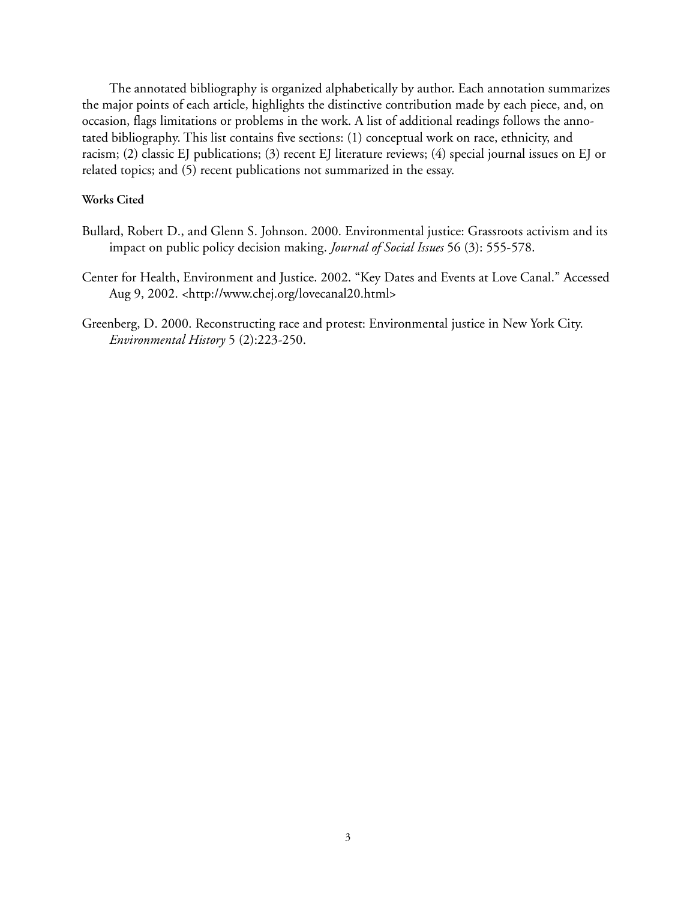The annotated bibliography is organized alphabetically by author. Each annotation summarizes the major points of each article, highlights the distinctive contribution made by each piece, and, on occasion, flags limitations or problems in the work. A list of additional readings follows the annotated bibliography. This list contains five sections: (1) conceptual work on race, ethnicity, and racism; (2) classic EJ publications; (3) recent EJ literature reviews; (4) special journal issues on EJ or related topics; and (5) recent publications not summarized in the essay.

# **Works Cited**

- Bullard, Robert D., and Glenn S. Johnson. 2000. Environmental justice: Grassroots activism and its impact on public policy decision making. *Journal of Social Issues* 56 (3): 555-578.
- Center for Health, Environment and Justice. 2002. "Key Dates and Events at Love Canal." Accessed Aug 9, 2002. <http://www.chej.org/lovecanal20.html>
- Greenberg, D. 2000. Reconstructing race and protest: Environmental justice in New York City. *Environmental History* 5 (2):223-250.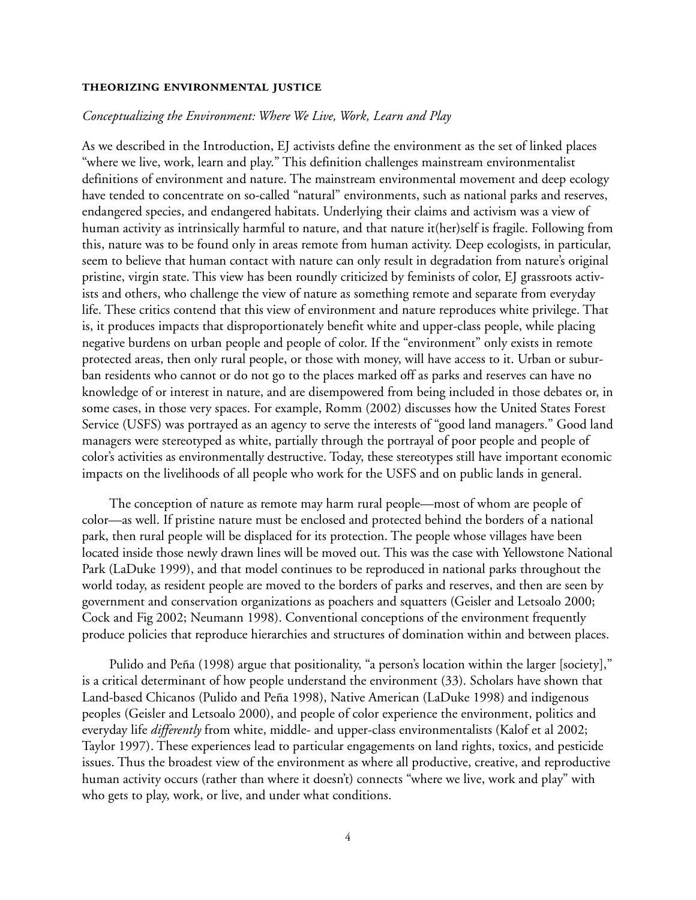#### **THEORIZING ENVIRONMENTAL JUSTICE**

#### *Conceptualizing the Environment: Where We Live, Work, Learn and Play*

As we described in the Introduction, EJ activists define the environment as the set of linked places "where we live, work, learn and play." This definition challenges mainstream environmentalist definitions of environment and nature. The mainstream environmental movement and deep ecology have tended to concentrate on so-called "natural" environments, such as national parks and reserves, endangered species, and endangered habitats. Underlying their claims and activism was a view of human activity as intrinsically harmful to nature, and that nature it(her)self is fragile. Following from this, nature was to be found only in areas remote from human activity. Deep ecologists, in particular, seem to believe that human contact with nature can only result in degradation from nature's original pristine, virgin state. This view has been roundly criticized by feminists of color, EJ grassroots activists and others, who challenge the view of nature as something remote and separate from everyday life. These critics contend that this view of environment and nature reproduces white privilege. That is, it produces impacts that disproportionately benefit white and upper-class people, while placing negative burdens on urban people and people of color. If the "environment" only exists in remote protected areas, then only rural people, or those with money, will have access to it. Urban or suburban residents who cannot or do not go to the places marked off as parks and reserves can have no knowledge of or interest in nature, and are disempowered from being included in those debates or, in some cases, in those very spaces. For example, Romm (2002) discusses how the United States Forest Service (USFS) was portrayed as an agency to serve the interests of "good land managers." Good land managers were stereotyped as white, partially through the portrayal of poor people and people of color's activities as environmentally destructive. Today, these stereotypes still have important economic impacts on the livelihoods of all people who work for the USFS and on public lands in general.

The conception of nature as remote may harm rural people—most of whom are people of color—as well. If pristine nature must be enclosed and protected behind the borders of a national park, then rural people will be displaced for its protection. The people whose villages have been located inside those newly drawn lines will be moved out. This was the case with Yellowstone National Park (LaDuke 1999), and that model continues to be reproduced in national parks throughout the world today, as resident people are moved to the borders of parks and reserves, and then are seen by government and conservation organizations as poachers and squatters (Geisler and Letsoalo 2000; Cock and Fig 2002; Neumann 1998). Conventional conceptions of the environment frequently produce policies that reproduce hierarchies and structures of domination within and between places.

Pulido and Peña (1998) argue that positionality, "a person's location within the larger [society]," is a critical determinant of how people understand the environment (33). Scholars have shown that Land-based Chicanos (Pulido and Peña 1998), Native American (LaDuke 1998) and indigenous peoples (Geisler and Letsoalo 2000), and people of color experience the environment, politics and everyday life *differently* from white, middle- and upper-class environmentalists (Kalof et al 2002; Taylor 1997). These experiences lead to particular engagements on land rights, toxics, and pesticide issues. Thus the broadest view of the environment as where all productive, creative, and reproductive human activity occurs (rather than where it doesn't) connects "where we live, work and play" with who gets to play, work, or live, and under what conditions.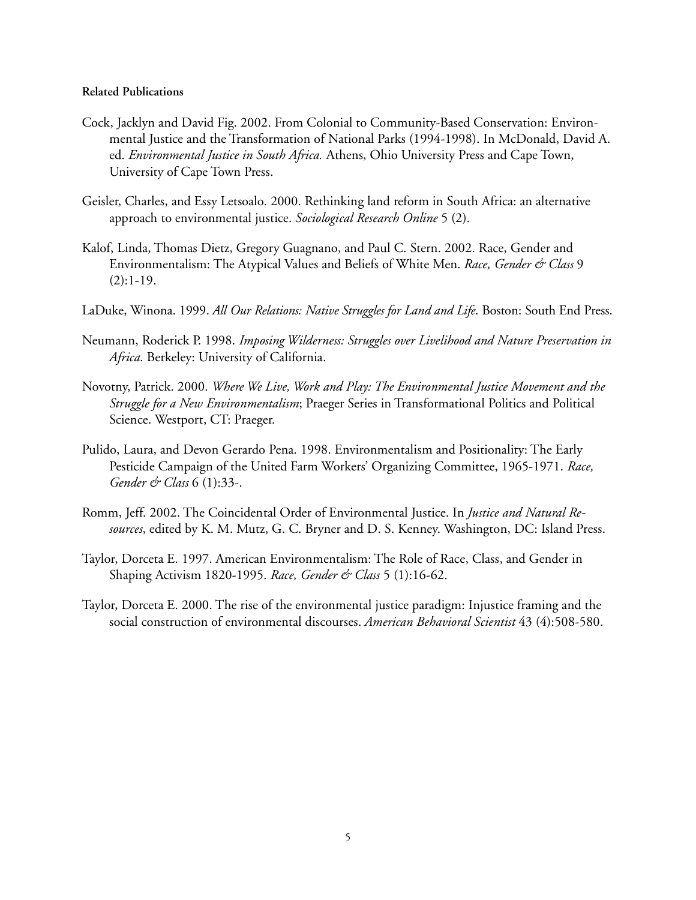- Cock, Jacklyn and David Fig. 2002. From Colonial to Community-Based Conservation: Environmental Justice and the Transformation of National Parks (1994-1998). In McDonald, David A. ed. *Environmental Justice in South Africa.* Athens, Ohio University Press and Cape Town, University of Cape Town Press.
- Geisler, Charles, and Essy Letsoalo. 2000. Rethinking land reform in South Africa: an alternative approach to environmental justice. *Sociological Research Online* 5 (2).
- Kalof, Linda, Thomas Dietz, Gregory Guagnano, and Paul C. Stern. 2002. Race, Gender and Environmentalism: The Atypical Values and Beliefs of White Men. *Race, Gender & Class* 9  $(2):1-19.$
- LaDuke, Winona. 1999. *All Our Relations: Native Struggles for Land and Life*. Boston: South End Press.
- Neumann, Roderick P. 1998. *Imposing Wilderness: Struggles over Livelihood and Nature Preservation in Africa*. Berkeley: University of California.
- Novotny, Patrick. 2000. *Where We Live, Work and Play: The Environmental Justice Movement and the Struggle for a New Environmentalism*; Praeger Series in Transformational Politics and Political Science. Westport, CT: Praeger.
- Pulido, Laura, and Devon Gerardo Pena. 1998. Environmentalism and Positionality: The Early Pesticide Campaign of the United Farm Workers' Organizing Committee, 1965-1971. *Race, Gender & Class* 6 (1):33-.
- Romm, Jeff. 2002. The Coincidental Order of Environmental Justice. In *Justice and Natural Resources*, edited by K. M. Mutz, G. C. Bryner and D. S. Kenney. Washington, DC: Island Press.
- Taylor, Dorceta E. 1997. American Environmentalism: The Role of Race, Class, and Gender in Shaping Activism 1820-1995. *Race, Gender & Class* 5 (1):16-62.
- Taylor, Dorceta E. 2000. The rise of the environmental justice paradigm: Injustice framing and the social construction of environmental discourses. *American Behavioral Scientist* 43 (4):508-580.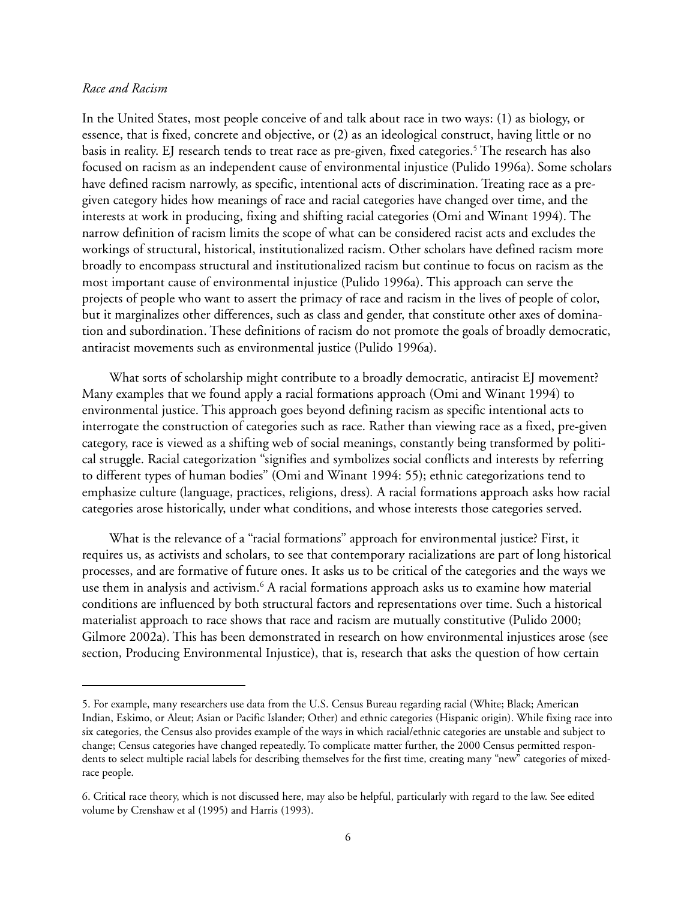# *Race and Racism*

In the United States, most people conceive of and talk about race in two ways: (1) as biology, or essence, that is fixed, concrete and objective, or (2) as an ideological construct, having little or no basis in reality. EJ research tends to treat race as pre-given, fixed categories.<sup>5</sup> The research has also focused on racism as an independent cause of environmental injustice (Pulido 1996a). Some scholars have defined racism narrowly, as specific, intentional acts of discrimination. Treating race as a pregiven category hides how meanings of race and racial categories have changed over time, and the interests at work in producing, fixing and shifting racial categories (Omi and Winant 1994). The narrow definition of racism limits the scope of what can be considered racist acts and excludes the workings of structural, historical, institutionalized racism. Other scholars have defined racism more broadly to encompass structural and institutionalized racism but continue to focus on racism as the most important cause of environmental injustice (Pulido 1996a). This approach can serve the projects of people who want to assert the primacy of race and racism in the lives of people of color, but it marginalizes other differences, such as class and gender, that constitute other axes of domination and subordination. These definitions of racism do not promote the goals of broadly democratic, antiracist movements such as environmental justice (Pulido 1996a).

What sorts of scholarship might contribute to a broadly democratic, antiracist EJ movement? Many examples that we found apply a racial formations approach (Omi and Winant 1994) to environmental justice. This approach goes beyond defining racism as specific intentional acts to interrogate the construction of categories such as race. Rather than viewing race as a fixed, pre-given category, race is viewed as a shifting web of social meanings, constantly being transformed by political struggle. Racial categorization "signifies and symbolizes social conflicts and interests by referring to different types of human bodies" (Omi and Winant 1994: 55); ethnic categorizations tend to emphasize culture (language, practices, religions, dress)*.* A racial formations approach asks how racial categories arose historically, under what conditions, and whose interests those categories served.

What is the relevance of a "racial formations" approach for environmental justice? First, it requires us, as activists and scholars, to see that contemporary racializations are part of long historical processes, and are formative of future ones. It asks us to be critical of the categories and the ways we use them in analysis and activism.<sup>6</sup> A racial formations approach asks us to examine how material conditions are influenced by both structural factors and representations over time. Such a historical materialist approach to race shows that race and racism are mutually constitutive (Pulido 2000; Gilmore 2002a). This has been demonstrated in research on how environmental injustices arose (see section, Producing Environmental Injustice), that is, research that asks the question of how certain

<sup>5.</sup> For example, many researchers use data from the U.S. Census Bureau regarding racial (White; Black; American Indian, Eskimo, or Aleut; Asian or Pacific Islander; Other) and ethnic categories (Hispanic origin). While fixing race into six categories, the Census also provides example of the ways in which racial/ethnic categories are unstable and subject to change; Census categories have changed repeatedly. To complicate matter further, the 2000 Census permitted respondents to select multiple racial labels for describing themselves for the first time, creating many "new" categories of mixedrace people.

<sup>6.</sup> Critical race theory, which is not discussed here, may also be helpful, particularly with regard to the law. See edited volume by Crenshaw et al (1995) and Harris (1993).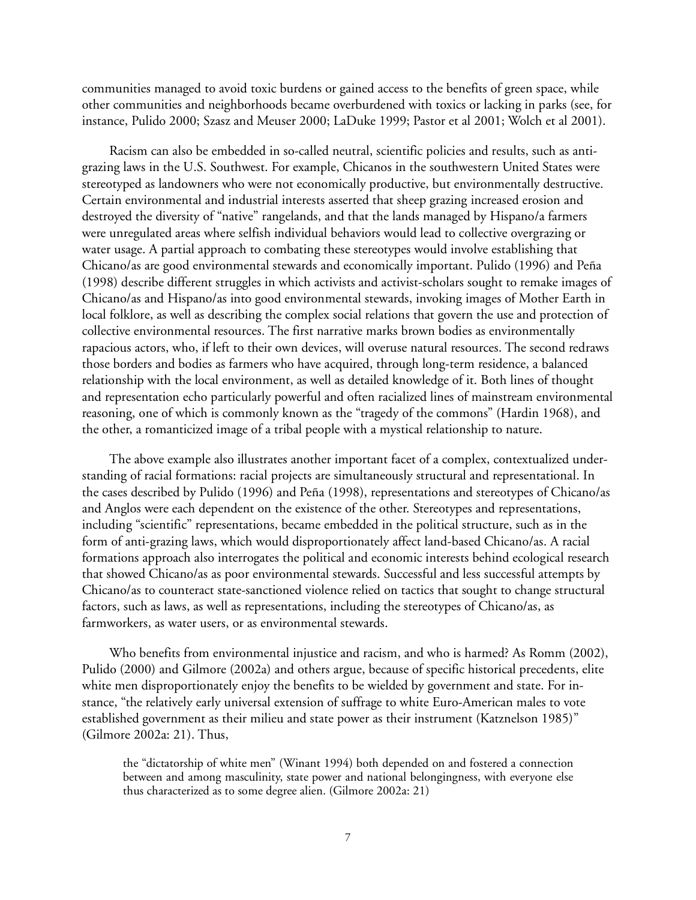communities managed to avoid toxic burdens or gained access to the benefits of green space, while other communities and neighborhoods became overburdened with toxics or lacking in parks (see, for instance, Pulido 2000; Szasz and Meuser 2000; LaDuke 1999; Pastor et al 2001; Wolch et al 2001).

Racism can also be embedded in so-called neutral, scientific policies and results, such as antigrazing laws in the U.S. Southwest. For example, Chicanos in the southwestern United States were stereotyped as landowners who were not economically productive, but environmentally destructive. Certain environmental and industrial interests asserted that sheep grazing increased erosion and destroyed the diversity of "native" rangelands, and that the lands managed by Hispano/a farmers were unregulated areas where selfish individual behaviors would lead to collective overgrazing or water usage. A partial approach to combating these stereotypes would involve establishing that Chicano/as are good environmental stewards and economically important. Pulido (1996) and Peña (1998) describe different struggles in which activists and activist-scholars sought to remake images of Chicano/as and Hispano/as into good environmental stewards, invoking images of Mother Earth in local folklore, as well as describing the complex social relations that govern the use and protection of collective environmental resources. The first narrative marks brown bodies as environmentally rapacious actors, who, if left to their own devices, will overuse natural resources. The second redraws those borders and bodies as farmers who have acquired, through long-term residence, a balanced relationship with the local environment, as well as detailed knowledge of it. Both lines of thought and representation echo particularly powerful and often racialized lines of mainstream environmental reasoning, one of which is commonly known as the "tragedy of the commons" (Hardin 1968), and the other, a romanticized image of a tribal people with a mystical relationship to nature.

The above example also illustrates another important facet of a complex, contextualized understanding of racial formations: racial projects are simultaneously structural and representational. In the cases described by Pulido (1996) and Peña (1998), representations and stereotypes of Chicano/as and Anglos were each dependent on the existence of the other. Stereotypes and representations, including "scientific" representations, became embedded in the political structure, such as in the form of anti-grazing laws, which would disproportionately affect land-based Chicano/as. A racial formations approach also interrogates the political and economic interests behind ecological research that showed Chicano/as as poor environmental stewards. Successful and less successful attempts by Chicano/as to counteract state-sanctioned violence relied on tactics that sought to change structural factors, such as laws, as well as representations, including the stereotypes of Chicano/as, as farmworkers, as water users, or as environmental stewards.

Who benefits from environmental injustice and racism, and who is harmed? As Romm (2002), Pulido (2000) and Gilmore (2002a) and others argue, because of specific historical precedents, elite white men disproportionately enjoy the benefits to be wielded by government and state. For instance, "the relatively early universal extension of suffrage to white Euro-American males to vote established government as their milieu and state power as their instrument (Katznelson 1985)" (Gilmore 2002a: 21). Thus,

the "dictatorship of white men" (Winant 1994) both depended on and fostered a connection between and among masculinity, state power and national belongingness, with everyone else thus characterized as to some degree alien. (Gilmore 2002a: 21)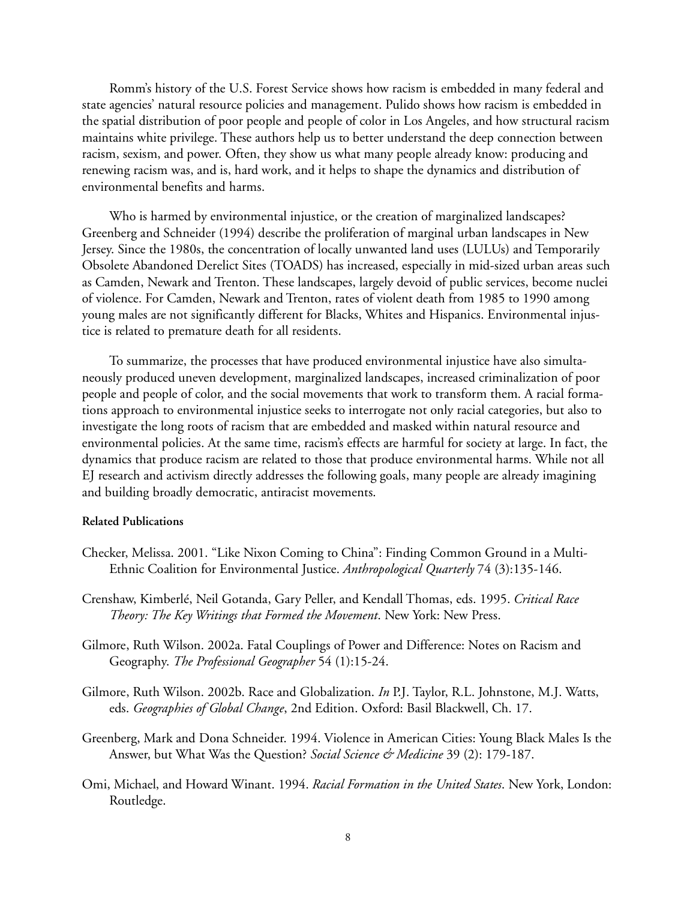Romm's history of the U.S. Forest Service shows how racism is embedded in many federal and state agencies' natural resource policies and management. Pulido shows how racism is embedded in the spatial distribution of poor people and people of color in Los Angeles, and how structural racism maintains white privilege. These authors help us to better understand the deep connection between racism, sexism, and power. Often, they show us what many people already know: producing and renewing racism was, and is, hard work, and it helps to shape the dynamics and distribution of environmental benefits and harms.

Who is harmed by environmental injustice, or the creation of marginalized landscapes? Greenberg and Schneider (1994) describe the proliferation of marginal urban landscapes in New Jersey. Since the 1980s, the concentration of locally unwanted land uses (LULUs) and Temporarily Obsolete Abandoned Derelict Sites (TOADS) has increased, especially in mid-sized urban areas such as Camden, Newark and Trenton. These landscapes, largely devoid of public services, become nuclei of violence. For Camden, Newark and Trenton, rates of violent death from 1985 to 1990 among young males are not significantly different for Blacks, Whites and Hispanics. Environmental injustice is related to premature death for all residents.

To summarize, the processes that have produced environmental injustice have also simultaneously produced uneven development, marginalized landscapes, increased criminalization of poor people and people of color, and the social movements that work to transform them. A racial formations approach to environmental injustice seeks to interrogate not only racial categories, but also to investigate the long roots of racism that are embedded and masked within natural resource and environmental policies. At the same time, racism's effects are harmful for society at large. In fact, the dynamics that produce racism are related to those that produce environmental harms. While not all EJ research and activism directly addresses the following goals, many people are already imagining and building broadly democratic, antiracist movements.

- Checker, Melissa. 2001. "Like Nixon Coming to China": Finding Common Ground in a Multi-Ethnic Coalition for Environmental Justice. *Anthropological Quarterly* 74 (3):135-146.
- Crenshaw, Kimberlé, Neil Gotanda, Gary Peller, and Kendall Thomas, eds. 1995. *Critical Race Theory: The Key Writings that Formed the Movement*. New York: New Press.
- Gilmore, Ruth Wilson. 2002a. Fatal Couplings of Power and Difference: Notes on Racism and Geography. *The Professional Geographer* 54 (1):15-24.
- Gilmore, Ruth Wilson. 2002b. Race and Globalization. *In* P.J. Taylor, R.L. Johnstone, M.J. Watts, eds. *Geographies of Global Change*, 2nd Edition. Oxford: Basil Blackwell, Ch. 17.
- Greenberg, Mark and Dona Schneider. 1994. Violence in American Cities: Young Black Males Is the Answer, but What Was the Question? *Social Science & Medicine* 39 (2): 179-187.
- Omi, Michael, and Howard Winant. 1994. *Racial Formation in the United States*. New York, London: Routledge.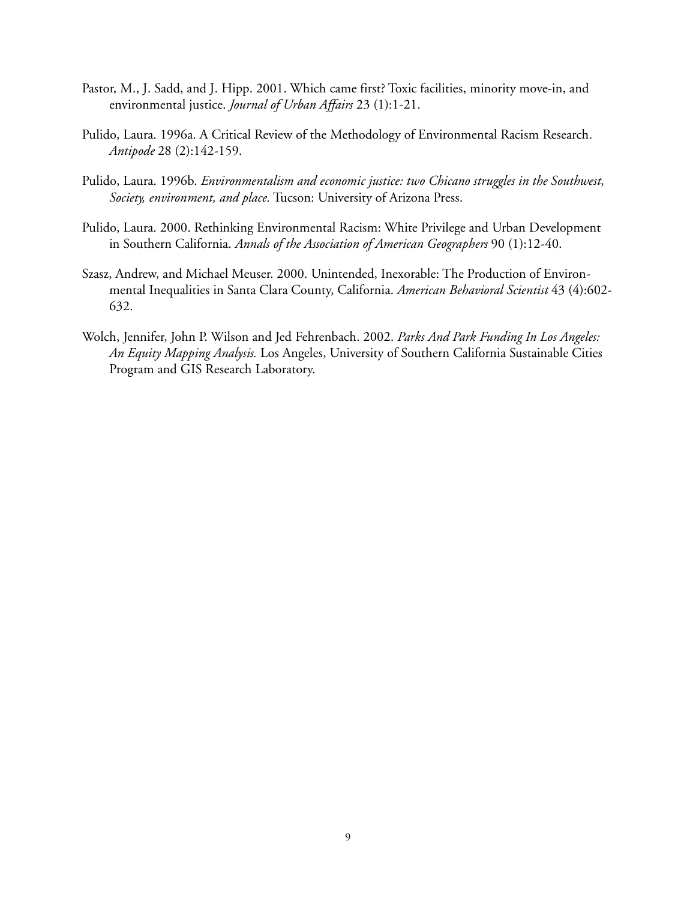- Pastor, M., J. Sadd, and J. Hipp. 2001. Which came first? Toxic facilities, minority move-in, and environmental justice. *Journal of Urban Affairs* 23 (1):1-21.
- Pulido, Laura. 1996a. A Critical Review of the Methodology of Environmental Racism Research. *Antipode* 28 (2):142-159.
- Pulido, Laura. 1996b. *Environmentalism and economic justice: two Chicano struggles in the Southwest*, *Society, environment, and place.* Tucson: University of Arizona Press.
- Pulido, Laura. 2000. Rethinking Environmental Racism: White Privilege and Urban Development in Southern California. *Annals of the Association of American Geographers* 90 (1):12-40.
- Szasz, Andrew, and Michael Meuser. 2000. Unintended, Inexorable: The Production of Environmental Inequalities in Santa Clara County, California. *American Behavioral Scientist* 43 (4):602- 632.
- Wolch, Jennifer, John P. Wilson and Jed Fehrenbach. 2002. *Parks And Park Funding In Los Angeles: An Equity Mapping Analysis.* Los Angeles, University of Southern California Sustainable Cities Program and GIS Research Laboratory.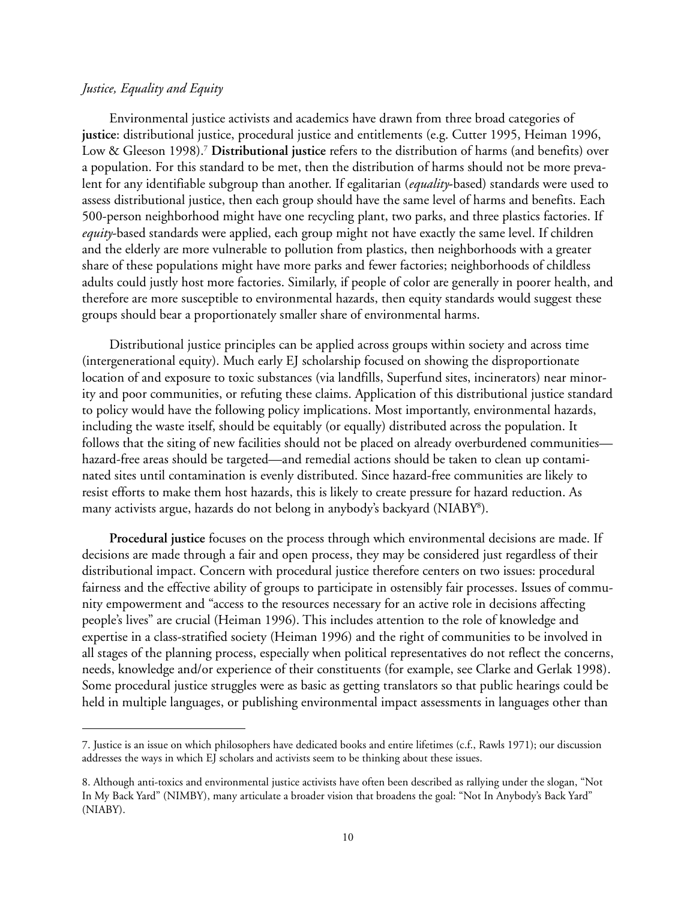# *Justice, Equality and Equity*

Environmental justice activists and academics have drawn from three broad categories of **justice**: distributional justice, procedural justice and entitlements (e.g. Cutter 1995, Heiman 1996, Low & Gleeson 1998).<sup>7</sup> **Distributional justice** refers to the distribution of harms (and benefits) over a population. For this standard to be met, then the distribution of harms should not be more prevalent for any identifiable subgroup than another. If egalitarian (*equality***-**based) standards were used to assess distributional justice, then each group should have the same level of harms and benefits. Each 500-person neighborhood might have one recycling plant, two parks, and three plastics factories. If *equity*-based standards were applied, each group might not have exactly the same level. If children and the elderly are more vulnerable to pollution from plastics, then neighborhoods with a greater share of these populations might have more parks and fewer factories; neighborhoods of childless adults could justly host more factories. Similarly, if people of color are generally in poorer health, and therefore are more susceptible to environmental hazards, then equity standards would suggest these groups should bear a proportionately smaller share of environmental harms.

Distributional justice principles can be applied across groups within society and across time (intergenerational equity). Much early EJ scholarship focused on showing the disproportionate location of and exposure to toxic substances (via landfills, Superfund sites, incinerators) near minority and poor communities, or refuting these claims. Application of this distributional justice standard to policy would have the following policy implications. Most importantly, environmental hazards, including the waste itself, should be equitably (or equally) distributed across the population. It follows that the siting of new facilities should not be placed on already overburdened communities hazard-free areas should be targeted—and remedial actions should be taken to clean up contaminated sites until contamination is evenly distributed. Since hazard-free communities are likely to resist efforts to make them host hazards, this is likely to create pressure for hazard reduction. As many activists argue, hazards do not belong in anybody's backyard (NIABY<sup>8</sup> ).

**Procedural justice** focuses on the process through which environmental decisions are made. If decisions are made through a fair and open process, they may be considered just regardless of their distributional impact. Concern with procedural justice therefore centers on two issues: procedural fairness and the effective ability of groups to participate in ostensibly fair processes. Issues of community empowerment and "access to the resources necessary for an active role in decisions affecting people's lives" are crucial (Heiman 1996). This includes attention to the role of knowledge and expertise in a class-stratified society (Heiman 1996) and the right of communities to be involved in all stages of the planning process, especially when political representatives do not reflect the concerns, needs, knowledge and/or experience of their constituents (for example, see Clarke and Gerlak 1998). Some procedural justice struggles were as basic as getting translators so that public hearings could be held in multiple languages, or publishing environmental impact assessments in languages other than

<sup>7.</sup> Justice is an issue on which philosophers have dedicated books and entire lifetimes (c.f., Rawls 1971); our discussion addresses the ways in which EJ scholars and activists seem to be thinking about these issues.

<sup>8.</sup> Although anti-toxics and environmental justice activists have often been described as rallying under the slogan, "Not In My Back Yard" (NIMBY), many articulate a broader vision that broadens the goal: "Not In Anybody's Back Yard" (NIABY).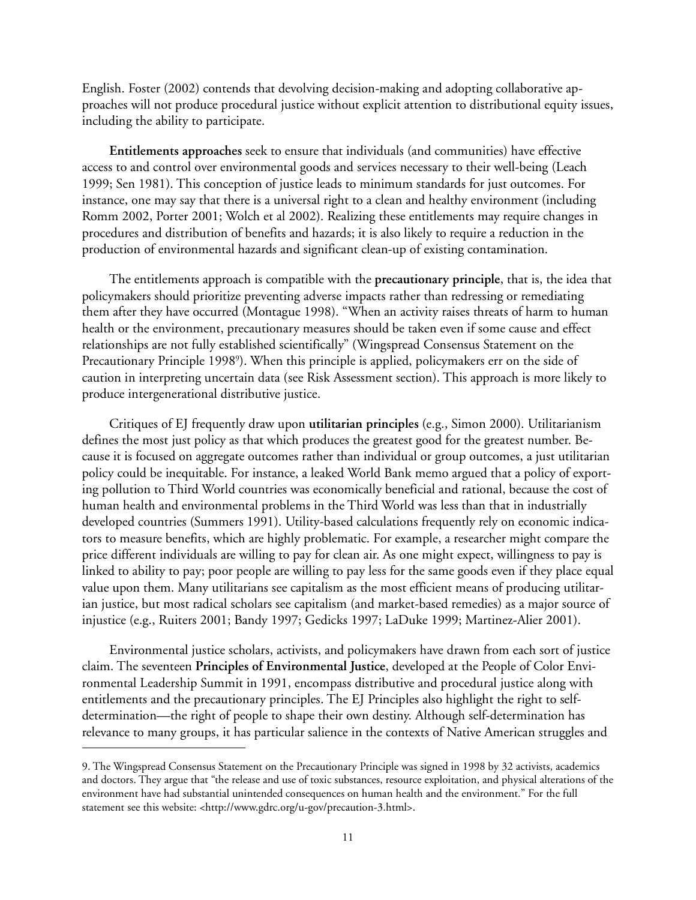English. Foster (2002) contends that devolving decision-making and adopting collaborative approaches will not produce procedural justice without explicit attention to distributional equity issues, including the ability to participate.

**Entitlements approaches** seek to ensure that individuals (and communities) have effective access to and control over environmental goods and services necessary to their well-being (Leach 1999; Sen 1981). This conception of justice leads to minimum standards for just outcomes. For instance, one may say that there is a universal right to a clean and healthy environment (including Romm 2002, Porter 2001; Wolch et al 2002). Realizing these entitlements may require changes in procedures and distribution of benefits and hazards; it is also likely to require a reduction in the production of environmental hazards and significant clean-up of existing contamination.

The entitlements approach is compatible with the **precautionary principle**, that is, the idea that policymakers should prioritize preventing adverse impacts rather than redressing or remediating them after they have occurred (Montague 1998). "When an activity raises threats of harm to human health or the environment, precautionary measures should be taken even if some cause and effect relationships are not fully established scientifically" (Wingspread Consensus Statement on the Precautionary Principle 1998<sup>9</sup> ). When this principle is applied, policymakers err on the side of caution in interpreting uncertain data (see Risk Assessment section). This approach is more likely to produce intergenerational distributive justice.

Critiques of EJ frequently draw upon **utilitarian principles** (e.g., Simon 2000). Utilitarianism defines the most just policy as that which produces the greatest good for the greatest number. Because it is focused on aggregate outcomes rather than individual or group outcomes, a just utilitarian policy could be inequitable. For instance, a leaked World Bank memo argued that a policy of exporting pollution to Third World countries was economically beneficial and rational, because the cost of human health and environmental problems in the Third World was less than that in industrially developed countries (Summers 1991). Utility-based calculations frequently rely on economic indicators to measure benefits, which are highly problematic. For example, a researcher might compare the price different individuals are willing to pay for clean air. As one might expect, willingness to pay is linked to ability to pay; poor people are willing to pay less for the same goods even if they place equal value upon them. Many utilitarians see capitalism as the most efficient means of producing utilitarian justice, but most radical scholars see capitalism (and market-based remedies) as a major source of injustice (e.g., Ruiters 2001; Bandy 1997; Gedicks 1997; LaDuke 1999; Martinez-Alier 2001).

Environmental justice scholars, activists, and policymakers have drawn from each sort of justice claim. The seventeen **Principles of Environmental Justice**, developed at the People of Color Environmental Leadership Summit in 1991, encompass distributive and procedural justice along with entitlements and the precautionary principles. The EJ Principles also highlight the right to selfdetermination—the right of people to shape their own destiny. Although self-determination has relevance to many groups, it has particular salience in the contexts of Native American struggles and

<sup>9.</sup> The Wingspread Consensus Statement on the Precautionary Principle was signed in 1998 by 32 activists, academics and doctors. They argue that "the release and use of toxic substances, resource exploitation, and physical alterations of the environment have had substantial unintended consequences on human health and the environment." For the full statement see this website: <http://www.gdrc.org/u-gov/precaution-3.html>.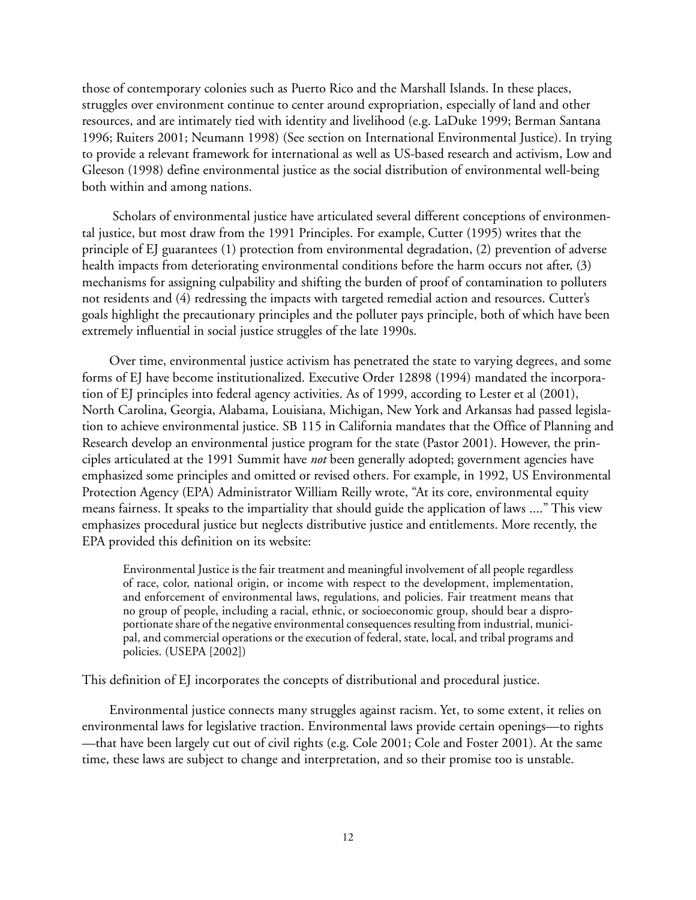those of contemporary colonies such as Puerto Rico and the Marshall Islands. In these places, struggles over environment continue to center around expropriation, especially of land and other resources, and are intimately tied with identity and livelihood (e.g. LaDuke 1999; Berman Santana 1996; Ruiters 2001; Neumann 1998) (See section on International Environmental Justice). In trying to provide a relevant framework for international as well as US-based research and activism, Low and Gleeson (1998) define environmental justice as the social distribution of environmental well-being both within and among nations.

 Scholars of environmental justice have articulated several different conceptions of environmental justice, but most draw from the 1991 Principles. For example, Cutter (1995) writes that the principle of EJ guarantees (1) protection from environmental degradation, (2) prevention of adverse health impacts from deteriorating environmental conditions before the harm occurs not after, (3) mechanisms for assigning culpability and shifting the burden of proof of contamination to polluters not residents and (4) redressing the impacts with targeted remedial action and resources. Cutter's goals highlight the precautionary principles and the polluter pays principle, both of which have been extremely influential in social justice struggles of the late 1990s.

Over time, environmental justice activism has penetrated the state to varying degrees, and some forms of EJ have become institutionalized. Executive Order 12898 (1994) mandated the incorporation of EJ principles into federal agency activities. As of 1999, according to Lester et al (2001), North Carolina, Georgia, Alabama, Louisiana, Michigan, New York and Arkansas had passed legislation to achieve environmental justice. SB 115 in California mandates that the Office of Planning and Research develop an environmental justice program for the state (Pastor 2001). However, the principles articulated at the 1991 Summit have *not* been generally adopted; government agencies have emphasized some principles and omitted or revised others. For example, in 1992, US Environmental Protection Agency (EPA) Administrator William Reilly wrote, "At its core, environmental equity means fairness. It speaks to the impartiality that should guide the application of laws ...." This view emphasizes procedural justice but neglects distributive justice and entitlements. More recently, the EPA provided this definition on its website:

Environmental Justice is the fair treatment and meaningful involvement of all people regardless of race, color, national origin, or income with respect to the development, implementation, and enforcement of environmental laws, regulations, and policies. Fair treatment means that no group of people, including a racial, ethnic, or socioeconomic group, should bear a disproportionate share of the negative environmental consequences resulting from industrial, municipal, and commercial operations or the execution of federal, state, local, and tribal programs and policies. (USEPA [2002])

This definition of EJ incorporates the concepts of distributional and procedural justice.

Environmental justice connects many struggles against racism. Yet, to some extent, it relies on environmental laws for legislative traction. Environmental laws provide certain openings—to rights —that have been largely cut out of civil rights (e.g. Cole 2001; Cole and Foster 2001). At the same time, these laws are subject to change and interpretation, and so their promise too is unstable.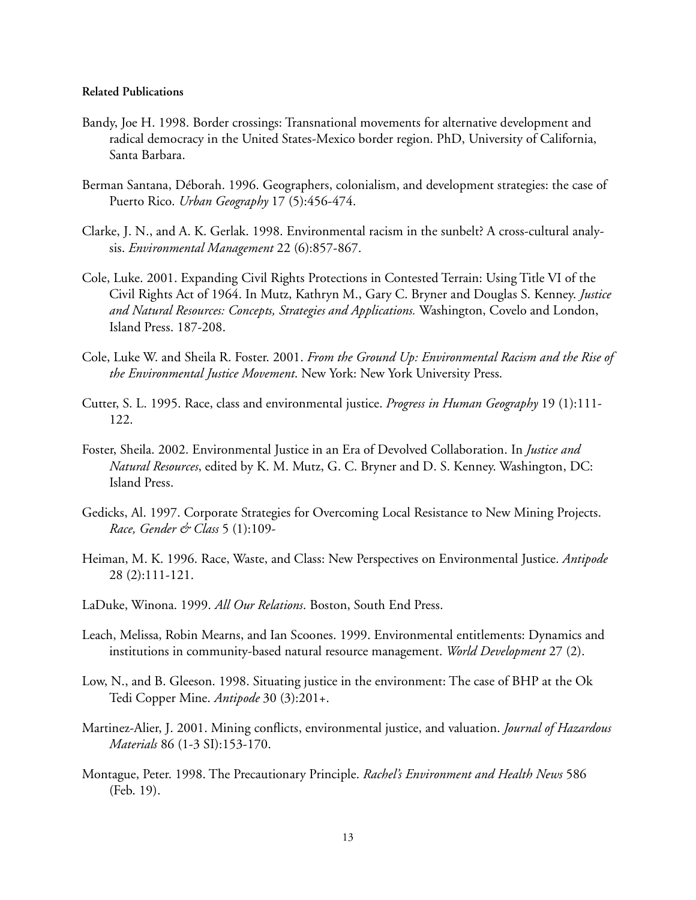- Bandy, Joe H. 1998. Border crossings: Transnational movements for alternative development and radical democracy in the United States-Mexico border region. PhD, University of California, Santa Barbara.
- Berman Santana, Déborah. 1996. Geographers, colonialism, and development strategies: the case of Puerto Rico. *Urban Geography* 17 (5):456-474.
- Clarke, J. N., and A. K. Gerlak. 1998. Environmental racism in the sunbelt? A cross-cultural analysis. *Environmental Management* 22 (6):857-867.
- Cole, Luke. 2001. Expanding Civil Rights Protections in Contested Terrain: Using Title VI of the Civil Rights Act of 1964. In Mutz, Kathryn M., Gary C. Bryner and Douglas S. Kenney. *Justice and Natural Resources: Concepts, Strategies and Applications.* Washington, Covelo and London, Island Press. 187-208.
- Cole, Luke W. and Sheila R. Foster. 2001. *From the Ground Up: Environmental Racism and the Rise of the Environmental Justice Movement*. New York: New York University Press.
- Cutter, S. L. 1995. Race, class and environmental justice. *Progress in Human Geography* 19 (1):111- 122.
- Foster, Sheila. 2002. Environmental Justice in an Era of Devolved Collaboration. In *Justice and Natural Resources*, edited by K. M. Mutz, G. C. Bryner and D. S. Kenney. Washington, DC: Island Press.
- Gedicks, Al. 1997. Corporate Strategies for Overcoming Local Resistance to New Mining Projects. *Race, Gender & Class* 5 (1):109-
- Heiman, M. K. 1996. Race, Waste, and Class: New Perspectives on Environmental Justice. *Antipode* 28 (2):111-121.
- LaDuke, Winona. 1999. *All Our Relations*. Boston, South End Press.
- Leach, Melissa, Robin Mearns, and Ian Scoones. 1999. Environmental entitlements: Dynamics and institutions in community-based natural resource management. *World Development* 27 (2).
- Low, N., and B. Gleeson. 1998. Situating justice in the environment: The case of BHP at the Ok Tedi Copper Mine. *Antipode* 30 (3):201+.
- Martinez-Alier, J. 2001. Mining conflicts, environmental justice, and valuation. *Journal of Hazardous Materials* 86 (1-3 SI):153-170.
- Montague, Peter. 1998. The Precautionary Principle. *Rachel's Environment and Health News* 586 (Feb. 19).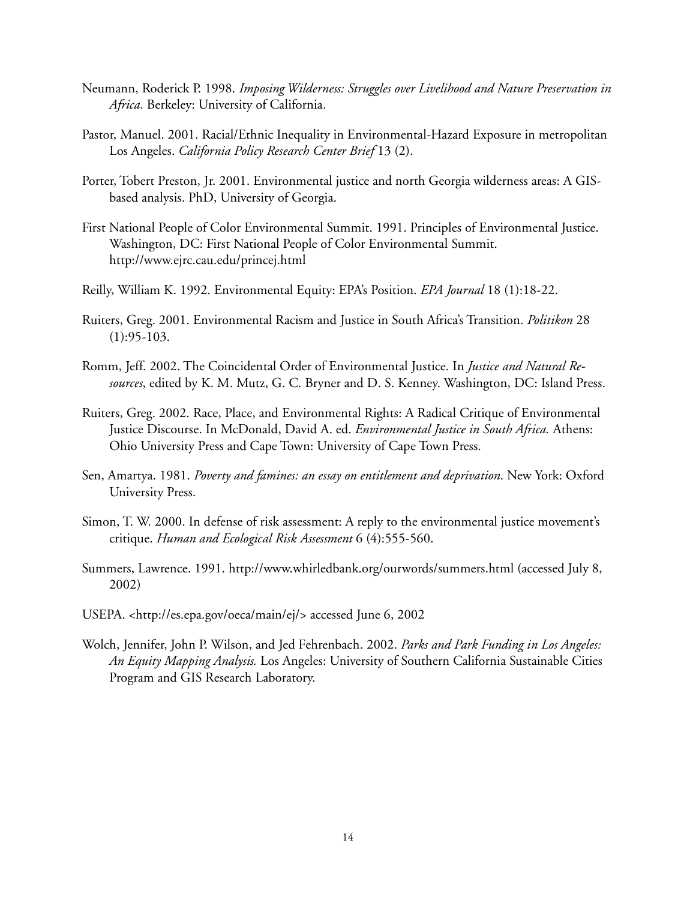- Neumann, Roderick P. 1998. *Imposing Wilderness: Struggles over Livelihood and Nature Preservation in Africa*. Berkeley: University of California.
- Pastor, Manuel. 2001. Racial/Ethnic Inequality in Environmental-Hazard Exposure in metropolitan Los Angeles. *California Policy Research Center Brief* 13 (2).
- Porter, Tobert Preston, Jr. 2001. Environmental justice and north Georgia wilderness areas: A GISbased analysis. PhD, University of Georgia.
- First National People of Color Environmental Summit. 1991. Principles of Environmental Justice. Washington, DC: First National People of Color Environmental Summit. http://www.ejrc.cau.edu/princej.html
- Reilly, William K. 1992. Environmental Equity: EPA's Position. *EPA Journal* 18 (1):18-22.
- Ruiters, Greg. 2001. Environmental Racism and Justice in South Africa's Transition. *Politikon* 28 (1):95-103.
- Romm, Jeff. 2002. The Coincidental Order of Environmental Justice. In *Justice and Natural Resources*, edited by K. M. Mutz, G. C. Bryner and D. S. Kenney. Washington, DC: Island Press.
- Ruiters, Greg. 2002. Race, Place, and Environmental Rights: A Radical Critique of Environmental Justice Discourse. In McDonald, David A. ed. *Environmental Justice in South Africa.* Athens: Ohio University Press and Cape Town: University of Cape Town Press.
- Sen, Amartya. 1981. *Poverty and famines: an essay on entitlement and deprivation*. New York: Oxford University Press.
- Simon, T. W. 2000. In defense of risk assessment: A reply to the environmental justice movement's critique. *Human and Ecological Risk Assessment* 6 (4):555-560.
- Summers, Lawrence. 1991. http://www.whirledbank.org/ourwords/summers.html (accessed July 8, 2002)
- USEPA. <http://es.epa.gov/oeca/main/ej/> accessed June 6, 2002
- Wolch, Jennifer, John P. Wilson, and Jed Fehrenbach. 2002. *Parks and Park Funding in Los Angeles: An Equity Mapping Analysis.* Los Angeles: University of Southern California Sustainable Cities Program and GIS Research Laboratory.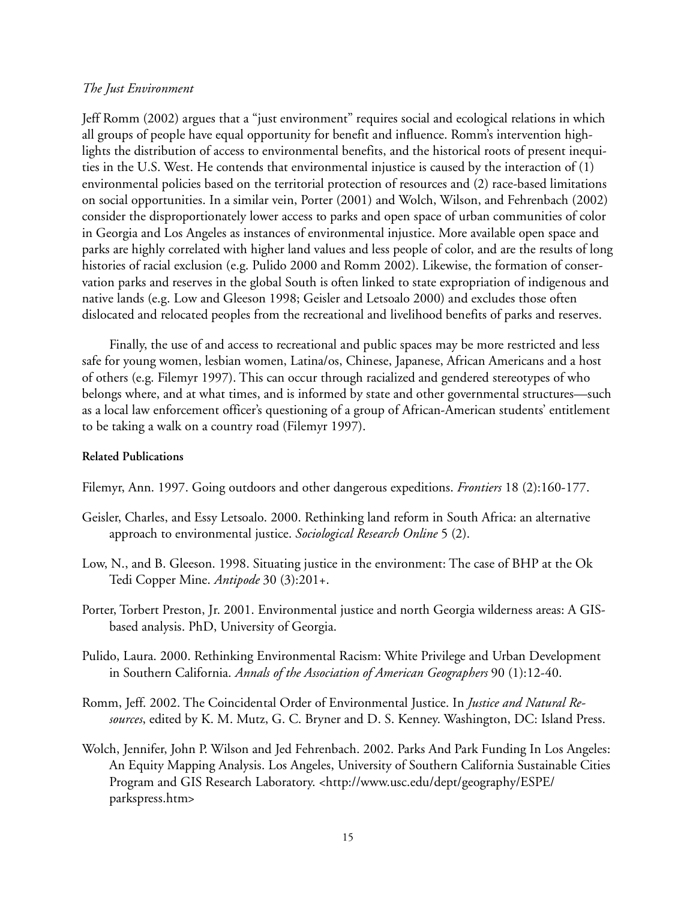# *The Just Environment*

Jeff Romm (2002) argues that a "just environment" requires social and ecological relations in which all groups of people have equal opportunity for benefit and influence. Romm's intervention highlights the distribution of access to environmental benefits, and the historical roots of present inequities in the U.S. West. He contends that environmental injustice is caused by the interaction of (1) environmental policies based on the territorial protection of resources and (2) race-based limitations on social opportunities. In a similar vein, Porter (2001) and Wolch, Wilson, and Fehrenbach (2002) consider the disproportionately lower access to parks and open space of urban communities of color in Georgia and Los Angeles as instances of environmental injustice. More available open space and parks are highly correlated with higher land values and less people of color, and are the results of long histories of racial exclusion (e.g. Pulido 2000 and Romm 2002). Likewise, the formation of conservation parks and reserves in the global South is often linked to state expropriation of indigenous and native lands (e.g. Low and Gleeson 1998; Geisler and Letsoalo 2000) and excludes those often dislocated and relocated peoples from the recreational and livelihood benefits of parks and reserves.

Finally, the use of and access to recreational and public spaces may be more restricted and less safe for young women, lesbian women, Latina/os, Chinese, Japanese, African Americans and a host of others (e.g. Filemyr 1997). This can occur through racialized and gendered stereotypes of who belongs where, and at what times, and is informed by state and other governmental structures—such as a local law enforcement officer's questioning of a group of African-American students' entitlement to be taking a walk on a country road (Filemyr 1997).

## **Related Publications**

Filemyr, Ann. 1997. Going outdoors and other dangerous expeditions. *Frontiers* 18 (2):160-177.

- Geisler, Charles, and Essy Letsoalo. 2000. Rethinking land reform in South Africa: an alternative approach to environmental justice. *Sociological Research Online* 5 (2).
- Low, N., and B. Gleeson. 1998. Situating justice in the environment: The case of BHP at the Ok Tedi Copper Mine. *Antipode* 30 (3):201+.
- Porter, Torbert Preston, Jr. 2001. Environmental justice and north Georgia wilderness areas: A GISbased analysis. PhD, University of Georgia.
- Pulido, Laura. 2000. Rethinking Environmental Racism: White Privilege and Urban Development in Southern California. *Annals of the Association of American Geographers* 90 (1):12-40.
- Romm, Jeff. 2002. The Coincidental Order of Environmental Justice. In *Justice and Natural Resources*, edited by K. M. Mutz, G. C. Bryner and D. S. Kenney. Washington, DC: Island Press.
- Wolch, Jennifer, John P. Wilson and Jed Fehrenbach. 2002. Parks And Park Funding In Los Angeles: An Equity Mapping Analysis. Los Angeles, University of Southern California Sustainable Cities Program and GIS Research Laboratory. <http://www.usc.edu/dept/geography/ESPE/ parkspress.htm>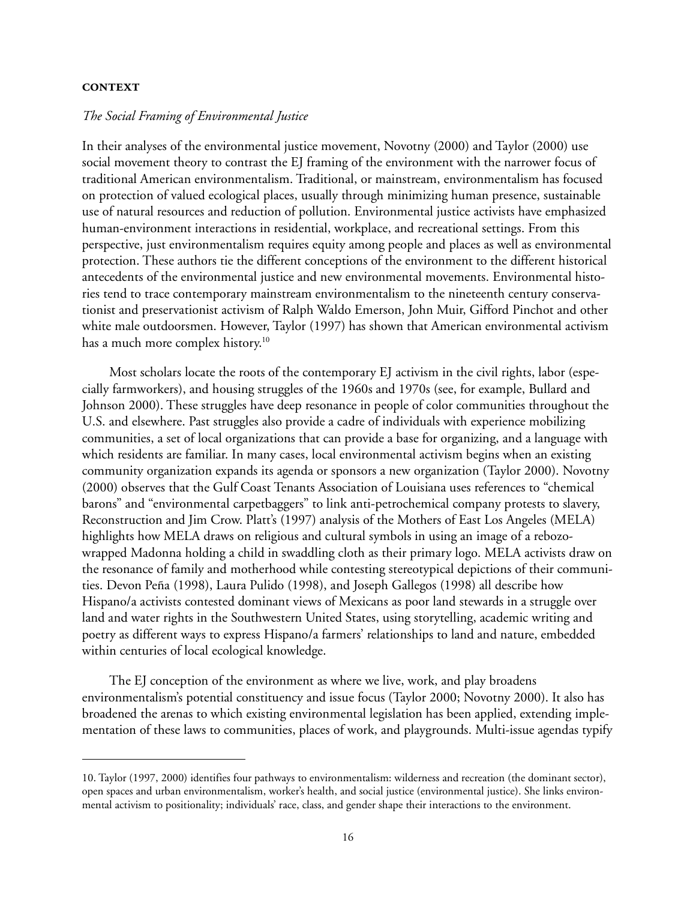#### **CONTEXT**

# *The Social Framing of Environmental Justice*

In their analyses of the environmental justice movement, Novotny (2000) and Taylor (2000) use social movement theory to contrast the EJ framing of the environment with the narrower focus of traditional American environmentalism. Traditional, or mainstream, environmentalism has focused on protection of valued ecological places, usually through minimizing human presence, sustainable use of natural resources and reduction of pollution. Environmental justice activists have emphasized human-environment interactions in residential, workplace, and recreational settings. From this perspective, just environmentalism requires equity among people and places as well as environmental protection. These authors tie the different conceptions of the environment to the different historical antecedents of the environmental justice and new environmental movements. Environmental histories tend to trace contemporary mainstream environmentalism to the nineteenth century conservationist and preservationist activism of Ralph Waldo Emerson, John Muir, Gifford Pinchot and other white male outdoorsmen. However, Taylor (1997) has shown that American environmental activism has a much more complex history.<sup>10</sup>

Most scholars locate the roots of the contemporary EJ activism in the civil rights, labor (especially farmworkers), and housing struggles of the 1960s and 1970s (see, for example, Bullard and Johnson 2000). These struggles have deep resonance in people of color communities throughout the U.S. and elsewhere. Past struggles also provide a cadre of individuals with experience mobilizing communities, a set of local organizations that can provide a base for organizing, and a language with which residents are familiar. In many cases, local environmental activism begins when an existing community organization expands its agenda or sponsors a new organization (Taylor 2000). Novotny (2000) observes that the Gulf Coast Tenants Association of Louisiana uses references to "chemical barons" and "environmental carpetbaggers" to link anti-petrochemical company protests to slavery, Reconstruction and Jim Crow. Platt's (1997) analysis of the Mothers of East Los Angeles (MELA) highlights how MELA draws on religious and cultural symbols in using an image of a rebozowrapped Madonna holding a child in swaddling cloth as their primary logo. MELA activists draw on the resonance of family and motherhood while contesting stereotypical depictions of their communities. Devon Peña (1998), Laura Pulido (1998), and Joseph Gallegos (1998) all describe how Hispano/a activists contested dominant views of Mexicans as poor land stewards in a struggle over land and water rights in the Southwestern United States, using storytelling, academic writing and poetry as different ways to express Hispano/a farmers' relationships to land and nature, embedded within centuries of local ecological knowledge.

The EJ conception of the environment as where we live, work, and play broadens environmentalism's potential constituency and issue focus (Taylor 2000; Novotny 2000). It also has broadened the arenas to which existing environmental legislation has been applied, extending implementation of these laws to communities, places of work, and playgrounds. Multi-issue agendas typify

<sup>10.</sup> Taylor (1997, 2000) identifies four pathways to environmentalism: wilderness and recreation (the dominant sector), open spaces and urban environmentalism, worker's health, and social justice (environmental justice). She links environmental activism to positionality; individuals' race, class, and gender shape their interactions to the environment.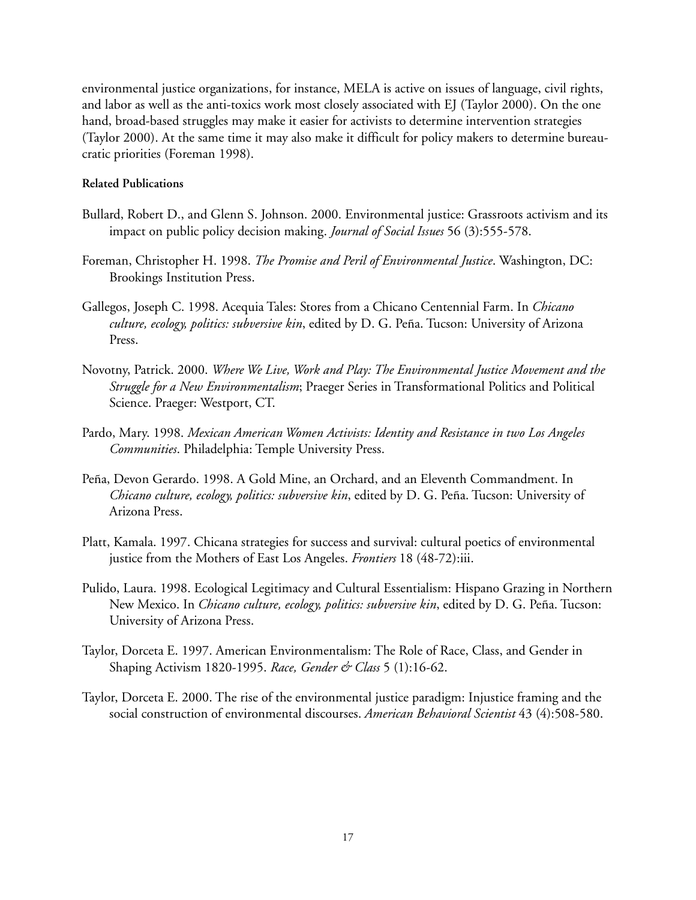environmental justice organizations, for instance, MELA is active on issues of language, civil rights, and labor as well as the anti-toxics work most closely associated with EJ (Taylor 2000). On the one hand, broad-based struggles may make it easier for activists to determine intervention strategies (Taylor 2000). At the same time it may also make it difficult for policy makers to determine bureaucratic priorities (Foreman 1998).

- Bullard, Robert D., and Glenn S. Johnson. 2000. Environmental justice: Grassroots activism and its impact on public policy decision making. *Journal of Social Issues* 56 (3):555-578.
- Foreman, Christopher H. 1998. *The Promise and Peril of Environmental Justice*. Washington, DC: Brookings Institution Press.
- Gallegos, Joseph C. 1998. Acequia Tales: Stores from a Chicano Centennial Farm. In *Chicano culture, ecology, politics: subversive kin*, edited by D. G. Peña. Tucson: University of Arizona Press.
- Novotny, Patrick. 2000. *Where We Live, Work and Play: The Environmental Justice Movement and the Struggle for a New Environmentalism*; Praeger Series in Transformational Politics and Political Science. Praeger: Westport, CT.
- Pardo, Mary. 1998. *Mexican American Women Activists: Identity and Resistance in two Los Angeles Communities*. Philadelphia: Temple University Press.
- Peña, Devon Gerardo. 1998. A Gold Mine, an Orchard, and an Eleventh Commandment. In *Chicano culture, ecology, politics: subversive kin*, edited by D. G. Peña. Tucson: University of Arizona Press.
- Platt, Kamala. 1997. Chicana strategies for success and survival: cultural poetics of environmental justice from the Mothers of East Los Angeles. *Frontiers* 18 (48-72):iii.
- Pulido, Laura. 1998. Ecological Legitimacy and Cultural Essentialism: Hispano Grazing in Northern New Mexico. In *Chicano culture, ecology, politics: subversive kin*, edited by D. G. Peña. Tucson: University of Arizona Press.
- Taylor, Dorceta E. 1997. American Environmentalism: The Role of Race, Class, and Gender in Shaping Activism 1820-1995. *Race, Gender & Class* 5 (1):16-62.
- Taylor, Dorceta E. 2000. The rise of the environmental justice paradigm: Injustice framing and the social construction of environmental discourses. *American Behavioral Scientist* 43 (4):508-580.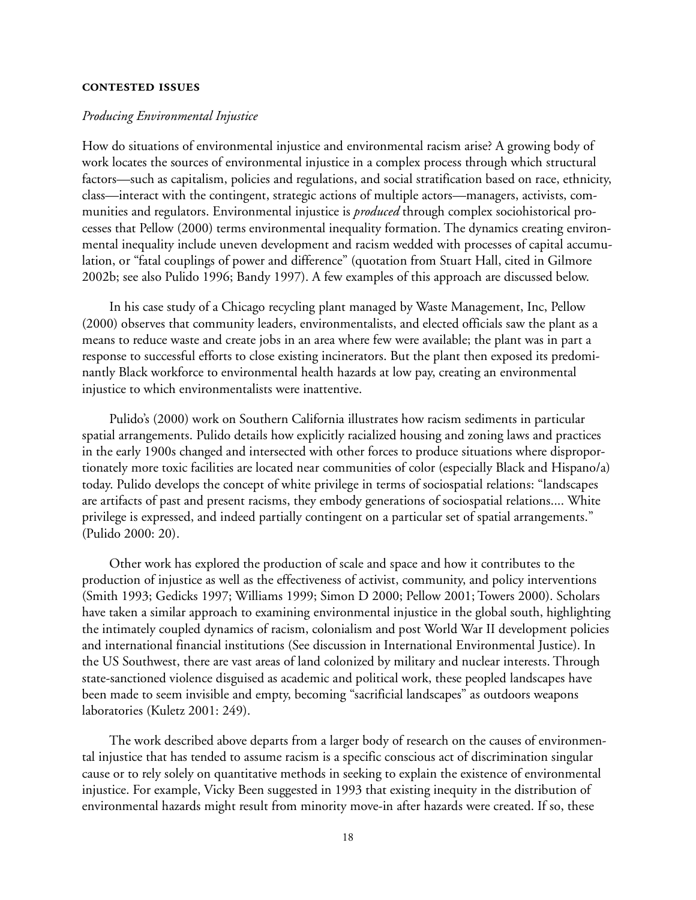## **CONTESTED ISSUES**

#### *Producing Environmental Injustice*

How do situations of environmental injustice and environmental racism arise? A growing body of work locates the sources of environmental injustice in a complex process through which structural factors—such as capitalism, policies and regulations, and social stratification based on race, ethnicity, class—interact with the contingent, strategic actions of multiple actors—managers, activists, communities and regulators. Environmental injustice is *produced* through complex sociohistorical processes that Pellow (2000) terms environmental inequality formation. The dynamics creating environmental inequality include uneven development and racism wedded with processes of capital accumulation, or "fatal couplings of power and difference" (quotation from Stuart Hall, cited in Gilmore 2002b; see also Pulido 1996; Bandy 1997). A few examples of this approach are discussed below.

In his case study of a Chicago recycling plant managed by Waste Management, Inc, Pellow (2000) observes that community leaders, environmentalists, and elected officials saw the plant as a means to reduce waste and create jobs in an area where few were available; the plant was in part a response to successful efforts to close existing incinerators. But the plant then exposed its predominantly Black workforce to environmental health hazards at low pay, creating an environmental injustice to which environmentalists were inattentive.

Pulido's (2000) work on Southern California illustrates how racism sediments in particular spatial arrangements. Pulido details how explicitly racialized housing and zoning laws and practices in the early 1900s changed and intersected with other forces to produce situations where disproportionately more toxic facilities are located near communities of color (especially Black and Hispano/a) today. Pulido develops the concept of white privilege in terms of sociospatial relations: "landscapes are artifacts of past and present racisms, they embody generations of sociospatial relations.... White privilege is expressed, and indeed partially contingent on a particular set of spatial arrangements." (Pulido 2000: 20).

Other work has explored the production of scale and space and how it contributes to the production of injustice as well as the effectiveness of activist, community, and policy interventions (Smith 1993; Gedicks 1997; Williams 1999; Simon D 2000; Pellow 2001; Towers 2000). Scholars have taken a similar approach to examining environmental injustice in the global south, highlighting the intimately coupled dynamics of racism, colonialism and post World War II development policies and international financial institutions (See discussion in International Environmental Justice). In the US Southwest, there are vast areas of land colonized by military and nuclear interests. Through state-sanctioned violence disguised as academic and political work, these peopled landscapes have been made to seem invisible and empty, becoming "sacrificial landscapes" as outdoors weapons laboratories (Kuletz 2001: 249).

The work described above departs from a larger body of research on the causes of environmental injustice that has tended to assume racism is a specific conscious act of discrimination singular cause or to rely solely on quantitative methods in seeking to explain the existence of environmental injustice. For example, Vicky Been suggested in 1993 that existing inequity in the distribution of environmental hazards might result from minority move-in after hazards were created. If so, these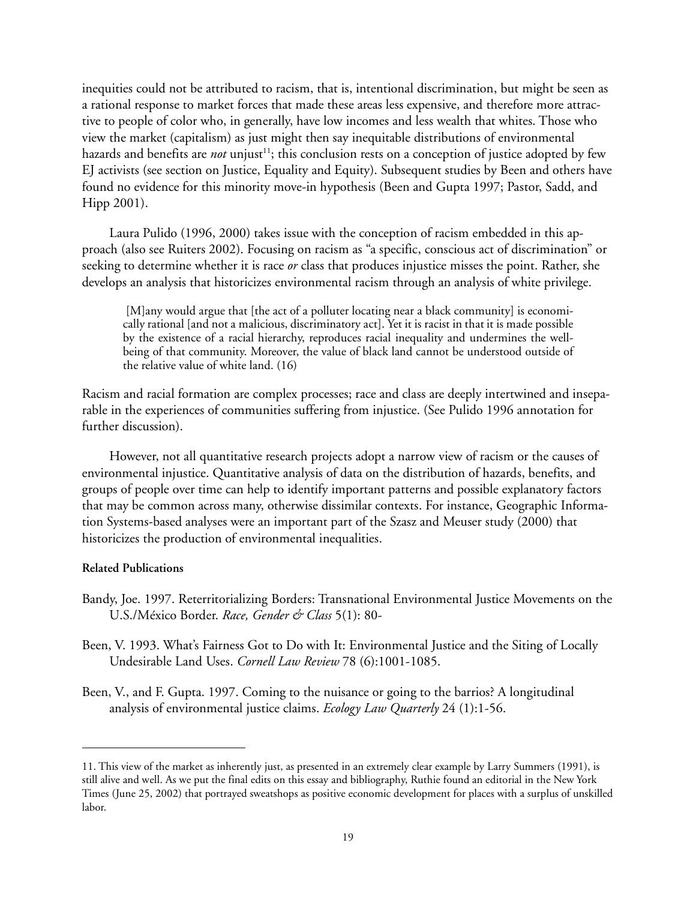inequities could not be attributed to racism, that is, intentional discrimination, but might be seen as a rational response to market forces that made these areas less expensive, and therefore more attractive to people of color who, in generally, have low incomes and less wealth that whites. Those who view the market (capitalism) as just might then say inequitable distributions of environmental hazards and benefits are *not* unjust<sup>11</sup>; this conclusion rests on a conception of justice adopted by few EJ activists (see section on Justice, Equality and Equity). Subsequent studies by Been and others have found no evidence for this minority move-in hypothesis (Been and Gupta 1997; Pastor, Sadd, and Hipp 2001).

Laura Pulido (1996, 2000) takes issue with the conception of racism embedded in this approach (also see Ruiters 2002). Focusing on racism as "a specific, conscious act of discrimination" or seeking to determine whether it is race *or* class that produces injustice misses the point. Rather, she develops an analysis that historicizes environmental racism through an analysis of white privilege.

 [M]any would argue that [the act of a polluter locating near a black community] is economically rational [and not a malicious, discriminatory act]. Yet it is racist in that it is made possible by the existence of a racial hierarchy, reproduces racial inequality and undermines the wellbeing of that community. Moreover, the value of black land cannot be understood outside of the relative value of white land. (16)

Racism and racial formation are complex processes; race and class are deeply intertwined and inseparable in the experiences of communities suffering from injustice. (See Pulido 1996 annotation for further discussion).

However, not all quantitative research projects adopt a narrow view of racism or the causes of environmental injustice. Quantitative analysis of data on the distribution of hazards, benefits, and groups of people over time can help to identify important patterns and possible explanatory factors that may be common across many, otherwise dissimilar contexts. For instance, Geographic Information Systems-based analyses were an important part of the Szasz and Meuser study (2000) that historicizes the production of environmental inequalities.

- Bandy, Joe. 1997. Reterritorializing Borders: Transnational Environmental Justice Movements on the U.S./México Border. *Race, Gender & Class* 5(1): 80-
- Been, V. 1993. What's Fairness Got to Do with It: Environmental Justice and the Siting of Locally Undesirable Land Uses. *Cornell Law Review* 78 (6):1001-1085.
- Been, V., and F. Gupta. 1997. Coming to the nuisance or going to the barrios? A longitudinal analysis of environmental justice claims. *Ecology Law Quarterly* 24 (1):1-56.

<sup>11.</sup> This view of the market as inherently just, as presented in an extremely clear example by Larry Summers (1991), is still alive and well. As we put the final edits on this essay and bibliography, Ruthie found an editorial in the New York Times (June 25, 2002) that portrayed sweatshops as positive economic development for places with a surplus of unskilled labor.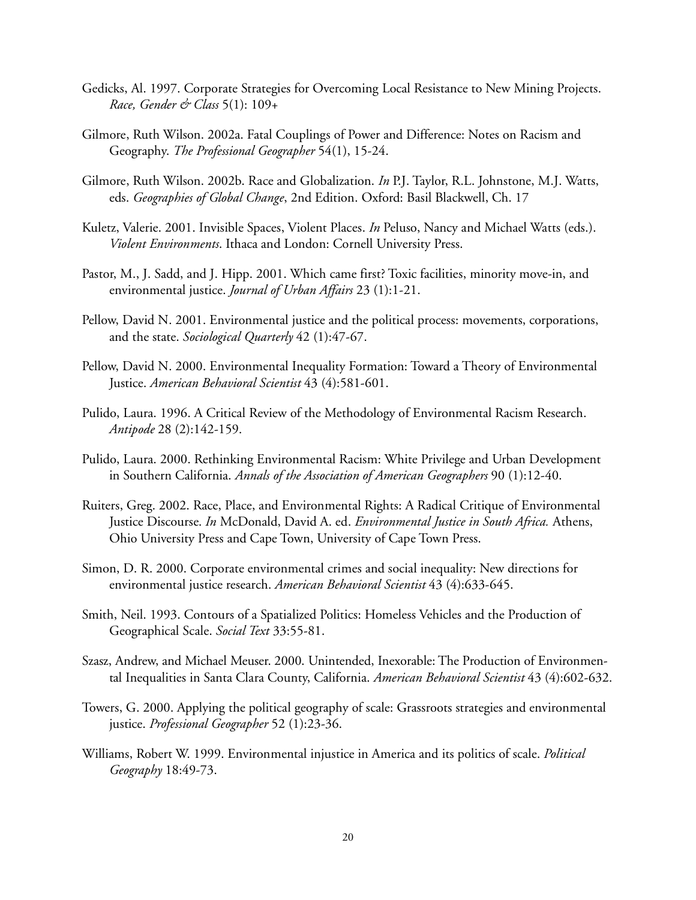- Gedicks, Al. 1997. Corporate Strategies for Overcoming Local Resistance to New Mining Projects. *Race, Gender & Class* 5(1): 109+
- Gilmore, Ruth Wilson. 2002a. Fatal Couplings of Power and Difference: Notes on Racism and Geography. *The Professional Geographer* 54(1), 15-24.
- Gilmore, Ruth Wilson. 2002b. Race and Globalization. *In* P.J. Taylor, R.L. Johnstone, M.J. Watts, eds. *Geographies of Global Change*, 2nd Edition. Oxford: Basil Blackwell, Ch. 17
- Kuletz, Valerie. 2001. Invisible Spaces, Violent Places. *In* Peluso, Nancy and Michael Watts (eds.). *Violent Environments*. Ithaca and London: Cornell University Press.
- Pastor, M., J. Sadd, and J. Hipp. 2001. Which came first? Toxic facilities, minority move-in, and environmental justice. *Journal of Urban Affairs* 23 (1):1-21.
- Pellow, David N. 2001. Environmental justice and the political process: movements, corporations, and the state. *Sociological Quarterly* 42 (1):47-67.
- Pellow, David N. 2000. Environmental Inequality Formation: Toward a Theory of Environmental Justice. *American Behavioral Scientist* 43 (4):581-601.
- Pulido, Laura. 1996. A Critical Review of the Methodology of Environmental Racism Research. *Antipode* 28 (2):142-159.
- Pulido, Laura. 2000. Rethinking Environmental Racism: White Privilege and Urban Development in Southern California. *Annals of the Association of American Geographers* 90 (1):12-40.
- Ruiters, Greg. 2002. Race, Place, and Environmental Rights: A Radical Critique of Environmental Justice Discourse. *In* McDonald, David A. ed. *Environmental Justice in South Africa.* Athens, Ohio University Press and Cape Town, University of Cape Town Press.
- Simon, D. R. 2000. Corporate environmental crimes and social inequality: New directions for environmental justice research. *American Behavioral Scientist* 43 (4):633-645.
- Smith, Neil. 1993. Contours of a Spatialized Politics: Homeless Vehicles and the Production of Geographical Scale. *Social Text* 33:55-81.
- Szasz, Andrew, and Michael Meuser. 2000. Unintended, Inexorable: The Production of Environmental Inequalities in Santa Clara County, California. *American Behavioral Scientist* 43 (4):602-632.
- Towers, G. 2000. Applying the political geography of scale: Grassroots strategies and environmental justice. *Professional Geographer* 52 (1):23-36.
- Williams, Robert W. 1999. Environmental injustice in America and its politics of scale. *Political Geography* 18:49-73.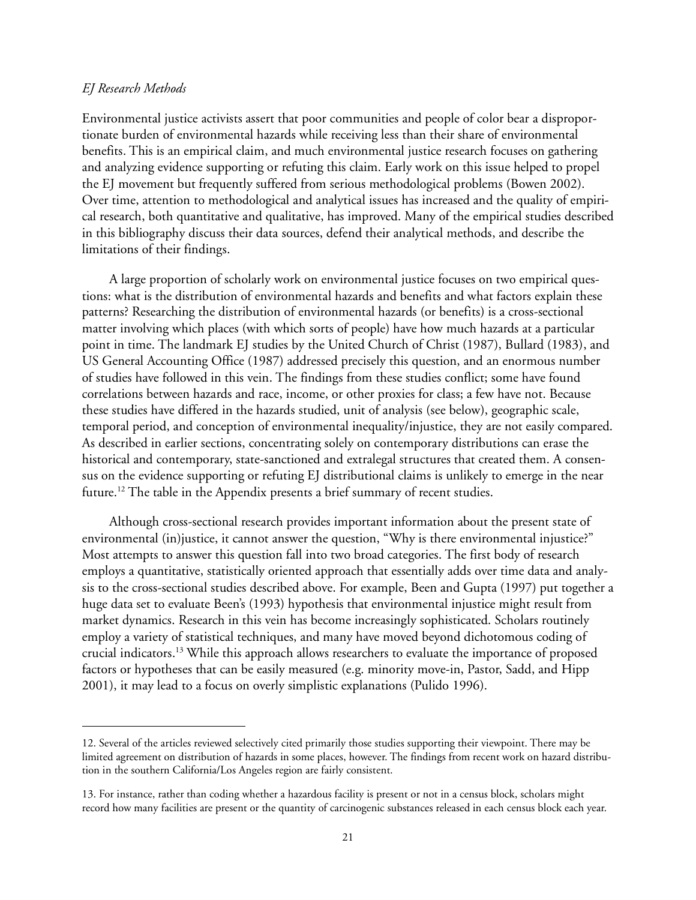# *EJ Research Methods*

Environmental justice activists assert that poor communities and people of color bear a disproportionate burden of environmental hazards while receiving less than their share of environmental benefits. This is an empirical claim, and much environmental justice research focuses on gathering and analyzing evidence supporting or refuting this claim. Early work on this issue helped to propel the EJ movement but frequently suffered from serious methodological problems (Bowen 2002). Over time, attention to methodological and analytical issues has increased and the quality of empirical research, both quantitative and qualitative, has improved. Many of the empirical studies described in this bibliography discuss their data sources, defend their analytical methods, and describe the limitations of their findings.

A large proportion of scholarly work on environmental justice focuses on two empirical questions: what is the distribution of environmental hazards and benefits and what factors explain these patterns? Researching the distribution of environmental hazards (or benefits) is a cross-sectional matter involving which places (with which sorts of people) have how much hazards at a particular point in time. The landmark EJ studies by the United Church of Christ (1987), Bullard (1983), and US General Accounting Office (1987) addressed precisely this question, and an enormous number of studies have followed in this vein. The findings from these studies conflict; some have found correlations between hazards and race, income, or other proxies for class; a few have not. Because these studies have differed in the hazards studied, unit of analysis (see below), geographic scale, temporal period, and conception of environmental inequality/injustice, they are not easily compared. As described in earlier sections, concentrating solely on contemporary distributions can erase the historical and contemporary, state-sanctioned and extralegal structures that created them. A consensus on the evidence supporting or refuting EJ distributional claims is unlikely to emerge in the near future.<sup>12</sup> The table in the Appendix presents a brief summary of recent studies.

Although cross-sectional research provides important information about the present state of environmental (in)justice, it cannot answer the question, "Why is there environmental injustice?" Most attempts to answer this question fall into two broad categories. The first body of research employs a quantitative, statistically oriented approach that essentially adds over time data and analysis to the cross-sectional studies described above. For example, Been and Gupta (1997) put together a huge data set to evaluate Been's (1993) hypothesis that environmental injustice might result from market dynamics. Research in this vein has become increasingly sophisticated. Scholars routinely employ a variety of statistical techniques, and many have moved beyond dichotomous coding of crucial indicators.<sup>13</sup> While this approach allows researchers to evaluate the importance of proposed factors or hypotheses that can be easily measured (e.g. minority move-in, Pastor, Sadd, and Hipp 2001), it may lead to a focus on overly simplistic explanations (Pulido 1996).

<sup>12.</sup> Several of the articles reviewed selectively cited primarily those studies supporting their viewpoint. There may be limited agreement on distribution of hazards in some places, however. The findings from recent work on hazard distribution in the southern California/Los Angeles region are fairly consistent.

<sup>13.</sup> For instance, rather than coding whether a hazardous facility is present or not in a census block, scholars might record how many facilities are present or the quantity of carcinogenic substances released in each census block each year.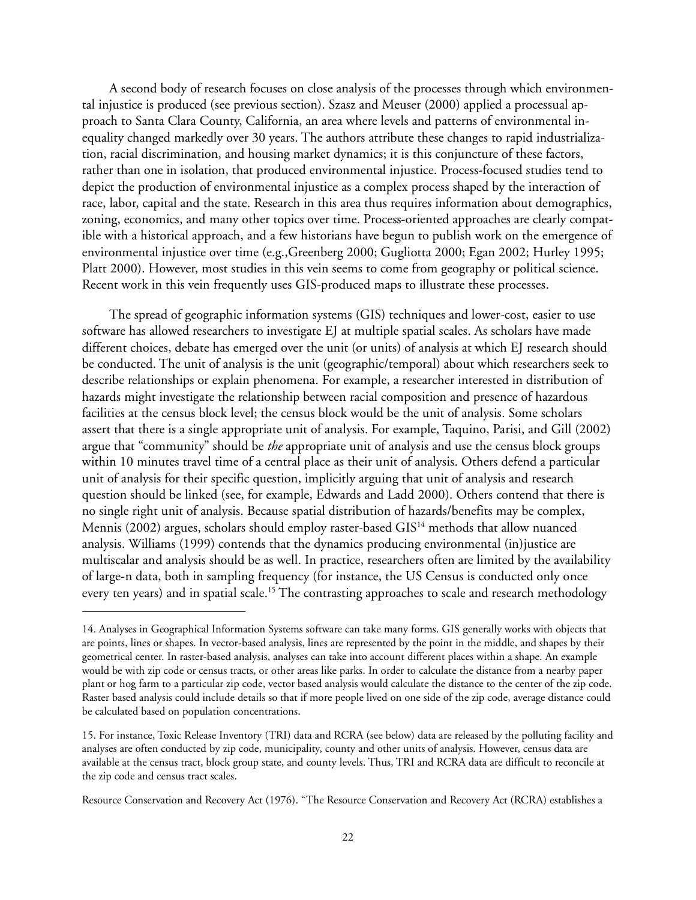A second body of research focuses on close analysis of the processes through which environmental injustice is produced (see previous section). Szasz and Meuser (2000) applied a processual approach to Santa Clara County, California, an area where levels and patterns of environmental inequality changed markedly over 30 years. The authors attribute these changes to rapid industrialization, racial discrimination, and housing market dynamics; it is this conjuncture of these factors, rather than one in isolation, that produced environmental injustice. Process-focused studies tend to depict the production of environmental injustice as a complex process shaped by the interaction of race, labor, capital and the state. Research in this area thus requires information about demographics, zoning, economics, and many other topics over time. Process-oriented approaches are clearly compatible with a historical approach, and a few historians have begun to publish work on the emergence of environmental injustice over time (e.g.,Greenberg 2000; Gugliotta 2000; Egan 2002; Hurley 1995; Platt 2000). However, most studies in this vein seems to come from geography or political science. Recent work in this vein frequently uses GIS-produced maps to illustrate these processes.

The spread of geographic information systems (GIS) techniques and lower-cost, easier to use software has allowed researchers to investigate EJ at multiple spatial scales. As scholars have made different choices, debate has emerged over the unit (or units) of analysis at which EJ research should be conducted. The unit of analysis is the unit (geographic/temporal) about which researchers seek to describe relationships or explain phenomena. For example, a researcher interested in distribution of hazards might investigate the relationship between racial composition and presence of hazardous facilities at the census block level; the census block would be the unit of analysis. Some scholars assert that there is a single appropriate unit of analysis. For example, Taquino, Parisi, and Gill (2002) argue that "community" should be *the* appropriate unit of analysis and use the census block groups within 10 minutes travel time of a central place as their unit of analysis. Others defend a particular unit of analysis for their specific question, implicitly arguing that unit of analysis and research question should be linked (see, for example, Edwards and Ladd 2000). Others contend that there is no single right unit of analysis. Because spatial distribution of hazards/benefits may be complex, Mennis (2002) argues, scholars should employ raster-based GIS<sup>14</sup> methods that allow nuanced analysis. Williams (1999) contends that the dynamics producing environmental (in)justice are multiscalar and analysis should be as well. In practice, researchers often are limited by the availability of large-n data, both in sampling frequency (for instance, the US Census is conducted only once every ten years) and in spatial scale.<sup>15</sup> The contrasting approaches to scale and research methodology

<sup>14.</sup> Analyses in Geographical Information Systems software can take many forms. GIS generally works with objects that are points, lines or shapes. In vector-based analysis, lines are represented by the point in the middle, and shapes by their geometrical center. In raster-based analysis, analyses can take into account different places within a shape. An example would be with zip code or census tracts, or other areas like parks. In order to calculate the distance from a nearby paper plant or hog farm to a particular zip code, vector based analysis would calculate the distance to the center of the zip code. Raster based analysis could include details so that if more people lived on one side of the zip code, average distance could be calculated based on population concentrations.

<sup>15.</sup> For instance, Toxic Release Inventory (TRI) data and RCRA (see below) data are released by the polluting facility and analyses are often conducted by zip code, municipality, county and other units of analysis. However, census data are available at the census tract, block group state, and county levels. Thus, TRI and RCRA data are difficult to reconcile at the zip code and census tract scales.

Resource Conservation and Recovery Act (1976). "The Resource Conservation and Recovery Act (RCRA) establishes a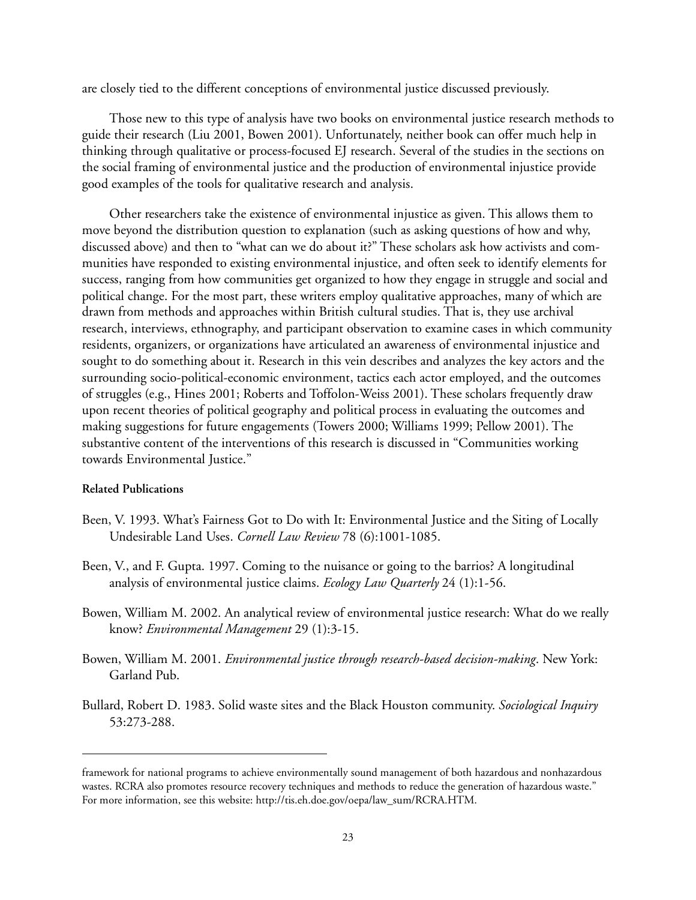are closely tied to the different conceptions of environmental justice discussed previously.

Those new to this type of analysis have two books on environmental justice research methods to guide their research (Liu 2001, Bowen 2001). Unfortunately, neither book can offer much help in thinking through qualitative or process-focused EJ research. Several of the studies in the sections on the social framing of environmental justice and the production of environmental injustice provide good examples of the tools for qualitative research and analysis.

Other researchers take the existence of environmental injustice as given. This allows them to move beyond the distribution question to explanation (such as asking questions of how and why, discussed above) and then to "what can we do about it?" These scholars ask how activists and communities have responded to existing environmental injustice, and often seek to identify elements for success, ranging from how communities get organized to how they engage in struggle and social and political change. For the most part, these writers employ qualitative approaches, many of which are drawn from methods and approaches within British cultural studies. That is, they use archival research, interviews, ethnography, and participant observation to examine cases in which community residents, organizers, or organizations have articulated an awareness of environmental injustice and sought to do something about it. Research in this vein describes and analyzes the key actors and the surrounding socio-political-economic environment, tactics each actor employed, and the outcomes of struggles (e.g., Hines 2001; Roberts and Toffolon-Weiss 2001). These scholars frequently draw upon recent theories of political geography and political process in evaluating the outcomes and making suggestions for future engagements (Towers 2000; Williams 1999; Pellow 2001). The substantive content of the interventions of this research is discussed in "Communities working towards Environmental Justice."

- Been, V. 1993. What's Fairness Got to Do with It: Environmental Justice and the Siting of Locally Undesirable Land Uses. *Cornell Law Review* 78 (6):1001-1085.
- Been, V., and F. Gupta. 1997. Coming to the nuisance or going to the barrios? A longitudinal analysis of environmental justice claims. *Ecology Law Quarterly* 24 (1):1-56.
- Bowen, William M. 2002. An analytical review of environmental justice research: What do we really know? *Environmental Management* 29 (1):3-15.
- Bowen, William M. 2001. *Environmental justice through research-based decision-making*. New York: Garland Pub.
- Bullard, Robert D. 1983. Solid waste sites and the Black Houston community. *Sociological Inquiry* 53:273-288.

framework for national programs to achieve environmentally sound management of both hazardous and nonhazardous wastes. RCRA also promotes resource recovery techniques and methods to reduce the generation of hazardous waste." For more information, see this website: http://tis.eh.doe.gov/oepa/law\_sum/RCRA.HTM.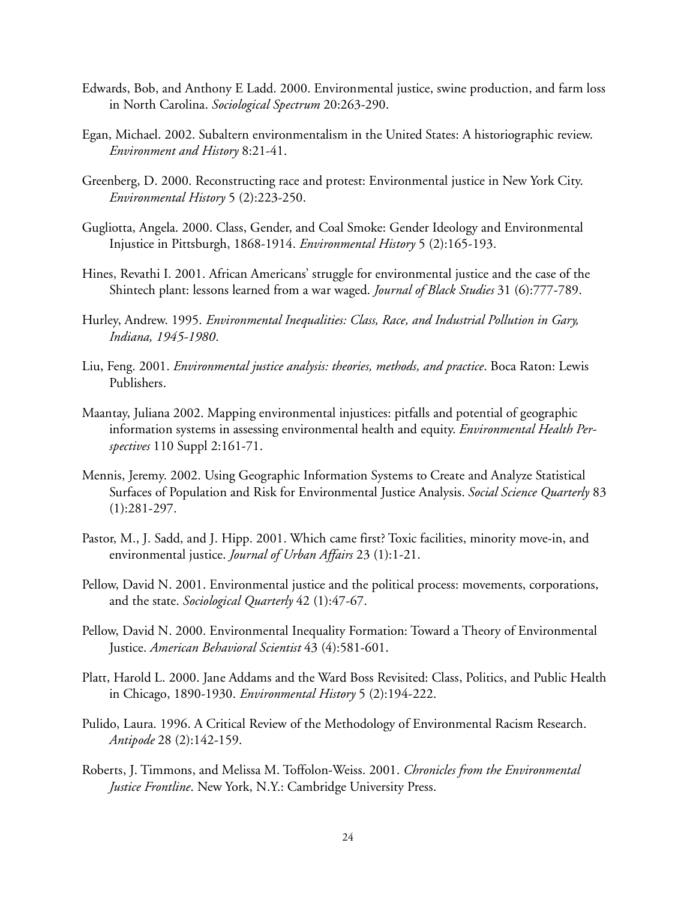- Edwards, Bob, and Anthony E Ladd. 2000. Environmental justice, swine production, and farm loss in North Carolina. *Sociological Spectrum* 20:263-290.
- Egan, Michael. 2002. Subaltern environmentalism in the United States: A historiographic review. *Environment and History* 8:21-41.
- Greenberg, D. 2000. Reconstructing race and protest: Environmental justice in New York City. *Environmental History* 5 (2):223-250.
- Gugliotta, Angela. 2000. Class, Gender, and Coal Smoke: Gender Ideology and Environmental Injustice in Pittsburgh, 1868-1914. *Environmental History* 5 (2):165-193.
- Hines, Revathi I. 2001. African Americans' struggle for environmental justice and the case of the Shintech plant: lessons learned from a war waged. *Journal of Black Studies* 31 (6):777-789.
- Hurley, Andrew. 1995. *Environmental Inequalities: Class, Race, and Industrial Pollution in Gary, Indiana, 1945-1980*.
- Liu, Feng. 2001. *Environmental justice analysis: theories, methods, and practice*. Boca Raton: Lewis Publishers.
- Maantay, Juliana 2002. Mapping environmental injustices: pitfalls and potential of geographic information systems in assessing environmental health and equity. *Environmental Health Perspectives* 110 Suppl 2:161-71.
- Mennis, Jeremy. 2002. Using Geographic Information Systems to Create and Analyze Statistical Surfaces of Population and Risk for Environmental Justice Analysis. *Social Science Quarterly* 83 (1):281-297.
- Pastor, M., J. Sadd, and J. Hipp. 2001. Which came first? Toxic facilities, minority move-in, and environmental justice. *Journal of Urban Affairs* 23 (1):1-21.
- Pellow, David N. 2001. Environmental justice and the political process: movements, corporations, and the state. *Sociological Quarterly* 42 (1):47-67.
- Pellow, David N. 2000. Environmental Inequality Formation: Toward a Theory of Environmental Justice. *American Behavioral Scientist* 43 (4):581-601.
- Platt, Harold L. 2000. Jane Addams and the Ward Boss Revisited: Class, Politics, and Public Health in Chicago, 1890-1930. *Environmental History* 5 (2):194-222.
- Pulido, Laura. 1996. A Critical Review of the Methodology of Environmental Racism Research. *Antipode* 28 (2):142-159.
- Roberts, J. Timmons, and Melissa M. Toffolon-Weiss. 2001. *Chronicles from the Environmental Justice Frontline*. New York, N.Y.: Cambridge University Press.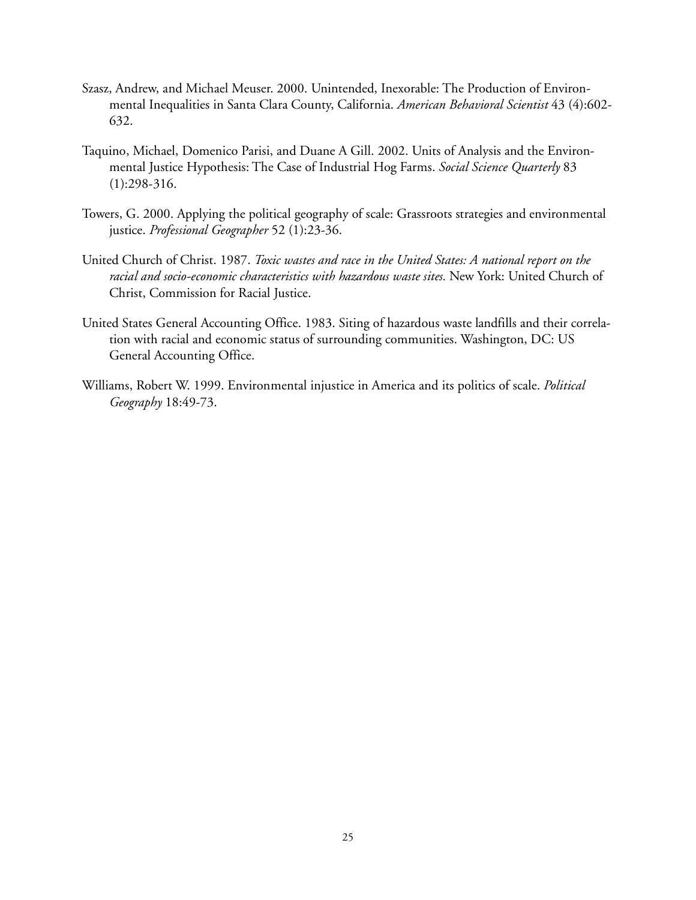- Szasz, Andrew, and Michael Meuser. 2000. Unintended, Inexorable: The Production of Environmental Inequalities in Santa Clara County, California. *American Behavioral Scientist* 43 (4):602- 632.
- Taquino, Michael, Domenico Parisi, and Duane A Gill. 2002. Units of Analysis and the Environmental Justice Hypothesis: The Case of Industrial Hog Farms. *Social Science Quarterly* 83 (1):298-316.
- Towers, G. 2000. Applying the political geography of scale: Grassroots strategies and environmental justice. *Professional Geographer* 52 (1):23-36.
- United Church of Christ. 1987. *Toxic wastes and race in the United States: A national report on the racial and socio-economic characteristics with hazardous waste sites.* New York: United Church of Christ, Commission for Racial Justice.
- United States General Accounting Office. 1983. Siting of hazardous waste landfills and their correlation with racial and economic status of surrounding communities. Washington, DC: US General Accounting Office.
- Williams, Robert W. 1999. Environmental injustice in America and its politics of scale. *Political Geography* 18:49-73.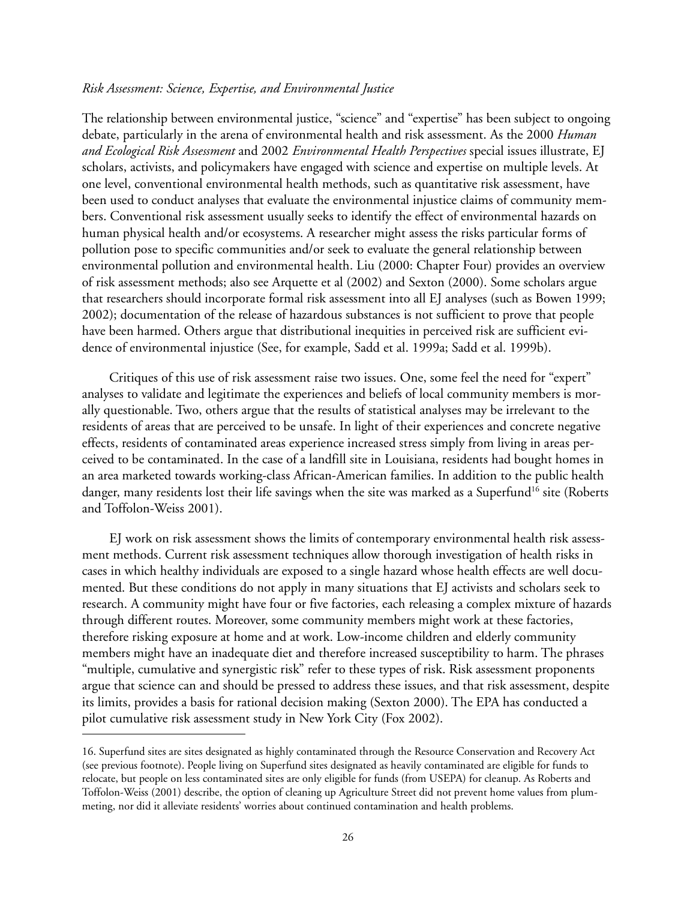# *Risk Assessment: Science, Expertise, and Environmental Justice*

The relationship between environmental justice, "science" and "expertise" has been subject to ongoing debate, particularly in the arena of environmental health and risk assessment. As the 2000 *Human and Ecological Risk Assessment* and 2002 *Environmental Health Perspectives* special issues illustrate, EJ scholars, activists, and policymakers have engaged with science and expertise on multiple levels. At one level, conventional environmental health methods, such as quantitative risk assessment, have been used to conduct analyses that evaluate the environmental injustice claims of community members. Conventional risk assessment usually seeks to identify the effect of environmental hazards on human physical health and/or ecosystems. A researcher might assess the risks particular forms of pollution pose to specific communities and/or seek to evaluate the general relationship between environmental pollution and environmental health. Liu (2000: Chapter Four) provides an overview of risk assessment methods; also see Arquette et al (2002) and Sexton (2000). Some scholars argue that researchers should incorporate formal risk assessment into all EJ analyses (such as Bowen 1999; 2002); documentation of the release of hazardous substances is not sufficient to prove that people have been harmed. Others argue that distributional inequities in perceived risk are sufficient evidence of environmental injustice (See, for example, Sadd et al. 1999a; Sadd et al. 1999b).

Critiques of this use of risk assessment raise two issues. One, some feel the need for "expert" analyses to validate and legitimate the experiences and beliefs of local community members is morally questionable. Two, others argue that the results of statistical analyses may be irrelevant to the residents of areas that are perceived to be unsafe. In light of their experiences and concrete negative effects, residents of contaminated areas experience increased stress simply from living in areas perceived to be contaminated. In the case of a landfill site in Louisiana, residents had bought homes in an area marketed towards working-class African-American families. In addition to the public health danger, many residents lost their life savings when the site was marked as a Superfund<sup>16</sup> site (Roberts and Toffolon-Weiss 2001).

EJ work on risk assessment shows the limits of contemporary environmental health risk assessment methods. Current risk assessment techniques allow thorough investigation of health risks in cases in which healthy individuals are exposed to a single hazard whose health effects are well documented. But these conditions do not apply in many situations that EJ activists and scholars seek to research. A community might have four or five factories, each releasing a complex mixture of hazards through different routes. Moreover, some community members might work at these factories, therefore risking exposure at home and at work. Low-income children and elderly community members might have an inadequate diet and therefore increased susceptibility to harm. The phrases "multiple, cumulative and synergistic risk" refer to these types of risk. Risk assessment proponents argue that science can and should be pressed to address these issues, and that risk assessment, despite its limits, provides a basis for rational decision making (Sexton 2000). The EPA has conducted a pilot cumulative risk assessment study in New York City (Fox 2002).

<sup>16.</sup> Superfund sites are sites designated as highly contaminated through the Resource Conservation and Recovery Act (see previous footnote). People living on Superfund sites designated as heavily contaminated are eligible for funds to relocate, but people on less contaminated sites are only eligible for funds (from USEPA) for cleanup. As Roberts and Toffolon-Weiss (2001) describe, the option of cleaning up Agriculture Street did not prevent home values from plummeting, nor did it alleviate residents' worries about continued contamination and health problems.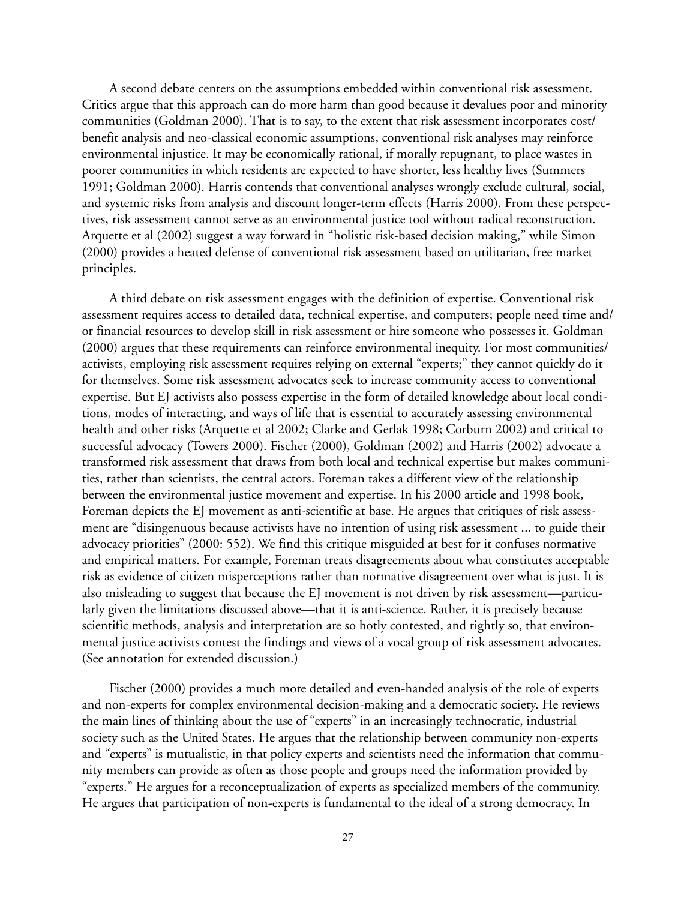A second debate centers on the assumptions embedded within conventional risk assessment. Critics argue that this approach can do more harm than good because it devalues poor and minority communities (Goldman 2000). That is to say, to the extent that risk assessment incorporates cost/ benefit analysis and neo-classical economic assumptions, conventional risk analyses may reinforce environmental injustice. It may be economically rational, if morally repugnant, to place wastes in poorer communities in which residents are expected to have shorter, less healthy lives (Summers 1991; Goldman 2000). Harris contends that conventional analyses wrongly exclude cultural, social, and systemic risks from analysis and discount longer-term effects (Harris 2000). From these perspectives, risk assessment cannot serve as an environmental justice tool without radical reconstruction. Arquette et al (2002) suggest a way forward in "holistic risk-based decision making," while Simon (2000) provides a heated defense of conventional risk assessment based on utilitarian, free market principles.

A third debate on risk assessment engages with the definition of expertise. Conventional risk assessment requires access to detailed data, technical expertise, and computers; people need time and/ or financial resources to develop skill in risk assessment or hire someone who possesses it. Goldman (2000) argues that these requirements can reinforce environmental inequity. For most communities/ activists, employing risk assessment requires relying on external "experts;" they cannot quickly do it for themselves. Some risk assessment advocates seek to increase community access to conventional expertise. But EJ activists also possess expertise in the form of detailed knowledge about local conditions, modes of interacting, and ways of life that is essential to accurately assessing environmental health and other risks (Arquette et al 2002; Clarke and Gerlak 1998; Corburn 2002) and critical to successful advocacy (Towers 2000). Fischer (2000), Goldman (2002) and Harris (2002) advocate a transformed risk assessment that draws from both local and technical expertise but makes communities, rather than scientists, the central actors. Foreman takes a different view of the relationship between the environmental justice movement and expertise. In his 2000 article and 1998 book, Foreman depicts the EJ movement as anti-scientific at base. He argues that critiques of risk assessment are "disingenuous because activists have no intention of using risk assessment ... to guide their advocacy priorities" (2000: 552). We find this critique misguided at best for it confuses normative and empirical matters. For example, Foreman treats disagreements about what constitutes acceptable risk as evidence of citizen misperceptions rather than normative disagreement over what is just. It is also misleading to suggest that because the EJ movement is not driven by risk assessment—particularly given the limitations discussed above—that it is anti-science. Rather, it is precisely because scientific methods, analysis and interpretation are so hotly contested, and rightly so, that environmental justice activists contest the findings and views of a vocal group of risk assessment advocates. (See annotation for extended discussion.)

Fischer (2000) provides a much more detailed and even-handed analysis of the role of experts and non-experts for complex environmental decision-making and a democratic society. He reviews the main lines of thinking about the use of "experts" in an increasingly technocratic, industrial society such as the United States. He argues that the relationship between community non-experts and "experts" is mutualistic, in that policy experts and scientists need the information that community members can provide as often as those people and groups need the information provided by "experts." He argues for a reconceptualization of experts as specialized members of the community. He argues that participation of non-experts is fundamental to the ideal of a strong democracy. In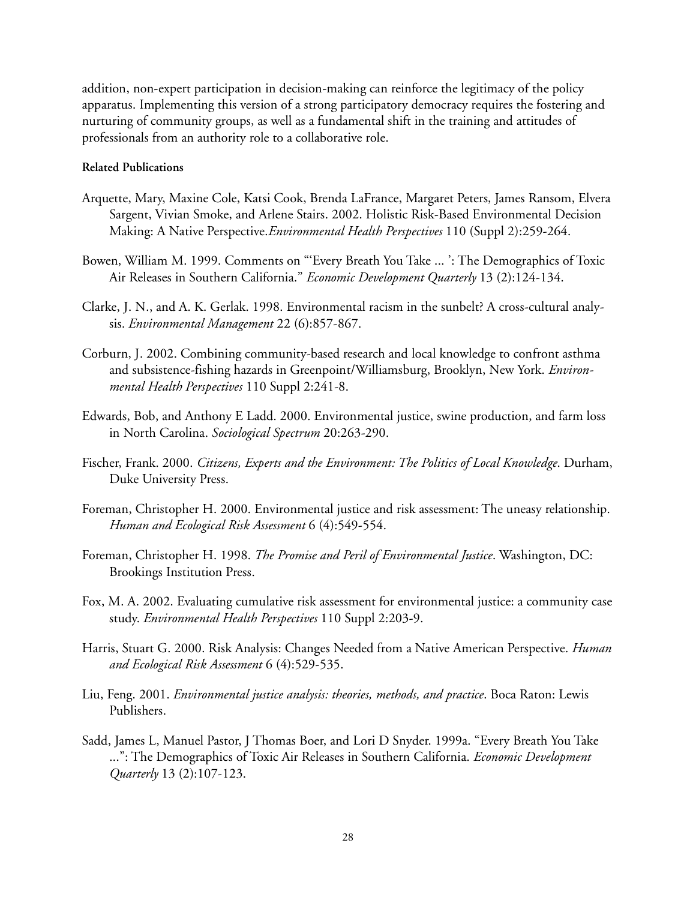addition, non-expert participation in decision-making can reinforce the legitimacy of the policy apparatus. Implementing this version of a strong participatory democracy requires the fostering and nurturing of community groups, as well as a fundamental shift in the training and attitudes of professionals from an authority role to a collaborative role.

- Arquette, Mary, Maxine Cole, Katsi Cook, Brenda LaFrance, Margaret Peters, James Ransom, Elvera Sargent, Vivian Smoke, and Arlene Stairs. 2002. Holistic Risk-Based Environmental Decision Making: A Native Perspective.*Environmental Health Perspectives* 110 (Suppl 2):259-264.
- Bowen, William M. 1999. Comments on "'Every Breath You Take ... ': The Demographics of Toxic Air Releases in Southern California." *Economic Development Quarterly* 13 (2):124-134.
- Clarke, J. N., and A. K. Gerlak. 1998. Environmental racism in the sunbelt? A cross-cultural analysis. *Environmental Management* 22 (6):857-867.
- Corburn, J. 2002. Combining community-based research and local knowledge to confront asthma and subsistence-fishing hazards in Greenpoint/Williamsburg, Brooklyn, New York. *Environmental Health Perspectives* 110 Suppl 2:241-8.
- Edwards, Bob, and Anthony E Ladd. 2000. Environmental justice, swine production, and farm loss in North Carolina. *Sociological Spectrum* 20:263-290.
- Fischer, Frank. 2000. *Citizens, Experts and the Environment: The Politics of Local Knowledge*. Durham, Duke University Press.
- Foreman, Christopher H. 2000. Environmental justice and risk assessment: The uneasy relationship. *Human and Ecological Risk Assessment* 6 (4):549-554.
- Foreman, Christopher H. 1998. *The Promise and Peril of Environmental Justice*. Washington, DC: Brookings Institution Press.
- Fox, M. A. 2002. Evaluating cumulative risk assessment for environmental justice: a community case study. *Environmental Health Perspectives* 110 Suppl 2:203-9.
- Harris, Stuart G. 2000. Risk Analysis: Changes Needed from a Native American Perspective. *Human and Ecological Risk Assessment* 6 (4):529-535.
- Liu, Feng. 2001. *Environmental justice analysis: theories, methods, and practice*. Boca Raton: Lewis Publishers.
- Sadd, James L, Manuel Pastor, J Thomas Boer, and Lori D Snyder. 1999a. "Every Breath You Take ...": The Demographics of Toxic Air Releases in Southern California. *Economic Development Quarterly* 13 (2):107-123.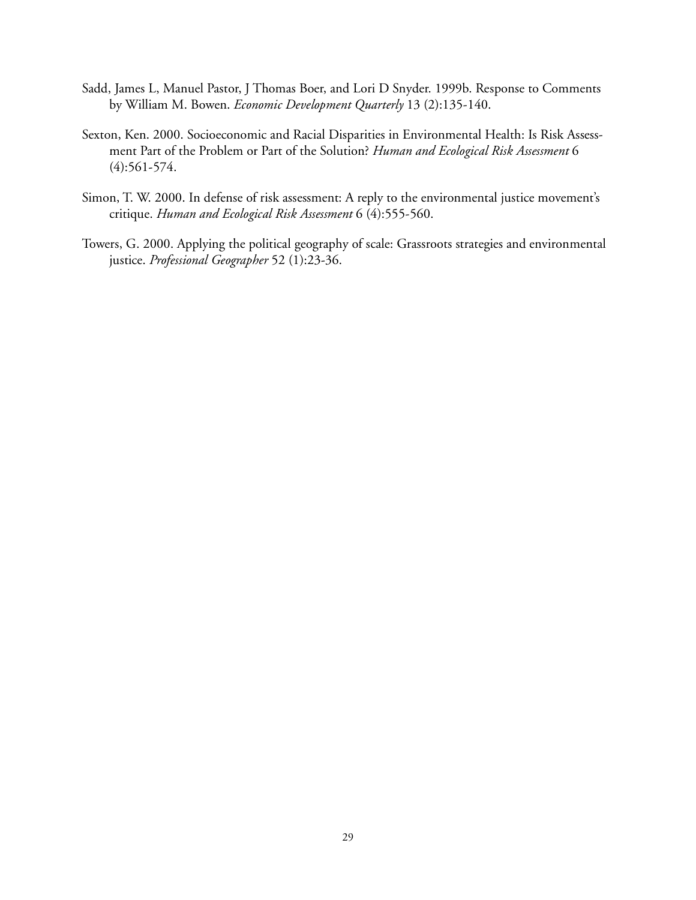- Sadd, James L, Manuel Pastor, J Thomas Boer, and Lori D Snyder. 1999b. Response to Comments by William M. Bowen. *Economic Development Quarterly* 13 (2):135-140.
- Sexton, Ken. 2000. Socioeconomic and Racial Disparities in Environmental Health: Is Risk Assessment Part of the Problem or Part of the Solution? *Human and Ecological Risk Assessment* 6 (4):561-574.
- Simon, T. W. 2000. In defense of risk assessment: A reply to the environmental justice movement's critique. *Human and Ecological Risk Assessment* 6 (4):555-560.
- Towers, G. 2000. Applying the political geography of scale: Grassroots strategies and environmental justice. *Professional Geographer* 52 (1):23-36.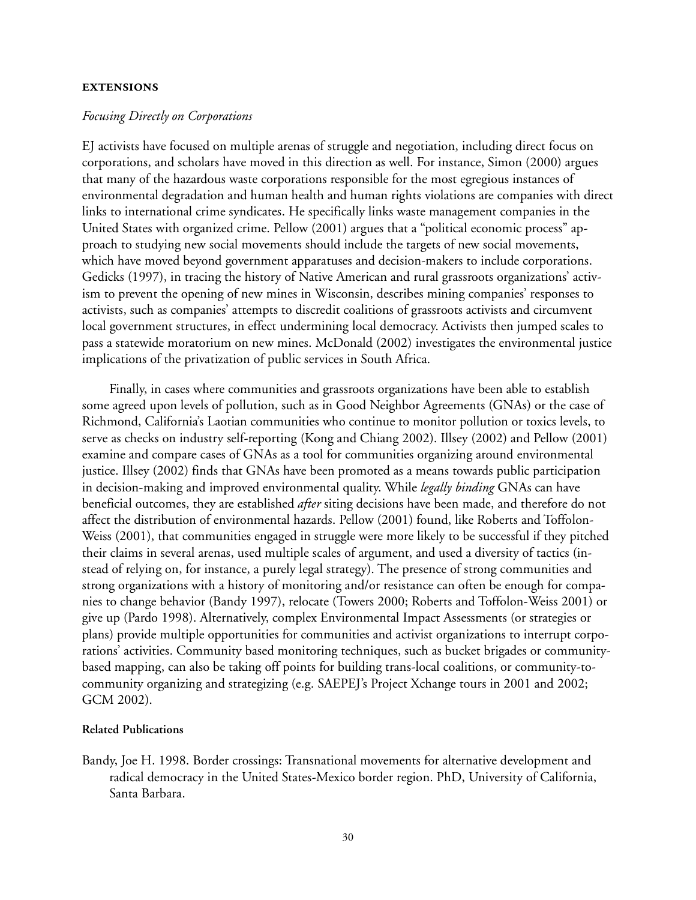#### **EXTENSIONS**

#### *Focusing Directly on Corporations*

EJ activists have focused on multiple arenas of struggle and negotiation, including direct focus on corporations, and scholars have moved in this direction as well. For instance, Simon (2000) argues that many of the hazardous waste corporations responsible for the most egregious instances of environmental degradation and human health and human rights violations are companies with direct links to international crime syndicates. He specifically links waste management companies in the United States with organized crime. Pellow (2001) argues that a "political economic process" approach to studying new social movements should include the targets of new social movements, which have moved beyond government apparatuses and decision-makers to include corporations. Gedicks (1997), in tracing the history of Native American and rural grassroots organizations' activism to prevent the opening of new mines in Wisconsin, describes mining companies' responses to activists, such as companies' attempts to discredit coalitions of grassroots activists and circumvent local government structures, in effect undermining local democracy. Activists then jumped scales to pass a statewide moratorium on new mines. McDonald (2002) investigates the environmental justice implications of the privatization of public services in South Africa.

Finally, in cases where communities and grassroots organizations have been able to establish some agreed upon levels of pollution, such as in Good Neighbor Agreements (GNAs) or the case of Richmond, California's Laotian communities who continue to monitor pollution or toxics levels, to serve as checks on industry self-reporting (Kong and Chiang 2002). Illsey (2002) and Pellow (2001) examine and compare cases of GNAs as a tool for communities organizing around environmental justice. Illsey (2002) finds that GNAs have been promoted as a means towards public participation in decision-making and improved environmental quality. While *legally binding* GNAs can have beneficial outcomes, they are established *after* siting decisions have been made, and therefore do not affect the distribution of environmental hazards. Pellow (2001) found, like Roberts and Toffolon-Weiss (2001), that communities engaged in struggle were more likely to be successful if they pitched their claims in several arenas, used multiple scales of argument, and used a diversity of tactics (instead of relying on, for instance, a purely legal strategy). The presence of strong communities and strong organizations with a history of monitoring and/or resistance can often be enough for companies to change behavior (Bandy 1997), relocate (Towers 2000; Roberts and Toffolon-Weiss 2001) or give up (Pardo 1998). Alternatively, complex Environmental Impact Assessments (or strategies or plans) provide multiple opportunities for communities and activist organizations to interrupt corporations' activities. Community based monitoring techniques, such as bucket brigades or communitybased mapping, can also be taking off points for building trans-local coalitions, or community-tocommunity organizing and strategizing (e.g. SAEPEJ's Project Xchange tours in 2001 and 2002; GCM 2002).

#### **Related Publications**

Bandy, Joe H. 1998. Border crossings: Transnational movements for alternative development and radical democracy in the United States-Mexico border region. PhD, University of California, Santa Barbara.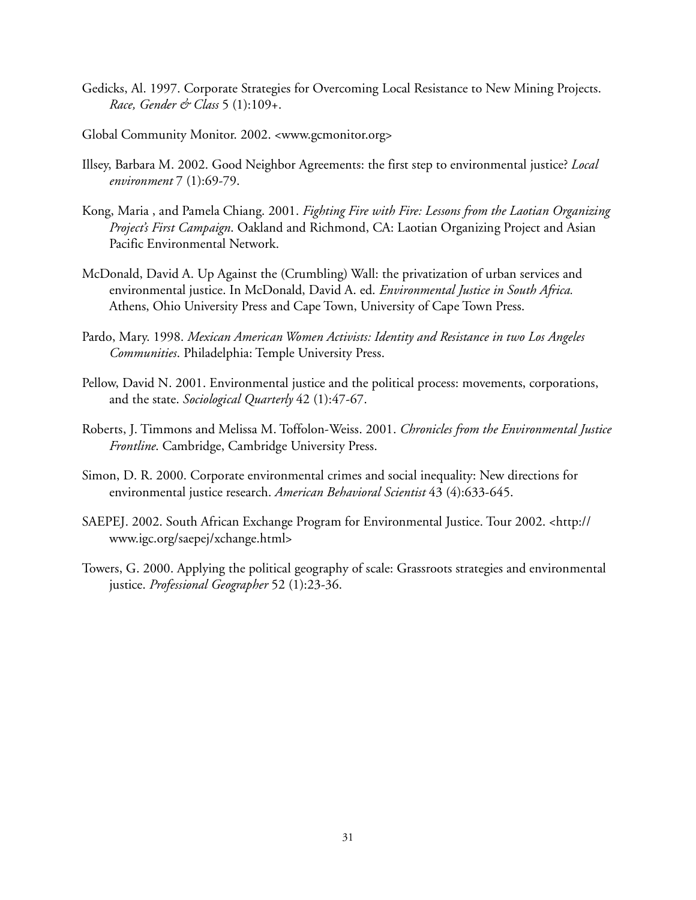- Gedicks, Al. 1997. Corporate Strategies for Overcoming Local Resistance to New Mining Projects. *Race, Gender & Class* 5 (1):109+.
- Global Community Monitor. 2002. <www.gcmonitor.org>
- Illsey, Barbara M. 2002. Good Neighbor Agreements: the first step to environmental justice? *Local environment* 7 (1):69-79.
- Kong, Maria , and Pamela Chiang. 2001. *Fighting Fire with Fire: Lessons from the Laotian Organizing Project's First Campaign*. Oakland and Richmond, CA: Laotian Organizing Project and Asian Pacific Environmental Network.
- McDonald, David A. Up Against the (Crumbling) Wall: the privatization of urban services and environmental justice. In McDonald, David A. ed. *Environmental Justice in South Africa.* Athens, Ohio University Press and Cape Town, University of Cape Town Press.
- Pardo, Mary. 1998. *Mexican American Women Activists: Identity and Resistance in two Los Angeles Communities*. Philadelphia: Temple University Press.
- Pellow, David N. 2001. Environmental justice and the political process: movements, corporations, and the state. *Sociological Quarterly* 42 (1):47-67.
- Roberts, J. Timmons and Melissa M. Toffolon-Weiss. 2001. *Chronicles from the Environmental Justice Frontline*. Cambridge, Cambridge University Press.
- Simon, D. R. 2000. Corporate environmental crimes and social inequality: New directions for environmental justice research. *American Behavioral Scientist* 43 (4):633-645.
- SAEPEJ. 2002. South African Exchange Program for Environmental Justice. Tour 2002. <http:// www.igc.org/saepej/xchange.html>
- Towers, G. 2000. Applying the political geography of scale: Grassroots strategies and environmental justice. *Professional Geographer* 52 (1):23-36.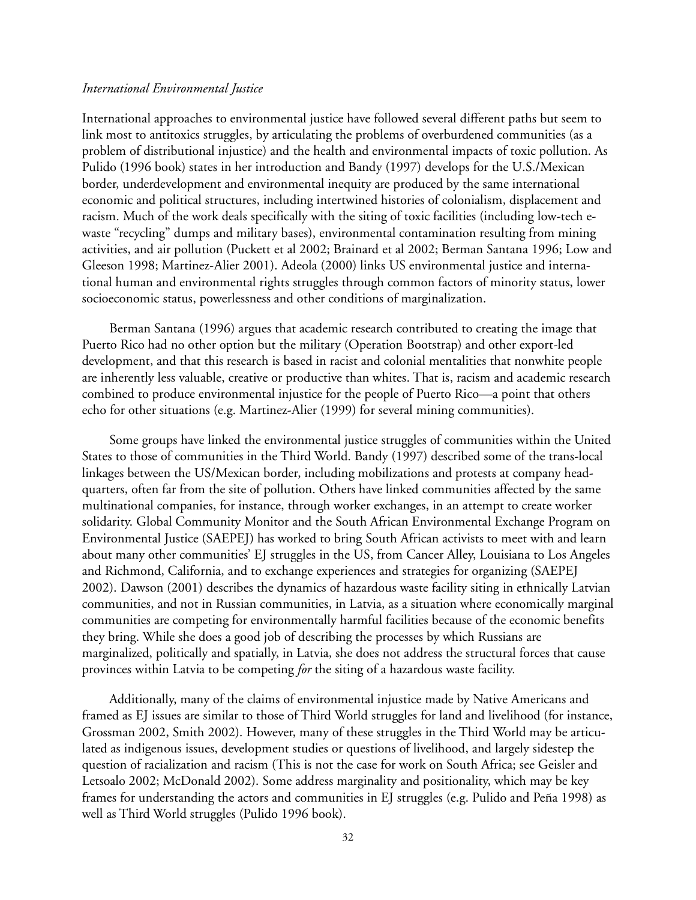#### *International Environmental Justice*

International approaches to environmental justice have followed several different paths but seem to link most to antitoxics struggles, by articulating the problems of overburdened communities (as a problem of distributional injustice) and the health and environmental impacts of toxic pollution. As Pulido (1996 book) states in her introduction and Bandy (1997) develops for the U.S./Mexican border, underdevelopment and environmental inequity are produced by the same international economic and political structures, including intertwined histories of colonialism, displacement and racism. Much of the work deals specifically with the siting of toxic facilities (including low-tech ewaste "recycling" dumps and military bases), environmental contamination resulting from mining activities, and air pollution (Puckett et al 2002; Brainard et al 2002; Berman Santana 1996; Low and Gleeson 1998; Martinez-Alier 2001). Adeola (2000) links US environmental justice and international human and environmental rights struggles through common factors of minority status, lower socioeconomic status, powerlessness and other conditions of marginalization.

Berman Santana (1996) argues that academic research contributed to creating the image that Puerto Rico had no other option but the military (Operation Bootstrap) and other export-led development, and that this research is based in racist and colonial mentalities that nonwhite people are inherently less valuable, creative or productive than whites. That is, racism and academic research combined to produce environmental injustice for the people of Puerto Rico—a point that others echo for other situations (e.g. Martinez-Alier (1999) for several mining communities).

Some groups have linked the environmental justice struggles of communities within the United States to those of communities in the Third World. Bandy (1997) described some of the trans-local linkages between the US/Mexican border, including mobilizations and protests at company headquarters, often far from the site of pollution. Others have linked communities affected by the same multinational companies, for instance, through worker exchanges, in an attempt to create worker solidarity. Global Community Monitor and the South African Environmental Exchange Program on Environmental Justice (SAEPEJ) has worked to bring South African activists to meet with and learn about many other communities' EJ struggles in the US, from Cancer Alley, Louisiana to Los Angeles and Richmond, California, and to exchange experiences and strategies for organizing (SAEPEJ 2002). Dawson (2001) describes the dynamics of hazardous waste facility siting in ethnically Latvian communities, and not in Russian communities, in Latvia, as a situation where economically marginal communities are competing for environmentally harmful facilities because of the economic benefits they bring. While she does a good job of describing the processes by which Russians are marginalized, politically and spatially, in Latvia, she does not address the structural forces that cause provinces within Latvia to be competing *for* the siting of a hazardous waste facility.

Additionally, many of the claims of environmental injustice made by Native Americans and framed as EJ issues are similar to those of Third World struggles for land and livelihood (for instance, Grossman 2002, Smith 2002). However, many of these struggles in the Third World may be articulated as indigenous issues, development studies or questions of livelihood, and largely sidestep the question of racialization and racism (This is not the case for work on South Africa; see Geisler and Letsoalo 2002; McDonald 2002). Some address marginality and positionality, which may be key frames for understanding the actors and communities in EJ struggles (e.g. Pulido and Peña 1998) as well as Third World struggles (Pulido 1996 book).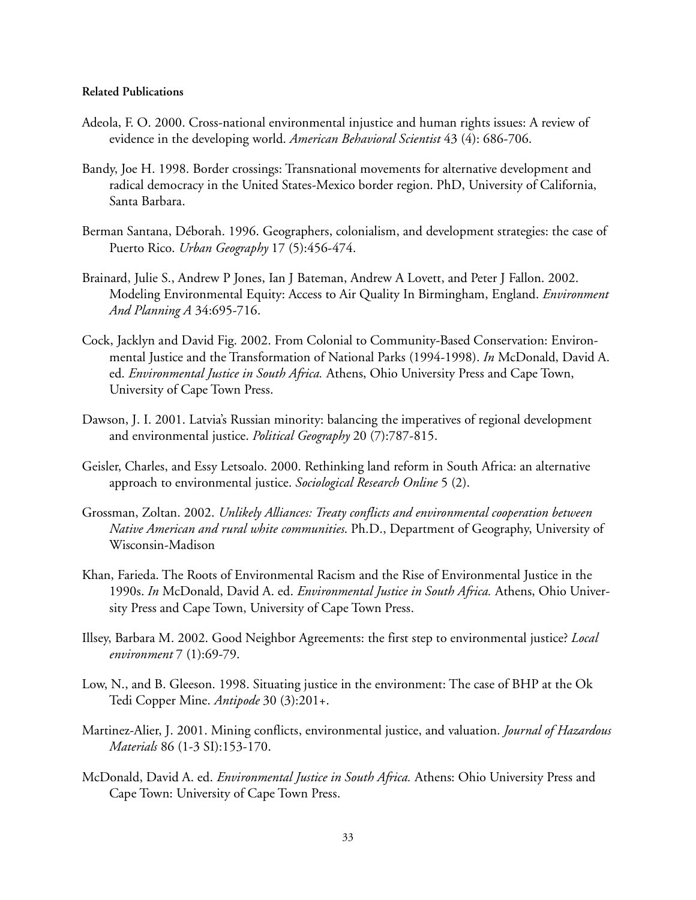- Adeola, F. O. 2000. Cross-national environmental injustice and human rights issues: A review of evidence in the developing world. *American Behavioral Scientist* 43 (4): 686-706.
- Bandy, Joe H. 1998. Border crossings: Transnational movements for alternative development and radical democracy in the United States-Mexico border region. PhD, University of California, Santa Barbara.
- Berman Santana, Déborah. 1996. Geographers, colonialism, and development strategies: the case of Puerto Rico. *Urban Geography* 17 (5):456-474.
- Brainard, Julie S., Andrew P Jones, Ian J Bateman, Andrew A Lovett, and Peter J Fallon. 2002. Modeling Environmental Equity: Access to Air Quality In Birmingham, England. *Environment And Planning A* 34:695-716.
- Cock, Jacklyn and David Fig. 2002. From Colonial to Community-Based Conservation: Environmental Justice and the Transformation of National Parks (1994-1998). *In* McDonald, David A. ed. *Environmental Justice in South Africa.* Athens, Ohio University Press and Cape Town, University of Cape Town Press.
- Dawson, J. I. 2001. Latvia's Russian minority: balancing the imperatives of regional development and environmental justice. *Political Geography* 20 (7):787-815.
- Geisler, Charles, and Essy Letsoalo. 2000. Rethinking land reform in South Africa: an alternative approach to environmental justice. *Sociological Research Online* 5 (2).
- Grossman, Zoltan. 2002. *Unlikely Alliances: Treaty conflicts and environmental cooperation between Native American and rural white communities*. Ph.D., Department of Geography, University of Wisconsin-Madison
- Khan, Farieda. The Roots of Environmental Racism and the Rise of Environmental Justice in the 1990s. *In* McDonald, David A. ed. *Environmental Justice in South Africa.* Athens, Ohio University Press and Cape Town, University of Cape Town Press.
- Illsey, Barbara M. 2002. Good Neighbor Agreements: the first step to environmental justice? *Local environment* 7 (1):69-79.
- Low, N., and B. Gleeson. 1998. Situating justice in the environment: The case of BHP at the Ok Tedi Copper Mine. *Antipode* 30 (3):201+.
- Martinez-Alier, J. 2001. Mining conflicts, environmental justice, and valuation. *Journal of Hazardous Materials* 86 (1-3 SI):153-170.
- McDonald, David A. ed. *Environmental Justice in South Africa.* Athens: Ohio University Press and Cape Town: University of Cape Town Press.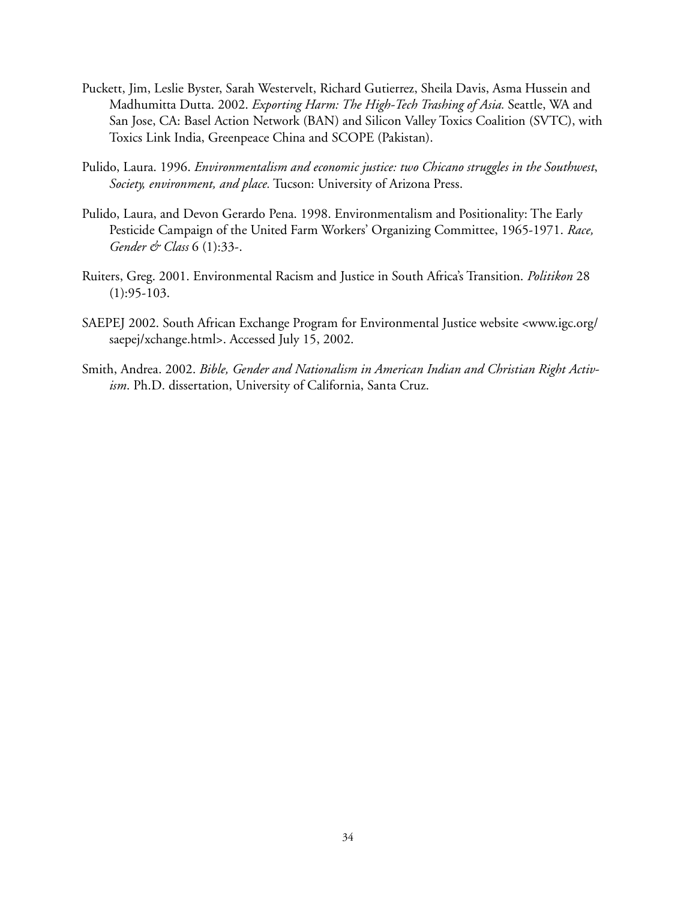- Puckett, Jim, Leslie Byster, Sarah Westervelt, Richard Gutierrez, Sheila Davis, Asma Hussein and Madhumitta Dutta. 2002. *Exporting Harm: The High-Tech Trashing of Asia.* Seattle, WA and San Jose, CA: Basel Action Network (BAN) and Silicon Valley Toxics Coalition (SVTC), with Toxics Link India, Greenpeace China and SCOPE (Pakistan).
- Pulido, Laura. 1996. *Environmentalism and economic justice: two Chicano struggles in the Southwest*, *Society, environment, and place.* Tucson: University of Arizona Press.
- Pulido, Laura, and Devon Gerardo Pena. 1998. Environmentalism and Positionality: The Early Pesticide Campaign of the United Farm Workers' Organizing Committee, 1965-1971. *Race, Gender & Class* 6 (1):33-.
- Ruiters, Greg. 2001. Environmental Racism and Justice in South Africa's Transition. *Politikon* 28 (1):95-103.
- SAEPEJ 2002. South African Exchange Program for Environmental Justice website <www.igc.org/ saepej/xchange.html>. Accessed July 15, 2002.
- Smith, Andrea. 2002. *Bible, Gender and Nationalism in American Indian and Christian Right Activism*. Ph.D. dissertation, University of California, Santa Cruz.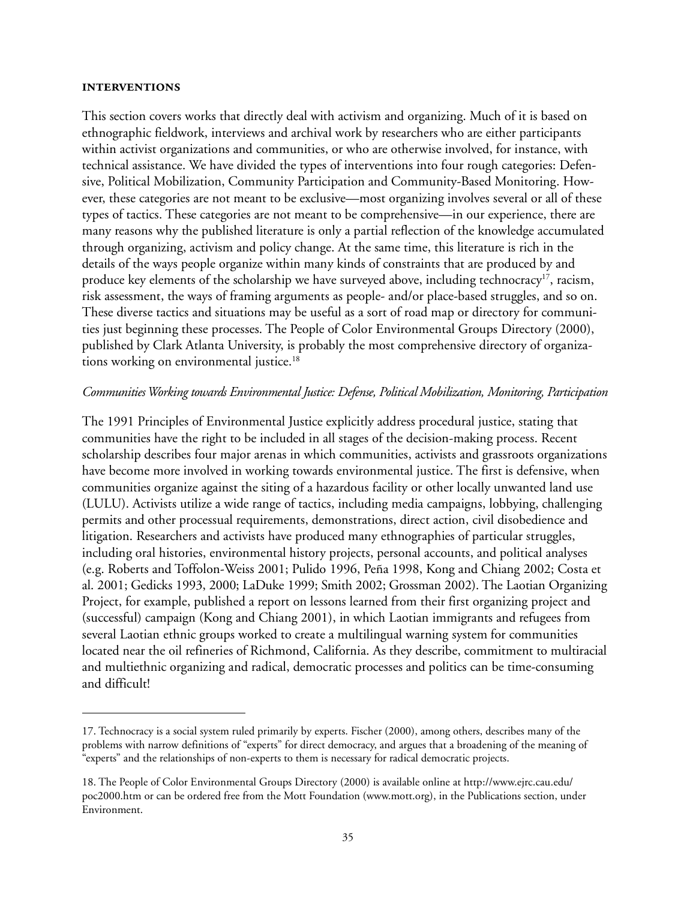#### **INTERVENTIONS**

This section covers works that directly deal with activism and organizing. Much of it is based on ethnographic fieldwork, interviews and archival work by researchers who are either participants within activist organizations and communities, or who are otherwise involved, for instance, with technical assistance. We have divided the types of interventions into four rough categories: Defensive, Political Mobilization, Community Participation and Community-Based Monitoring. However, these categories are not meant to be exclusive—most organizing involves several or all of these types of tactics. These categories are not meant to be comprehensive—in our experience, there are many reasons why the published literature is only a partial reflection of the knowledge accumulated through organizing, activism and policy change. At the same time, this literature is rich in the details of the ways people organize within many kinds of constraints that are produced by and produce key elements of the scholarship we have surveyed above, including technocracy<sup>17</sup>, racism, risk assessment, the ways of framing arguments as people- and/or place-based struggles, and so on. These diverse tactics and situations may be useful as a sort of road map or directory for communities just beginning these processes. The People of Color Environmental Groups Directory (2000), published by Clark Atlanta University, is probably the most comprehensive directory of organizations working on environmental justice.<sup>18</sup>

# *Communities Working towards Environmental Justice: Defense, Political Mobilization, Monitoring, Participation*

The 1991 Principles of Environmental Justice explicitly address procedural justice, stating that communities have the right to be included in all stages of the decision-making process. Recent scholarship describes four major arenas in which communities, activists and grassroots organizations have become more involved in working towards environmental justice. The first is defensive, when communities organize against the siting of a hazardous facility or other locally unwanted land use (LULU). Activists utilize a wide range of tactics, including media campaigns, lobbying, challenging permits and other processual requirements, demonstrations, direct action, civil disobedience and litigation. Researchers and activists have produced many ethnographies of particular struggles, including oral histories, environmental history projects, personal accounts, and political analyses (e.g. Roberts and Toffolon-Weiss 2001; Pulido 1996, Peña 1998, Kong and Chiang 2002; Costa et al. 2001; Gedicks 1993, 2000; LaDuke 1999; Smith 2002; Grossman 2002). The Laotian Organizing Project, for example, published a report on lessons learned from their first organizing project and (successful) campaign (Kong and Chiang 2001), in which Laotian immigrants and refugees from several Laotian ethnic groups worked to create a multilingual warning system for communities located near the oil refineries of Richmond, California. As they describe, commitment to multiracial and multiethnic organizing and radical, democratic processes and politics can be time-consuming and difficult!

<sup>17.</sup> Technocracy is a social system ruled primarily by experts. Fischer (2000), among others, describes many of the problems with narrow definitions of "experts" for direct democracy, and argues that a broadening of the meaning of "experts" and the relationships of non-experts to them is necessary for radical democratic projects.

<sup>18.</sup> The People of Color Environmental Groups Directory (2000) is available online at http://www.ejrc.cau.edu/ poc2000.htm or can be ordered free from the Mott Foundation (www.mott.org), in the Publications section, under Environment.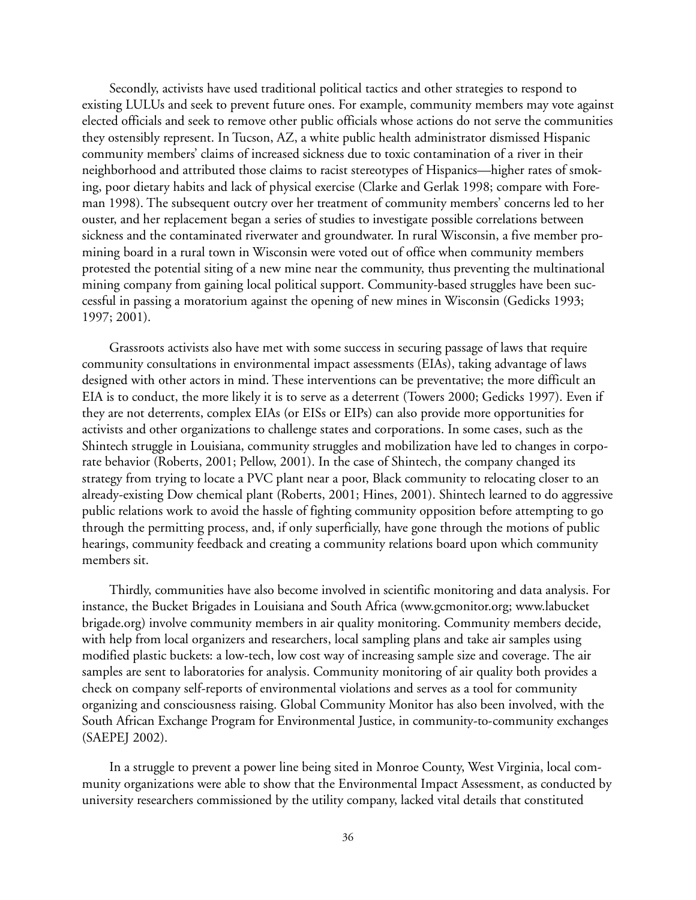Secondly, activists have used traditional political tactics and other strategies to respond to existing LULUs and seek to prevent future ones. For example, community members may vote against elected officials and seek to remove other public officials whose actions do not serve the communities they ostensibly represent. In Tucson, AZ, a white public health administrator dismissed Hispanic community members' claims of increased sickness due to toxic contamination of a river in their neighborhood and attributed those claims to racist stereotypes of Hispanics—higher rates of smoking, poor dietary habits and lack of physical exercise (Clarke and Gerlak 1998; compare with Foreman 1998). The subsequent outcry over her treatment of community members' concerns led to her ouster, and her replacement began a series of studies to investigate possible correlations between sickness and the contaminated riverwater and groundwater. In rural Wisconsin, a five member promining board in a rural town in Wisconsin were voted out of office when community members protested the potential siting of a new mine near the community, thus preventing the multinational mining company from gaining local political support. Community-based struggles have been successful in passing a moratorium against the opening of new mines in Wisconsin (Gedicks 1993; 1997; 2001).

Grassroots activists also have met with some success in securing passage of laws that require community consultations in environmental impact assessments (EIAs), taking advantage of laws designed with other actors in mind. These interventions can be preventative; the more difficult an EIA is to conduct, the more likely it is to serve as a deterrent (Towers 2000; Gedicks 1997). Even if they are not deterrents, complex EIAs (or EISs or EIPs) can also provide more opportunities for activists and other organizations to challenge states and corporations. In some cases, such as the Shintech struggle in Louisiana, community struggles and mobilization have led to changes in corporate behavior (Roberts, 2001; Pellow, 2001). In the case of Shintech, the company changed its strategy from trying to locate a PVC plant near a poor, Black community to relocating closer to an already-existing Dow chemical plant (Roberts, 2001; Hines, 2001). Shintech learned to do aggressive public relations work to avoid the hassle of fighting community opposition before attempting to go through the permitting process, and, if only superficially, have gone through the motions of public hearings, community feedback and creating a community relations board upon which community members sit.

Thirdly, communities have also become involved in scientific monitoring and data analysis. For instance, the Bucket Brigades in Louisiana and South Africa (www.gcmonitor.org; www.labucket brigade.org) involve community members in air quality monitoring. Community members decide, with help from local organizers and researchers, local sampling plans and take air samples using modified plastic buckets: a low-tech, low cost way of increasing sample size and coverage. The air samples are sent to laboratories for analysis. Community monitoring of air quality both provides a check on company self-reports of environmental violations and serves as a tool for community organizing and consciousness raising. Global Community Monitor has also been involved, with the South African Exchange Program for Environmental Justice, in community-to-community exchanges (SAEPEJ 2002).

In a struggle to prevent a power line being sited in Monroe County, West Virginia, local community organizations were able to show that the Environmental Impact Assessment, as conducted by university researchers commissioned by the utility company, lacked vital details that constituted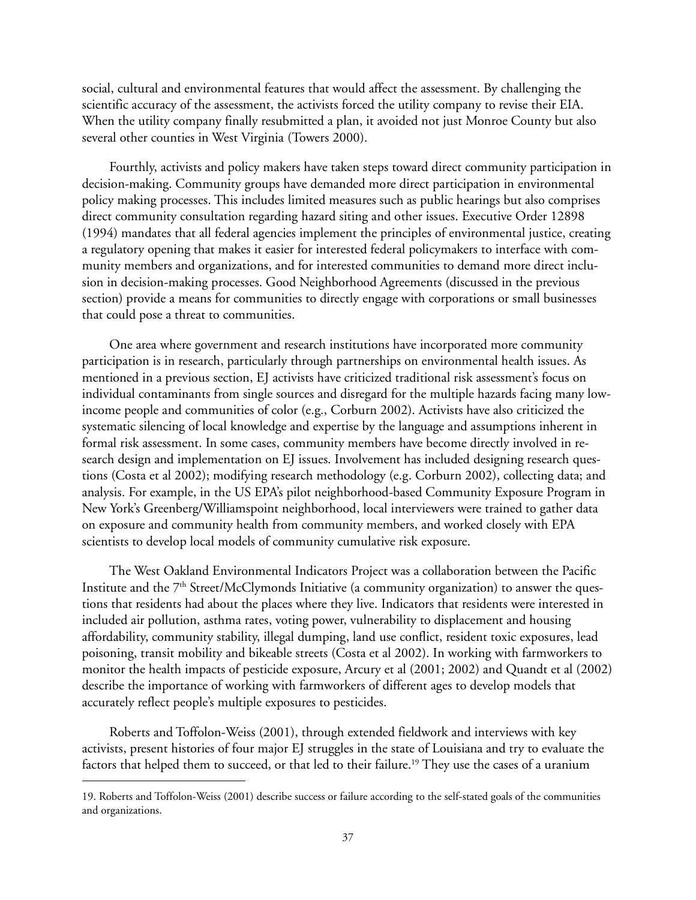social, cultural and environmental features that would affect the assessment. By challenging the scientific accuracy of the assessment, the activists forced the utility company to revise their EIA. When the utility company finally resubmitted a plan, it avoided not just Monroe County but also several other counties in West Virginia (Towers 2000).

Fourthly, activists and policy makers have taken steps toward direct community participation in decision-making. Community groups have demanded more direct participation in environmental policy making processes. This includes limited measures such as public hearings but also comprises direct community consultation regarding hazard siting and other issues. Executive Order 12898 (1994) mandates that all federal agencies implement the principles of environmental justice, creating a regulatory opening that makes it easier for interested federal policymakers to interface with community members and organizations, and for interested communities to demand more direct inclusion in decision-making processes. Good Neighborhood Agreements (discussed in the previous section) provide a means for communities to directly engage with corporations or small businesses that could pose a threat to communities.

One area where government and research institutions have incorporated more community participation is in research, particularly through partnerships on environmental health issues. As mentioned in a previous section, EJ activists have criticized traditional risk assessment's focus on individual contaminants from single sources and disregard for the multiple hazards facing many lowincome people and communities of color (e.g., Corburn 2002). Activists have also criticized the systematic silencing of local knowledge and expertise by the language and assumptions inherent in formal risk assessment. In some cases, community members have become directly involved in research design and implementation on EJ issues. Involvement has included designing research questions (Costa et al 2002); modifying research methodology (e.g. Corburn 2002), collecting data; and analysis. For example, in the US EPA's pilot neighborhood-based Community Exposure Program in New York's Greenberg/Williamspoint neighborhood, local interviewers were trained to gather data on exposure and community health from community members, and worked closely with EPA scientists to develop local models of community cumulative risk exposure.

The West Oakland Environmental Indicators Project was a collaboration between the Pacific Institute and the  $7<sup>th</sup>$  Street/McClymonds Initiative (a community organization) to answer the questions that residents had about the places where they live. Indicators that residents were interested in included air pollution, asthma rates, voting power, vulnerability to displacement and housing affordability, community stability, illegal dumping, land use conflict, resident toxic exposures, lead poisoning, transit mobility and bikeable streets (Costa et al 2002). In working with farmworkers to monitor the health impacts of pesticide exposure, Arcury et al (2001; 2002) and Quandt et al (2002) describe the importance of working with farmworkers of different ages to develop models that accurately reflect people's multiple exposures to pesticides.

Roberts and Toffolon-Weiss (2001), through extended fieldwork and interviews with key activists, present histories of four major EJ struggles in the state of Louisiana and try to evaluate the factors that helped them to succeed, or that led to their failure.<sup>19</sup> They use the cases of a uranium

<sup>19.</sup> Roberts and Toffolon-Weiss (2001) describe success or failure according to the self-stated goals of the communities and organizations.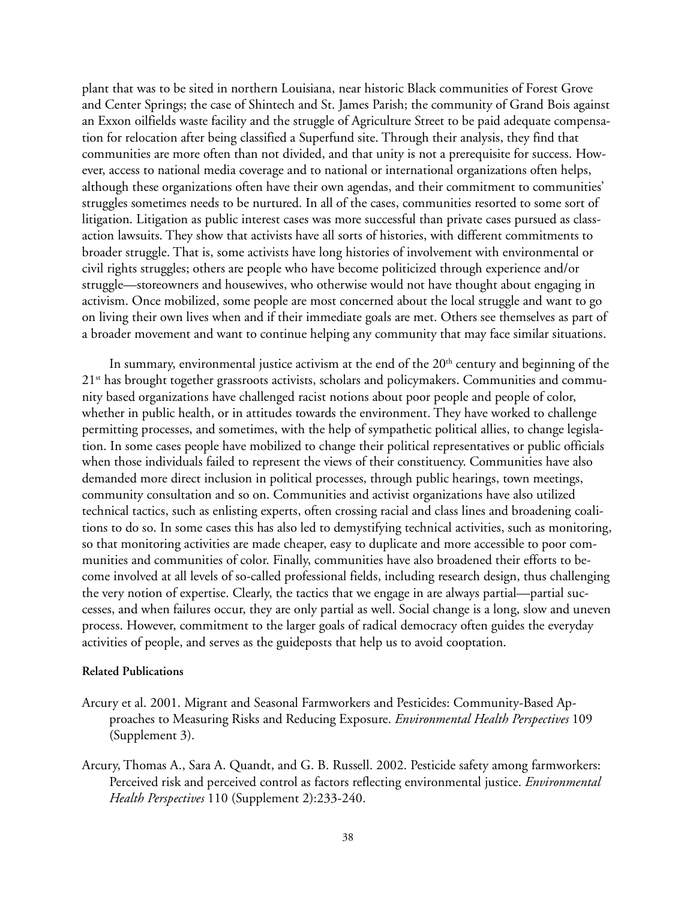plant that was to be sited in northern Louisiana, near historic Black communities of Forest Grove and Center Springs; the case of Shintech and St. James Parish; the community of Grand Bois against an Exxon oilfields waste facility and the struggle of Agriculture Street to be paid adequate compensation for relocation after being classified a Superfund site. Through their analysis, they find that communities are more often than not divided, and that unity is not a prerequisite for success. However, access to national media coverage and to national or international organizations often helps, although these organizations often have their own agendas, and their commitment to communities' struggles sometimes needs to be nurtured. In all of the cases, communities resorted to some sort of litigation. Litigation as public interest cases was more successful than private cases pursued as classaction lawsuits. They show that activists have all sorts of histories, with different commitments to broader struggle. That is, some activists have long histories of involvement with environmental or civil rights struggles; others are people who have become politicized through experience and/or struggle—storeowners and housewives, who otherwise would not have thought about engaging in activism. Once mobilized, some people are most concerned about the local struggle and want to go on living their own lives when and if their immediate goals are met. Others see themselves as part of a broader movement and want to continue helping any community that may face similar situations.

In summary, environmental justice activism at the end of the  $20<sup>th</sup>$  century and beginning of the 21<sup>st</sup> has brought together grassroots activists, scholars and policymakers. Communities and community based organizations have challenged racist notions about poor people and people of color, whether in public health, or in attitudes towards the environment. They have worked to challenge permitting processes, and sometimes, with the help of sympathetic political allies, to change legislation. In some cases people have mobilized to change their political representatives or public officials when those individuals failed to represent the views of their constituency. Communities have also demanded more direct inclusion in political processes, through public hearings, town meetings, community consultation and so on. Communities and activist organizations have also utilized technical tactics, such as enlisting experts, often crossing racial and class lines and broadening coalitions to do so. In some cases this has also led to demystifying technical activities, such as monitoring, so that monitoring activities are made cheaper, easy to duplicate and more accessible to poor communities and communities of color. Finally, communities have also broadened their efforts to become involved at all levels of so-called professional fields, including research design, thus challenging the very notion of expertise. Clearly, the tactics that we engage in are always partial—partial successes, and when failures occur, they are only partial as well. Social change is a long, slow and uneven process. However, commitment to the larger goals of radical democracy often guides the everyday activities of people, and serves as the guideposts that help us to avoid cooptation.

#### **Related Publications**

- Arcury et al. 2001. Migrant and Seasonal Farmworkers and Pesticides: Community-Based Approaches to Measuring Risks and Reducing Exposure. *Environmental Health Perspectives* 109 (Supplement 3).
- Arcury, Thomas A., Sara A. Quandt, and G. B. Russell. 2002. Pesticide safety among farmworkers: Perceived risk and perceived control as factors reflecting environmental justice. *Environmental Health Perspectives* 110 (Supplement 2):233-240.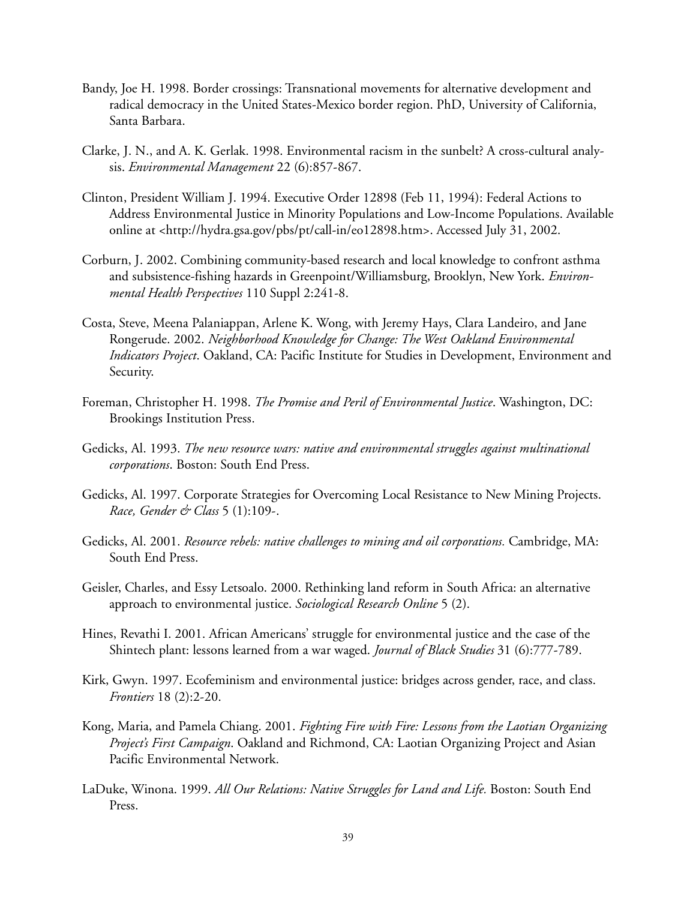- Bandy, Joe H. 1998. Border crossings: Transnational movements for alternative development and radical democracy in the United States-Mexico border region. PhD, University of California, Santa Barbara.
- Clarke, J. N., and A. K. Gerlak. 1998. Environmental racism in the sunbelt? A cross-cultural analysis. *Environmental Management* 22 (6):857-867.
- Clinton, President William J. 1994. Executive Order 12898 (Feb 11, 1994): Federal Actions to Address Environmental Justice in Minority Populations and Low-Income Populations. Available online at <http://hydra.gsa.gov/pbs/pt/call-in/eo12898.htm>. Accessed July 31, 2002.
- Corburn, J. 2002. Combining community-based research and local knowledge to confront asthma and subsistence-fishing hazards in Greenpoint/Williamsburg, Brooklyn, New York. *Environmental Health Perspectives* 110 Suppl 2:241-8.
- Costa, Steve, Meena Palaniappan, Arlene K. Wong, with Jeremy Hays, Clara Landeiro, and Jane Rongerude. 2002. *Neighborhood Knowledge for Change: The West Oakland Environmental Indicators Project*. Oakland, CA: Pacific Institute for Studies in Development, Environment and Security.
- Foreman, Christopher H. 1998. *The Promise and Peril of Environmental Justice*. Washington, DC: Brookings Institution Press.
- Gedicks, Al. 1993. *The new resource wars: native and environmental struggles against multinational corporations*. Boston: South End Press.
- Gedicks, Al. 1997. Corporate Strategies for Overcoming Local Resistance to New Mining Projects. *Race, Gender & Class* 5 (1):109-.
- Gedicks, Al. 2001. *Resource rebels: native challenges to mining and oil corporations.* Cambridge, MA: South End Press.
- Geisler, Charles, and Essy Letsoalo. 2000. Rethinking land reform in South Africa: an alternative approach to environmental justice. *Sociological Research Online* 5 (2).
- Hines, Revathi I. 2001. African Americans' struggle for environmental justice and the case of the Shintech plant: lessons learned from a war waged. *Journal of Black Studies* 31 (6):777-789.
- Kirk, Gwyn. 1997. Ecofeminism and environmental justice: bridges across gender, race, and class. *Frontiers* 18 (2):2-20.
- Kong, Maria, and Pamela Chiang. 2001. *Fighting Fire with Fire: Lessons from the Laotian Organizing Project's First Campaign*. Oakland and Richmond, CA: Laotian Organizing Project and Asian Pacific Environmental Network.
- LaDuke, Winona. 1999. *All Our Relations: Native Struggles for Land and Life.* Boston: South End Press.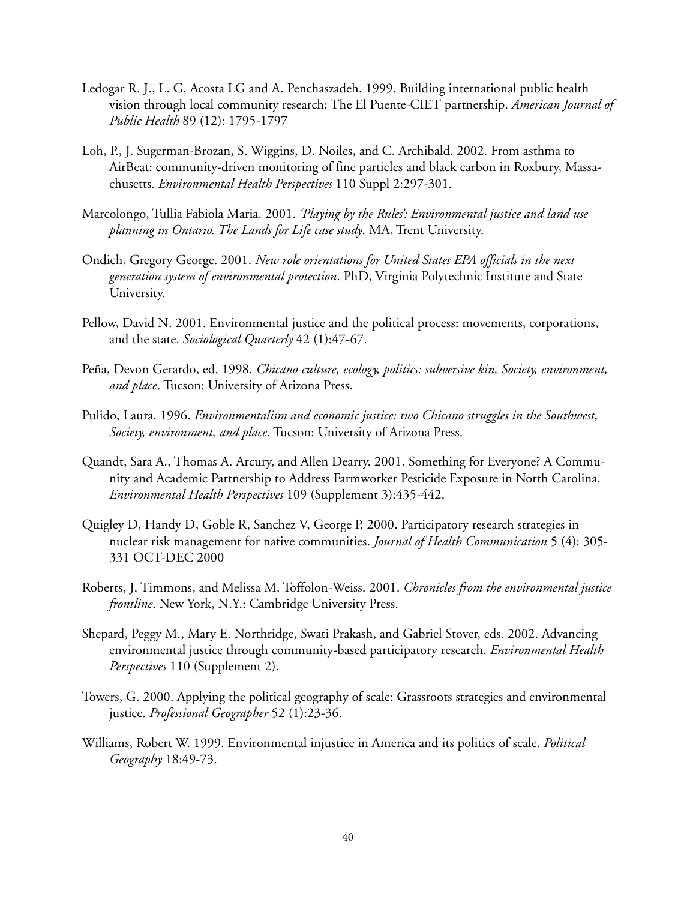- Ledogar R. J., L. G. Acosta LG and A. Penchaszadeh. 1999. Building international public health vision through local community research: The El Puente-CIET partnership. *American Journal of Public Health* 89 (12): 1795-1797
- Loh, P., J. Sugerman-Brozan, S. Wiggins, D. Noiles, and C. Archibald. 2002. From asthma to AirBeat: community-driven monitoring of fine particles and black carbon in Roxbury, Massachusetts. *Environmental Health Perspectives* 110 Suppl 2:297-301.
- Marcolongo, Tullia Fabiola Maria. 2001. *'Playing by the Rules': Environmental justice and land use planning in Ontario. The Lands for Life case study*. MA, Trent University.
- Ondich, Gregory George. 2001. *New role orientations for United States EPA officials in the next generation system of environmental protection*. PhD, Virginia Polytechnic Institute and State University.
- Pellow, David N. 2001. Environmental justice and the political process: movements, corporations, and the state. *Sociological Quarterly* 42 (1):47-67.
- Peña, Devon Gerardo, ed. 1998. *Chicano culture, ecology, politics: subversive kin, Society, environment, and place*. Tucson: University of Arizona Press.
- Pulido, Laura. 1996. *Environmentalism and economic justice: two Chicano struggles in the Southwest*, *Society, environment, and place.* Tucson: University of Arizona Press.
- Quandt, Sara A., Thomas A. Arcury, and Allen Dearry. 2001. Something for Everyone? A Community and Academic Partnership to Address Farmworker Pesticide Exposure in North Carolina. *Environmental Health Perspectives* 109 (Supplement 3):435-442.
- Quigley D, Handy D, Goble R, Sanchez V, George P. 2000. Participatory research strategies in nuclear risk management for native communities. *Journal of Health Communication* 5 (4): 305- 331 OCT-DEC 2000
- Roberts, J. Timmons, and Melissa M. Toffolon-Weiss. 2001. *Chronicles from the environmental justice frontline*. New York, N.Y.: Cambridge University Press.
- Shepard, Peggy M., Mary E. Northridge, Swati Prakash, and Gabriel Stover, eds. 2002. Advancing environmental justice through community-based participatory research. *Environmental Health Perspectives* 110 (Supplement 2).
- Towers, G. 2000. Applying the political geography of scale: Grassroots strategies and environmental justice. *Professional Geographer* 52 (1):23-36.
- Williams, Robert W. 1999. Environmental injustice in America and its politics of scale. *Political Geography* 18:49-73.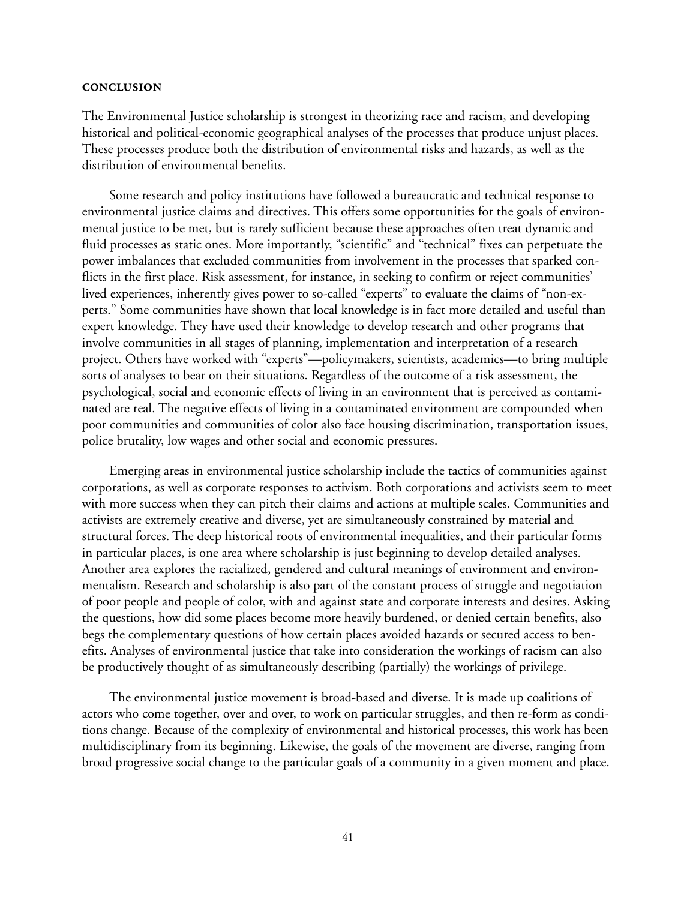#### **CONCLUSION**

The Environmental Justice scholarship is strongest in theorizing race and racism, and developing historical and political-economic geographical analyses of the processes that produce unjust places. These processes produce both the distribution of environmental risks and hazards, as well as the distribution of environmental benefits.

Some research and policy institutions have followed a bureaucratic and technical response to environmental justice claims and directives. This offers some opportunities for the goals of environmental justice to be met, but is rarely sufficient because these approaches often treat dynamic and fluid processes as static ones. More importantly, "scientific" and "technical" fixes can perpetuate the power imbalances that excluded communities from involvement in the processes that sparked conflicts in the first place. Risk assessment, for instance, in seeking to confirm or reject communities' lived experiences, inherently gives power to so-called "experts" to evaluate the claims of "non-experts." Some communities have shown that local knowledge is in fact more detailed and useful than expert knowledge. They have used their knowledge to develop research and other programs that involve communities in all stages of planning, implementation and interpretation of a research project. Others have worked with "experts"—policymakers, scientists, academics—to bring multiple sorts of analyses to bear on their situations. Regardless of the outcome of a risk assessment, the psychological, social and economic effects of living in an environment that is perceived as contaminated are real. The negative effects of living in a contaminated environment are compounded when poor communities and communities of color also face housing discrimination, transportation issues, police brutality, low wages and other social and economic pressures.

Emerging areas in environmental justice scholarship include the tactics of communities against corporations, as well as corporate responses to activism. Both corporations and activists seem to meet with more success when they can pitch their claims and actions at multiple scales. Communities and activists are extremely creative and diverse, yet are simultaneously constrained by material and structural forces. The deep historical roots of environmental inequalities, and their particular forms in particular places, is one area where scholarship is just beginning to develop detailed analyses. Another area explores the racialized, gendered and cultural meanings of environment and environmentalism. Research and scholarship is also part of the constant process of struggle and negotiation of poor people and people of color, with and against state and corporate interests and desires. Asking the questions, how did some places become more heavily burdened, or denied certain benefits, also begs the complementary questions of how certain places avoided hazards or secured access to benefits. Analyses of environmental justice that take into consideration the workings of racism can also be productively thought of as simultaneously describing (partially) the workings of privilege.

The environmental justice movement is broad-based and diverse. It is made up coalitions of actors who come together, over and over, to work on particular struggles, and then re-form as conditions change. Because of the complexity of environmental and historical processes, this work has been multidisciplinary from its beginning. Likewise, the goals of the movement are diverse, ranging from broad progressive social change to the particular goals of a community in a given moment and place.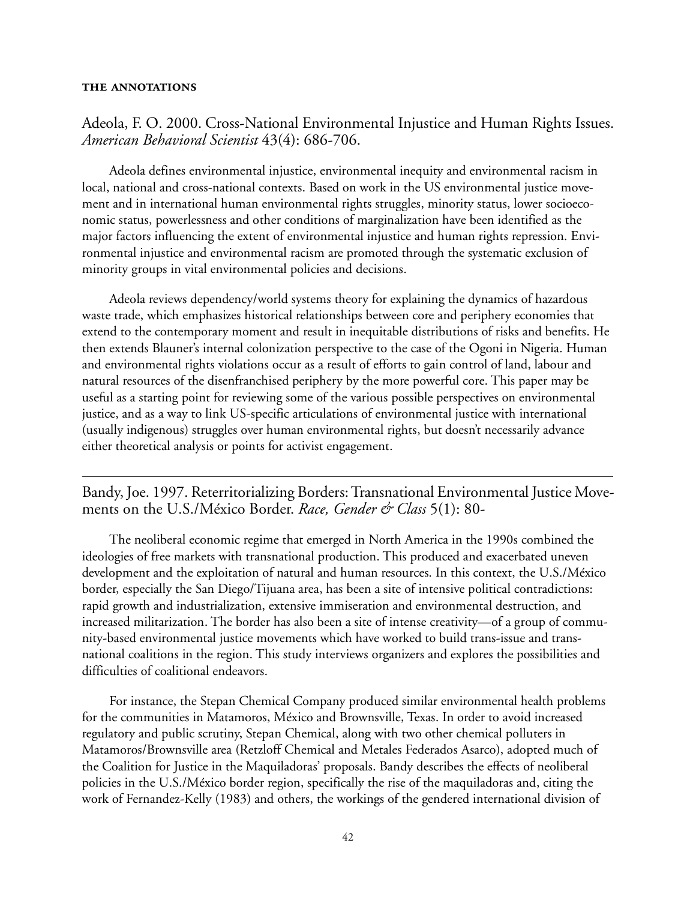#### **THE ANNOTATIONS**

#### Adeola, F. O. 2000. Cross-National Environmental Injustice and Human Rights Issues. *American Behavioral Scientist* 43(4): 686-706.

Adeola defines environmental injustice, environmental inequity and environmental racism in local, national and cross-national contexts. Based on work in the US environmental justice movement and in international human environmental rights struggles, minority status, lower socioeconomic status, powerlessness and other conditions of marginalization have been identified as the major factors influencing the extent of environmental injustice and human rights repression. Environmental injustice and environmental racism are promoted through the systematic exclusion of minority groups in vital environmental policies and decisions.

Adeola reviews dependency/world systems theory for explaining the dynamics of hazardous waste trade, which emphasizes historical relationships between core and periphery economies that extend to the contemporary moment and result in inequitable distributions of risks and benefits. He then extends Blauner's internal colonization perspective to the case of the Ogoni in Nigeria. Human and environmental rights violations occur as a result of efforts to gain control of land, labour and natural resources of the disenfranchised periphery by the more powerful core. This paper may be useful as a starting point for reviewing some of the various possible perspectives on environmental justice, and as a way to link US-specific articulations of environmental justice with international (usually indigenous) struggles over human environmental rights, but doesn't necessarily advance either theoretical analysis or points for activist engagement.

Bandy, Joe. 1997. Reterritorializing Borders: Transnational Environmental Justice Movements on the U.S./México Border. *Race, Gender & Class* 5(1): 80-

The neoliberal economic regime that emerged in North America in the 1990s combined the ideologies of free markets with transnational production. This produced and exacerbated uneven development and the exploitation of natural and human resources. In this context, the U.S./México border, especially the San Diego/Tijuana area, has been a site of intensive political contradictions: rapid growth and industrialization, extensive immiseration and environmental destruction, and increased militarization. The border has also been a site of intense creativity—of a group of community-based environmental justice movements which have worked to build trans-issue and transnational coalitions in the region. This study interviews organizers and explores the possibilities and difficulties of coalitional endeavors.

For instance, the Stepan Chemical Company produced similar environmental health problems for the communities in Matamoros, México and Brownsville, Texas. In order to avoid increased regulatory and public scrutiny, Stepan Chemical, along with two other chemical polluters in Matamoros/Brownsville area (Retzloff Chemical and Metales Federados Asarco), adopted much of the Coalition for Justice in the Maquiladoras' proposals. Bandy describes the effects of neoliberal policies in the U.S./México border region, specifically the rise of the maquiladoras and, citing the work of Fernandez-Kelly (1983) and others, the workings of the gendered international division of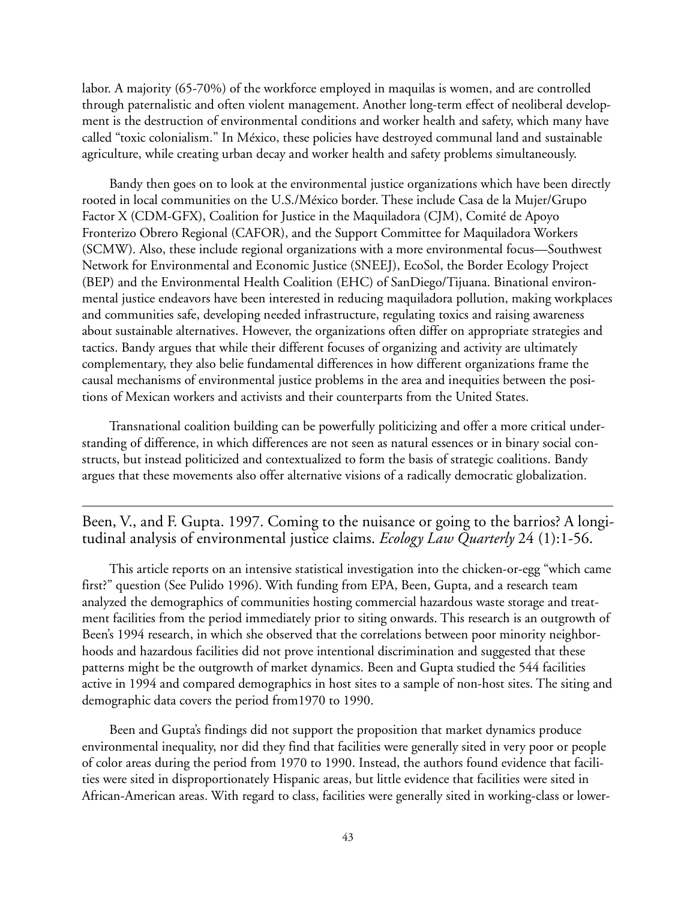labor. A majority (65-70%) of the workforce employed in maquilas is women, and are controlled through paternalistic and often violent management. Another long-term effect of neoliberal development is the destruction of environmental conditions and worker health and safety, which many have called "toxic colonialism." In México, these policies have destroyed communal land and sustainable agriculture, while creating urban decay and worker health and safety problems simultaneously.

Bandy then goes on to look at the environmental justice organizations which have been directly rooted in local communities on the U.S./México border. These include Casa de la Mujer/Grupo Factor X (CDM-GFX), Coalition for Justice in the Maquiladora (CJM), Comité de Apoyo Fronterizo Obrero Regional (CAFOR), and the Support Committee for Maquiladora Workers (SCMW). Also, these include regional organizations with a more environmental focus—Southwest Network for Environmental and Economic Justice (SNEEJ), EcoSol, the Border Ecology Project (BEP) and the Environmental Health Coalition (EHC) of SanDiego/Tijuana. Binational environmental justice endeavors have been interested in reducing maquiladora pollution, making workplaces and communities safe, developing needed infrastructure, regulating toxics and raising awareness about sustainable alternatives. However, the organizations often differ on appropriate strategies and tactics. Bandy argues that while their different focuses of organizing and activity are ultimately complementary, they also belie fundamental differences in how different organizations frame the causal mechanisms of environmental justice problems in the area and inequities between the positions of Mexican workers and activists and their counterparts from the United States.

Transnational coalition building can be powerfully politicizing and offer a more critical understanding of difference, in which differences are not seen as natural essences or in binary social constructs, but instead politicized and contextualized to form the basis of strategic coalitions. Bandy argues that these movements also offer alternative visions of a radically democratic globalization.

Been, V., and F. Gupta. 1997. Coming to the nuisance or going to the barrios? A longitudinal analysis of environmental justice claims. *Ecology Law Quarterly* 24 (1):1-56.

This article reports on an intensive statistical investigation into the chicken-or-egg "which came first?" question (See Pulido 1996). With funding from EPA, Been, Gupta, and a research team analyzed the demographics of communities hosting commercial hazardous waste storage and treatment facilities from the period immediately prior to siting onwards. This research is an outgrowth of Been's 1994 research, in which she observed that the correlations between poor minority neighborhoods and hazardous facilities did not prove intentional discrimination and suggested that these patterns might be the outgrowth of market dynamics. Been and Gupta studied the 544 facilities active in 1994 and compared demographics in host sites to a sample of non-host sites. The siting and demographic data covers the period from1970 to 1990.

Been and Gupta's findings did not support the proposition that market dynamics produce environmental inequality, nor did they find that facilities were generally sited in very poor or people of color areas during the period from 1970 to 1990. Instead, the authors found evidence that facilities were sited in disproportionately Hispanic areas, but little evidence that facilities were sited in African-American areas. With regard to class, facilities were generally sited in working-class or lower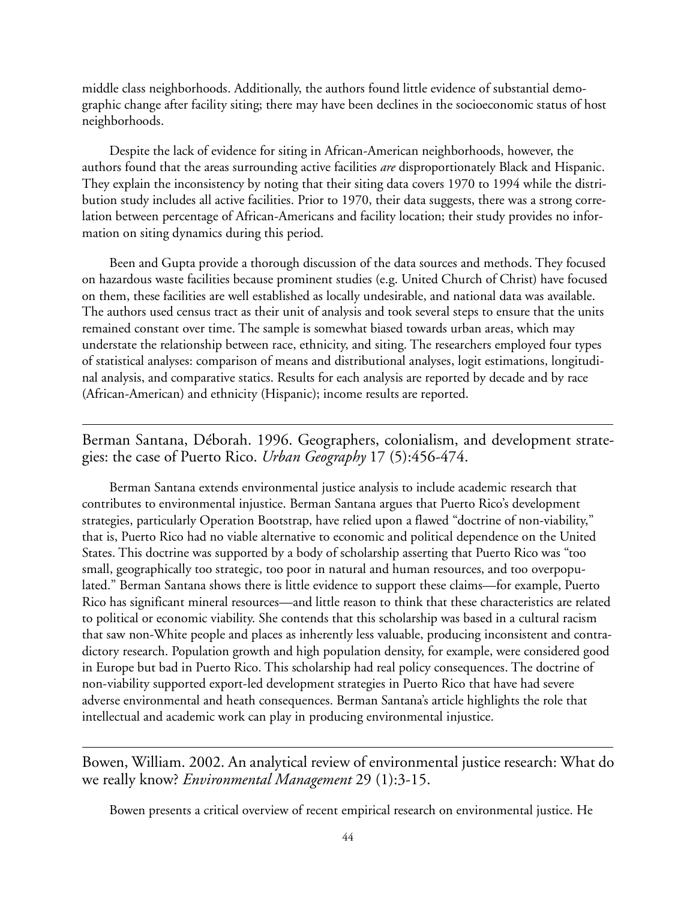middle class neighborhoods. Additionally, the authors found little evidence of substantial demographic change after facility siting; there may have been declines in the socioeconomic status of host neighborhoods.

Despite the lack of evidence for siting in African-American neighborhoods, however, the authors found that the areas surrounding active facilities *are* disproportionately Black and Hispanic. They explain the inconsistency by noting that their siting data covers 1970 to 1994 while the distribution study includes all active facilities. Prior to 1970, their data suggests, there was a strong correlation between percentage of African-Americans and facility location; their study provides no information on siting dynamics during this period.

Been and Gupta provide a thorough discussion of the data sources and methods. They focused on hazardous waste facilities because prominent studies (e.g. United Church of Christ) have focused on them, these facilities are well established as locally undesirable, and national data was available. The authors used census tract as their unit of analysis and took several steps to ensure that the units remained constant over time. The sample is somewhat biased towards urban areas, which may understate the relationship between race, ethnicity, and siting. The researchers employed four types of statistical analyses: comparison of means and distributional analyses, logit estimations, longitudinal analysis, and comparative statics. Results for each analysis are reported by decade and by race (African-American) and ethnicity (Hispanic); income results are reported.

Berman Santana, Déborah. 1996. Geographers, colonialism, and development strategies: the case of Puerto Rico. *Urban Geography* 17 (5):456-474.

Berman Santana extends environmental justice analysis to include academic research that contributes to environmental injustice. Berman Santana argues that Puerto Rico's development strategies, particularly Operation Bootstrap, have relied upon a flawed "doctrine of non-viability," that is, Puerto Rico had no viable alternative to economic and political dependence on the United States. This doctrine was supported by a body of scholarship asserting that Puerto Rico was "too small, geographically too strategic, too poor in natural and human resources, and too overpopulated." Berman Santana shows there is little evidence to support these claims—for example, Puerto Rico has significant mineral resources—and little reason to think that these characteristics are related to political or economic viability. She contends that this scholarship was based in a cultural racism that saw non-White people and places as inherently less valuable, producing inconsistent and contradictory research. Population growth and high population density, for example, were considered good in Europe but bad in Puerto Rico. This scholarship had real policy consequences. The doctrine of non-viability supported export-led development strategies in Puerto Rico that have had severe adverse environmental and heath consequences. Berman Santana's article highlights the role that intellectual and academic work can play in producing environmental injustice.

Bowen, William. 2002. An analytical review of environmental justice research: What do we really know? *Environmental Management* 29 (1):3-15.

Bowen presents a critical overview of recent empirical research on environmental justice. He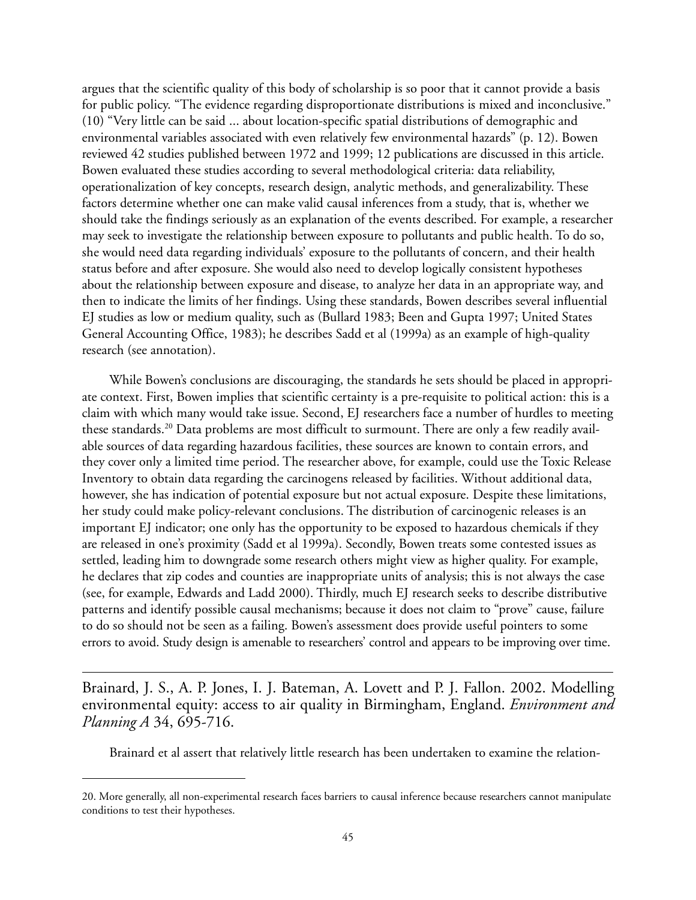argues that the scientific quality of this body of scholarship is so poor that it cannot provide a basis for public policy. "The evidence regarding disproportionate distributions is mixed and inconclusive." (10) "Very little can be said ... about location-specific spatial distributions of demographic and environmental variables associated with even relatively few environmental hazards" (p. 12). Bowen reviewed 42 studies published between 1972 and 1999; 12 publications are discussed in this article. Bowen evaluated these studies according to several methodological criteria: data reliability, operationalization of key concepts, research design, analytic methods, and generalizability. These factors determine whether one can make valid causal inferences from a study, that is, whether we should take the findings seriously as an explanation of the events described. For example, a researcher may seek to investigate the relationship between exposure to pollutants and public health. To do so, she would need data regarding individuals' exposure to the pollutants of concern, and their health status before and after exposure. She would also need to develop logically consistent hypotheses about the relationship between exposure and disease, to analyze her data in an appropriate way, and then to indicate the limits of her findings. Using these standards, Bowen describes several influential EJ studies as low or medium quality, such as (Bullard 1983; Been and Gupta 1997; United States General Accounting Office, 1983); he describes Sadd et al (1999a) as an example of high-quality research (see annotation).

While Bowen's conclusions are discouraging, the standards he sets should be placed in appropriate context. First, Bowen implies that scientific certainty is a pre-requisite to political action: this is a claim with which many would take issue. Second, EJ researchers face a number of hurdles to meeting these standards.20 Data problems are most difficult to surmount. There are only a few readily available sources of data regarding hazardous facilities, these sources are known to contain errors, and they cover only a limited time period. The researcher above, for example, could use the Toxic Release Inventory to obtain data regarding the carcinogens released by facilities. Without additional data, however, she has indication of potential exposure but not actual exposure. Despite these limitations, her study could make policy-relevant conclusions. The distribution of carcinogenic releases is an important EJ indicator; one only has the opportunity to be exposed to hazardous chemicals if they are released in one's proximity (Sadd et al 1999a). Secondly, Bowen treats some contested issues as settled, leading him to downgrade some research others might view as higher quality. For example, he declares that zip codes and counties are inappropriate units of analysis; this is not always the case (see, for example, Edwards and Ladd 2000). Thirdly, much EJ research seeks to describe distributive patterns and identify possible causal mechanisms; because it does not claim to "prove" cause, failure to do so should not be seen as a failing. Bowen's assessment does provide useful pointers to some errors to avoid. Study design is amenable to researchers' control and appears to be improving over time.

Brainard, J. S., A. P. Jones, I. J. Bateman, A. Lovett and P. J. Fallon. 2002. Modelling environmental equity: access to air quality in Birmingham, England. *Environment and Planning A* 34, 695-716.

Brainard et al assert that relatively little research has been undertaken to examine the relation-

<sup>20.</sup> More generally, all non-experimental research faces barriers to causal inference because researchers cannot manipulate conditions to test their hypotheses.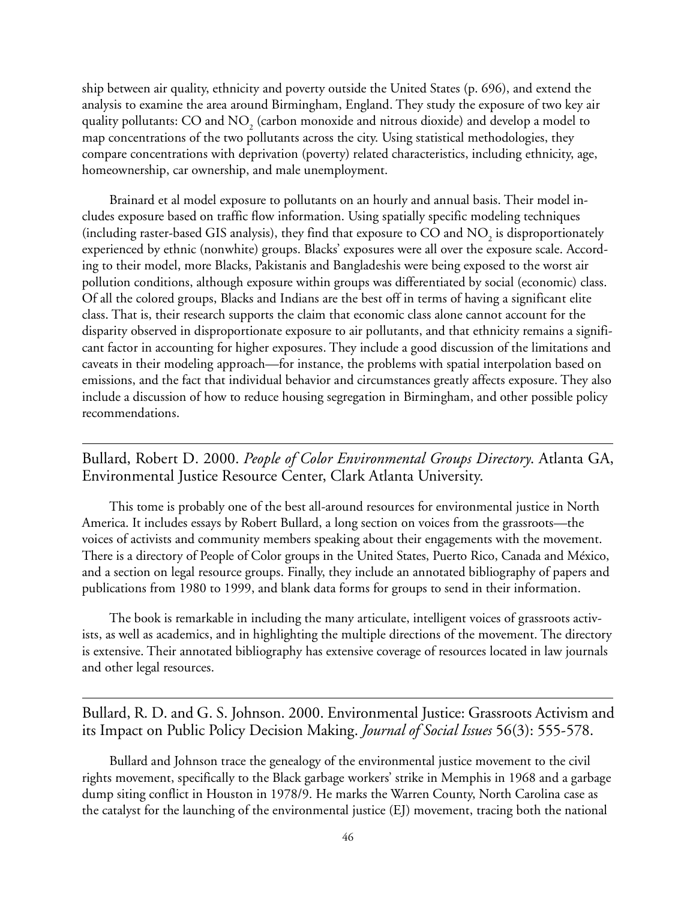ship between air quality, ethnicity and poverty outside the United States (p. 696), and extend the analysis to examine the area around Birmingham, England. They study the exposure of two key air quality pollutants: CO and NO<sub>2</sub> (carbon monoxide and nitrous dioxide) and develop a model to map concentrations of the two pollutants across the city. Using statistical methodologies, they compare concentrations with deprivation (poverty) related characteristics, including ethnicity, age, homeownership, car ownership, and male unemployment.

Brainard et al model exposure to pollutants on an hourly and annual basis. Their model includes exposure based on traffic flow information. Using spatially specific modeling techniques (including raster-based GIS analysis), they find that exposure to CO and  $\rm NO_{2}$  is disproportionately experienced by ethnic (nonwhite) groups. Blacks' exposures were all over the exposure scale. According to their model, more Blacks, Pakistanis and Bangladeshis were being exposed to the worst air pollution conditions, although exposure within groups was differentiated by social (economic) class. Of all the colored groups, Blacks and Indians are the best off in terms of having a significant elite class. That is, their research supports the claim that economic class alone cannot account for the disparity observed in disproportionate exposure to air pollutants, and that ethnicity remains a significant factor in accounting for higher exposures. They include a good discussion of the limitations and caveats in their modeling approach—for instance, the problems with spatial interpolation based on emissions, and the fact that individual behavior and circumstances greatly affects exposure. They also include a discussion of how to reduce housing segregation in Birmingham, and other possible policy recommendations.

Bullard, Robert D. 2000. *People of Color Environmental Groups Directory*. Atlanta GA, Environmental Justice Resource Center, Clark Atlanta University.

This tome is probably one of the best all-around resources for environmental justice in North America. It includes essays by Robert Bullard, a long section on voices from the grassroots—the voices of activists and community members speaking about their engagements with the movement. There is a directory of People of Color groups in the United States, Puerto Rico, Canada and México, and a section on legal resource groups. Finally, they include an annotated bibliography of papers and publications from 1980 to 1999, and blank data forms for groups to send in their information.

The book is remarkable in including the many articulate, intelligent voices of grassroots activists, as well as academics, and in highlighting the multiple directions of the movement. The directory is extensive. Their annotated bibliography has extensive coverage of resources located in law journals and other legal resources.

Bullard, R. D. and G. S. Johnson. 2000. Environmental Justice: Grassroots Activism and its Impact on Public Policy Decision Making. *Journal of Social Issues* 56(3): 555-578.

Bullard and Johnson trace the genealogy of the environmental justice movement to the civil rights movement, specifically to the Black garbage workers' strike in Memphis in 1968 and a garbage dump siting conflict in Houston in 1978/9. He marks the Warren County, North Carolina case as the catalyst for the launching of the environmental justice (EJ) movement, tracing both the national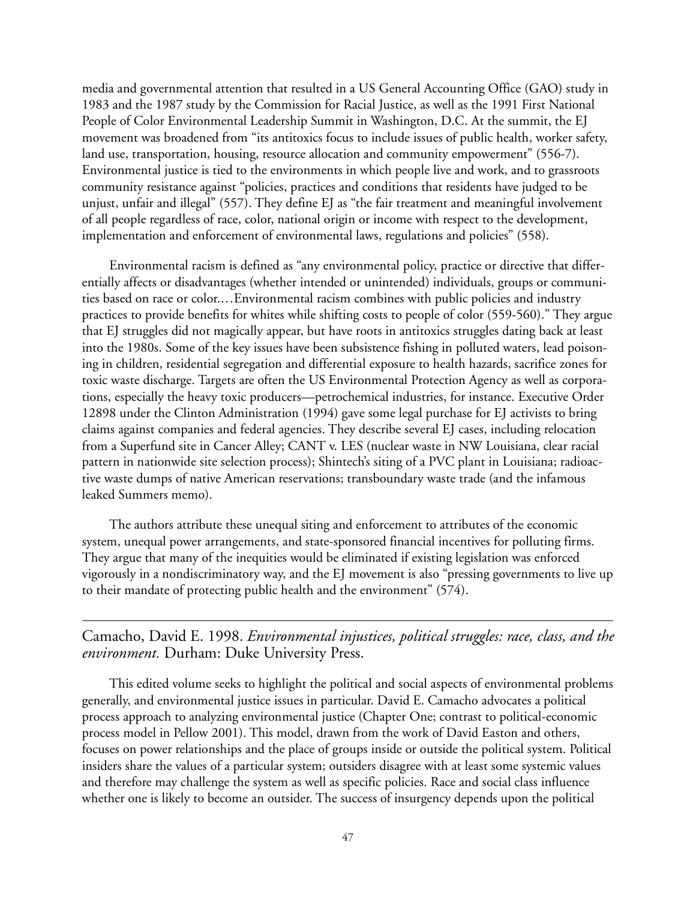media and governmental attention that resulted in a US General Accounting Office (GAO) study in 1983 and the 1987 study by the Commission for Racial Justice, as well as the 1991 First National People of Color Environmental Leadership Summit in Washington, D.C. At the summit, the EJ movement was broadened from "its antitoxics focus to include issues of public health, worker safety, land use, transportation, housing, resource allocation and community empowerment" (556-7). Environmental justice is tied to the environments in which people live and work, and to grassroots community resistance against "policies, practices and conditions that residents have judged to be unjust, unfair and illegal" (557). They define EJ as "the fair treatment and meaningful involvement of all people regardless of race, color, national origin or income with respect to the development, implementation and enforcement of environmental laws, regulations and policies" (558).

Environmental racism is defined as "any environmental policy, practice or directive that differentially affects or disadvantages (whether intended or unintended) individuals, groups or communities based on race or color.…Environmental racism combines with public policies and industry practices to provide benefits for whites while shifting costs to people of color (559-560)." They argue that EJ struggles did not magically appear, but have roots in antitoxics struggles dating back at least into the 1980s. Some of the key issues have been subsistence fishing in polluted waters, lead poisoning in children, residential segregation and differential exposure to health hazards, sacrifice zones for toxic waste discharge. Targets are often the US Environmental Protection Agency as well as corporations, especially the heavy toxic producers—petrochemical industries, for instance. Executive Order 12898 under the Clinton Administration (1994) gave some legal purchase for EJ activists to bring claims against companies and federal agencies. They describe several EJ cases, including relocation from a Superfund site in Cancer Alley; CANT v. LES (nuclear waste in NW Louisiana, clear racial pattern in nationwide site selection process); Shintech's siting of a PVC plant in Louisiana; radioactive waste dumps of native American reservations; transboundary waste trade (and the infamous leaked Summers memo).

The authors attribute these unequal siting and enforcement to attributes of the economic system, unequal power arrangements, and state-sponsored financial incentives for polluting firms. They argue that many of the inequities would be eliminated if existing legislation was enforced vigorously in a nondiscriminatory way, and the EJ movement is also "pressing governments to live up to their mandate of protecting public health and the environment" (574).

Camacho, David E. 1998. *Environmental injustices, political struggles: race, class, and the environment.* Durham: Duke University Press.

This edited volume seeks to highlight the political and social aspects of environmental problems generally, and environmental justice issues in particular. David E. Camacho advocates a political process approach to analyzing environmental justice (Chapter One; contrast to political-economic process model in Pellow 2001). This model, drawn from the work of David Easton and others, focuses on power relationships and the place of groups inside or outside the political system. Political insiders share the values of a particular system; outsiders disagree with at least some systemic values and therefore may challenge the system as well as specific policies. Race and social class influence whether one is likely to become an outsider. The success of insurgency depends upon the political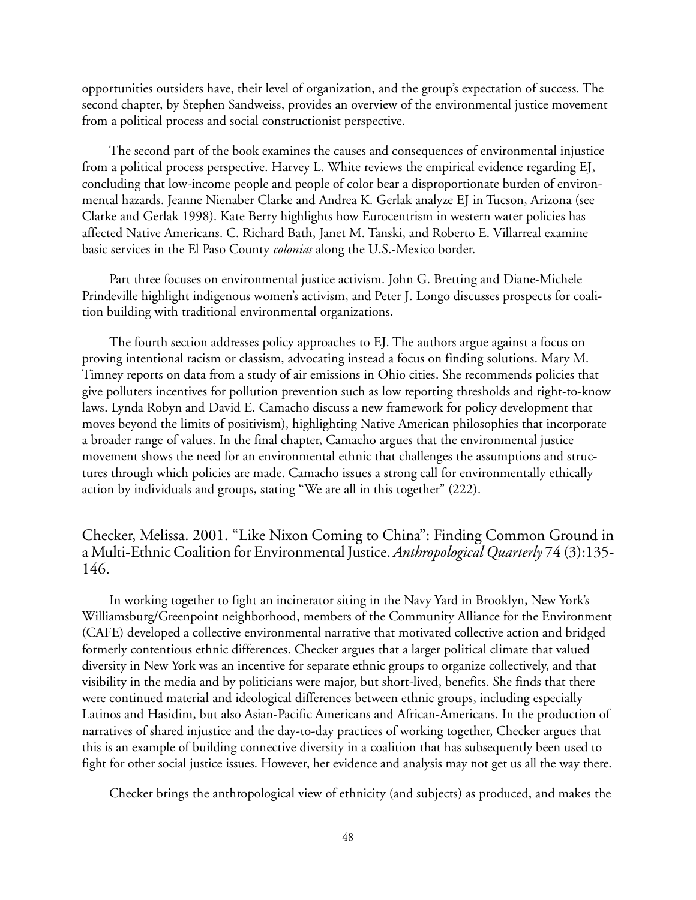opportunities outsiders have, their level of organization, and the group's expectation of success. The second chapter, by Stephen Sandweiss, provides an overview of the environmental justice movement from a political process and social constructionist perspective.

The second part of the book examines the causes and consequences of environmental injustice from a political process perspective. Harvey L. White reviews the empirical evidence regarding EJ, concluding that low-income people and people of color bear a disproportionate burden of environmental hazards. Jeanne Nienaber Clarke and Andrea K. Gerlak analyze EJ in Tucson, Arizona (see Clarke and Gerlak 1998). Kate Berry highlights how Eurocentrism in western water policies has affected Native Americans. C. Richard Bath, Janet M. Tanski, and Roberto E. Villarreal examine basic services in the El Paso County *colonias* along the U.S.-Mexico border.

Part three focuses on environmental justice activism. John G. Bretting and Diane-Michele Prindeville highlight indigenous women's activism, and Peter J. Longo discusses prospects for coalition building with traditional environmental organizations.

The fourth section addresses policy approaches to EJ. The authors argue against a focus on proving intentional racism or classism, advocating instead a focus on finding solutions. Mary M. Timney reports on data from a study of air emissions in Ohio cities. She recommends policies that give polluters incentives for pollution prevention such as low reporting thresholds and right-to-know laws. Lynda Robyn and David E. Camacho discuss a new framework for policy development that moves beyond the limits of positivism), highlighting Native American philosophies that incorporate a broader range of values. In the final chapter, Camacho argues that the environmental justice movement shows the need for an environmental ethnic that challenges the assumptions and structures through which policies are made. Camacho issues a strong call for environmentally ethically action by individuals and groups, stating "We are all in this together" (222).

Checker, Melissa. 2001. "Like Nixon Coming to China": Finding Common Ground in a Multi-Ethnic Coalition for Environmental Justice. *Anthropological Quarterly* 74 (3):135- 146.

In working together to fight an incinerator siting in the Navy Yard in Brooklyn, New York's Williamsburg/Greenpoint neighborhood, members of the Community Alliance for the Environment (CAFE) developed a collective environmental narrative that motivated collective action and bridged formerly contentious ethnic differences. Checker argues that a larger political climate that valued diversity in New York was an incentive for separate ethnic groups to organize collectively, and that visibility in the media and by politicians were major, but short-lived, benefits. She finds that there were continued material and ideological differences between ethnic groups, including especially Latinos and Hasidim, but also Asian-Pacific Americans and African-Americans. In the production of narratives of shared injustice and the day-to-day practices of working together, Checker argues that this is an example of building connective diversity in a coalition that has subsequently been used to fight for other social justice issues. However, her evidence and analysis may not get us all the way there.

Checker brings the anthropological view of ethnicity (and subjects) as produced, and makes the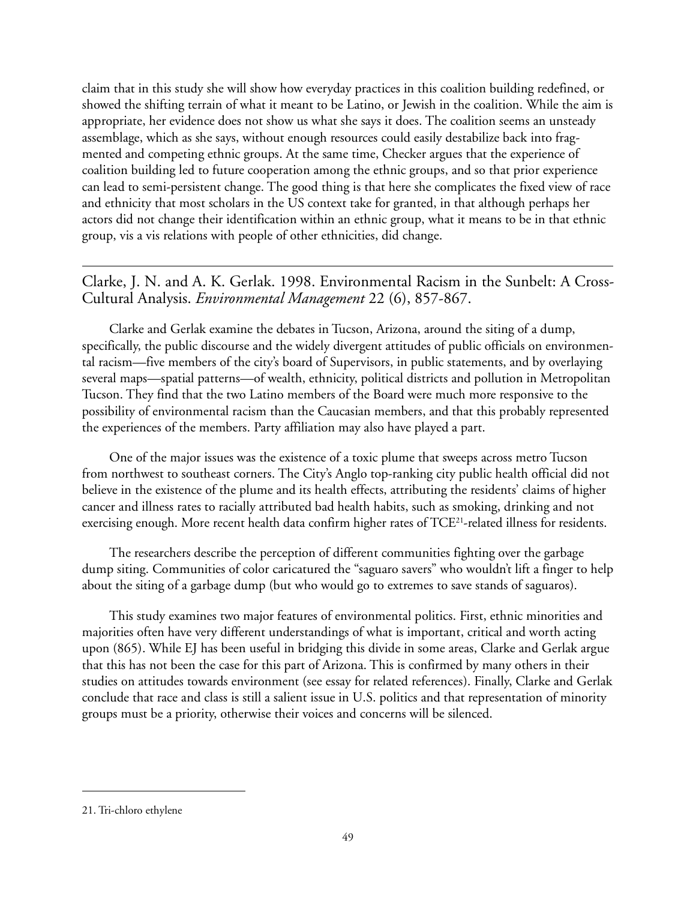claim that in this study she will show how everyday practices in this coalition building redefined, or showed the shifting terrain of what it meant to be Latino, or Jewish in the coalition. While the aim is appropriate, her evidence does not show us what she says it does. The coalition seems an unsteady assemblage, which as she says, without enough resources could easily destabilize back into fragmented and competing ethnic groups. At the same time, Checker argues that the experience of coalition building led to future cooperation among the ethnic groups, and so that prior experience can lead to semi-persistent change. The good thing is that here she complicates the fixed view of race and ethnicity that most scholars in the US context take for granted, in that although perhaps her actors did not change their identification within an ethnic group, what it means to be in that ethnic group, vis a vis relations with people of other ethnicities, did change.

# Clarke, J. N. and A. K. Gerlak. 1998. Environmental Racism in the Sunbelt: A Cross-Cultural Analysis. *Environmental Management* 22 (6), 857-867.

Clarke and Gerlak examine the debates in Tucson, Arizona, around the siting of a dump, specifically, the public discourse and the widely divergent attitudes of public officials on environmental racism—five members of the city's board of Supervisors, in public statements, and by overlaying several maps—spatial patterns—of wealth, ethnicity, political districts and pollution in Metropolitan Tucson. They find that the two Latino members of the Board were much more responsive to the possibility of environmental racism than the Caucasian members, and that this probably represented the experiences of the members. Party affiliation may also have played a part.

One of the major issues was the existence of a toxic plume that sweeps across metro Tucson from northwest to southeast corners. The City's Anglo top-ranking city public health official did not believe in the existence of the plume and its health effects, attributing the residents' claims of higher cancer and illness rates to racially attributed bad health habits, such as smoking, drinking and not exercising enough. More recent health data confirm higher rates of TCE<sup>21</sup>-related illness for residents.

The researchers describe the perception of different communities fighting over the garbage dump siting. Communities of color caricatured the "saguaro savers" who wouldn't lift a finger to help about the siting of a garbage dump (but who would go to extremes to save stands of saguaros).

This study examines two major features of environmental politics. First, ethnic minorities and majorities often have very different understandings of what is important, critical and worth acting upon (865). While EJ has been useful in bridging this divide in some areas, Clarke and Gerlak argue that this has not been the case for this part of Arizona. This is confirmed by many others in their studies on attitudes towards environment (see essay for related references). Finally, Clarke and Gerlak conclude that race and class is still a salient issue in U.S. politics and that representation of minority groups must be a priority, otherwise their voices and concerns will be silenced.

<sup>21.</sup> Tri-chloro ethylene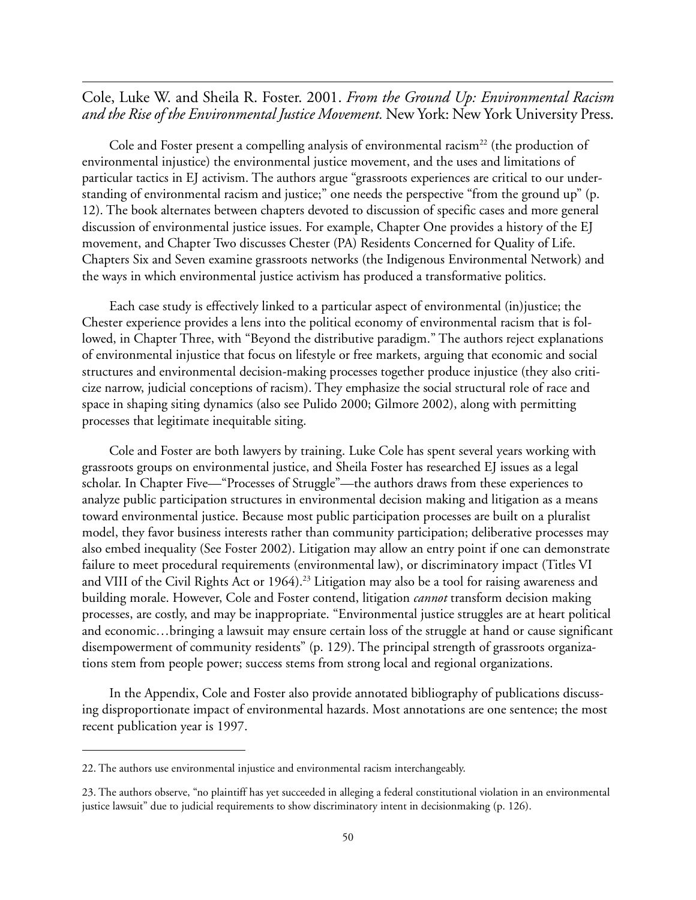### Cole, Luke W. and Sheila R. Foster. 2001. *From the Ground Up: Environmental Racism and the Rise of the Environmental Justice Movement.* New York: New York University Press.

Cole and Foster present a compelling analysis of environmental racism<sup>22</sup> (the production of environmental injustice) the environmental justice movement, and the uses and limitations of particular tactics in EJ activism. The authors argue "grassroots experiences are critical to our understanding of environmental racism and justice;" one needs the perspective "from the ground up" (p. 12). The book alternates between chapters devoted to discussion of specific cases and more general discussion of environmental justice issues. For example, Chapter One provides a history of the EJ movement, and Chapter Two discusses Chester (PA) Residents Concerned for Quality of Life. Chapters Six and Seven examine grassroots networks (the Indigenous Environmental Network) and the ways in which environmental justice activism has produced a transformative politics.

Each case study is effectively linked to a particular aspect of environmental (in)justice; the Chester experience provides a lens into the political economy of environmental racism that is followed, in Chapter Three, with "Beyond the distributive paradigm." The authors reject explanations of environmental injustice that focus on lifestyle or free markets, arguing that economic and social structures and environmental decision-making processes together produce injustice (they also criticize narrow, judicial conceptions of racism). They emphasize the social structural role of race and space in shaping siting dynamics (also see Pulido 2000; Gilmore 2002), along with permitting processes that legitimate inequitable siting.

Cole and Foster are both lawyers by training. Luke Cole has spent several years working with grassroots groups on environmental justice, and Sheila Foster has researched EJ issues as a legal scholar. In Chapter Five—"Processes of Struggle"—the authors draws from these experiences to analyze public participation structures in environmental decision making and litigation as a means toward environmental justice. Because most public participation processes are built on a pluralist model, they favor business interests rather than community participation; deliberative processes may also embed inequality (See Foster 2002). Litigation may allow an entry point if one can demonstrate failure to meet procedural requirements (environmental law), or discriminatory impact (Titles VI and VIII of the Civil Rights Act or 1964).<sup>23</sup> Litigation may also be a tool for raising awareness and building morale. However, Cole and Foster contend, litigation *cannot* transform decision making processes, are costly, and may be inappropriate. "Environmental justice struggles are at heart political and economic…bringing a lawsuit may ensure certain loss of the struggle at hand or cause significant disempowerment of community residents" (p. 129). The principal strength of grassroots organizations stem from people power; success stems from strong local and regional organizations.

In the Appendix, Cole and Foster also provide annotated bibliography of publications discussing disproportionate impact of environmental hazards. Most annotations are one sentence; the most recent publication year is 1997.

<sup>22.</sup> The authors use environmental injustice and environmental racism interchangeably.

<sup>23.</sup> The authors observe, "no plaintiff has yet succeeded in alleging a federal constitutional violation in an environmental justice lawsuit" due to judicial requirements to show discriminatory intent in decisionmaking (p. 126).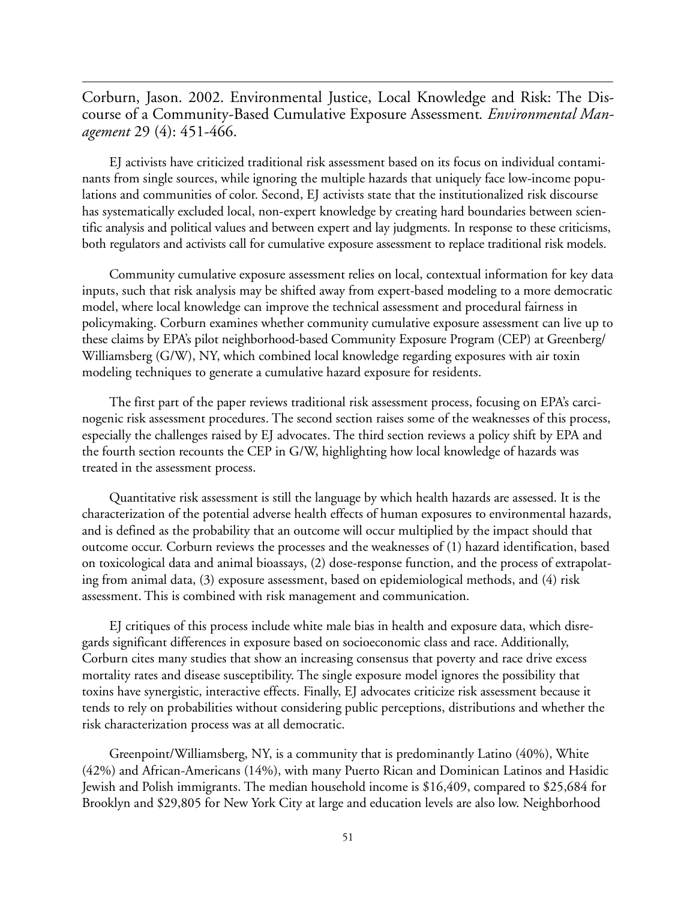Corburn, Jason. 2002. Environmental Justice, Local Knowledge and Risk: The Discourse of a Community-Based Cumulative Exposure Assessment*. Environmental Management* 29 (4): 451-466.

EJ activists have criticized traditional risk assessment based on its focus on individual contaminants from single sources, while ignoring the multiple hazards that uniquely face low-income populations and communities of color. Second, EJ activists state that the institutionalized risk discourse has systematically excluded local, non-expert knowledge by creating hard boundaries between scientific analysis and political values and between expert and lay judgments. In response to these criticisms, both regulators and activists call for cumulative exposure assessment to replace traditional risk models.

Community cumulative exposure assessment relies on local, contextual information for key data inputs, such that risk analysis may be shifted away from expert-based modeling to a more democratic model, where local knowledge can improve the technical assessment and procedural fairness in policymaking. Corburn examines whether community cumulative exposure assessment can live up to these claims by EPA's pilot neighborhood-based Community Exposure Program (CEP) at Greenberg/ Williamsberg (G/W), NY, which combined local knowledge regarding exposures with air toxin modeling techniques to generate a cumulative hazard exposure for residents.

The first part of the paper reviews traditional risk assessment process, focusing on EPA's carcinogenic risk assessment procedures. The second section raises some of the weaknesses of this process, especially the challenges raised by EJ advocates. The third section reviews a policy shift by EPA and the fourth section recounts the CEP in G/W, highlighting how local knowledge of hazards was treated in the assessment process.

Quantitative risk assessment is still the language by which health hazards are assessed. It is the characterization of the potential adverse health effects of human exposures to environmental hazards, and is defined as the probability that an outcome will occur multiplied by the impact should that outcome occur. Corburn reviews the processes and the weaknesses of (1) hazard identification, based on toxicological data and animal bioassays, (2) dose-response function, and the process of extrapolating from animal data, (3) exposure assessment, based on epidemiological methods, and (4) risk assessment. This is combined with risk management and communication.

EJ critiques of this process include white male bias in health and exposure data, which disregards significant differences in exposure based on socioeconomic class and race. Additionally, Corburn cites many studies that show an increasing consensus that poverty and race drive excess mortality rates and disease susceptibility. The single exposure model ignores the possibility that toxins have synergistic, interactive effects. Finally, EJ advocates criticize risk assessment because it tends to rely on probabilities without considering public perceptions, distributions and whether the risk characterization process was at all democratic.

Greenpoint/Williamsberg, NY, is a community that is predominantly Latino (40%), White (42%) and African-Americans (14%), with many Puerto Rican and Dominican Latinos and Hasidic Jewish and Polish immigrants. The median household income is \$16,409, compared to \$25,684 for Brooklyn and \$29,805 for New York City at large and education levels are also low. Neighborhood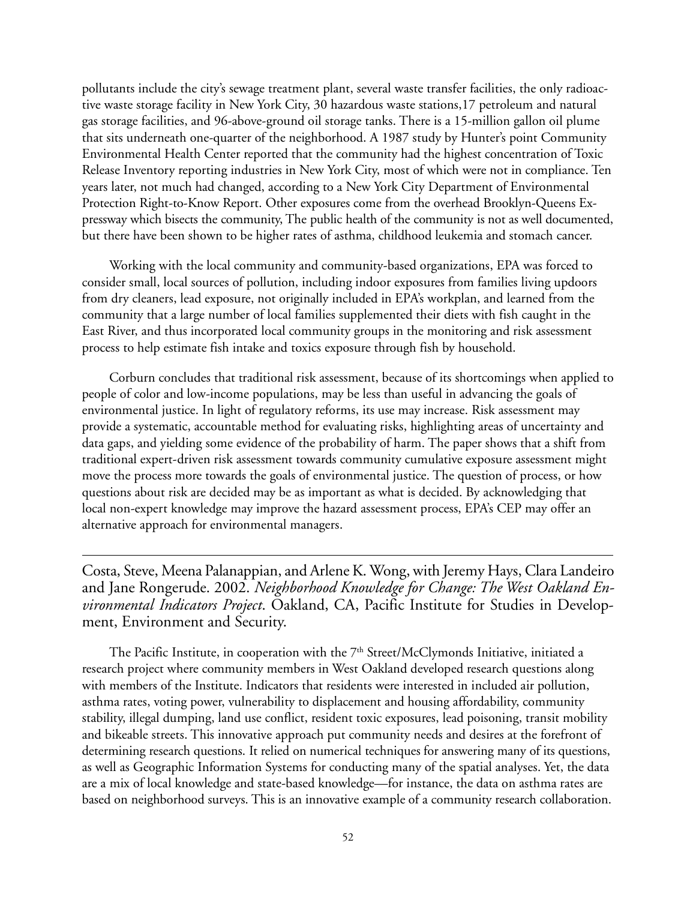pollutants include the city's sewage treatment plant, several waste transfer facilities, the only radioactive waste storage facility in New York City, 30 hazardous waste stations,17 petroleum and natural gas storage facilities, and 96-above-ground oil storage tanks. There is a 15-million gallon oil plume that sits underneath one-quarter of the neighborhood. A 1987 study by Hunter's point Community Environmental Health Center reported that the community had the highest concentration of Toxic Release Inventory reporting industries in New York City, most of which were not in compliance. Ten years later, not much had changed, according to a New York City Department of Environmental Protection Right-to-Know Report. Other exposures come from the overhead Brooklyn-Queens Expressway which bisects the community, The public health of the community is not as well documented, but there have been shown to be higher rates of asthma, childhood leukemia and stomach cancer.

Working with the local community and community-based organizations, EPA was forced to consider small, local sources of pollution, including indoor exposures from families living updoors from dry cleaners, lead exposure, not originally included in EPA's workplan, and learned from the community that a large number of local families supplemented their diets with fish caught in the East River, and thus incorporated local community groups in the monitoring and risk assessment process to help estimate fish intake and toxics exposure through fish by household.

Corburn concludes that traditional risk assessment, because of its shortcomings when applied to people of color and low-income populations, may be less than useful in advancing the goals of environmental justice. In light of regulatory reforms, its use may increase. Risk assessment may provide a systematic, accountable method for evaluating risks, highlighting areas of uncertainty and data gaps, and yielding some evidence of the probability of harm. The paper shows that a shift from traditional expert-driven risk assessment towards community cumulative exposure assessment might move the process more towards the goals of environmental justice. The question of process, or how questions about risk are decided may be as important as what is decided. By acknowledging that local non-expert knowledge may improve the hazard assessment process, EPA's CEP may offer an alternative approach for environmental managers.

Costa, Steve, Meena Palanappian, and Arlene K. Wong, with Jeremy Hays, Clara Landeiro and Jane Rongerude. 2002. *Neighborhood Knowledge for Change: The West Oakland Environmental Indicators Project*. Oakland, CA, Pacific Institute for Studies in Development, Environment and Security.

The Pacific Institute, in cooperation with the  $7<sup>th</sup>$  Street/McClymonds Initiative, initiated a research project where community members in West Oakland developed research questions along with members of the Institute. Indicators that residents were interested in included air pollution, asthma rates, voting power, vulnerability to displacement and housing affordability, community stability, illegal dumping, land use conflict, resident toxic exposures, lead poisoning, transit mobility and bikeable streets. This innovative approach put community needs and desires at the forefront of determining research questions. It relied on numerical techniques for answering many of its questions, as well as Geographic Information Systems for conducting many of the spatial analyses. Yet, the data are a mix of local knowledge and state-based knowledge—for instance, the data on asthma rates are based on neighborhood surveys. This is an innovative example of a community research collaboration.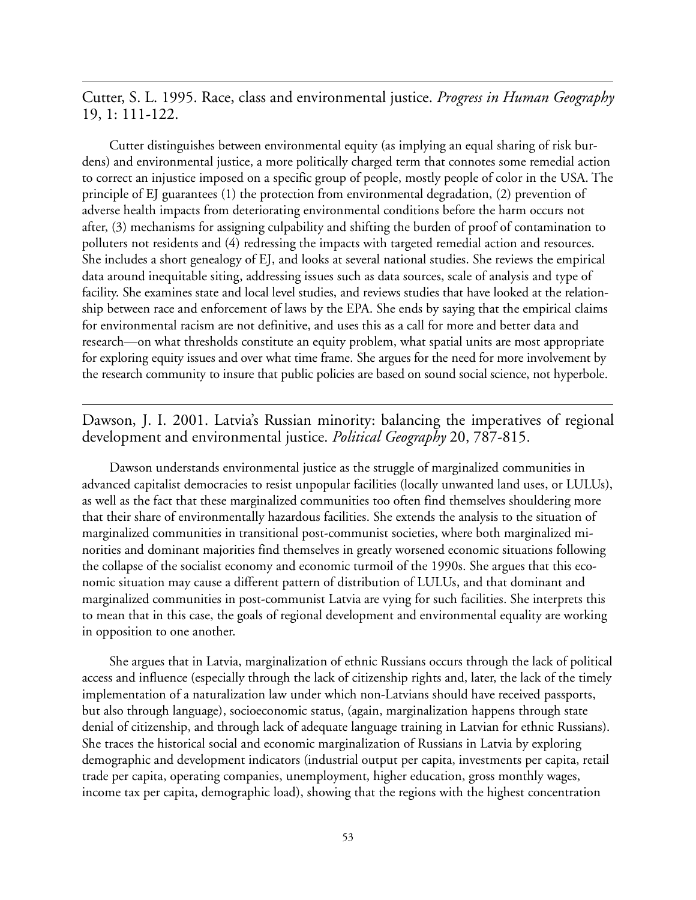Cutter, S. L. 1995. Race, class and environmental justice. *Progress in Human Geography* 19, 1: 111-122.

Cutter distinguishes between environmental equity (as implying an equal sharing of risk burdens) and environmental justice, a more politically charged term that connotes some remedial action to correct an injustice imposed on a specific group of people, mostly people of color in the USA. The principle of EJ guarantees (1) the protection from environmental degradation, (2) prevention of adverse health impacts from deteriorating environmental conditions before the harm occurs not after, (3) mechanisms for assigning culpability and shifting the burden of proof of contamination to polluters not residents and (4) redressing the impacts with targeted remedial action and resources. She includes a short genealogy of EJ, and looks at several national studies. She reviews the empirical data around inequitable siting, addressing issues such as data sources, scale of analysis and type of facility. She examines state and local level studies, and reviews studies that have looked at the relationship between race and enforcement of laws by the EPA. She ends by saying that the empirical claims for environmental racism are not definitive, and uses this as a call for more and better data and research—on what thresholds constitute an equity problem, what spatial units are most appropriate for exploring equity issues and over what time frame. She argues for the need for more involvement by the research community to insure that public policies are based on sound social science, not hyperbole.

Dawson, J. I. 2001. Latvia's Russian minority: balancing the imperatives of regional development and environmental justice. *Political Geography* 20, 787-815.

Dawson understands environmental justice as the struggle of marginalized communities in advanced capitalist democracies to resist unpopular facilities (locally unwanted land uses, or LULUs), as well as the fact that these marginalized communities too often find themselves shouldering more that their share of environmentally hazardous facilities. She extends the analysis to the situation of marginalized communities in transitional post-communist societies, where both marginalized minorities and dominant majorities find themselves in greatly worsened economic situations following the collapse of the socialist economy and economic turmoil of the 1990s. She argues that this economic situation may cause a different pattern of distribution of LULUs, and that dominant and marginalized communities in post-communist Latvia are vying for such facilities. She interprets this to mean that in this case, the goals of regional development and environmental equality are working in opposition to one another.

She argues that in Latvia, marginalization of ethnic Russians occurs through the lack of political access and influence (especially through the lack of citizenship rights and, later, the lack of the timely implementation of a naturalization law under which non-Latvians should have received passports, but also through language), socioeconomic status, (again, marginalization happens through state denial of citizenship, and through lack of adequate language training in Latvian for ethnic Russians). She traces the historical social and economic marginalization of Russians in Latvia by exploring demographic and development indicators (industrial output per capita, investments per capita, retail trade per capita, operating companies, unemployment, higher education, gross monthly wages, income tax per capita, demographic load), showing that the regions with the highest concentration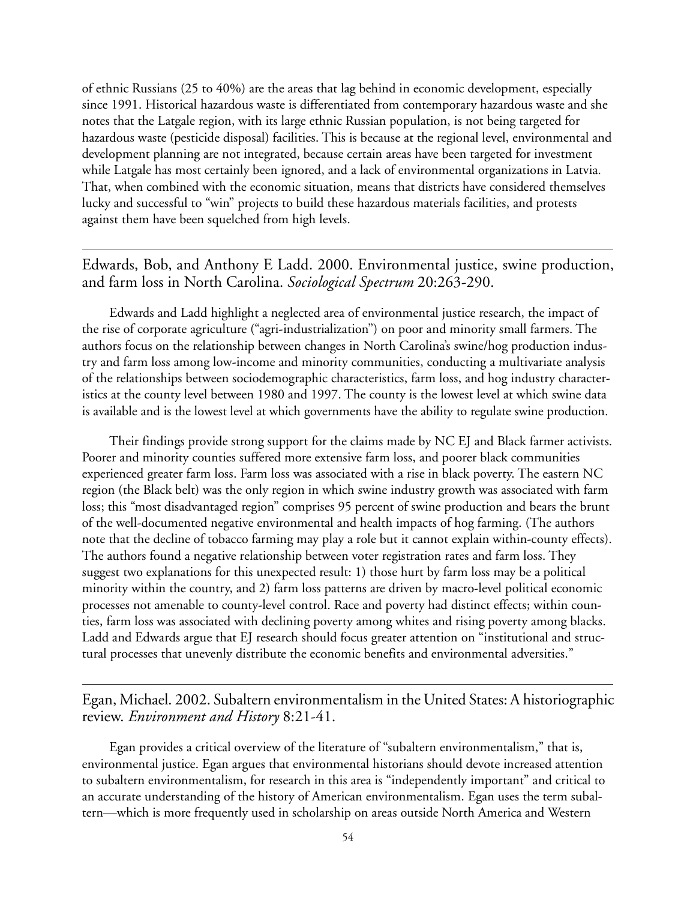of ethnic Russians (25 to 40%) are the areas that lag behind in economic development, especially since 1991. Historical hazardous waste is differentiated from contemporary hazardous waste and she notes that the Latgale region, with its large ethnic Russian population, is not being targeted for hazardous waste (pesticide disposal) facilities. This is because at the regional level, environmental and development planning are not integrated, because certain areas have been targeted for investment while Latgale has most certainly been ignored, and a lack of environmental organizations in Latvia. That, when combined with the economic situation, means that districts have considered themselves lucky and successful to "win" projects to build these hazardous materials facilities, and protests against them have been squelched from high levels.

### Edwards, Bob, and Anthony E Ladd. 2000. Environmental justice, swine production, and farm loss in North Carolina. *Sociological Spectrum* 20:263-290.

Edwards and Ladd highlight a neglected area of environmental justice research, the impact of the rise of corporate agriculture ("agri-industrialization") on poor and minority small farmers. The authors focus on the relationship between changes in North Carolina's swine/hog production industry and farm loss among low-income and minority communities, conducting a multivariate analysis of the relationships between sociodemographic characteristics, farm loss, and hog industry characteristics at the county level between 1980 and 1997. The county is the lowest level at which swine data is available and is the lowest level at which governments have the ability to regulate swine production.

Their findings provide strong support for the claims made by NC EJ and Black farmer activists. Poorer and minority counties suffered more extensive farm loss, and poorer black communities experienced greater farm loss. Farm loss was associated with a rise in black poverty. The eastern NC region (the Black belt) was the only region in which swine industry growth was associated with farm loss; this "most disadvantaged region" comprises 95 percent of swine production and bears the brunt of the well-documented negative environmental and health impacts of hog farming. (The authors note that the decline of tobacco farming may play a role but it cannot explain within-county effects). The authors found a negative relationship between voter registration rates and farm loss. They suggest two explanations for this unexpected result: 1) those hurt by farm loss may be a political minority within the country, and 2) farm loss patterns are driven by macro-level political economic processes not amenable to county-level control. Race and poverty had distinct effects; within counties, farm loss was associated with declining poverty among whites and rising poverty among blacks. Ladd and Edwards argue that EJ research should focus greater attention on "institutional and structural processes that unevenly distribute the economic benefits and environmental adversities."

## Egan, Michael. 2002. Subaltern environmentalism in the United States: A historiographic review. *Environment and History* 8:21-41.

Egan provides a critical overview of the literature of "subaltern environmentalism," that is, environmental justice. Egan argues that environmental historians should devote increased attention to subaltern environmentalism, for research in this area is "independently important" and critical to an accurate understanding of the history of American environmentalism. Egan uses the term subaltern—which is more frequently used in scholarship on areas outside North America and Western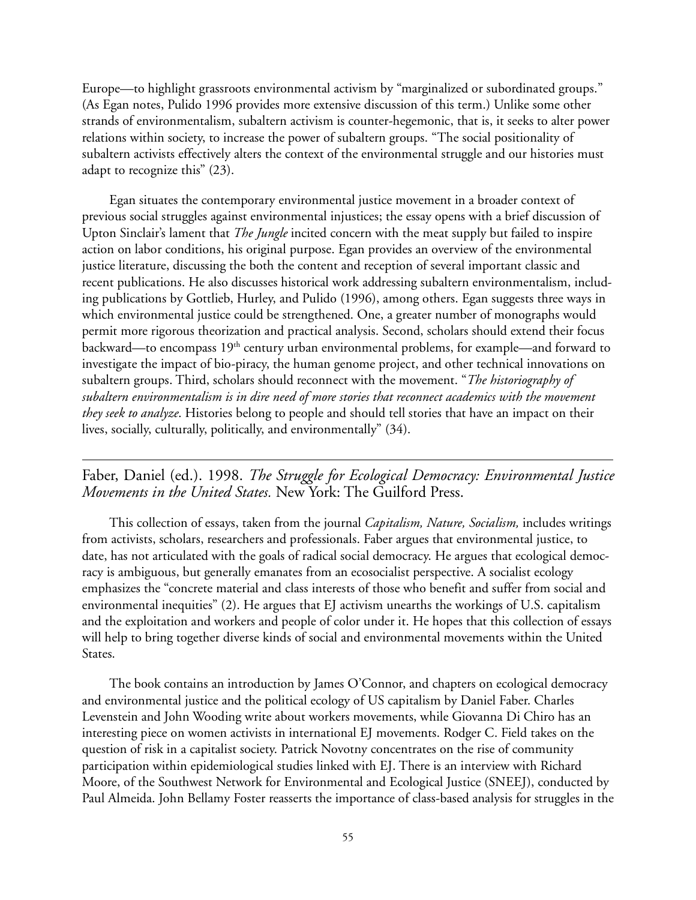Europe—to highlight grassroots environmental activism by "marginalized or subordinated groups." (As Egan notes, Pulido 1996 provides more extensive discussion of this term.) Unlike some other strands of environmentalism, subaltern activism is counter-hegemonic, that is, it seeks to alter power relations within society, to increase the power of subaltern groups. "The social positionality of subaltern activists effectively alters the context of the environmental struggle and our histories must adapt to recognize this" (23).

Egan situates the contemporary environmental justice movement in a broader context of previous social struggles against environmental injustices; the essay opens with a brief discussion of Upton Sinclair's lament that *The Jungle* incited concern with the meat supply but failed to inspire action on labor conditions, his original purpose. Egan provides an overview of the environmental justice literature, discussing the both the content and reception of several important classic and recent publications. He also discusses historical work addressing subaltern environmentalism, including publications by Gottlieb, Hurley, and Pulido (1996), among others. Egan suggests three ways in which environmental justice could be strengthened. One, a greater number of monographs would permit more rigorous theorization and practical analysis. Second, scholars should extend their focus backward—to encompass 19<sup>th</sup> century urban environmental problems, for example—and forward to investigate the impact of bio-piracy, the human genome project, and other technical innovations on subaltern groups. Third, scholars should reconnect with the movement. "*The historiography of subaltern environmentalism is in dire need of more stories that reconnect academics with the movement they seek to analyze*. Histories belong to people and should tell stories that have an impact on their lives, socially, culturally, politically, and environmentally" (34).

Faber, Daniel (ed.). 1998. *The Struggle for Ecological Democracy: Environmental Justice Movements in the United States.* New York: The Guilford Press.

This collection of essays, taken from the journal *Capitalism, Nature, Socialism,* includes writings from activists, scholars, researchers and professionals. Faber argues that environmental justice, to date, has not articulated with the goals of radical social democracy. He argues that ecological democracy is ambiguous, but generally emanates from an ecosocialist perspective. A socialist ecology emphasizes the "concrete material and class interests of those who benefit and suffer from social and environmental inequities" (2). He argues that EJ activism unearths the workings of U.S. capitalism and the exploitation and workers and people of color under it. He hopes that this collection of essays will help to bring together diverse kinds of social and environmental movements within the United States.

The book contains an introduction by James O'Connor, and chapters on ecological democracy and environmental justice and the political ecology of US capitalism by Daniel Faber. Charles Levenstein and John Wooding write about workers movements, while Giovanna Di Chiro has an interesting piece on women activists in international EJ movements. Rodger C. Field takes on the question of risk in a capitalist society. Patrick Novotny concentrates on the rise of community participation within epidemiological studies linked with EJ. There is an interview with Richard Moore, of the Southwest Network for Environmental and Ecological Justice (SNEEJ), conducted by Paul Almeida. John Bellamy Foster reasserts the importance of class-based analysis for struggles in the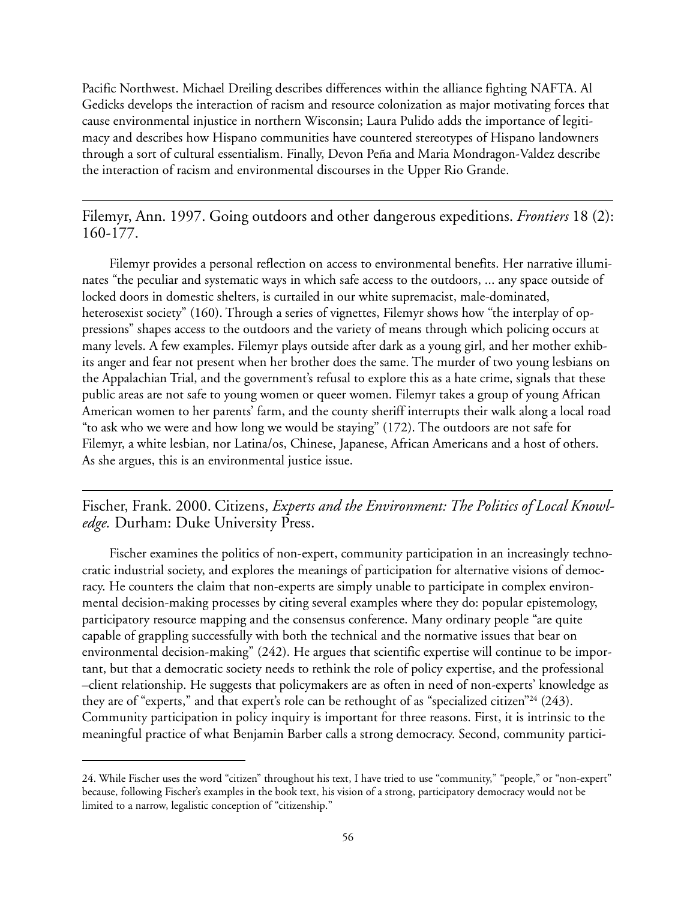Pacific Northwest. Michael Dreiling describes differences within the alliance fighting NAFTA. Al Gedicks develops the interaction of racism and resource colonization as major motivating forces that cause environmental injustice in northern Wisconsin; Laura Pulido adds the importance of legitimacy and describes how Hispano communities have countered stereotypes of Hispano landowners through a sort of cultural essentialism. Finally, Devon Peña and Maria Mondragon-Valdez describe the interaction of racism and environmental discourses in the Upper Rio Grande.

Filemyr, Ann. 1997. Going outdoors and other dangerous expeditions. *Frontiers* 18 (2): 160-177.

Filemyr provides a personal reflection on access to environmental benefits. Her narrative illuminates "the peculiar and systematic ways in which safe access to the outdoors, ... any space outside of locked doors in domestic shelters, is curtailed in our white supremacist, male-dominated, heterosexist society" (160). Through a series of vignettes, Filemyr shows how "the interplay of oppressions" shapes access to the outdoors and the variety of means through which policing occurs at many levels. A few examples. Filemyr plays outside after dark as a young girl, and her mother exhibits anger and fear not present when her brother does the same. The murder of two young lesbians on the Appalachian Trial, and the government's refusal to explore this as a hate crime, signals that these public areas are not safe to young women or queer women. Filemyr takes a group of young African American women to her parents' farm, and the county sheriff interrupts their walk along a local road "to ask who we were and how long we would be staying" (172). The outdoors are not safe for Filemyr, a white lesbian, nor Latina/os, Chinese, Japanese, African Americans and a host of others. As she argues, this is an environmental justice issue.

Fischer, Frank. 2000. Citizens, *Experts and the Environment: The Politics of Local Knowledge.* Durham: Duke University Press.

Fischer examines the politics of non-expert, community participation in an increasingly technocratic industrial society, and explores the meanings of participation for alternative visions of democracy. He counters the claim that non-experts are simply unable to participate in complex environmental decision-making processes by citing several examples where they do: popular epistemology, participatory resource mapping and the consensus conference. Many ordinary people "are quite capable of grappling successfully with both the technical and the normative issues that bear on environmental decision-making" (242). He argues that scientific expertise will continue to be important, but that a democratic society needs to rethink the role of policy expertise, and the professional –client relationship. He suggests that policymakers are as often in need of non-experts' knowledge as they are of "experts," and that expert's role can be rethought of as "specialized citizen"<sup>24</sup> (243). Community participation in policy inquiry is important for three reasons. First, it is intrinsic to the meaningful practice of what Benjamin Barber calls a strong democracy. Second, community partici-

<sup>24.</sup> While Fischer uses the word "citizen" throughout his text, I have tried to use "community," "people," or "non-expert" because, following Fischer's examples in the book text, his vision of a strong, participatory democracy would not be limited to a narrow, legalistic conception of "citizenship."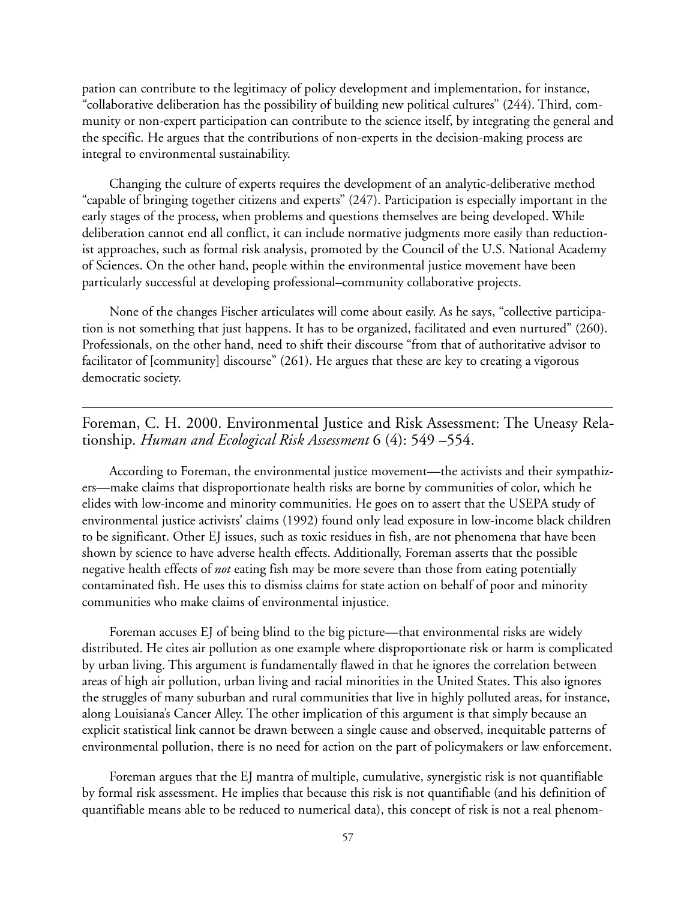pation can contribute to the legitimacy of policy development and implementation, for instance, "collaborative deliberation has the possibility of building new political cultures" (244). Third, community or non-expert participation can contribute to the science itself, by integrating the general and the specific. He argues that the contributions of non-experts in the decision-making process are integral to environmental sustainability.

Changing the culture of experts requires the development of an analytic-deliberative method "capable of bringing together citizens and experts" (247). Participation is especially important in the early stages of the process, when problems and questions themselves are being developed. While deliberation cannot end all conflict, it can include normative judgments more easily than reductionist approaches, such as formal risk analysis, promoted by the Council of the U.S. National Academy of Sciences. On the other hand, people within the environmental justice movement have been particularly successful at developing professional–community collaborative projects.

None of the changes Fischer articulates will come about easily. As he says, "collective participation is not something that just happens. It has to be organized, facilitated and even nurtured" (260). Professionals, on the other hand, need to shift their discourse "from that of authoritative advisor to facilitator of [community] discourse" (261). He argues that these are key to creating a vigorous democratic society.

Foreman, C. H. 2000. Environmental Justice and Risk Assessment: The Uneasy Relationship. *Human and Ecological Risk Assessment* 6 (4): 549 –554.

According to Foreman, the environmental justice movement—the activists and their sympathizers—make claims that disproportionate health risks are borne by communities of color, which he elides with low-income and minority communities. He goes on to assert that the USEPA study of environmental justice activists' claims (1992) found only lead exposure in low-income black children to be significant. Other EJ issues, such as toxic residues in fish, are not phenomena that have been shown by science to have adverse health effects. Additionally, Foreman asserts that the possible negative health effects of *not* eating fish may be more severe than those from eating potentially contaminated fish. He uses this to dismiss claims for state action on behalf of poor and minority communities who make claims of environmental injustice.

Foreman accuses EJ of being blind to the big picture—that environmental risks are widely distributed. He cites air pollution as one example where disproportionate risk or harm is complicated by urban living. This argument is fundamentally flawed in that he ignores the correlation between areas of high air pollution, urban living and racial minorities in the United States. This also ignores the struggles of many suburban and rural communities that live in highly polluted areas, for instance, along Louisiana's Cancer Alley. The other implication of this argument is that simply because an explicit statistical link cannot be drawn between a single cause and observed, inequitable patterns of environmental pollution, there is no need for action on the part of policymakers or law enforcement.

Foreman argues that the EJ mantra of multiple, cumulative, synergistic risk is not quantifiable by formal risk assessment. He implies that because this risk is not quantifiable (and his definition of quantifiable means able to be reduced to numerical data), this concept of risk is not a real phenom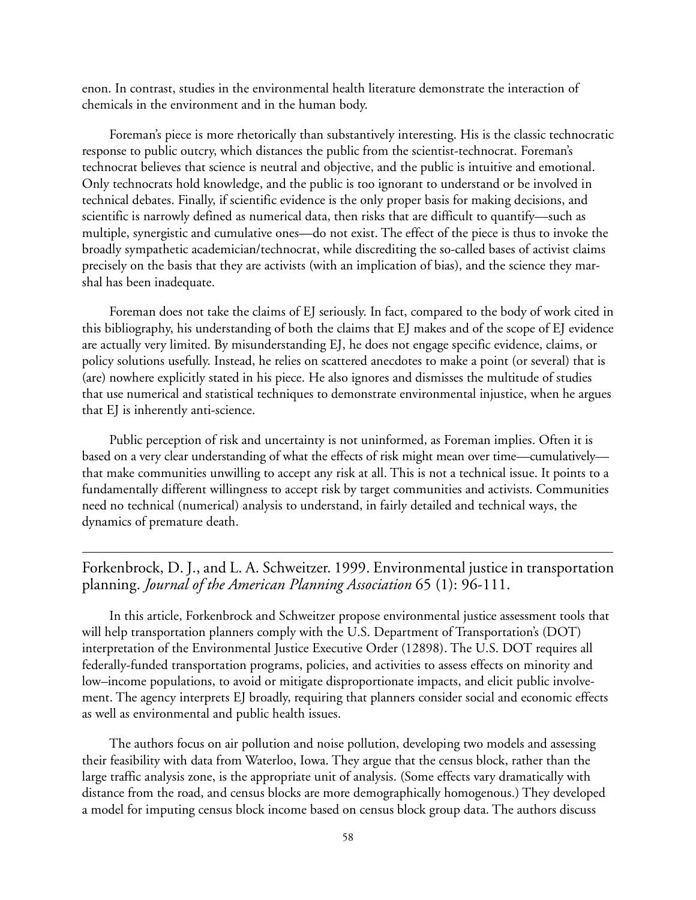enon. In contrast, studies in the environmental health literature demonstrate the interaction of chemicals in the environment and in the human body.

Foreman's piece is more rhetorically than substantively interesting. His is the classic technocratic response to public outcry, which distances the public from the scientist-technocrat. Foreman's technocrat believes that science is neutral and objective, and the public is intuitive and emotional. Only technocrats hold knowledge, and the public is too ignorant to understand or be involved in technical debates. Finally, if scientific evidence is the only proper basis for making decisions, and scientific is narrowly defined as numerical data, then risks that are difficult to quantify—such as multiple, synergistic and cumulative ones—do not exist. The effect of the piece is thus to invoke the broadly sympathetic academician/technocrat, while discrediting the so-called bases of activist claims precisely on the basis that they are activists (with an implication of bias), and the science they marshal has been inadequate.

Foreman does not take the claims of EJ seriously. In fact, compared to the body of work cited in this bibliography, his understanding of both the claims that EJ makes and of the scope of EJ evidence are actually very limited. By misunderstanding EJ, he does not engage specific evidence, claims, or policy solutions usefully. Instead, he relies on scattered anecdotes to make a point (or several) that is (are) nowhere explicitly stated in his piece. He also ignores and dismisses the multitude of studies that use numerical and statistical techniques to demonstrate environmental injustice, when he argues that EJ is inherently anti-science.

Public perception of risk and uncertainty is not uninformed, as Foreman implies. Often it is based on a very clear understanding of what the effects of risk might mean over time—cumulatively that make communities unwilling to accept any risk at all. This is not a technical issue. It points to a fundamentally different willingness to accept risk by target communities and activists. Communities need no technical (numerical) analysis to understand, in fairly detailed and technical ways, the dynamics of premature death.

Forkenbrock, D. J., and L. A. Schweitzer. 1999. Environmental justice in transportation planning. *Journal of the American Planning Association* 65 (1): 96-111.

In this article, Forkenbrock and Schweitzer propose environmental justice assessment tools that will help transportation planners comply with the U.S. Department of Transportation's (DOT) interpretation of the Environmental Justice Executive Order (12898). The U.S. DOT requires all federally-funded transportation programs, policies, and activities to assess effects on minority and low–income populations, to avoid or mitigate disproportionate impacts, and elicit public involvement. The agency interprets EJ broadly, requiring that planners consider social and economic effects as well as environmental and public health issues.

The authors focus on air pollution and noise pollution, developing two models and assessing their feasibility with data from Waterloo, Iowa. They argue that the census block, rather than the large traffic analysis zone, is the appropriate unit of analysis. (Some effects vary dramatically with distance from the road, and census blocks are more demographically homogenous.) They developed a model for imputing census block income based on census block group data. The authors discuss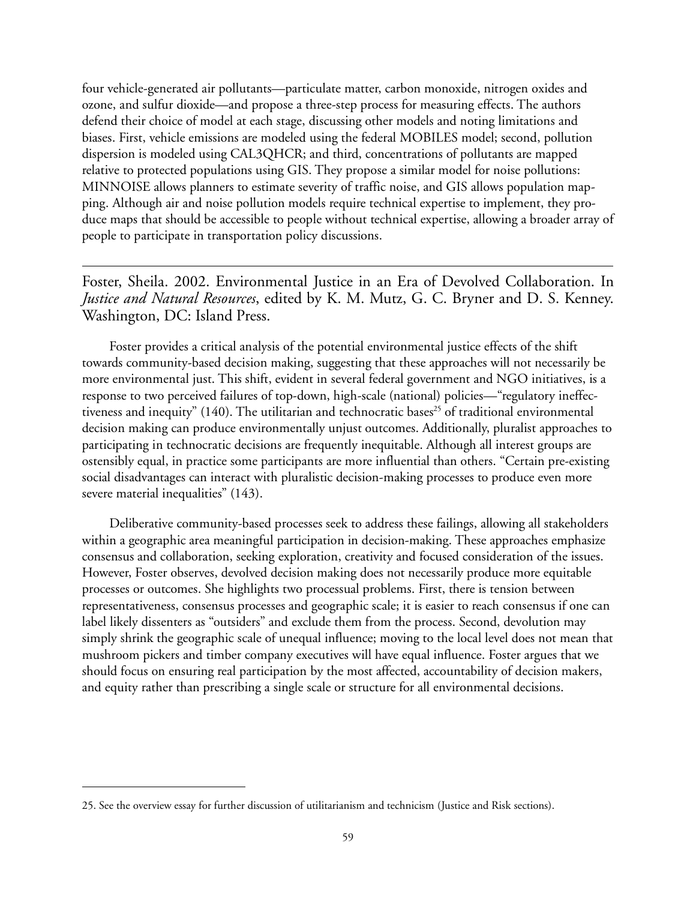four vehicle-generated air pollutants—particulate matter, carbon monoxide, nitrogen oxides and ozone, and sulfur dioxide—and propose a three-step process for measuring effects. The authors defend their choice of model at each stage, discussing other models and noting limitations and biases. First, vehicle emissions are modeled using the federal MOBILES model; second, pollution dispersion is modeled using CAL3QHCR; and third, concentrations of pollutants are mapped relative to protected populations using GIS. They propose a similar model for noise pollutions: MINNOISE allows planners to estimate severity of traffic noise, and GIS allows population mapping. Although air and noise pollution models require technical expertise to implement, they produce maps that should be accessible to people without technical expertise, allowing a broader array of people to participate in transportation policy discussions.

Foster, Sheila. 2002. Environmental Justice in an Era of Devolved Collaboration. In *Justice and Natural Resources*, edited by K. M. Mutz, G. C. Bryner and D. S. Kenney. Washington, DC: Island Press.

Foster provides a critical analysis of the potential environmental justice effects of the shift towards community-based decision making, suggesting that these approaches will not necessarily be more environmental just. This shift, evident in several federal government and NGO initiatives, is a response to two perceived failures of top-down, high-scale (national) policies—"regulatory ineffectiveness and inequity" (140). The utilitarian and technocratic bases<sup>25</sup> of traditional environmental decision making can produce environmentally unjust outcomes. Additionally, pluralist approaches to participating in technocratic decisions are frequently inequitable. Although all interest groups are ostensibly equal, in practice some participants are more influential than others. "Certain pre-existing social disadvantages can interact with pluralistic decision-making processes to produce even more severe material inequalities" (143).

Deliberative community-based processes seek to address these failings, allowing all stakeholders within a geographic area meaningful participation in decision-making. These approaches emphasize consensus and collaboration, seeking exploration, creativity and focused consideration of the issues. However, Foster observes, devolved decision making does not necessarily produce more equitable processes or outcomes. She highlights two processual problems. First, there is tension between representativeness, consensus processes and geographic scale; it is easier to reach consensus if one can label likely dissenters as "outsiders" and exclude them from the process. Second, devolution may simply shrink the geographic scale of unequal influence; moving to the local level does not mean that mushroom pickers and timber company executives will have equal influence. Foster argues that we should focus on ensuring real participation by the most affected, accountability of decision makers, and equity rather than prescribing a single scale or structure for all environmental decisions.

<sup>25.</sup> See the overview essay for further discussion of utilitarianism and technicism (Justice and Risk sections).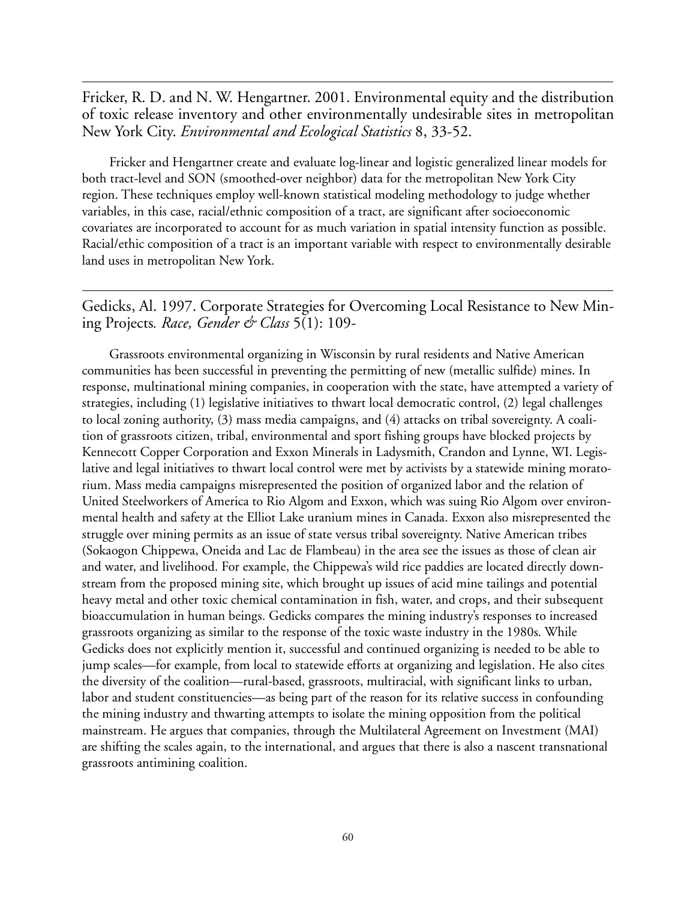Fricker, R. D. and N. W. Hengartner. 2001. Environmental equity and the distribution of toxic release inventory and other environmentally undesirable sites in metropolitan New York City. *Environmental and Ecological Statistics* 8, 33-52.

Fricker and Hengartner create and evaluate log-linear and logistic generalized linear models for both tract-level and SON (smoothed-over neighbor) data for the metropolitan New York City region. These techniques employ well-known statistical modeling methodology to judge whether variables, in this case, racial/ethnic composition of a tract, are significant after socioeconomic covariates are incorporated to account for as much variation in spatial intensity function as possible. Racial/ethic composition of a tract is an important variable with respect to environmentally desirable land uses in metropolitan New York.

Gedicks, Al. 1997. Corporate Strategies for Overcoming Local Resistance to New Mining Projects*. Race, Gender & Class* 5(1): 109-

Grassroots environmental organizing in Wisconsin by rural residents and Native American communities has been successful in preventing the permitting of new (metallic sulfide) mines. In response, multinational mining companies, in cooperation with the state, have attempted a variety of strategies, including (1) legislative initiatives to thwart local democratic control, (2) legal challenges to local zoning authority, (3) mass media campaigns, and (4) attacks on tribal sovereignty. A coalition of grassroots citizen, tribal, environmental and sport fishing groups have blocked projects by Kennecott Copper Corporation and Exxon Minerals in Ladysmith, Crandon and Lynne, WI. Legislative and legal initiatives to thwart local control were met by activists by a statewide mining moratorium. Mass media campaigns misrepresented the position of organized labor and the relation of United Steelworkers of America to Rio Algom and Exxon, which was suing Rio Algom over environmental health and safety at the Elliot Lake uranium mines in Canada. Exxon also misrepresented the struggle over mining permits as an issue of state versus tribal sovereignty. Native American tribes (Sokaogon Chippewa, Oneida and Lac de Flambeau) in the area see the issues as those of clean air and water, and livelihood. For example, the Chippewa's wild rice paddies are located directly downstream from the proposed mining site, which brought up issues of acid mine tailings and potential heavy metal and other toxic chemical contamination in fish, water, and crops, and their subsequent bioaccumulation in human beings. Gedicks compares the mining industry's responses to increased grassroots organizing as similar to the response of the toxic waste industry in the 1980s. While Gedicks does not explicitly mention it, successful and continued organizing is needed to be able to jump scales—for example, from local to statewide efforts at organizing and legislation. He also cites the diversity of the coalition—rural-based, grassroots, multiracial, with significant links to urban, labor and student constituencies—as being part of the reason for its relative success in confounding the mining industry and thwarting attempts to isolate the mining opposition from the political mainstream. He argues that companies, through the Multilateral Agreement on Investment (MAI) are shifting the scales again, to the international, and argues that there is also a nascent transnational grassroots antimining coalition.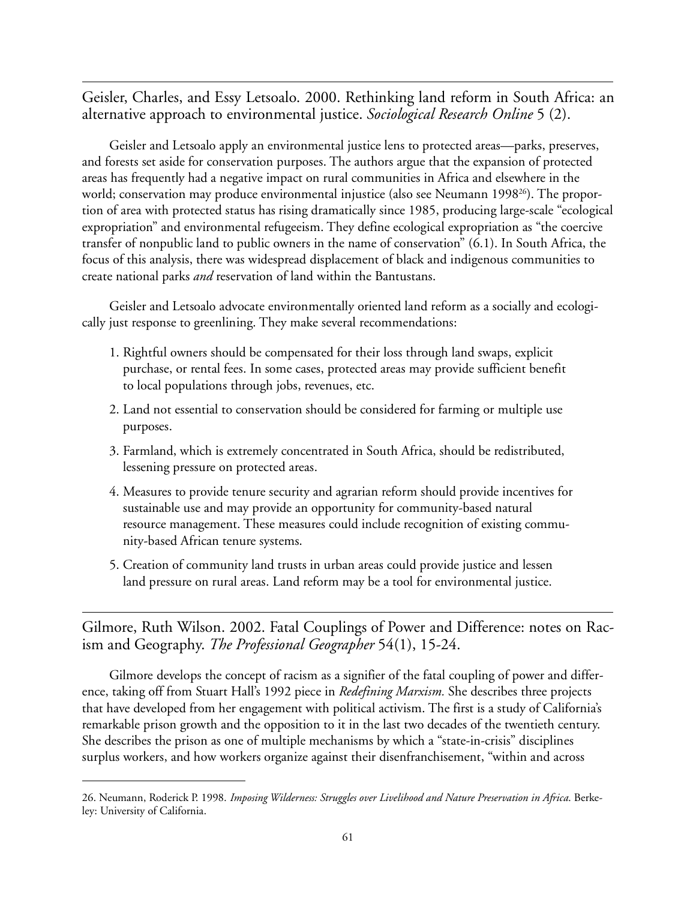Geisler, Charles, and Essy Letsoalo. 2000. Rethinking land reform in South Africa: an alternative approach to environmental justice. *Sociological Research Online* 5 (2).

Geisler and Letsoalo apply an environmental justice lens to protected areas—parks, preserves, and forests set aside for conservation purposes. The authors argue that the expansion of protected areas has frequently had a negative impact on rural communities in Africa and elsewhere in the world; conservation may produce environmental injustice (also see Neumann 1998<sup>26</sup>). The proportion of area with protected status has rising dramatically since 1985, producing large-scale "ecological expropriation" and environmental refugeeism. They define ecological expropriation as "the coercive transfer of nonpublic land to public owners in the name of conservation" (6.1). In South Africa, the focus of this analysis, there was widespread displacement of black and indigenous communities to create national parks *and* reservation of land within the Bantustans.

Geisler and Letsoalo advocate environmentally oriented land reform as a socially and ecologically just response to greenlining. They make several recommendations:

- 1. Rightful owners should be compensated for their loss through land swaps, explicit purchase, or rental fees. In some cases, protected areas may provide sufficient benefit to local populations through jobs, revenues, etc.
- 2. Land not essential to conservation should be considered for farming or multiple use purposes.
- 3. Farmland, which is extremely concentrated in South Africa, should be redistributed, lessening pressure on protected areas.
- 4. Measures to provide tenure security and agrarian reform should provide incentives for sustainable use and may provide an opportunity for community-based natural resource management. These measures could include recognition of existing community-based African tenure systems.
- 5. Creation of community land trusts in urban areas could provide justice and lessen land pressure on rural areas. Land reform may be a tool for environmental justice.

Gilmore, Ruth Wilson. 2002. Fatal Couplings of Power and Difference: notes on Racism and Geography. *The Professional Geographer* 54(1), 15-24.

Gilmore develops the concept of racism as a signifier of the fatal coupling of power and difference, taking off from Stuart Hall's 1992 piece in *Redefining Marxism.* She describes three projects that have developed from her engagement with political activism. The first is a study of California's remarkable prison growth and the opposition to it in the last two decades of the twentieth century. She describes the prison as one of multiple mechanisms by which a "state-in-crisis" disciplines surplus workers, and how workers organize against their disenfranchisement, "within and across

<sup>26.</sup> Neumann, Roderick P. 1998. *Imposing Wilderness: Struggles over Livelihood and Nature Preservation in Africa*. Berkeley: University of California.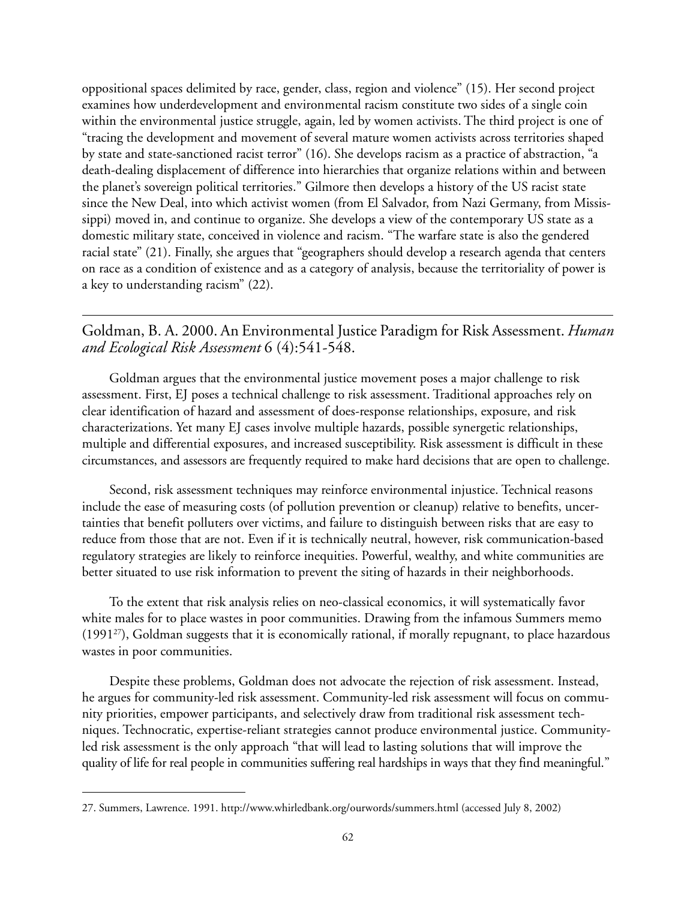oppositional spaces delimited by race, gender, class, region and violence" (15). Her second project examines how underdevelopment and environmental racism constitute two sides of a single coin within the environmental justice struggle, again, led by women activists. The third project is one of "tracing the development and movement of several mature women activists across territories shaped by state and state-sanctioned racist terror" (16). She develops racism as a practice of abstraction, "a death-dealing displacement of difference into hierarchies that organize relations within and between the planet's sovereign political territories." Gilmore then develops a history of the US racist state since the New Deal, into which activist women (from El Salvador, from Nazi Germany, from Mississippi) moved in, and continue to organize. She develops a view of the contemporary US state as a domestic military state, conceived in violence and racism. "The warfare state is also the gendered racial state" (21). Finally, she argues that "geographers should develop a research agenda that centers on race as a condition of existence and as a category of analysis, because the territoriality of power is a key to understanding racism" (22).

#### Goldman, B. A. 2000. An Environmental Justice Paradigm for Risk Assessment. *Human and Ecological Risk Assessment* 6 (4):541-548.

Goldman argues that the environmental justice movement poses a major challenge to risk assessment. First, EJ poses a technical challenge to risk assessment. Traditional approaches rely on clear identification of hazard and assessment of does-response relationships, exposure, and risk characterizations. Yet many EJ cases involve multiple hazards, possible synergetic relationships, multiple and differential exposures, and increased susceptibility. Risk assessment is difficult in these circumstances, and assessors are frequently required to make hard decisions that are open to challenge.

Second, risk assessment techniques may reinforce environmental injustice. Technical reasons include the ease of measuring costs (of pollution prevention or cleanup) relative to benefits, uncertainties that benefit polluters over victims, and failure to distinguish between risks that are easy to reduce from those that are not. Even if it is technically neutral, however, risk communication-based regulatory strategies are likely to reinforce inequities. Powerful, wealthy, and white communities are better situated to use risk information to prevent the siting of hazards in their neighborhoods.

To the extent that risk analysis relies on neo-classical economics, it will systematically favor white males for to place wastes in poor communities. Drawing from the infamous Summers memo (1991<sup>27</sup>), Goldman suggests that it is economically rational, if morally repugnant, to place hazardous wastes in poor communities.

Despite these problems, Goldman does not advocate the rejection of risk assessment. Instead, he argues for community-led risk assessment. Community-led risk assessment will focus on community priorities, empower participants, and selectively draw from traditional risk assessment techniques. Technocratic, expertise-reliant strategies cannot produce environmental justice. Communityled risk assessment is the only approach "that will lead to lasting solutions that will improve the quality of life for real people in communities suffering real hardships in ways that they find meaningful."

<sup>27.</sup> Summers, Lawrence. 1991. http://www.whirledbank.org/ourwords/summers.html (accessed July 8, 2002)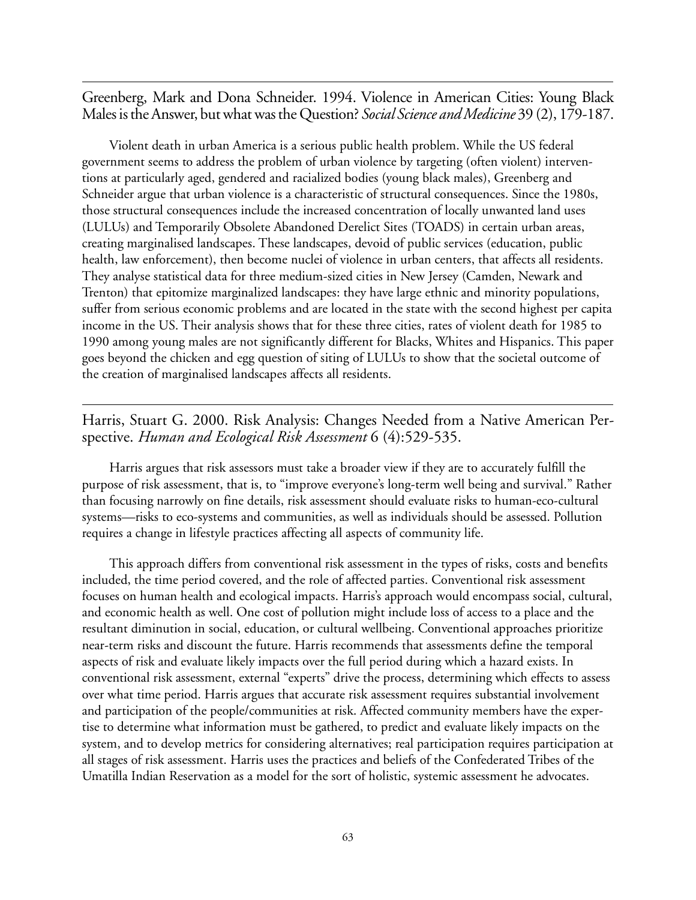Greenberg, Mark and Dona Schneider. 1994. Violence in American Cities: Young Black Males is the Answer, but what was the Question? *Social Science and Medicine* 39 (2), 179-187.

Violent death in urban America is a serious public health problem. While the US federal government seems to address the problem of urban violence by targeting (often violent) interventions at particularly aged, gendered and racialized bodies (young black males), Greenberg and Schneider argue that urban violence is a characteristic of structural consequences. Since the 1980s, those structural consequences include the increased concentration of locally unwanted land uses (LULUs) and Temporarily Obsolete Abandoned Derelict Sites (TOADS) in certain urban areas, creating marginalised landscapes. These landscapes, devoid of public services (education, public health, law enforcement), then become nuclei of violence in urban centers, that affects all residents. They analyse statistical data for three medium-sized cities in New Jersey (Camden, Newark and Trenton) that epitomize marginalized landscapes: they have large ethnic and minority populations, suffer from serious economic problems and are located in the state with the second highest per capita income in the US. Their analysis shows that for these three cities, rates of violent death for 1985 to 1990 among young males are not significantly different for Blacks, Whites and Hispanics. This paper goes beyond the chicken and egg question of siting of LULUs to show that the societal outcome of the creation of marginalised landscapes affects all residents.

Harris, Stuart G. 2000. Risk Analysis: Changes Needed from a Native American Perspective. *Human and Ecological Risk Assessment* 6 (4):529-535.

Harris argues that risk assessors must take a broader view if they are to accurately fulfill the purpose of risk assessment, that is, to "improve everyone's long-term well being and survival." Rather than focusing narrowly on fine details, risk assessment should evaluate risks to human-eco-cultural systems—risks to eco-systems and communities, as well as individuals should be assessed. Pollution requires a change in lifestyle practices affecting all aspects of community life.

This approach differs from conventional risk assessment in the types of risks, costs and benefits included, the time period covered, and the role of affected parties. Conventional risk assessment focuses on human health and ecological impacts. Harris's approach would encompass social, cultural, and economic health as well. One cost of pollution might include loss of access to a place and the resultant diminution in social, education, or cultural wellbeing. Conventional approaches prioritize near-term risks and discount the future. Harris recommends that assessments define the temporal aspects of risk and evaluate likely impacts over the full period during which a hazard exists. In conventional risk assessment, external "experts" drive the process, determining which effects to assess over what time period. Harris argues that accurate risk assessment requires substantial involvement and participation of the people/communities at risk. Affected community members have the expertise to determine what information must be gathered, to predict and evaluate likely impacts on the system, and to develop metrics for considering alternatives; real participation requires participation at all stages of risk assessment. Harris uses the practices and beliefs of the Confederated Tribes of the Umatilla Indian Reservation as a model for the sort of holistic, systemic assessment he advocates.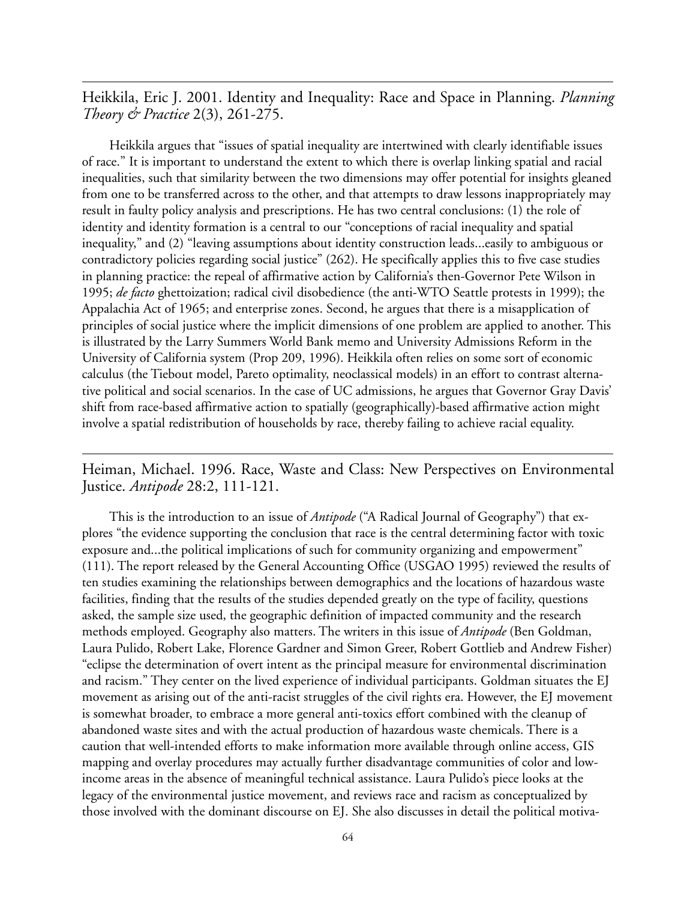Heikkila, Eric J. 2001. Identity and Inequality: Race and Space in Planning. *Planning Theory & Practice* 2(3), 261-275.

Heikkila argues that "issues of spatial inequality are intertwined with clearly identifiable issues of race." It is important to understand the extent to which there is overlap linking spatial and racial inequalities, such that similarity between the two dimensions may offer potential for insights gleaned from one to be transferred across to the other, and that attempts to draw lessons inappropriately may result in faulty policy analysis and prescriptions. He has two central conclusions: (1) the role of identity and identity formation is a central to our "conceptions of racial inequality and spatial inequality," and (2) "leaving assumptions about identity construction leads...easily to ambiguous or contradictory policies regarding social justice" (262). He specifically applies this to five case studies in planning practice: the repeal of affirmative action by California's then-Governor Pete Wilson in 1995; *de facto* ghettoization; radical civil disobedience (the anti-WTO Seattle protests in 1999); the Appalachia Act of 1965; and enterprise zones. Second, he argues that there is a misapplication of principles of social justice where the implicit dimensions of one problem are applied to another. This is illustrated by the Larry Summers World Bank memo and University Admissions Reform in the University of California system (Prop 209, 1996). Heikkila often relies on some sort of economic calculus (the Tiebout model, Pareto optimality, neoclassical models) in an effort to contrast alternative political and social scenarios. In the case of UC admissions, he argues that Governor Gray Davis' shift from race-based affirmative action to spatially (geographically)-based affirmative action might involve a spatial redistribution of households by race, thereby failing to achieve racial equality.

Heiman, Michael. 1996. Race, Waste and Class: New Perspectives on Environmental Justice. *Antipode* 28:2, 111-121.

This is the introduction to an issue of *Antipode* ("A Radical Journal of Geography") that explores "the evidence supporting the conclusion that race is the central determining factor with toxic exposure and...the political implications of such for community organizing and empowerment" (111). The report released by the General Accounting Office (USGAO 1995) reviewed the results of ten studies examining the relationships between demographics and the locations of hazardous waste facilities, finding that the results of the studies depended greatly on the type of facility, questions asked, the sample size used, the geographic definition of impacted community and the research methods employed. Geography also matters. The writers in this issue of *Antipode* (Ben Goldman, Laura Pulido, Robert Lake, Florence Gardner and Simon Greer, Robert Gottlieb and Andrew Fisher) "eclipse the determination of overt intent as the principal measure for environmental discrimination and racism." They center on the lived experience of individual participants. Goldman situates the EJ movement as arising out of the anti-racist struggles of the civil rights era. However, the EJ movement is somewhat broader, to embrace a more general anti-toxics effort combined with the cleanup of abandoned waste sites and with the actual production of hazardous waste chemicals. There is a caution that well-intended efforts to make information more available through online access, GIS mapping and overlay procedures may actually further disadvantage communities of color and lowincome areas in the absence of meaningful technical assistance. Laura Pulido's piece looks at the legacy of the environmental justice movement, and reviews race and racism as conceptualized by those involved with the dominant discourse on EJ. She also discusses in detail the political motiva-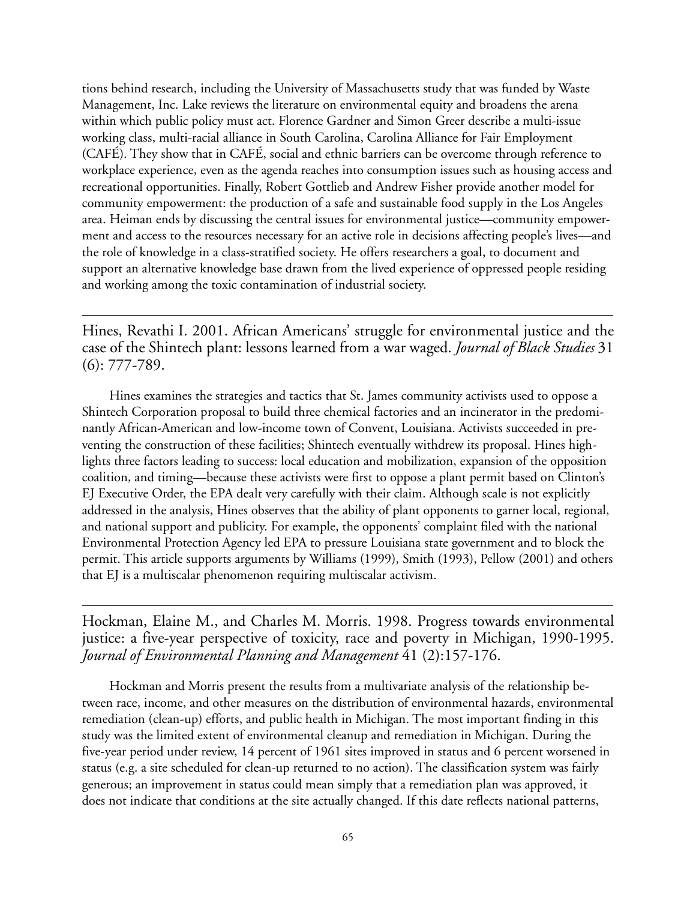tions behind research, including the University of Massachusetts study that was funded by Waste Management, Inc. Lake reviews the literature on environmental equity and broadens the arena within which public policy must act. Florence Gardner and Simon Greer describe a multi-issue working class, multi-racial alliance in South Carolina, Carolina Alliance for Fair Employment (CAFÉ). They show that in CAFÉ, social and ethnic barriers can be overcome through reference to workplace experience, even as the agenda reaches into consumption issues such as housing access and recreational opportunities. Finally, Robert Gottlieb and Andrew Fisher provide another model for community empowerment: the production of a safe and sustainable food supply in the Los Angeles area. Heiman ends by discussing the central issues for environmental justice—community empowerment and access to the resources necessary for an active role in decisions affecting people's lives—and the role of knowledge in a class-stratified society. He offers researchers a goal, to document and support an alternative knowledge base drawn from the lived experience of oppressed people residing and working among the toxic contamination of industrial society.

Hines, Revathi I. 2001. African Americans' struggle for environmental justice and the case of the Shintech plant: lessons learned from a war waged. *Journal of Black Studies* 31 (6): 777-789.

Hines examines the strategies and tactics that St. James community activists used to oppose a Shintech Corporation proposal to build three chemical factories and an incinerator in the predominantly African-American and low-income town of Convent, Louisiana. Activists succeeded in preventing the construction of these facilities; Shintech eventually withdrew its proposal. Hines highlights three factors leading to success: local education and mobilization, expansion of the opposition coalition, and timing—because these activists were first to oppose a plant permit based on Clinton's EJ Executive Order, the EPA dealt very carefully with their claim. Although scale is not explicitly addressed in the analysis, Hines observes that the ability of plant opponents to garner local, regional, and national support and publicity. For example, the opponents' complaint filed with the national Environmental Protection Agency led EPA to pressure Louisiana state government and to block the permit. This article supports arguments by Williams (1999), Smith (1993), Pellow (2001) and others that EJ is a multiscalar phenomenon requiring multiscalar activism.

Hockman, Elaine M., and Charles M. Morris. 1998. Progress towards environmental justice: a five-year perspective of toxicity, race and poverty in Michigan, 1990-1995. *Journal of Environmental Planning and Management* 41 (2):157-176.

Hockman and Morris present the results from a multivariate analysis of the relationship between race, income, and other measures on the distribution of environmental hazards, environmental remediation (clean-up) efforts, and public health in Michigan. The most important finding in this study was the limited extent of environmental cleanup and remediation in Michigan. During the five-year period under review, 14 percent of 1961 sites improved in status and 6 percent worsened in status (e.g. a site scheduled for clean-up returned to no action). The classification system was fairly generous; an improvement in status could mean simply that a remediation plan was approved, it does not indicate that conditions at the site actually changed. If this date reflects national patterns,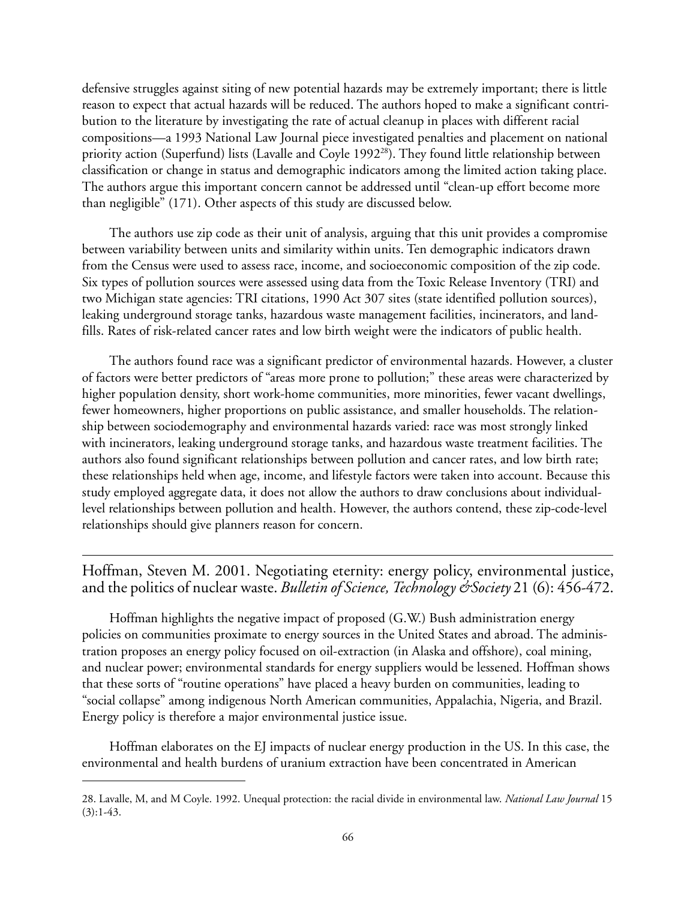defensive struggles against siting of new potential hazards may be extremely important; there is little reason to expect that actual hazards will be reduced. The authors hoped to make a significant contribution to the literature by investigating the rate of actual cleanup in places with different racial compositions—a 1993 National Law Journal piece investigated penalties and placement on national priority action (Superfund) lists (Lavalle and Coyle 1992<sup>28</sup>). They found little relationship between classification or change in status and demographic indicators among the limited action taking place. The authors argue this important concern cannot be addressed until "clean-up effort become more than negligible" (171). Other aspects of this study are discussed below.

The authors use zip code as their unit of analysis, arguing that this unit provides a compromise between variability between units and similarity within units. Ten demographic indicators drawn from the Census were used to assess race, income, and socioeconomic composition of the zip code. Six types of pollution sources were assessed using data from the Toxic Release Inventory (TRI) and two Michigan state agencies: TRI citations, 1990 Act 307 sites (state identified pollution sources), leaking underground storage tanks, hazardous waste management facilities, incinerators, and landfills. Rates of risk-related cancer rates and low birth weight were the indicators of public health.

The authors found race was a significant predictor of environmental hazards. However, a cluster of factors were better predictors of "areas more prone to pollution;" these areas were characterized by higher population density, short work-home communities, more minorities, fewer vacant dwellings, fewer homeowners, higher proportions on public assistance, and smaller households. The relationship between sociodemography and environmental hazards varied: race was most strongly linked with incinerators, leaking underground storage tanks, and hazardous waste treatment facilities. The authors also found significant relationships between pollution and cancer rates, and low birth rate; these relationships held when age, income, and lifestyle factors were taken into account. Because this study employed aggregate data, it does not allow the authors to draw conclusions about individuallevel relationships between pollution and health. However, the authors contend, these zip-code-level relationships should give planners reason for concern.

## Hoffman, Steven M. 2001. Negotiating eternity: energy policy, environmental justice, and the politics of nuclear waste. *Bulletin of Science, Technology &Society* 21 (6): 456-472.

Hoffman highlights the negative impact of proposed (G.W.) Bush administration energy policies on communities proximate to energy sources in the United States and abroad. The administration proposes an energy policy focused on oil-extraction (in Alaska and offshore), coal mining, and nuclear power; environmental standards for energy suppliers would be lessened. Hoffman shows that these sorts of "routine operations" have placed a heavy burden on communities, leading to "social collapse" among indigenous North American communities, Appalachia, Nigeria, and Brazil. Energy policy is therefore a major environmental justice issue.

Hoffman elaborates on the EJ impacts of nuclear energy production in the US. In this case, the environmental and health burdens of uranium extraction have been concentrated in American

<sup>28.</sup> Lavalle, M, and M Coyle. 1992. Unequal protection: the racial divide in environmental law. *National Law Journal* 15  $(3):1-43.$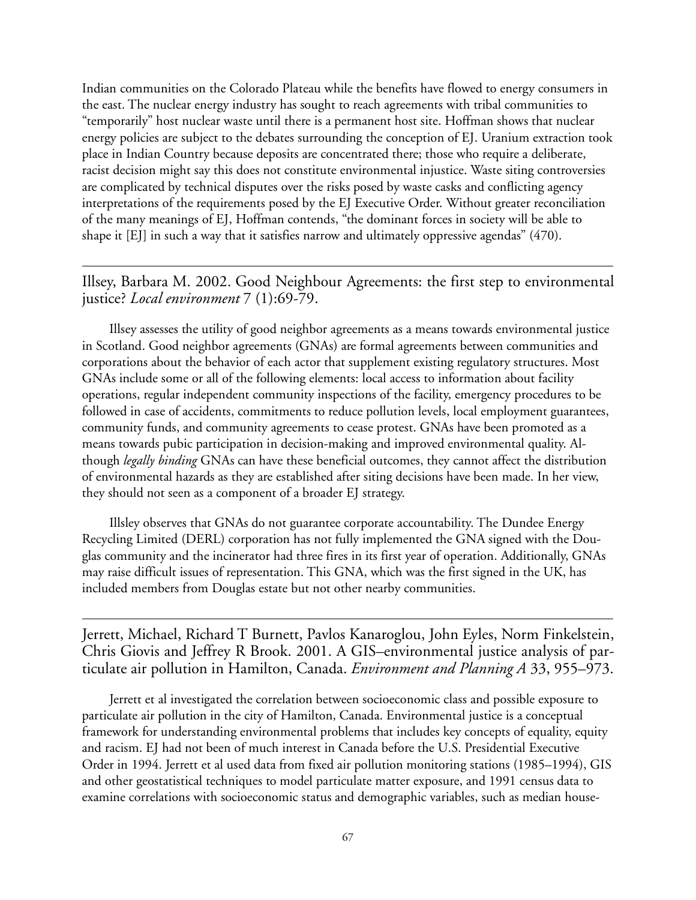Indian communities on the Colorado Plateau while the benefits have flowed to energy consumers in the east. The nuclear energy industry has sought to reach agreements with tribal communities to "temporarily" host nuclear waste until there is a permanent host site. Hoffman shows that nuclear energy policies are subject to the debates surrounding the conception of EJ. Uranium extraction took place in Indian Country because deposits are concentrated there; those who require a deliberate, racist decision might say this does not constitute environmental injustice. Waste siting controversies are complicated by technical disputes over the risks posed by waste casks and conflicting agency interpretations of the requirements posed by the EJ Executive Order. Without greater reconciliation of the many meanings of EJ, Hoffman contends, "the dominant forces in society will be able to shape it [EJ] in such a way that it satisfies narrow and ultimately oppressive agendas" (470).

Illsey, Barbara M. 2002. Good Neighbour Agreements: the first step to environmental justice? *Local environment* 7 (1):69-79.

Illsey assesses the utility of good neighbor agreements as a means towards environmental justice in Scotland. Good neighbor agreements (GNAs) are formal agreements between communities and corporations about the behavior of each actor that supplement existing regulatory structures. Most GNAs include some or all of the following elements: local access to information about facility operations, regular independent community inspections of the facility, emergency procedures to be followed in case of accidents, commitments to reduce pollution levels, local employment guarantees, community funds, and community agreements to cease protest. GNAs have been promoted as a means towards pubic participation in decision-making and improved environmental quality. Although *legally binding* GNAs can have these beneficial outcomes, they cannot affect the distribution of environmental hazards as they are established after siting decisions have been made. In her view, they should not seen as a component of a broader EJ strategy.

Illsley observes that GNAs do not guarantee corporate accountability. The Dundee Energy Recycling Limited (DERL) corporation has not fully implemented the GNA signed with the Douglas community and the incinerator had three fires in its first year of operation. Additionally, GNAs may raise difficult issues of representation. This GNA, which was the first signed in the UK, has included members from Douglas estate but not other nearby communities.

Jerrett, Michael, Richard T Burnett, Pavlos Kanaroglou, John Eyles, Norm Finkelstein, Chris Giovis and Jeffrey R Brook. 2001. A GIS–environmental justice analysis of particulate air pollution in Hamilton, Canada. *Environment and Planning A* 33, 955–973.

Jerrett et al investigated the correlation between socioeconomic class and possible exposure to particulate air pollution in the city of Hamilton, Canada. Environmental justice is a conceptual framework for understanding environmental problems that includes key concepts of equality, equity and racism. EJ had not been of much interest in Canada before the U.S. Presidential Executive Order in 1994. Jerrett et al used data from fixed air pollution monitoring stations (1985–1994), GIS and other geostatistical techniques to model particulate matter exposure, and 1991 census data to examine correlations with socioeconomic status and demographic variables, such as median house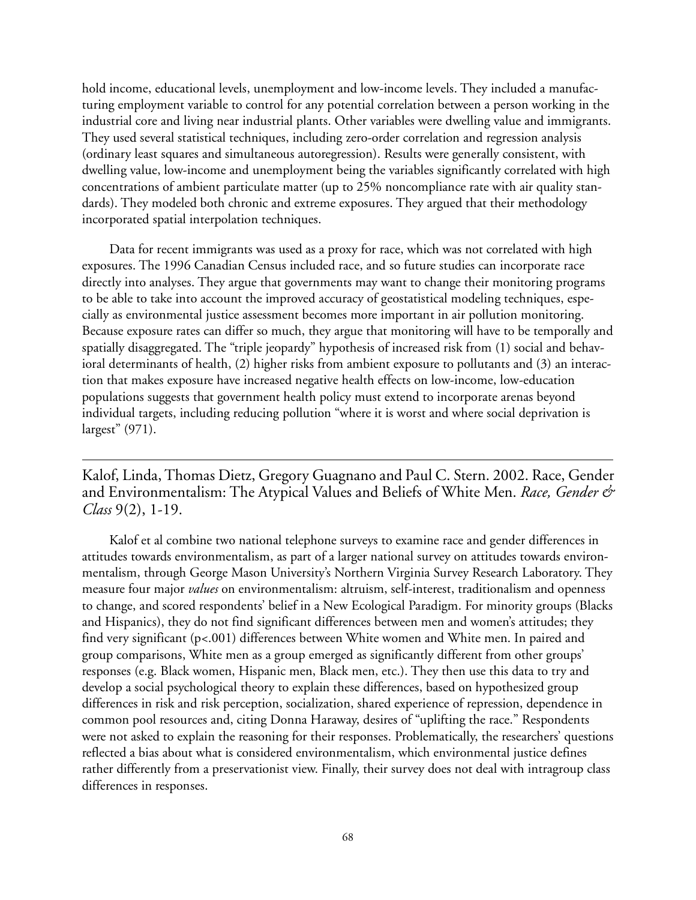hold income, educational levels, unemployment and low-income levels. They included a manufacturing employment variable to control for any potential correlation between a person working in the industrial core and living near industrial plants. Other variables were dwelling value and immigrants. They used several statistical techniques, including zero-order correlation and regression analysis (ordinary least squares and simultaneous autoregression). Results were generally consistent, with dwelling value, low-income and unemployment being the variables significantly correlated with high concentrations of ambient particulate matter (up to 25% noncompliance rate with air quality standards). They modeled both chronic and extreme exposures. They argued that their methodology incorporated spatial interpolation techniques.

Data for recent immigrants was used as a proxy for race, which was not correlated with high exposures. The 1996 Canadian Census included race, and so future studies can incorporate race directly into analyses. They argue that governments may want to change their monitoring programs to be able to take into account the improved accuracy of geostatistical modeling techniques, especially as environmental justice assessment becomes more important in air pollution monitoring. Because exposure rates can differ so much, they argue that monitoring will have to be temporally and spatially disaggregated. The "triple jeopardy" hypothesis of increased risk from (1) social and behavioral determinants of health, (2) higher risks from ambient exposure to pollutants and (3) an interaction that makes exposure have increased negative health effects on low-income, low-education populations suggests that government health policy must extend to incorporate arenas beyond individual targets, including reducing pollution "where it is worst and where social deprivation is largest" (971).

Kalof, Linda, Thomas Dietz, Gregory Guagnano and Paul C. Stern. 2002. Race, Gender and Environmentalism: The Atypical Values and Beliefs of White Men. *Race, Gender & Class* 9(2), 1-19.

Kalof et al combine two national telephone surveys to examine race and gender differences in attitudes towards environmentalism, as part of a larger national survey on attitudes towards environmentalism, through George Mason University's Northern Virginia Survey Research Laboratory. They measure four major *values* on environmentalism: altruism, self-interest, traditionalism and openness to change, and scored respondents' belief in a New Ecological Paradigm. For minority groups (Blacks and Hispanics), they do not find significant differences between men and women's attitudes; they find very significant (p<.001) differences between White women and White men. In paired and group comparisons, White men as a group emerged as significantly different from other groups' responses (e.g. Black women, Hispanic men, Black men, etc.). They then use this data to try and develop a social psychological theory to explain these differences, based on hypothesized group differences in risk and risk perception, socialization, shared experience of repression, dependence in common pool resources and, citing Donna Haraway, desires of "uplifting the race." Respondents were not asked to explain the reasoning for their responses. Problematically, the researchers' questions reflected a bias about what is considered environmentalism, which environmental justice defines rather differently from a preservationist view. Finally, their survey does not deal with intragroup class differences in responses.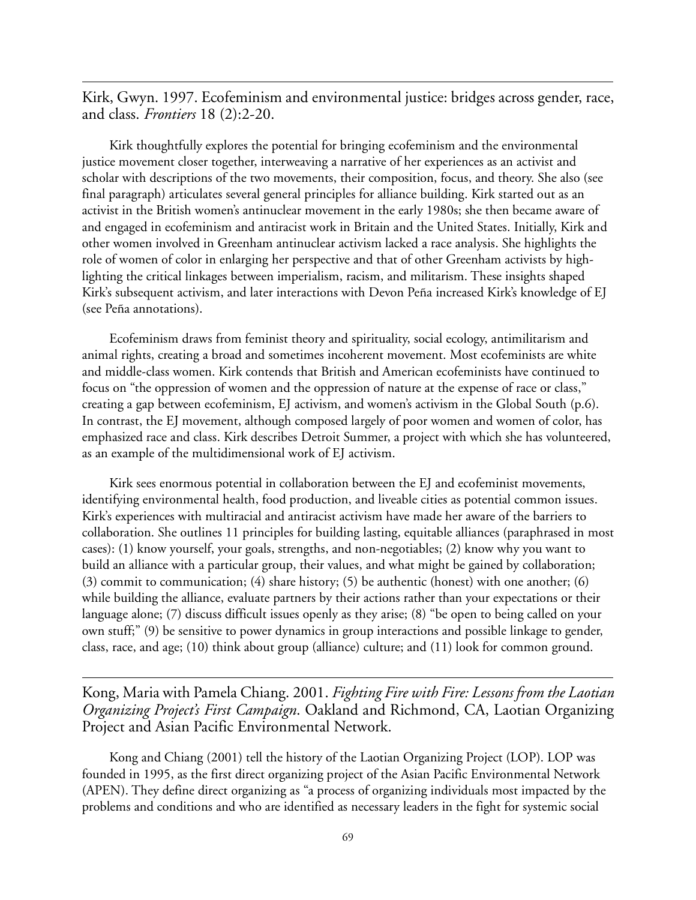Kirk, Gwyn. 1997. Ecofeminism and environmental justice: bridges across gender, race, and class. *Frontiers* 18 (2):2-20.

Kirk thoughtfully explores the potential for bringing ecofeminism and the environmental justice movement closer together, interweaving a narrative of her experiences as an activist and scholar with descriptions of the two movements, their composition, focus, and theory. She also (see final paragraph) articulates several general principles for alliance building. Kirk started out as an activist in the British women's antinuclear movement in the early 1980s; she then became aware of and engaged in ecofeminism and antiracist work in Britain and the United States. Initially, Kirk and other women involved in Greenham antinuclear activism lacked a race analysis. She highlights the role of women of color in enlarging her perspective and that of other Greenham activists by highlighting the critical linkages between imperialism, racism, and militarism. These insights shaped Kirk's subsequent activism, and later interactions with Devon Peña increased Kirk's knowledge of EJ (see Peña annotations).

Ecofeminism draws from feminist theory and spirituality, social ecology, antimilitarism and animal rights, creating a broad and sometimes incoherent movement. Most ecofeminists are white and middle-class women. Kirk contends that British and American ecofeminists have continued to focus on "the oppression of women and the oppression of nature at the expense of race or class," creating a gap between ecofeminism, EJ activism, and women's activism in the Global South (p.6). In contrast, the EJ movement, although composed largely of poor women and women of color, has emphasized race and class. Kirk describes Detroit Summer, a project with which she has volunteered, as an example of the multidimensional work of EJ activism.

Kirk sees enormous potential in collaboration between the EJ and ecofeminist movements, identifying environmental health, food production, and liveable cities as potential common issues. Kirk's experiences with multiracial and antiracist activism have made her aware of the barriers to collaboration. She outlines 11 principles for building lasting, equitable alliances (paraphrased in most cases): (1) know yourself, your goals, strengths, and non-negotiables; (2) know why you want to build an alliance with a particular group, their values, and what might be gained by collaboration; (3) commit to communication; (4) share history; (5) be authentic (honest) with one another; (6) while building the alliance, evaluate partners by their actions rather than your expectations or their language alone; (7) discuss difficult issues openly as they arise; (8) "be open to being called on your own stuff;" (9) be sensitive to power dynamics in group interactions and possible linkage to gender, class, race, and age; (10) think about group (alliance) culture; and (11) look for common ground.

Kong, Maria with Pamela Chiang. 2001. *Fighting Fire with Fire: Lessons from the Laotian Organizing Project's First Campaign*. Oakland and Richmond, CA, Laotian Organizing Project and Asian Pacific Environmental Network.

Kong and Chiang (2001) tell the history of the Laotian Organizing Project (LOP). LOP was founded in 1995, as the first direct organizing project of the Asian Pacific Environmental Network (APEN). They define direct organizing as "a process of organizing individuals most impacted by the problems and conditions and who are identified as necessary leaders in the fight for systemic social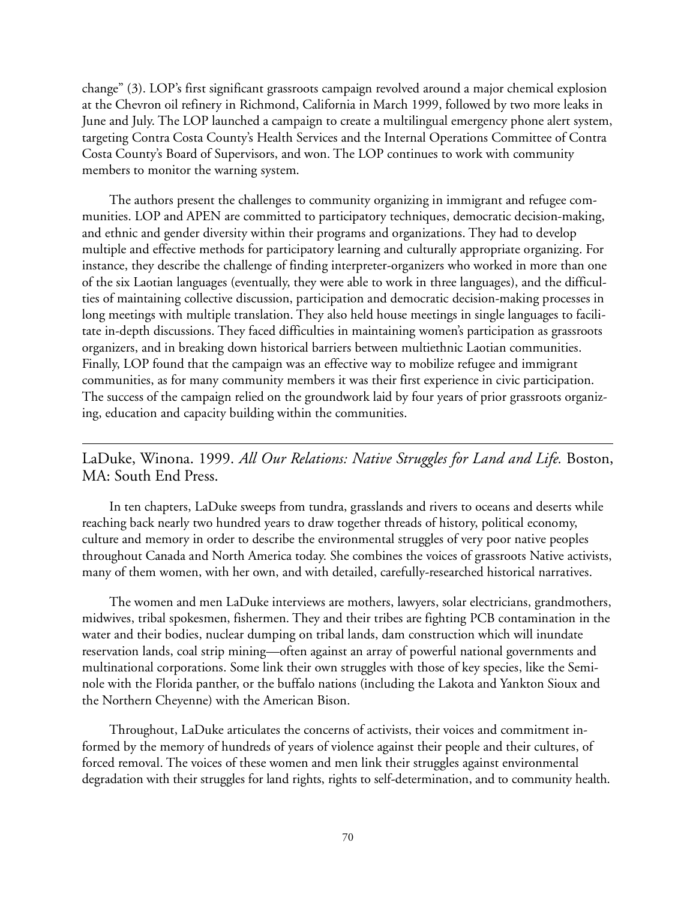change" (3). LOP's first significant grassroots campaign revolved around a major chemical explosion at the Chevron oil refinery in Richmond, California in March 1999, followed by two more leaks in June and July. The LOP launched a campaign to create a multilingual emergency phone alert system, targeting Contra Costa County's Health Services and the Internal Operations Committee of Contra Costa County's Board of Supervisors, and won. The LOP continues to work with community members to monitor the warning system.

The authors present the challenges to community organizing in immigrant and refugee communities. LOP and APEN are committed to participatory techniques, democratic decision-making, and ethnic and gender diversity within their programs and organizations. They had to develop multiple and effective methods for participatory learning and culturally appropriate organizing. For instance, they describe the challenge of finding interpreter-organizers who worked in more than one of the six Laotian languages (eventually, they were able to work in three languages), and the difficulties of maintaining collective discussion, participation and democratic decision-making processes in long meetings with multiple translation. They also held house meetings in single languages to facilitate in-depth discussions. They faced difficulties in maintaining women's participation as grassroots organizers, and in breaking down historical barriers between multiethnic Laotian communities. Finally, LOP found that the campaign was an effective way to mobilize refugee and immigrant communities, as for many community members it was their first experience in civic participation. The success of the campaign relied on the groundwork laid by four years of prior grassroots organizing, education and capacity building within the communities.

LaDuke, Winona. 1999. *All Our Relations: Native Struggles for Land and Life.* Boston, MA: South End Press.

In ten chapters, LaDuke sweeps from tundra, grasslands and rivers to oceans and deserts while reaching back nearly two hundred years to draw together threads of history, political economy, culture and memory in order to describe the environmental struggles of very poor native peoples throughout Canada and North America today. She combines the voices of grassroots Native activists, many of them women, with her own, and with detailed, carefully-researched historical narratives.

The women and men LaDuke interviews are mothers, lawyers, solar electricians, grandmothers, midwives, tribal spokesmen, fishermen. They and their tribes are fighting PCB contamination in the water and their bodies, nuclear dumping on tribal lands, dam construction which will inundate reservation lands, coal strip mining—often against an array of powerful national governments and multinational corporations. Some link their own struggles with those of key species, like the Seminole with the Florida panther, or the buffalo nations (including the Lakota and Yankton Sioux and the Northern Cheyenne) with the American Bison.

Throughout, LaDuke articulates the concerns of activists, their voices and commitment informed by the memory of hundreds of years of violence against their people and their cultures, of forced removal. The voices of these women and men link their struggles against environmental degradation with their struggles for land rights, rights to self-determination, and to community health.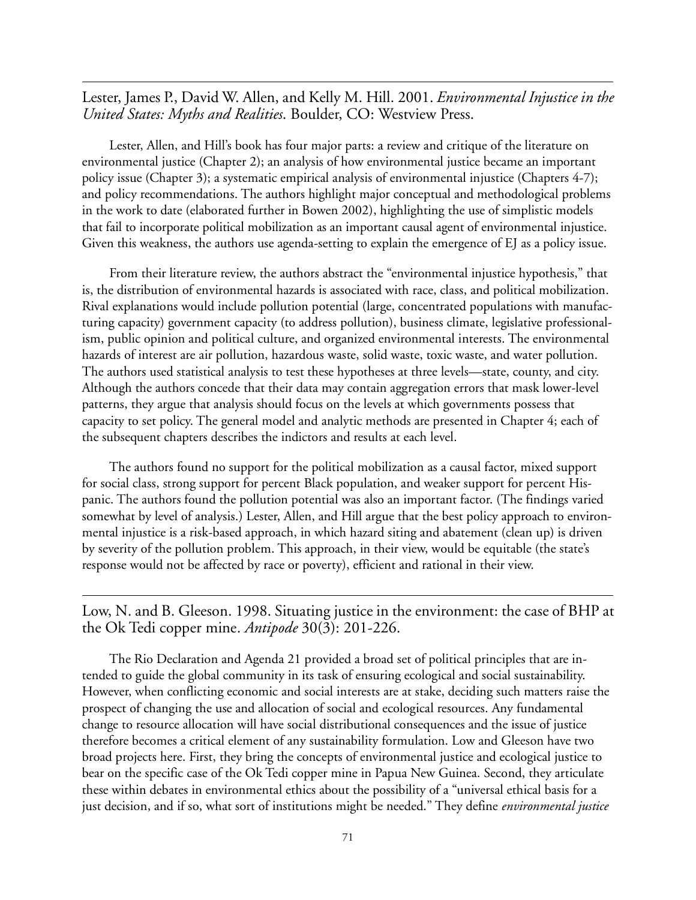## Lester, James P., David W. Allen, and Kelly M. Hill. 2001. *Environmental Injustice in the United States: Myths and Realities*. Boulder, CO: Westview Press.

Lester, Allen, and Hill's book has four major parts: a review and critique of the literature on environmental justice (Chapter 2); an analysis of how environmental justice became an important policy issue (Chapter 3); a systematic empirical analysis of environmental injustice (Chapters 4-7); and policy recommendations. The authors highlight major conceptual and methodological problems in the work to date (elaborated further in Bowen 2002), highlighting the use of simplistic models that fail to incorporate political mobilization as an important causal agent of environmental injustice. Given this weakness, the authors use agenda-setting to explain the emergence of EJ as a policy issue.

From their literature review, the authors abstract the "environmental injustice hypothesis," that is, the distribution of environmental hazards is associated with race, class, and political mobilization. Rival explanations would include pollution potential (large, concentrated populations with manufacturing capacity) government capacity (to address pollution), business climate, legislative professionalism, public opinion and political culture, and organized environmental interests. The environmental hazards of interest are air pollution, hazardous waste, solid waste, toxic waste, and water pollution. The authors used statistical analysis to test these hypotheses at three levels—state, county, and city. Although the authors concede that their data may contain aggregation errors that mask lower-level patterns, they argue that analysis should focus on the levels at which governments possess that capacity to set policy. The general model and analytic methods are presented in Chapter 4; each of the subsequent chapters describes the indictors and results at each level.

The authors found no support for the political mobilization as a causal factor, mixed support for social class, strong support for percent Black population, and weaker support for percent Hispanic. The authors found the pollution potential was also an important factor. (The findings varied somewhat by level of analysis.) Lester, Allen, and Hill argue that the best policy approach to environmental injustice is a risk-based approach, in which hazard siting and abatement (clean up) is driven by severity of the pollution problem. This approach, in their view, would be equitable (the state's response would not be affected by race or poverty), efficient and rational in their view.

#### Low, N. and B. Gleeson. 1998. Situating justice in the environment: the case of BHP at the Ok Tedi copper mine. *Antipode* 30(3): 201-226.

The Rio Declaration and Agenda 21 provided a broad set of political principles that are intended to guide the global community in its task of ensuring ecological and social sustainability. However, when conflicting economic and social interests are at stake, deciding such matters raise the prospect of changing the use and allocation of social and ecological resources. Any fundamental change to resource allocation will have social distributional consequences and the issue of justice therefore becomes a critical element of any sustainability formulation. Low and Gleeson have two broad projects here. First, they bring the concepts of environmental justice and ecological justice to bear on the specific case of the Ok Tedi copper mine in Papua New Guinea. Second, they articulate these within debates in environmental ethics about the possibility of a "universal ethical basis for a just decision, and if so, what sort of institutions might be needed." They define *environmental justice*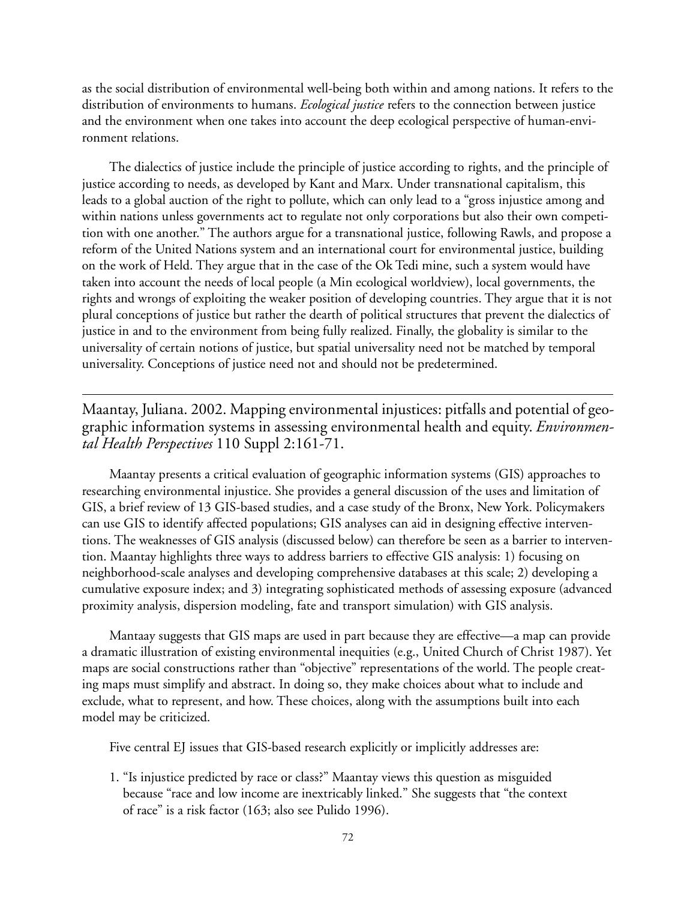as the social distribution of environmental well-being both within and among nations. It refers to the distribution of environments to humans. *Ecological justice* refers to the connection between justice and the environment when one takes into account the deep ecological perspective of human-environment relations.

The dialectics of justice include the principle of justice according to rights, and the principle of justice according to needs, as developed by Kant and Marx. Under transnational capitalism, this leads to a global auction of the right to pollute, which can only lead to a "gross injustice among and within nations unless governments act to regulate not only corporations but also their own competition with one another." The authors argue for a transnational justice, following Rawls, and propose a reform of the United Nations system and an international court for environmental justice, building on the work of Held. They argue that in the case of the Ok Tedi mine, such a system would have taken into account the needs of local people (a Min ecological worldview), local governments, the rights and wrongs of exploiting the weaker position of developing countries. They argue that it is not plural conceptions of justice but rather the dearth of political structures that prevent the dialectics of justice in and to the environment from being fully realized. Finally, the globality is similar to the universality of certain notions of justice, but spatial universality need not be matched by temporal universality. Conceptions of justice need not and should not be predetermined.

Maantay, Juliana. 2002. Mapping environmental injustices: pitfalls and potential of geographic information systems in assessing environmental health and equity. *Environmental Health Perspectives* 110 Suppl 2:161-71.

Maantay presents a critical evaluation of geographic information systems (GIS) approaches to researching environmental injustice. She provides a general discussion of the uses and limitation of GIS, a brief review of 13 GIS-based studies, and a case study of the Bronx, New York. Policymakers can use GIS to identify affected populations; GIS analyses can aid in designing effective interventions. The weaknesses of GIS analysis (discussed below) can therefore be seen as a barrier to intervention. Maantay highlights three ways to address barriers to effective GIS analysis: 1) focusing on neighborhood-scale analyses and developing comprehensive databases at this scale; 2) developing a cumulative exposure index; and 3) integrating sophisticated methods of assessing exposure (advanced proximity analysis, dispersion modeling, fate and transport simulation) with GIS analysis.

Mantaay suggests that GIS maps are used in part because they are effective—a map can provide a dramatic illustration of existing environmental inequities (e.g., United Church of Christ 1987). Yet maps are social constructions rather than "objective" representations of the world. The people creating maps must simplify and abstract. In doing so, they make choices about what to include and exclude, what to represent, and how. These choices, along with the assumptions built into each model may be criticized.

Five central EJ issues that GIS-based research explicitly or implicitly addresses are:

1. "Is injustice predicted by race or class?" Maantay views this question as misguided because "race and low income are inextricably linked." She suggests that "the context of race" is a risk factor (163; also see Pulido 1996).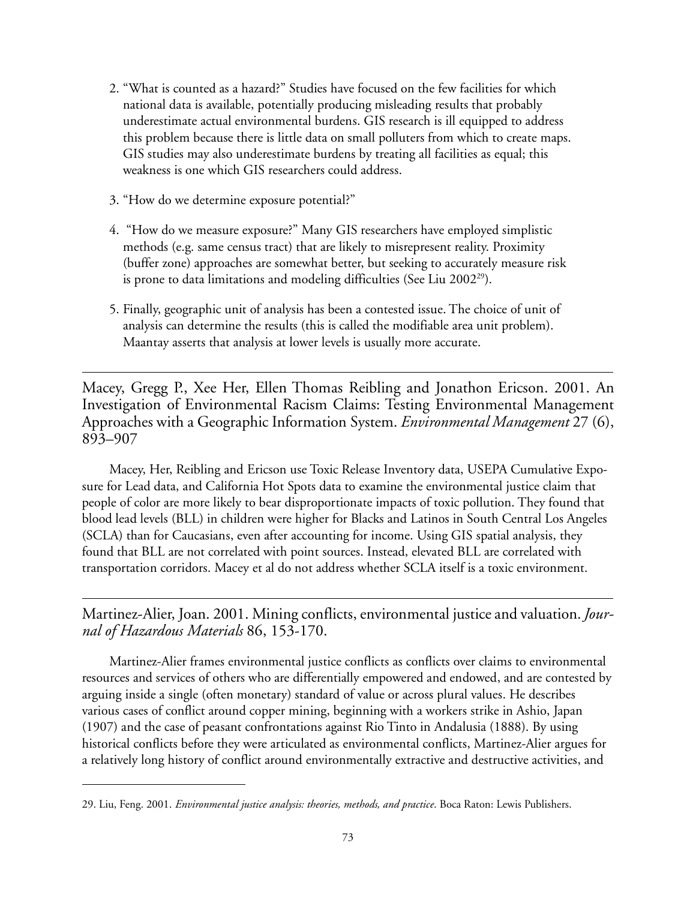- 2. "What is counted as a hazard?" Studies have focused on the few facilities for which national data is available, potentially producing misleading results that probably underestimate actual environmental burdens. GIS research is ill equipped to address this problem because there is little data on small polluters from which to create maps. GIS studies may also underestimate burdens by treating all facilities as equal; this weakness is one which GIS researchers could address.
- 3. "How do we determine exposure potential?"
- 4. "How do we measure exposure?" Many GIS researchers have employed simplistic methods (e.g. same census tract) that are likely to misrepresent reality. Proximity (buffer zone) approaches are somewhat better, but seeking to accurately measure risk is prone to data limitations and modeling difficulties (See Liu 2002<sup>29</sup>).
- 5. Finally, geographic unit of analysis has been a contested issue. The choice of unit of analysis can determine the results (this is called the modifiable area unit problem). Maantay asserts that analysis at lower levels is usually more accurate.

Macey, Gregg P., Xee Her, Ellen Thomas Reibling and Jonathon Ericson. 2001. An Investigation of Environmental Racism Claims: Testing Environmental Management Approaches with a Geographic Information System. *Environmental Management* 27 (6), 893–907

Macey, Her, Reibling and Ericson use Toxic Release Inventory data, USEPA Cumulative Exposure for Lead data, and California Hot Spots data to examine the environmental justice claim that people of color are more likely to bear disproportionate impacts of toxic pollution. They found that blood lead levels (BLL) in children were higher for Blacks and Latinos in South Central Los Angeles (SCLA) than for Caucasians, even after accounting for income. Using GIS spatial analysis, they found that BLL are not correlated with point sources. Instead, elevated BLL are correlated with transportation corridors. Macey et al do not address whether SCLA itself is a toxic environment.

Martinez-Alier, Joan. 2001. Mining conflicts, environmental justice and valuation. *Journal of Hazardous Materials* 86, 153-170.

Martinez-Alier frames environmental justice conflicts as conflicts over claims to environmental resources and services of others who are differentially empowered and endowed, and are contested by arguing inside a single (often monetary) standard of value or across plural values. He describes various cases of conflict around copper mining, beginning with a workers strike in Ashio, Japan (1907) and the case of peasant confrontations against Rio Tinto in Andalusia (1888). By using historical conflicts before they were articulated as environmental conflicts, Martinez-Alier argues for a relatively long history of conflict around environmentally extractive and destructive activities, and

<sup>29.</sup> Liu, Feng. 2001. *Environmental justice analysis: theories, methods, and practice*. Boca Raton: Lewis Publishers.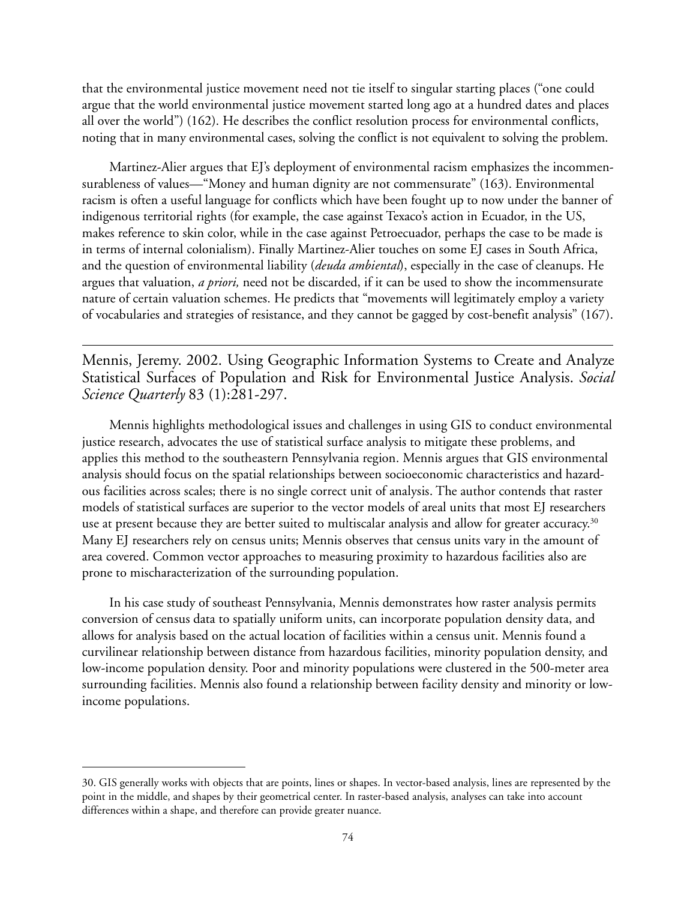that the environmental justice movement need not tie itself to singular starting places ("one could argue that the world environmental justice movement started long ago at a hundred dates and places all over the world") (162). He describes the conflict resolution process for environmental conflicts, noting that in many environmental cases, solving the conflict is not equivalent to solving the problem.

Martinez-Alier argues that EJ's deployment of environmental racism emphasizes the incommensurableness of values—"Money and human dignity are not commensurate" (163). Environmental racism is often a useful language for conflicts which have been fought up to now under the banner of indigenous territorial rights (for example, the case against Texaco's action in Ecuador, in the US, makes reference to skin color, while in the case against Petroecuador, perhaps the case to be made is in terms of internal colonialism). Finally Martinez-Alier touches on some EJ cases in South Africa, and the question of environmental liability (*deuda ambiental*), especially in the case of cleanups. He argues that valuation, *a priori,* need not be discarded, if it can be used to show the incommensurate nature of certain valuation schemes. He predicts that "movements will legitimately employ a variety of vocabularies and strategies of resistance, and they cannot be gagged by cost-benefit analysis" (167).

Mennis, Jeremy. 2002. Using Geographic Information Systems to Create and Analyze Statistical Surfaces of Population and Risk for Environmental Justice Analysis. *Social Science Quarterly* 83 (1):281-297.

Mennis highlights methodological issues and challenges in using GIS to conduct environmental justice research, advocates the use of statistical surface analysis to mitigate these problems, and applies this method to the southeastern Pennsylvania region. Mennis argues that GIS environmental analysis should focus on the spatial relationships between socioeconomic characteristics and hazardous facilities across scales; there is no single correct unit of analysis. The author contends that raster models of statistical surfaces are superior to the vector models of areal units that most EJ researchers use at present because they are better suited to multiscalar analysis and allow for greater accuracy.<sup>30</sup> Many EJ researchers rely on census units; Mennis observes that census units vary in the amount of area covered. Common vector approaches to measuring proximity to hazardous facilities also are prone to mischaracterization of the surrounding population.

In his case study of southeast Pennsylvania, Mennis demonstrates how raster analysis permits conversion of census data to spatially uniform units, can incorporate population density data, and allows for analysis based on the actual location of facilities within a census unit. Mennis found a curvilinear relationship between distance from hazardous facilities, minority population density, and low-income population density. Poor and minority populations were clustered in the 500-meter area surrounding facilities. Mennis also found a relationship between facility density and minority or lowincome populations.

<sup>30.</sup> GIS generally works with objects that are points, lines or shapes. In vector-based analysis, lines are represented by the point in the middle, and shapes by their geometrical center. In raster-based analysis, analyses can take into account differences within a shape, and therefore can provide greater nuance.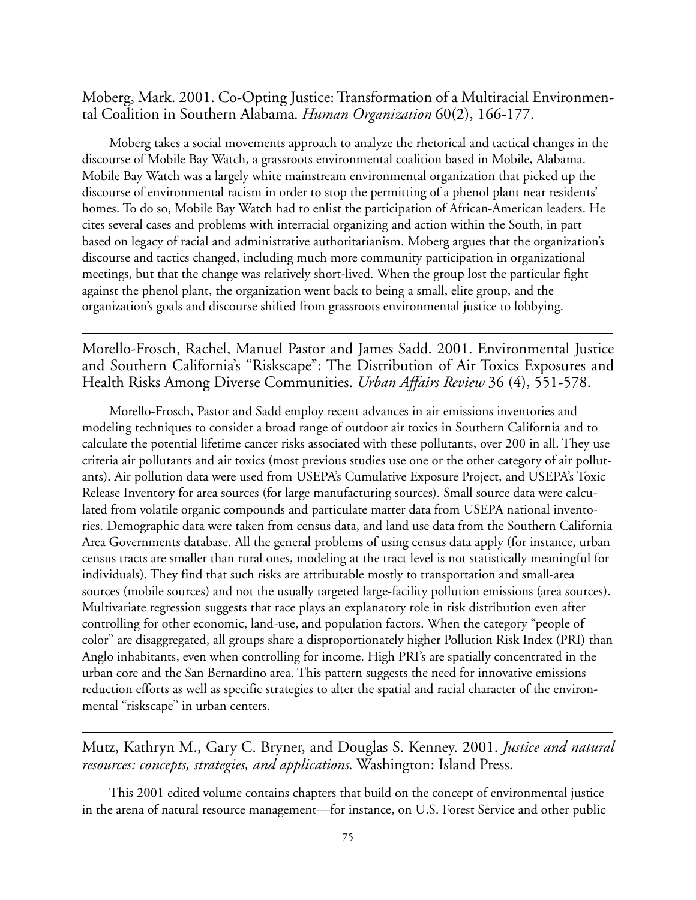Moberg, Mark. 2001. Co-Opting Justice: Transformation of a Multiracial Environmental Coalition in Southern Alabama. *Human Organization* 60(2), 166-177.

Moberg takes a social movements approach to analyze the rhetorical and tactical changes in the discourse of Mobile Bay Watch, a grassroots environmental coalition based in Mobile, Alabama. Mobile Bay Watch was a largely white mainstream environmental organization that picked up the discourse of environmental racism in order to stop the permitting of a phenol plant near residents' homes. To do so, Mobile Bay Watch had to enlist the participation of African-American leaders. He cites several cases and problems with interracial organizing and action within the South, in part based on legacy of racial and administrative authoritarianism. Moberg argues that the organization's discourse and tactics changed, including much more community participation in organizational meetings, but that the change was relatively short-lived. When the group lost the particular fight against the phenol plant, the organization went back to being a small, elite group, and the organization's goals and discourse shifted from grassroots environmental justice to lobbying.

Morello-Frosch, Rachel, Manuel Pastor and James Sadd. 2001. Environmental Justice and Southern California's "Riskscape": The Distribution of Air Toxics Exposures and Health Risks Among Diverse Communities. *Urban Affairs Review* 36 (4), 551-578.

Morello-Frosch, Pastor and Sadd employ recent advances in air emissions inventories and modeling techniques to consider a broad range of outdoor air toxics in Southern California and to calculate the potential lifetime cancer risks associated with these pollutants, over 200 in all. They use criteria air pollutants and air toxics (most previous studies use one or the other category of air pollutants). Air pollution data were used from USEPA's Cumulative Exposure Project, and USEPA's Toxic Release Inventory for area sources (for large manufacturing sources). Small source data were calculated from volatile organic compounds and particulate matter data from USEPA national inventories. Demographic data were taken from census data, and land use data from the Southern California Area Governments database. All the general problems of using census data apply (for instance, urban census tracts are smaller than rural ones, modeling at the tract level is not statistically meaningful for individuals). They find that such risks are attributable mostly to transportation and small-area sources (mobile sources) and not the usually targeted large-facility pollution emissions (area sources). Multivariate regression suggests that race plays an explanatory role in risk distribution even after controlling for other economic, land-use, and population factors. When the category "people of color" are disaggregated, all groups share a disproportionately higher Pollution Risk Index (PRI) than Anglo inhabitants, even when controlling for income. High PRI's are spatially concentrated in the urban core and the San Bernardino area. This pattern suggests the need for innovative emissions reduction efforts as well as specific strategies to alter the spatial and racial character of the environmental "riskscape" in urban centers.

Mutz, Kathryn M., Gary C. Bryner, and Douglas S. Kenney. 2001. *Justice and natural resources: concepts, strategies, and applications*. Washington: Island Press.

This 2001 edited volume contains chapters that build on the concept of environmental justice in the arena of natural resource management—for instance, on U.S. Forest Service and other public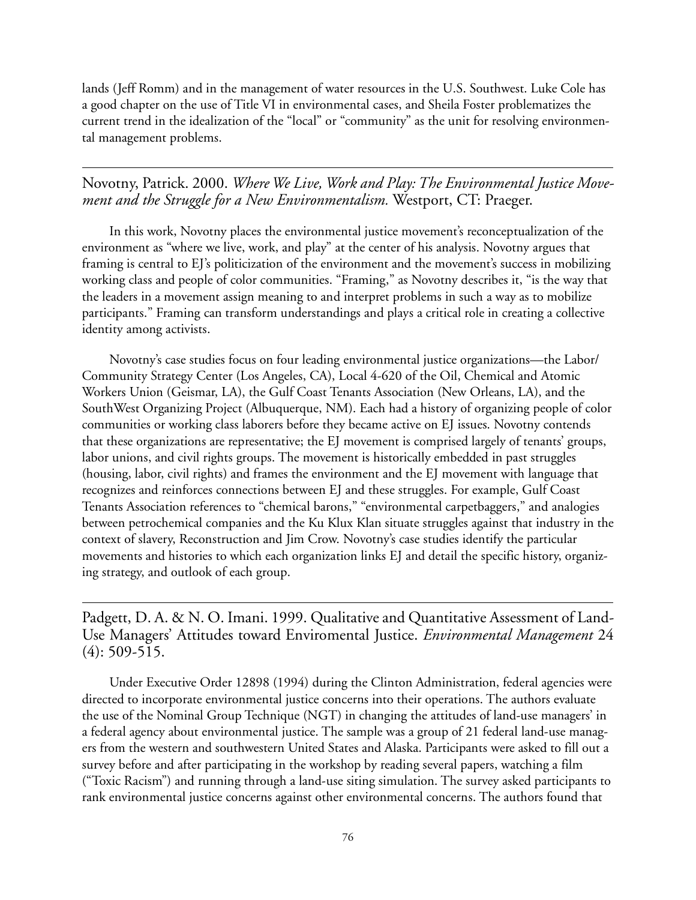lands (Jeff Romm) and in the management of water resources in the U.S. Southwest. Luke Cole has a good chapter on the use of Title VI in environmental cases, and Sheila Foster problematizes the current trend in the idealization of the "local" or "community" as the unit for resolving environmental management problems.

Novotny, Patrick. 2000. *Where We Live, Work and Play: The Environmental Justice Movement and the Struggle for a New Environmentalism.* Westport, CT: Praeger.

In this work, Novotny places the environmental justice movement's reconceptualization of the environment as "where we live, work, and play" at the center of his analysis. Novotny argues that framing is central to EJ's politicization of the environment and the movement's success in mobilizing working class and people of color communities. "Framing," as Novotny describes it, "is the way that the leaders in a movement assign meaning to and interpret problems in such a way as to mobilize participants." Framing can transform understandings and plays a critical role in creating a collective identity among activists.

Novotny's case studies focus on four leading environmental justice organizations—the Labor/ Community Strategy Center (Los Angeles, CA), Local 4-620 of the Oil, Chemical and Atomic Workers Union (Geismar, LA), the Gulf Coast Tenants Association (New Orleans, LA), and the SouthWest Organizing Project (Albuquerque, NM). Each had a history of organizing people of color communities or working class laborers before they became active on EJ issues. Novotny contends that these organizations are representative; the EJ movement is comprised largely of tenants' groups, labor unions, and civil rights groups. The movement is historically embedded in past struggles (housing, labor, civil rights) and frames the environment and the EJ movement with language that recognizes and reinforces connections between EJ and these struggles. For example, Gulf Coast Tenants Association references to "chemical barons," "environmental carpetbaggers," and analogies between petrochemical companies and the Ku Klux Klan situate struggles against that industry in the context of slavery, Reconstruction and Jim Crow. Novotny's case studies identify the particular movements and histories to which each organization links EJ and detail the specific history, organizing strategy, and outlook of each group.

Padgett, D. A. & N. O. Imani. 1999. Qualitative and Quantitative Assessment of Land-Use Managers' Attitudes toward Enviromental Justice. *Environmental Management* 24  $(4): 509-515.$ 

Under Executive Order 12898 (1994) during the Clinton Administration, federal agencies were directed to incorporate environmental justice concerns into their operations. The authors evaluate the use of the Nominal Group Technique (NGT) in changing the attitudes of land-use managers' in a federal agency about environmental justice. The sample was a group of 21 federal land-use managers from the western and southwestern United States and Alaska. Participants were asked to fill out a survey before and after participating in the workshop by reading several papers, watching a film ("Toxic Racism") and running through a land-use siting simulation. The survey asked participants to rank environmental justice concerns against other environmental concerns. The authors found that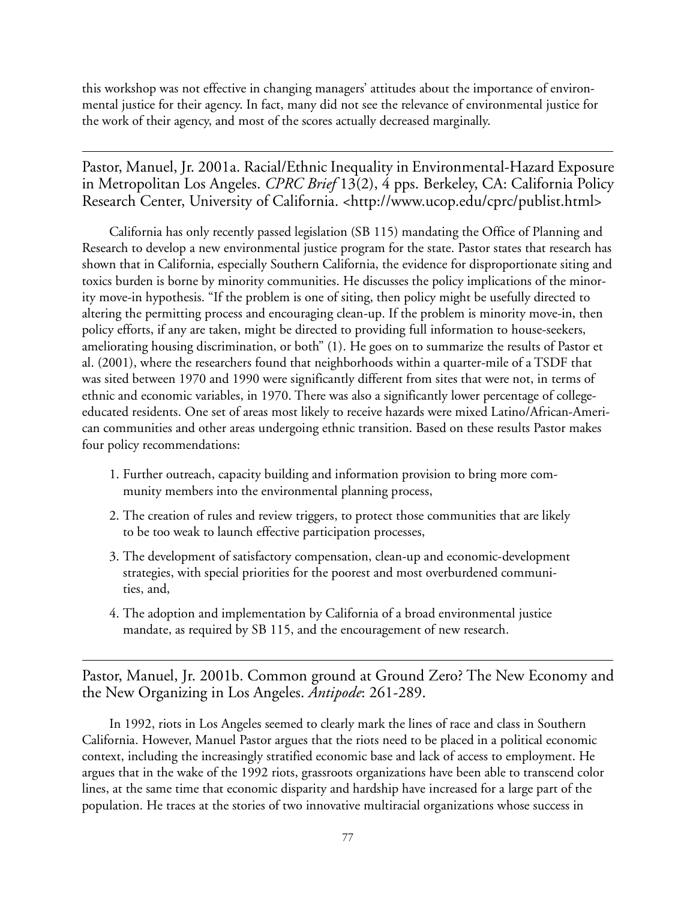this workshop was not effective in changing managers' attitudes about the importance of environmental justice for their agency. In fact, many did not see the relevance of environmental justice for the work of their agency, and most of the scores actually decreased marginally.

Pastor, Manuel, Jr. 2001a. Racial/Ethnic Inequality in Environmental-Hazard Exposure in Metropolitan Los Angeles. *CPRC Brief* 13(2), 4 pps. Berkeley, CA: California Policy Research Center, University of California. <http://www.ucop.edu/cprc/publist.html>

California has only recently passed legislation (SB 115) mandating the Office of Planning and Research to develop a new environmental justice program for the state. Pastor states that research has shown that in California, especially Southern California, the evidence for disproportionate siting and toxics burden is borne by minority communities. He discusses the policy implications of the minority move-in hypothesis. "If the problem is one of siting, then policy might be usefully directed to altering the permitting process and encouraging clean-up. If the problem is minority move-in, then policy efforts, if any are taken, might be directed to providing full information to house-seekers, ameliorating housing discrimination, or both" (1). He goes on to summarize the results of Pastor et al. (2001), where the researchers found that neighborhoods within a quarter-mile of a TSDF that was sited between 1970 and 1990 were significantly different from sites that were not, in terms of ethnic and economic variables, in 1970. There was also a significantly lower percentage of collegeeducated residents. One set of areas most likely to receive hazards were mixed Latino/African-American communities and other areas undergoing ethnic transition. Based on these results Pastor makes four policy recommendations:

- 1. Further outreach, capacity building and information provision to bring more community members into the environmental planning process,
- 2. The creation of rules and review triggers, to protect those communities that are likely to be too weak to launch effective participation processes,
- 3. The development of satisfactory compensation, clean-up and economic-development strategies, with special priorities for the poorest and most overburdened communities, and,
- 4. The adoption and implementation by California of a broad environmental justice mandate, as required by SB 115, and the encouragement of new research.

Pastor, Manuel, Jr. 2001b. Common ground at Ground Zero? The New Economy and the New Organizing in Los Angeles. *Antipode*: 261-289.

In 1992, riots in Los Angeles seemed to clearly mark the lines of race and class in Southern California. However, Manuel Pastor argues that the riots need to be placed in a political economic context, including the increasingly stratified economic base and lack of access to employment. He argues that in the wake of the 1992 riots, grassroots organizations have been able to transcend color lines, at the same time that economic disparity and hardship have increased for a large part of the population. He traces at the stories of two innovative multiracial organizations whose success in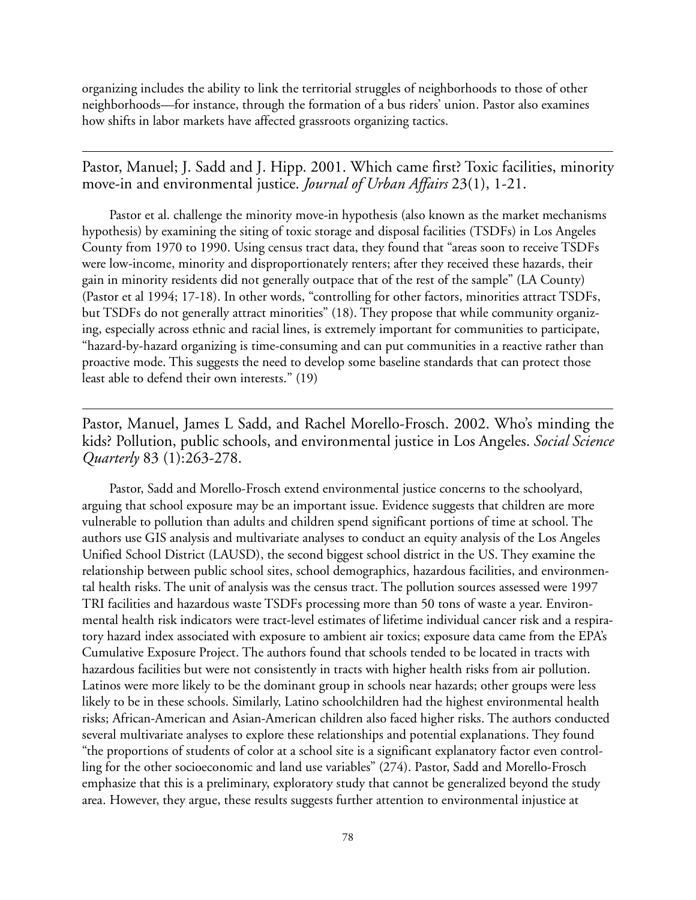organizing includes the ability to link the territorial struggles of neighborhoods to those of other neighborhoods—for instance, through the formation of a bus riders' union. Pastor also examines how shifts in labor markets have affected grassroots organizing tactics.

Pastor, Manuel; J. Sadd and J. Hipp. 2001. Which came first? Toxic facilities, minority move-in and environmental justice. *Journal of Urban Affairs* 23(1), 1-21.

Pastor et al. challenge the minority move-in hypothesis (also known as the market mechanisms hypothesis) by examining the siting of toxic storage and disposal facilities (TSDFs) in Los Angeles County from 1970 to 1990. Using census tract data, they found that "areas soon to receive TSDFs were low-income, minority and disproportionately renters; after they received these hazards, their gain in minority residents did not generally outpace that of the rest of the sample" (LA County) (Pastor et al 1994; 17-18). In other words, "controlling for other factors, minorities attract TSDFs, but TSDFs do not generally attract minorities" (18). They propose that while community organizing, especially across ethnic and racial lines, is extremely important for communities to participate, "hazard-by-hazard organizing is time-consuming and can put communities in a reactive rather than proactive mode. This suggests the need to develop some baseline standards that can protect those least able to defend their own interests." (19)

Pastor, Manuel, James L Sadd, and Rachel Morello-Frosch. 2002. Who's minding the kids? Pollution, public schools, and environmental justice in Los Angeles. *Social Science Quarterly* 83 (1):263-278.

Pastor, Sadd and Morello-Frosch extend environmental justice concerns to the schoolyard, arguing that school exposure may be an important issue. Evidence suggests that children are more vulnerable to pollution than adults and children spend significant portions of time at school. The authors use GIS analysis and multivariate analyses to conduct an equity analysis of the Los Angeles Unified School District (LAUSD), the second biggest school district in the US. They examine the relationship between public school sites, school demographics, hazardous facilities, and environmental health risks. The unit of analysis was the census tract. The pollution sources assessed were 1997 TRI facilities and hazardous waste TSDFs processing more than 50 tons of waste a year. Environmental health risk indicators were tract-level estimates of lifetime individual cancer risk and a respiratory hazard index associated with exposure to ambient air toxics; exposure data came from the EPA's Cumulative Exposure Project. The authors found that schools tended to be located in tracts with hazardous facilities but were not consistently in tracts with higher health risks from air pollution. Latinos were more likely to be the dominant group in schools near hazards; other groups were less likely to be in these schools. Similarly, Latino schoolchildren had the highest environmental health risks; African-American and Asian-American children also faced higher risks. The authors conducted several multivariate analyses to explore these relationships and potential explanations. They found "the proportions of students of color at a school site is a significant explanatory factor even controlling for the other socioeconomic and land use variables" (274). Pastor, Sadd and Morello-Frosch emphasize that this is a preliminary, exploratory study that cannot be generalized beyond the study area. However, they argue, these results suggests further attention to environmental injustice at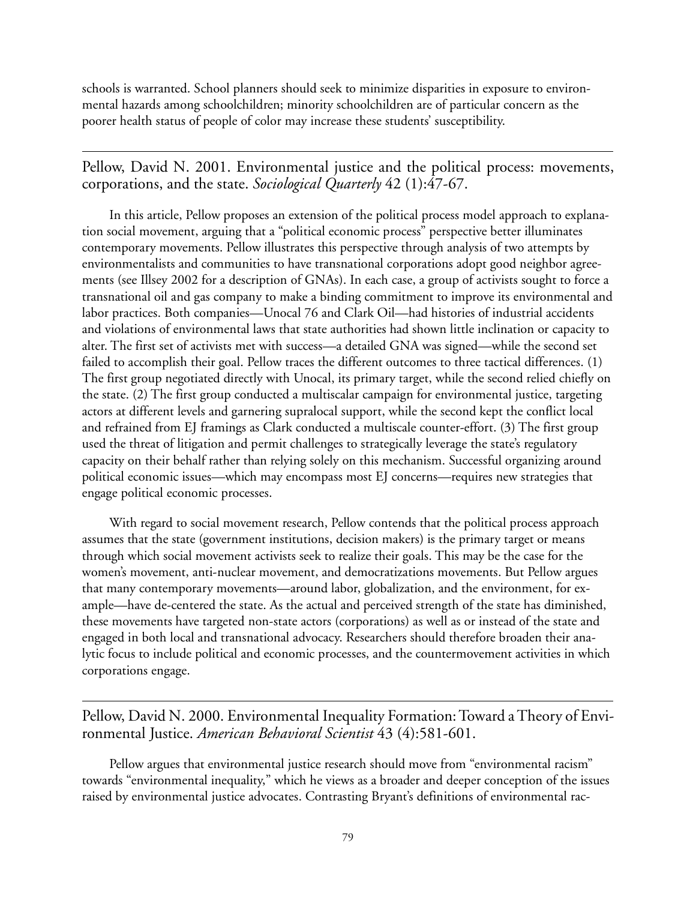schools is warranted. School planners should seek to minimize disparities in exposure to environmental hazards among schoolchildren; minority schoolchildren are of particular concern as the poorer health status of people of color may increase these students' susceptibility.

Pellow, David N. 2001. Environmental justice and the political process: movements, corporations, and the state. *Sociological Quarterly* 42 (1):47-67.

In this article, Pellow proposes an extension of the political process model approach to explanation social movement, arguing that a "political economic process" perspective better illuminates contemporary movements. Pellow illustrates this perspective through analysis of two attempts by environmentalists and communities to have transnational corporations adopt good neighbor agreements (see Illsey 2002 for a description of GNAs). In each case, a group of activists sought to force a transnational oil and gas company to make a binding commitment to improve its environmental and labor practices. Both companies—Unocal 76 and Clark Oil—had histories of industrial accidents and violations of environmental laws that state authorities had shown little inclination or capacity to alter. The first set of activists met with success—a detailed GNA was signed—while the second set failed to accomplish their goal. Pellow traces the different outcomes to three tactical differences. (1) The first group negotiated directly with Unocal, its primary target, while the second relied chiefly on the state. (2) The first group conducted a multiscalar campaign for environmental justice, targeting actors at different levels and garnering supralocal support, while the second kept the conflict local and refrained from EJ framings as Clark conducted a multiscale counter-effort. (3) The first group used the threat of litigation and permit challenges to strategically leverage the state's regulatory capacity on their behalf rather than relying solely on this mechanism. Successful organizing around political economic issues—which may encompass most EJ concerns—requires new strategies that engage political economic processes.

With regard to social movement research, Pellow contends that the political process approach assumes that the state (government institutions, decision makers) is the primary target or means through which social movement activists seek to realize their goals. This may be the case for the women's movement, anti-nuclear movement, and democratizations movements. But Pellow argues that many contemporary movements—around labor, globalization, and the environment, for example—have de-centered the state. As the actual and perceived strength of the state has diminished, these movements have targeted non-state actors (corporations) as well as or instead of the state and engaged in both local and transnational advocacy. Researchers should therefore broaden their analytic focus to include political and economic processes, and the countermovement activities in which corporations engage.

Pellow, David N. 2000. Environmental Inequality Formation: Toward a Theory of Environmental Justice. *American Behavioral Scientist* 43 (4):581-601.

Pellow argues that environmental justice research should move from "environmental racism" towards "environmental inequality," which he views as a broader and deeper conception of the issues raised by environmental justice advocates. Contrasting Bryant's definitions of environmental rac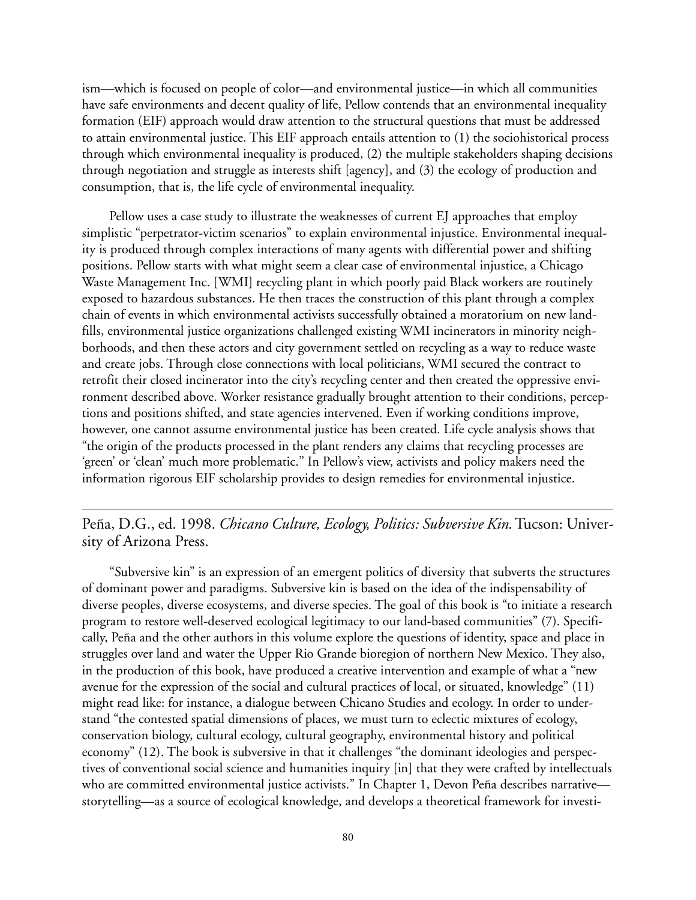ism—which is focused on people of color—and environmental justice—in which all communities have safe environments and decent quality of life, Pellow contends that an environmental inequality formation (EIF) approach would draw attention to the structural questions that must be addressed to attain environmental justice. This EIF approach entails attention to (1) the sociohistorical process through which environmental inequality is produced, (2) the multiple stakeholders shaping decisions through negotiation and struggle as interests shift [agency], and (3) the ecology of production and consumption, that is, the life cycle of environmental inequality.

Pellow uses a case study to illustrate the weaknesses of current EJ approaches that employ simplistic "perpetrator-victim scenarios" to explain environmental injustice. Environmental inequality is produced through complex interactions of many agents with differential power and shifting positions. Pellow starts with what might seem a clear case of environmental injustice, a Chicago Waste Management Inc. [WMI] recycling plant in which poorly paid Black workers are routinely exposed to hazardous substances. He then traces the construction of this plant through a complex chain of events in which environmental activists successfully obtained a moratorium on new landfills, environmental justice organizations challenged existing WMI incinerators in minority neighborhoods, and then these actors and city government settled on recycling as a way to reduce waste and create jobs. Through close connections with local politicians, WMI secured the contract to retrofit their closed incinerator into the city's recycling center and then created the oppressive environment described above. Worker resistance gradually brought attention to their conditions, perceptions and positions shifted, and state agencies intervened. Even if working conditions improve, however, one cannot assume environmental justice has been created. Life cycle analysis shows that "the origin of the products processed in the plant renders any claims that recycling processes are 'green' or 'clean' much more problematic." In Pellow's view, activists and policy makers need the information rigorous EIF scholarship provides to design remedies for environmental injustice.

Peña, D.G., ed. 1998. *Chicano Culture, Ecology, Politics: Subversive Kin*. Tucson: University of Arizona Press.

"Subversive kin" is an expression of an emergent politics of diversity that subverts the structures of dominant power and paradigms. Subversive kin is based on the idea of the indispensability of diverse peoples, diverse ecosystems, and diverse species. The goal of this book is "to initiate a research program to restore well-deserved ecological legitimacy to our land-based communities" (7). Specifically, Peña and the other authors in this volume explore the questions of identity, space and place in struggles over land and water the Upper Rio Grande bioregion of northern New Mexico. They also, in the production of this book, have produced a creative intervention and example of what a "new avenue for the expression of the social and cultural practices of local, or situated, knowledge" (11) might read like: for instance, a dialogue between Chicano Studies and ecology. In order to understand "the contested spatial dimensions of places, we must turn to eclectic mixtures of ecology, conservation biology, cultural ecology, cultural geography, environmental history and political economy" (12). The book is subversive in that it challenges "the dominant ideologies and perspectives of conventional social science and humanities inquiry [in] that they were crafted by intellectuals who are committed environmental justice activists." In Chapter 1, Devon Peña describes narrative storytelling—as a source of ecological knowledge, and develops a theoretical framework for investi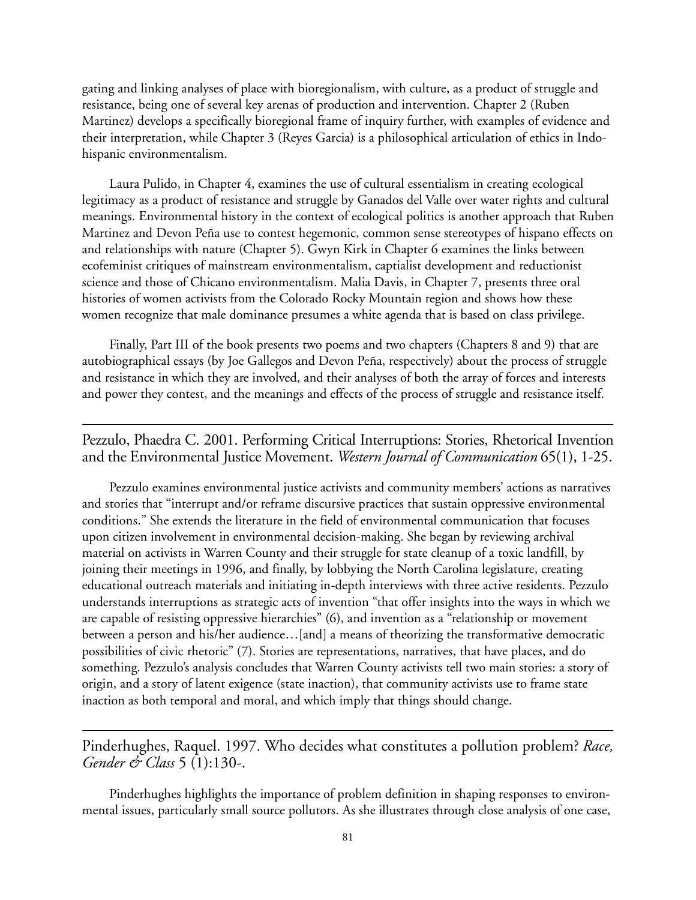gating and linking analyses of place with bioregionalism, with culture, as a product of struggle and resistance, being one of several key arenas of production and intervention. Chapter 2 (Ruben Martinez) develops a specifically bioregional frame of inquiry further, with examples of evidence and their interpretation, while Chapter 3 (Reyes Garcia) is a philosophical articulation of ethics in Indohispanic environmentalism.

Laura Pulido, in Chapter 4, examines the use of cultural essentialism in creating ecological legitimacy as a product of resistance and struggle by Ganados del Valle over water rights and cultural meanings. Environmental history in the context of ecological politics is another approach that Ruben Martinez and Devon Peña use to contest hegemonic, common sense stereotypes of hispano effects on and relationships with nature (Chapter 5). Gwyn Kirk in Chapter 6 examines the links between ecofeminist critiques of mainstream environmentalism, captialist development and reductionist science and those of Chicano environmentalism. Malia Davis, in Chapter 7, presents three oral histories of women activists from the Colorado Rocky Mountain region and shows how these women recognize that male dominance presumes a white agenda that is based on class privilege.

Finally, Part III of the book presents two poems and two chapters (Chapters 8 and 9) that are autobiographical essays (by Joe Gallegos and Devon Peña, respectively) about the process of struggle and resistance in which they are involved, and their analyses of both the array of forces and interests and power they contest, and the meanings and effects of the process of struggle and resistance itself.

Pezzulo, Phaedra C. 2001. Performing Critical Interruptions: Stories, Rhetorical Invention and the Environmental Justice Movement. *Western Journal of Communication* 65(1), 1-25.

Pezzulo examines environmental justice activists and community members' actions as narratives and stories that "interrupt and/or reframe discursive practices that sustain oppressive environmental conditions." She extends the literature in the field of environmental communication that focuses upon citizen involvement in environmental decision-making. She began by reviewing archival material on activists in Warren County and their struggle for state cleanup of a toxic landfill, by joining their meetings in 1996, and finally, by lobbying the North Carolina legislature, creating educational outreach materials and initiating in-depth interviews with three active residents. Pezzulo understands interruptions as strategic acts of invention "that offer insights into the ways in which we are capable of resisting oppressive hierarchies" (6), and invention as a "relationship or movement between a person and his/her audience…[and] a means of theorizing the transformative democratic possibilities of civic rhetoric" (7). Stories are representations, narratives, that have places, and do something. Pezzulo's analysis concludes that Warren County activists tell two main stories: a story of origin, and a story of latent exigence (state inaction), that community activists use to frame state inaction as both temporal and moral, and which imply that things should change.

Pinderhughes, Raquel. 1997. Who decides what constitutes a pollution problem? *Race, Gender & Class* 5 (1):130-.

Pinderhughes highlights the importance of problem definition in shaping responses to environmental issues, particularly small source pollutors. As she illustrates through close analysis of one case,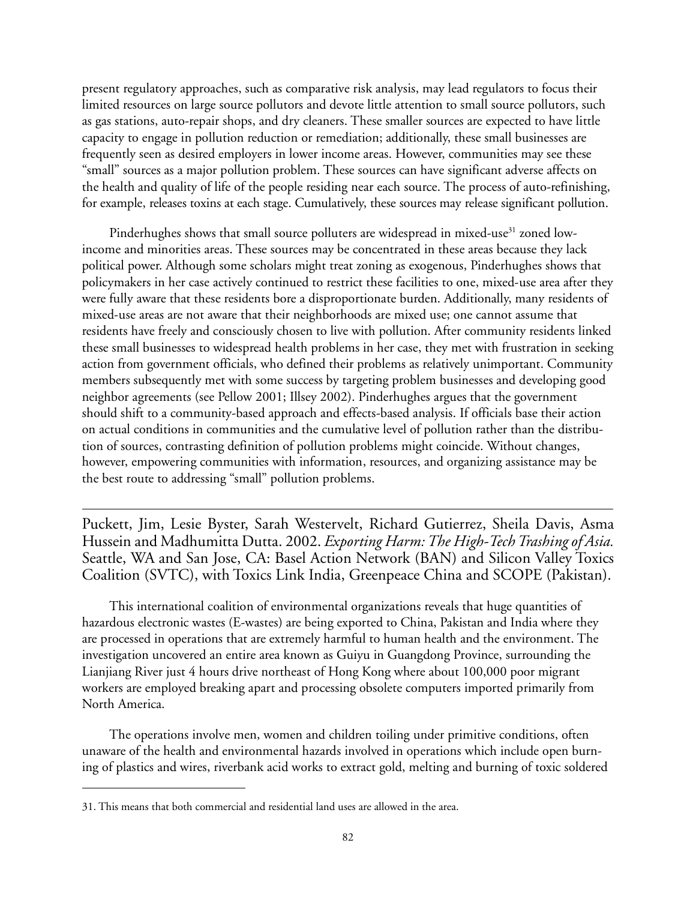present regulatory approaches, such as comparative risk analysis, may lead regulators to focus their limited resources on large source pollutors and devote little attention to small source pollutors, such as gas stations, auto-repair shops, and dry cleaners. These smaller sources are expected to have little capacity to engage in pollution reduction or remediation; additionally, these small businesses are frequently seen as desired employers in lower income areas. However, communities may see these "small" sources as a major pollution problem. These sources can have significant adverse affects on the health and quality of life of the people residing near each source. The process of auto-refinishing, for example, releases toxins at each stage. Cumulatively, these sources may release significant pollution.

Pinderhughes shows that small source polluters are widespread in mixed-use<sup>31</sup> zoned lowincome and minorities areas. These sources may be concentrated in these areas because they lack political power. Although some scholars might treat zoning as exogenous, Pinderhughes shows that policymakers in her case actively continued to restrict these facilities to one, mixed-use area after they were fully aware that these residents bore a disproportionate burden. Additionally, many residents of mixed-use areas are not aware that their neighborhoods are mixed use; one cannot assume that residents have freely and consciously chosen to live with pollution. After community residents linked these small businesses to widespread health problems in her case, they met with frustration in seeking action from government officials, who defined their problems as relatively unimportant. Community members subsequently met with some success by targeting problem businesses and developing good neighbor agreements (see Pellow 2001; Illsey 2002). Pinderhughes argues that the government should shift to a community-based approach and effects-based analysis. If officials base their action on actual conditions in communities and the cumulative level of pollution rather than the distribution of sources, contrasting definition of pollution problems might coincide. Without changes, however, empowering communities with information, resources, and organizing assistance may be the best route to addressing "small" pollution problems.

Puckett, Jim, Lesie Byster, Sarah Westervelt, Richard Gutierrez, Sheila Davis, Asma Hussein and Madhumitta Dutta. 2002. *Exporting Harm: The High-Tech Trashing of Asia.* Seattle, WA and San Jose, CA: Basel Action Network (BAN) and Silicon Valley Toxics Coalition (SVTC), with Toxics Link India, Greenpeace China and SCOPE (Pakistan).

This international coalition of environmental organizations reveals that huge quantities of hazardous electronic wastes (E-wastes) are being exported to China, Pakistan and India where they are processed in operations that are extremely harmful to human health and the environment. The investigation uncovered an entire area known as Guiyu in Guangdong Province, surrounding the Lianjiang River just 4 hours drive northeast of Hong Kong where about 100,000 poor migrant workers are employed breaking apart and processing obsolete computers imported primarily from North America.

The operations involve men, women and children toiling under primitive conditions, often unaware of the health and environmental hazards involved in operations which include open burning of plastics and wires, riverbank acid works to extract gold, melting and burning of toxic soldered

<sup>31.</sup> This means that both commercial and residential land uses are allowed in the area.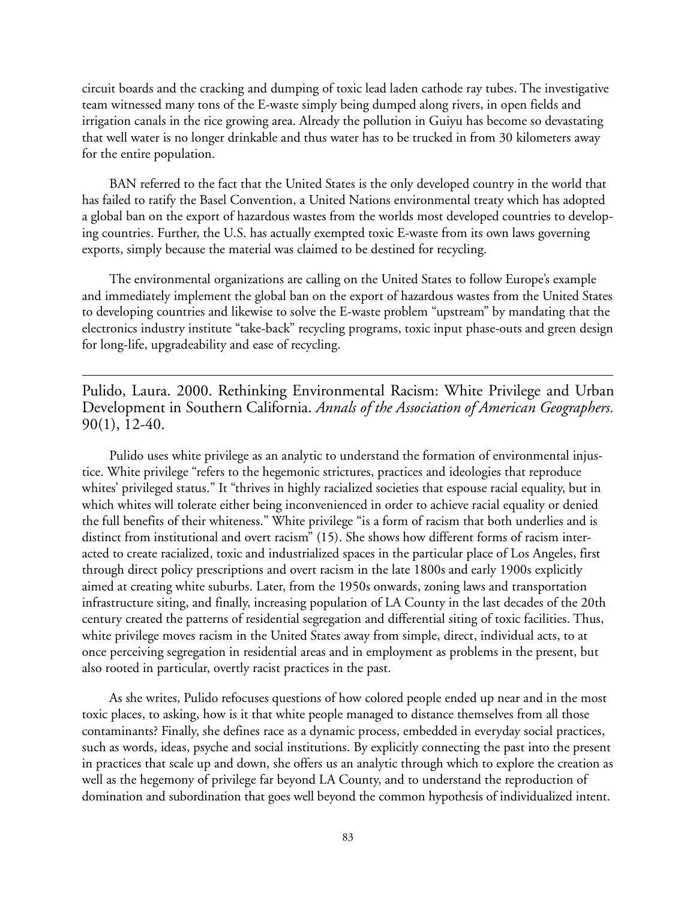circuit boards and the cracking and dumping of toxic lead laden cathode ray tubes. The investigative team witnessed many tons of the E-waste simply being dumped along rivers, in open fields and irrigation canals in the rice growing area. Already the pollution in Guiyu has become so devastating that well water is no longer drinkable and thus water has to be trucked in from 30 kilometers away for the entire population.

BAN referred to the fact that the United States is the only developed country in the world that has failed to ratify the Basel Convention, a United Nations environmental treaty which has adopted a global ban on the export of hazardous wastes from the worlds most developed countries to developing countries. Further, the U.S. has actually exempted toxic E-waste from its own laws governing exports, simply because the material was claimed to be destined for recycling.

The environmental organizations are calling on the United States to follow Europe's example and immediately implement the global ban on the export of hazardous wastes from the United States to developing countries and likewise to solve the E-waste problem "upstream" by mandating that the electronics industry institute "take-back" recycling programs, toxic input phase-outs and green design for long-life, upgradeability and ease of recycling.

Pulido, Laura. 2000. Rethinking Environmental Racism: White Privilege and Urban Development in Southern California. *Annals of the Association of American Geographers.* 90(1), 12-40.

Pulido uses white privilege as an analytic to understand the formation of environmental injustice. White privilege "refers to the hegemonic strictures, practices and ideologies that reproduce whites' privileged status." It "thrives in highly racialized societies that espouse racial equality, but in which whites will tolerate either being inconvenienced in order to achieve racial equality or denied the full benefits of their whiteness." White privilege "is a form of racism that both underlies and is distinct from institutional and overt racism" (15). She shows how different forms of racism interacted to create racialized, toxic and industrialized spaces in the particular place of Los Angeles, first through direct policy prescriptions and overt racism in the late 1800s and early 1900s explicitly aimed at creating white suburbs. Later, from the 1950s onwards, zoning laws and transportation infrastructure siting, and finally, increasing population of LA County in the last decades of the 20th century created the patterns of residential segregation and differential siting of toxic facilities. Thus, white privilege moves racism in the United States away from simple, direct, individual acts, to at once perceiving segregation in residential areas and in employment as problems in the present, but also rooted in particular, overtly racist practices in the past.

As she writes, Pulido refocuses questions of how colored people ended up near and in the most toxic places, to asking, how is it that white people managed to distance themselves from all those contaminants? Finally, she defines race as a dynamic process, embedded in everyday social practices, such as words, ideas, psyche and social institutions. By explicitly connecting the past into the present in practices that scale up and down, she offers us an analytic through which to explore the creation as well as the hegemony of privilege far beyond LA County, and to understand the reproduction of domination and subordination that goes well beyond the common hypothesis of individualized intent.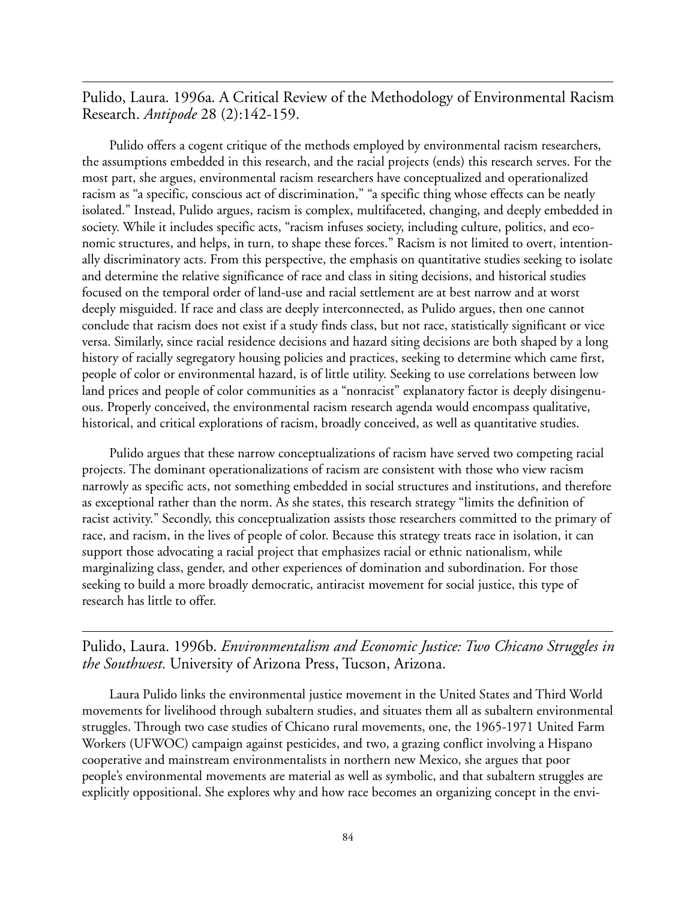Pulido, Laura. 1996a. A Critical Review of the Methodology of Environmental Racism Research. *Antipode* 28 (2):142-159.

Pulido offers a cogent critique of the methods employed by environmental racism researchers, the assumptions embedded in this research, and the racial projects (ends) this research serves. For the most part, she argues, environmental racism researchers have conceptualized and operationalized racism as "a specific, conscious act of discrimination," "a specific thing whose effects can be neatly isolated." Instead, Pulido argues, racism is complex, multifaceted, changing, and deeply embedded in society. While it includes specific acts, "racism infuses society, including culture, politics, and economic structures, and helps, in turn, to shape these forces." Racism is not limited to overt, intentionally discriminatory acts. From this perspective, the emphasis on quantitative studies seeking to isolate and determine the relative significance of race and class in siting decisions, and historical studies focused on the temporal order of land-use and racial settlement are at best narrow and at worst deeply misguided. If race and class are deeply interconnected, as Pulido argues, then one cannot conclude that racism does not exist if a study finds class, but not race, statistically significant or vice versa. Similarly, since racial residence decisions and hazard siting decisions are both shaped by a long history of racially segregatory housing policies and practices, seeking to determine which came first, people of color or environmental hazard, is of little utility. Seeking to use correlations between low land prices and people of color communities as a "nonracist" explanatory factor is deeply disingenuous. Properly conceived, the environmental racism research agenda would encompass qualitative, historical, and critical explorations of racism, broadly conceived, as well as quantitative studies.

Pulido argues that these narrow conceptualizations of racism have served two competing racial projects. The dominant operationalizations of racism are consistent with those who view racism narrowly as specific acts, not something embedded in social structures and institutions, and therefore as exceptional rather than the norm. As she states, this research strategy "limits the definition of racist activity." Secondly, this conceptualization assists those researchers committed to the primary of race, and racism, in the lives of people of color. Because this strategy treats race in isolation, it can support those advocating a racial project that emphasizes racial or ethnic nationalism, while marginalizing class, gender, and other experiences of domination and subordination. For those seeking to build a more broadly democratic, antiracist movement for social justice, this type of research has little to offer.

## Pulido, Laura. 1996b. *Environmentalism and Economic Justice: Two Chicano Struggles in the Southwest.* University of Arizona Press, Tucson, Arizona.

Laura Pulido links the environmental justice movement in the United States and Third World movements for livelihood through subaltern studies, and situates them all as subaltern environmental struggles. Through two case studies of Chicano rural movements, one, the 1965-1971 United Farm Workers (UFWOC) campaign against pesticides, and two, a grazing conflict involving a Hispano cooperative and mainstream environmentalists in northern new Mexico, she argues that poor people's environmental movements are material as well as symbolic, and that subaltern struggles are explicitly oppositional. She explores why and how race becomes an organizing concept in the envi-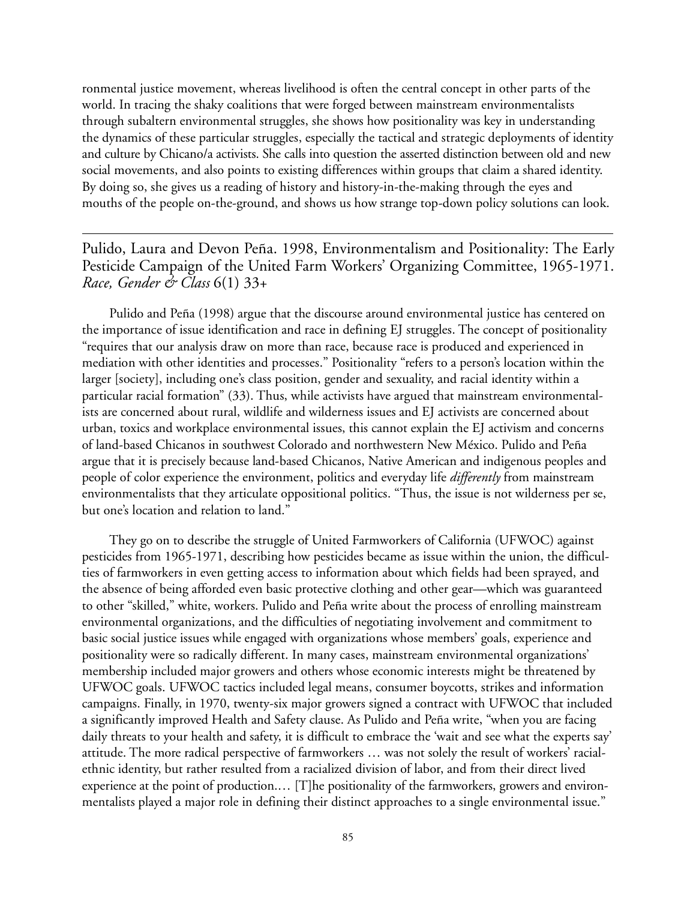ronmental justice movement, whereas livelihood is often the central concept in other parts of the world. In tracing the shaky coalitions that were forged between mainstream environmentalists through subaltern environmental struggles, she shows how positionality was key in understanding the dynamics of these particular struggles, especially the tactical and strategic deployments of identity and culture by Chicano/a activists. She calls into question the asserted distinction between old and new social movements, and also points to existing differences within groups that claim a shared identity. By doing so, she gives us a reading of history and history-in-the-making through the eyes and mouths of the people on-the-ground, and shows us how strange top-down policy solutions can look.

Pulido, Laura and Devon Peña. 1998, Environmentalism and Positionality: The Early Pesticide Campaign of the United Farm Workers' Organizing Committee, 1965-1971. *Race, Gender & Class* 6(1) 33+

Pulido and Peña (1998) argue that the discourse around environmental justice has centered on the importance of issue identification and race in defining EJ struggles. The concept of positionality "requires that our analysis draw on more than race, because race is produced and experienced in mediation with other identities and processes." Positionality "refers to a person's location within the larger [society], including one's class position, gender and sexuality, and racial identity within a particular racial formation" (33). Thus, while activists have argued that mainstream environmentalists are concerned about rural, wildlife and wilderness issues and EJ activists are concerned about urban, toxics and workplace environmental issues, this cannot explain the EJ activism and concerns of land-based Chicanos in southwest Colorado and northwestern New México. Pulido and Peña argue that it is precisely because land-based Chicanos, Native American and indigenous peoples and people of color experience the environment, politics and everyday life *differently* from mainstream environmentalists that they articulate oppositional politics. "Thus, the issue is not wilderness per se, but one's location and relation to land."

They go on to describe the struggle of United Farmworkers of California (UFWOC) against pesticides from 1965-1971, describing how pesticides became as issue within the union, the difficulties of farmworkers in even getting access to information about which fields had been sprayed, and the absence of being afforded even basic protective clothing and other gear—which was guaranteed to other "skilled," white, workers. Pulido and Peña write about the process of enrolling mainstream environmental organizations, and the difficulties of negotiating involvement and commitment to basic social justice issues while engaged with organizations whose members' goals, experience and positionality were so radically different. In many cases, mainstream environmental organizations' membership included major growers and others whose economic interests might be threatened by UFWOC goals. UFWOC tactics included legal means, consumer boycotts, strikes and information campaigns. Finally, in 1970, twenty-six major growers signed a contract with UFWOC that included a significantly improved Health and Safety clause. As Pulido and Peña write, "when you are facing daily threats to your health and safety, it is difficult to embrace the 'wait and see what the experts say' attitude. The more radical perspective of farmworkers … was not solely the result of workers' racialethnic identity, but rather resulted from a racialized division of labor, and from their direct lived experience at the point of production.… [T]he positionality of the farmworkers, growers and environmentalists played a major role in defining their distinct approaches to a single environmental issue."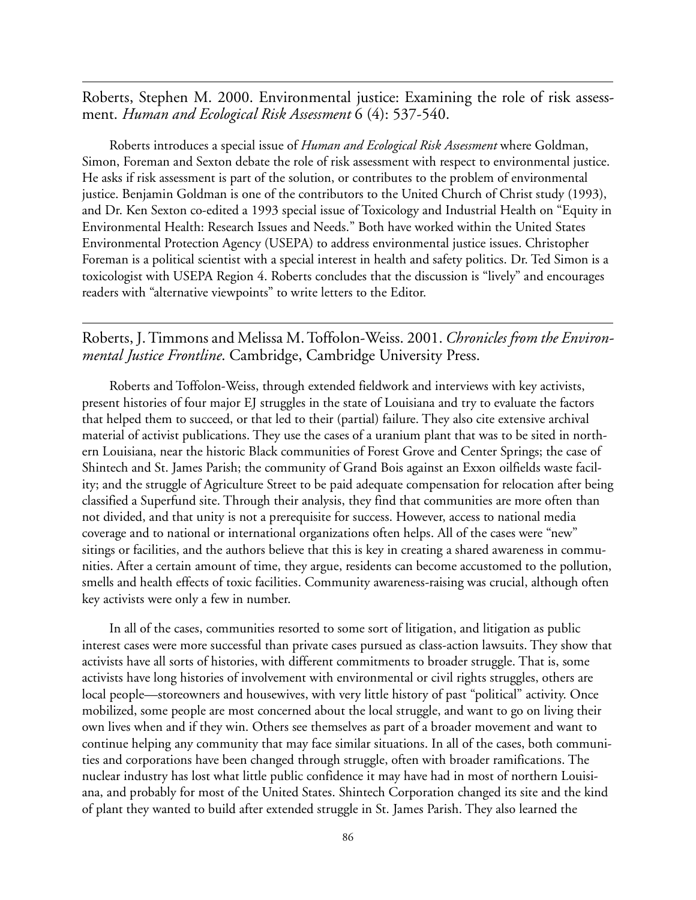Roberts, Stephen M. 2000. Environmental justice: Examining the role of risk assessment. *Human and Ecological Risk Assessment* 6 (4): 537-540.

Roberts introduces a special issue of *Human and Ecological Risk Assessment* where Goldman, Simon, Foreman and Sexton debate the role of risk assessment with respect to environmental justice. He asks if risk assessment is part of the solution, or contributes to the problem of environmental justice. Benjamin Goldman is one of the contributors to the United Church of Christ study (1993), and Dr. Ken Sexton co-edited a 1993 special issue of Toxicology and Industrial Health on "Equity in Environmental Health: Research Issues and Needs." Both have worked within the United States Environmental Protection Agency (USEPA) to address environmental justice issues. Christopher Foreman is a political scientist with a special interest in health and safety politics. Dr. Ted Simon is a toxicologist with USEPA Region 4. Roberts concludes that the discussion is "lively" and encourages readers with "alternative viewpoints" to write letters to the Editor.

### Roberts, J. Timmons and Melissa M. Toffolon-Weiss. 2001. *Chronicles from the Environmental Justice Frontline*. Cambridge, Cambridge University Press.

Roberts and Toffolon-Weiss, through extended fieldwork and interviews with key activists, present histories of four major EJ struggles in the state of Louisiana and try to evaluate the factors that helped them to succeed, or that led to their (partial) failure. They also cite extensive archival material of activist publications. They use the cases of a uranium plant that was to be sited in northern Louisiana, near the historic Black communities of Forest Grove and Center Springs; the case of Shintech and St. James Parish; the community of Grand Bois against an Exxon oilfields waste facility; and the struggle of Agriculture Street to be paid adequate compensation for relocation after being classified a Superfund site. Through their analysis, they find that communities are more often than not divided, and that unity is not a prerequisite for success. However, access to national media coverage and to national or international organizations often helps. All of the cases were "new" sitings or facilities, and the authors believe that this is key in creating a shared awareness in communities. After a certain amount of time, they argue, residents can become accustomed to the pollution, smells and health effects of toxic facilities. Community awareness-raising was crucial, although often key activists were only a few in number.

In all of the cases, communities resorted to some sort of litigation, and litigation as public interest cases were more successful than private cases pursued as class-action lawsuits. They show that activists have all sorts of histories, with different commitments to broader struggle. That is, some activists have long histories of involvement with environmental or civil rights struggles, others are local people—storeowners and housewives, with very little history of past "political" activity. Once mobilized, some people are most concerned about the local struggle, and want to go on living their own lives when and if they win. Others see themselves as part of a broader movement and want to continue helping any community that may face similar situations. In all of the cases, both communities and corporations have been changed through struggle, often with broader ramifications. The nuclear industry has lost what little public confidence it may have had in most of northern Louisiana, and probably for most of the United States. Shintech Corporation changed its site and the kind of plant they wanted to build after extended struggle in St. James Parish. They also learned the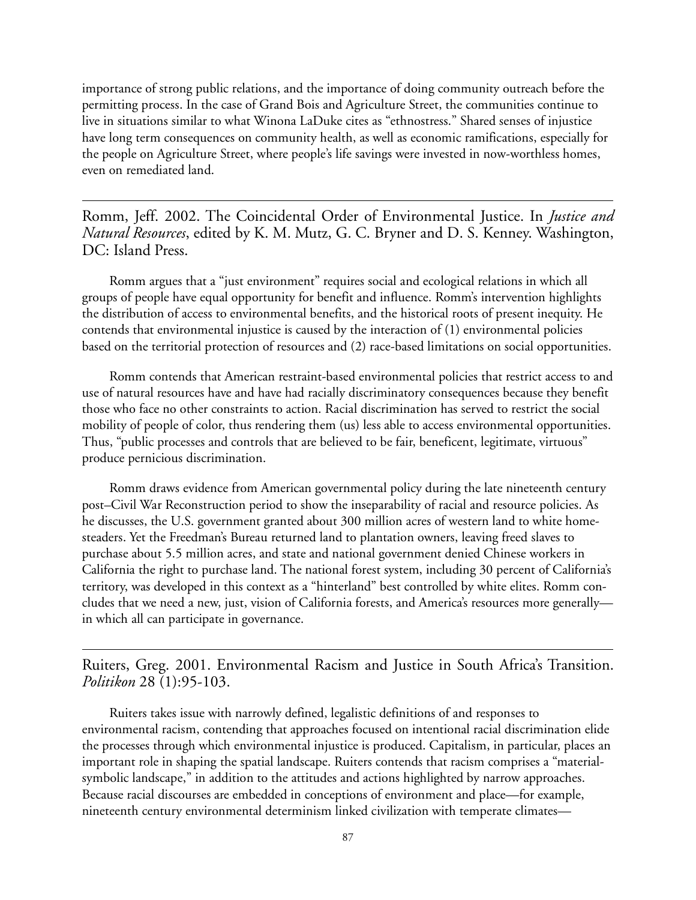importance of strong public relations, and the importance of doing community outreach before the permitting process. In the case of Grand Bois and Agriculture Street, the communities continue to live in situations similar to what Winona LaDuke cites as "ethnostress." Shared senses of injustice have long term consequences on community health, as well as economic ramifications, especially for the people on Agriculture Street, where people's life savings were invested in now-worthless homes, even on remediated land.

Romm, Jeff. 2002. The Coincidental Order of Environmental Justice. In *Justice and Natural Resources*, edited by K. M. Mutz, G. C. Bryner and D. S. Kenney. Washington, DC: Island Press.

Romm argues that a "just environment" requires social and ecological relations in which all groups of people have equal opportunity for benefit and influence. Romm's intervention highlights the distribution of access to environmental benefits, and the historical roots of present inequity. He contends that environmental injustice is caused by the interaction of (1) environmental policies based on the territorial protection of resources and (2) race-based limitations on social opportunities.

Romm contends that American restraint-based environmental policies that restrict access to and use of natural resources have and have had racially discriminatory consequences because they benefit those who face no other constraints to action. Racial discrimination has served to restrict the social mobility of people of color, thus rendering them (us) less able to access environmental opportunities. Thus, "public processes and controls that are believed to be fair, beneficent, legitimate, virtuous" produce pernicious discrimination.

Romm draws evidence from American governmental policy during the late nineteenth century post–Civil War Reconstruction period to show the inseparability of racial and resource policies. As he discusses, the U.S. government granted about 300 million acres of western land to white homesteaders. Yet the Freedman's Bureau returned land to plantation owners, leaving freed slaves to purchase about 5.5 million acres, and state and national government denied Chinese workers in California the right to purchase land. The national forest system, including 30 percent of California's territory, was developed in this context as a "hinterland" best controlled by white elites. Romm concludes that we need a new, just, vision of California forests, and America's resources more generally in which all can participate in governance.

Ruiters, Greg. 2001. Environmental Racism and Justice in South Africa's Transition. *Politikon* 28 (1):95-103.

Ruiters takes issue with narrowly defined, legalistic definitions of and responses to environmental racism, contending that approaches focused on intentional racial discrimination elide the processes through which environmental injustice is produced. Capitalism, in particular, places an important role in shaping the spatial landscape. Ruiters contends that racism comprises a "materialsymbolic landscape," in addition to the attitudes and actions highlighted by narrow approaches. Because racial discourses are embedded in conceptions of environment and place—for example, nineteenth century environmental determinism linked civilization with temperate climates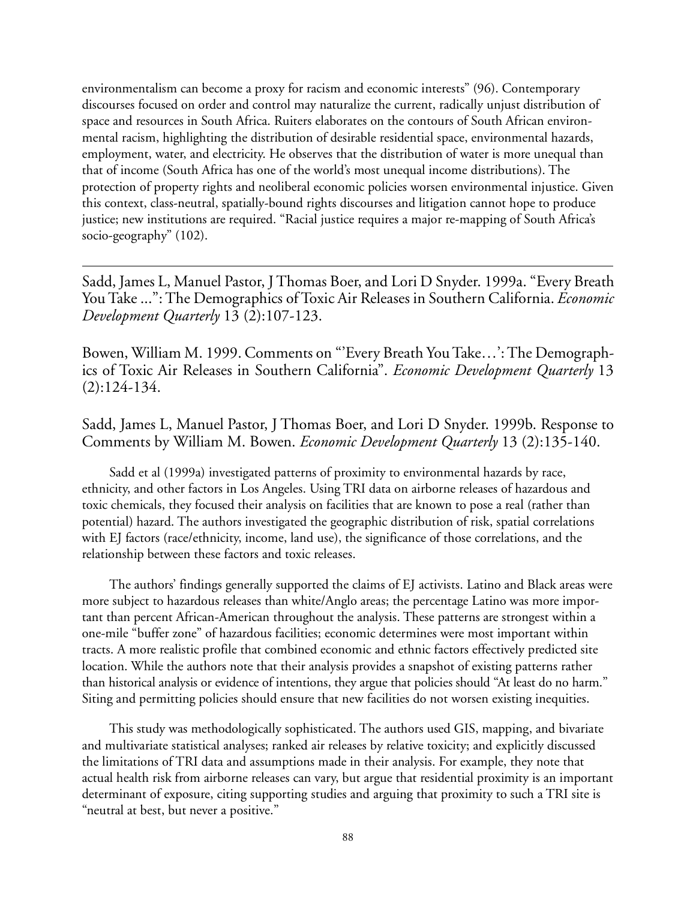environmentalism can become a proxy for racism and economic interests" (96). Contemporary discourses focused on order and control may naturalize the current, radically unjust distribution of space and resources in South Africa. Ruiters elaborates on the contours of South African environmental racism, highlighting the distribution of desirable residential space, environmental hazards, employment, water, and electricity. He observes that the distribution of water is more unequal than that of income (South Africa has one of the world's most unequal income distributions). The protection of property rights and neoliberal economic policies worsen environmental injustice. Given this context, class-neutral, spatially-bound rights discourses and litigation cannot hope to produce justice; new institutions are required. "Racial justice requires a major re-mapping of South Africa's socio-geography" (102).

Sadd, James L, Manuel Pastor, J Thomas Boer, and Lori D Snyder. 1999a. "Every Breath You Take ...": The Demographics of Toxic Air Releases in Southern California. *Economic Development Quarterly* 13 (2):107-123.

Bowen, William M. 1999. Comments on "'Every Breath You Take…': The Demographics of Toxic Air Releases in Southern California". *Economic Development Quarterly* 13 (2):124-134.

Sadd, James L, Manuel Pastor, J Thomas Boer, and Lori D Snyder. 1999b. Response to Comments by William M. Bowen. *Economic Development Quarterly* 13 (2):135-140.

Sadd et al (1999a) investigated patterns of proximity to environmental hazards by race, ethnicity, and other factors in Los Angeles. Using TRI data on airborne releases of hazardous and toxic chemicals, they focused their analysis on facilities that are known to pose a real (rather than potential) hazard. The authors investigated the geographic distribution of risk, spatial correlations with EJ factors (race/ethnicity, income, land use), the significance of those correlations, and the relationship between these factors and toxic releases.

The authors' findings generally supported the claims of EJ activists. Latino and Black areas were more subject to hazardous releases than white/Anglo areas; the percentage Latino was more important than percent African-American throughout the analysis. These patterns are strongest within a one-mile "buffer zone" of hazardous facilities; economic determines were most important within tracts. A more realistic profile that combined economic and ethnic factors effectively predicted site location. While the authors note that their analysis provides a snapshot of existing patterns rather than historical analysis or evidence of intentions, they argue that policies should "At least do no harm." Siting and permitting policies should ensure that new facilities do not worsen existing inequities.

This study was methodologically sophisticated. The authors used GIS, mapping, and bivariate and multivariate statistical analyses; ranked air releases by relative toxicity; and explicitly discussed the limitations of TRI data and assumptions made in their analysis. For example, they note that actual health risk from airborne releases can vary, but argue that residential proximity is an important determinant of exposure, citing supporting studies and arguing that proximity to such a TRI site is "neutral at best, but never a positive."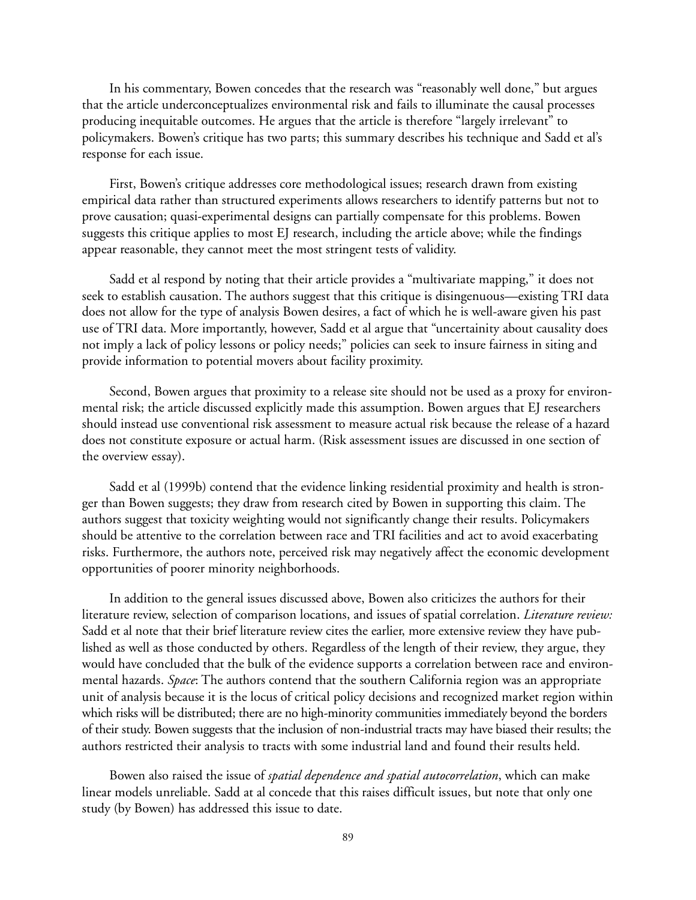In his commentary, Bowen concedes that the research was "reasonably well done," but argues that the article underconceptualizes environmental risk and fails to illuminate the causal processes producing inequitable outcomes. He argues that the article is therefore "largely irrelevant" to policymakers. Bowen's critique has two parts; this summary describes his technique and Sadd et al's response for each issue.

First, Bowen's critique addresses core methodological issues; research drawn from existing empirical data rather than structured experiments allows researchers to identify patterns but not to prove causation; quasi-experimental designs can partially compensate for this problems. Bowen suggests this critique applies to most EJ research, including the article above; while the findings appear reasonable, they cannot meet the most stringent tests of validity.

Sadd et al respond by noting that their article provides a "multivariate mapping," it does not seek to establish causation. The authors suggest that this critique is disingenuous—existing TRI data does not allow for the type of analysis Bowen desires, a fact of which he is well-aware given his past use of TRI data. More importantly, however, Sadd et al argue that "uncertainity about causality does not imply a lack of policy lessons or policy needs;" policies can seek to insure fairness in siting and provide information to potential movers about facility proximity.

Second, Bowen argues that proximity to a release site should not be used as a proxy for environmental risk; the article discussed explicitly made this assumption. Bowen argues that EJ researchers should instead use conventional risk assessment to measure actual risk because the release of a hazard does not constitute exposure or actual harm. (Risk assessment issues are discussed in one section of the overview essay).

Sadd et al (1999b) contend that the evidence linking residential proximity and health is stronger than Bowen suggests; they draw from research cited by Bowen in supporting this claim. The authors suggest that toxicity weighting would not significantly change their results. Policymakers should be attentive to the correlation between race and TRI facilities and act to avoid exacerbating risks. Furthermore, the authors note, perceived risk may negatively affect the economic development opportunities of poorer minority neighborhoods.

In addition to the general issues discussed above, Bowen also criticizes the authors for their literature review, selection of comparison locations, and issues of spatial correlation. *Literature review:* Sadd et al note that their brief literature review cites the earlier, more extensive review they have published as well as those conducted by others. Regardless of the length of their review, they argue, they would have concluded that the bulk of the evidence supports a correlation between race and environmental hazards. *Space*: The authors contend that the southern California region was an appropriate unit of analysis because it is the locus of critical policy decisions and recognized market region within which risks will be distributed; there are no high-minority communities immediately beyond the borders of their study. Bowen suggests that the inclusion of non-industrial tracts may have biased their results; the authors restricted their analysis to tracts with some industrial land and found their results held.

Bowen also raised the issue of *spatial dependence and spatial autocorrelation*, which can make linear models unreliable. Sadd at al concede that this raises difficult issues, but note that only one study (by Bowen) has addressed this issue to date.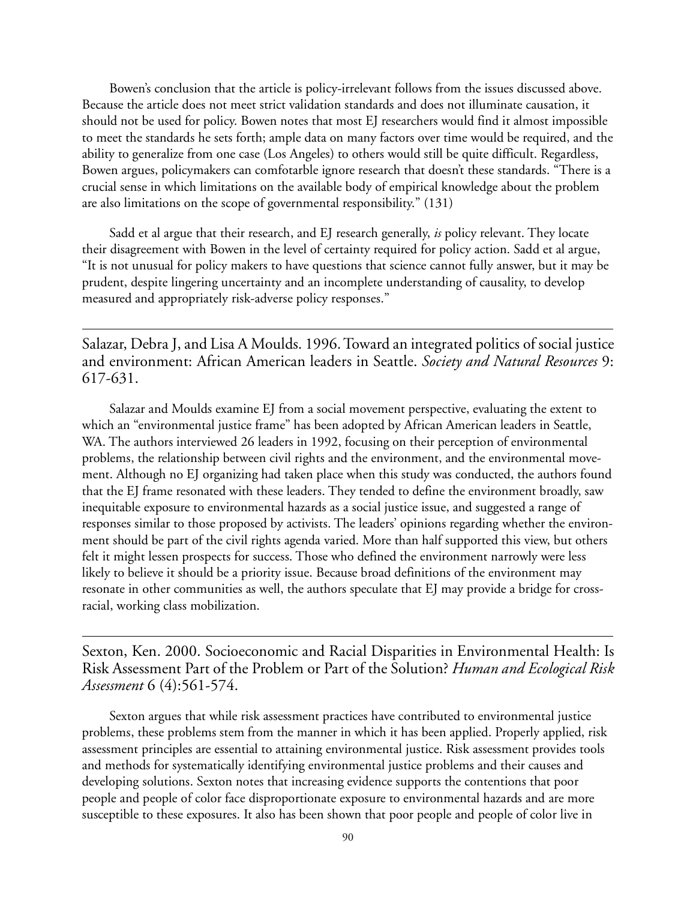Bowen's conclusion that the article is policy-irrelevant follows from the issues discussed above. Because the article does not meet strict validation standards and does not illuminate causation, it should not be used for policy. Bowen notes that most EJ researchers would find it almost impossible to meet the standards he sets forth; ample data on many factors over time would be required, and the ability to generalize from one case (Los Angeles) to others would still be quite difficult. Regardless, Bowen argues, policymakers can comfotarble ignore research that doesn't these standards. "There is a crucial sense in which limitations on the available body of empirical knowledge about the problem are also limitations on the scope of governmental responsibility." (131)

Sadd et al argue that their research, and EJ research generally, *is* policy relevant. They locate their disagreement with Bowen in the level of certainty required for policy action. Sadd et al argue, "It is not unusual for policy makers to have questions that science cannot fully answer, but it may be prudent, despite lingering uncertainty and an incomplete understanding of causality, to develop measured and appropriately risk-adverse policy responses."

Salazar, Debra J, and Lisa A Moulds. 1996. Toward an integrated politics of social justice and environment: African American leaders in Seattle. *Society and Natural Resources* 9: 617-631.

Salazar and Moulds examine EJ from a social movement perspective, evaluating the extent to which an "environmental justice frame" has been adopted by African American leaders in Seattle, WA. The authors interviewed 26 leaders in 1992, focusing on their perception of environmental problems, the relationship between civil rights and the environment, and the environmental movement. Although no EJ organizing had taken place when this study was conducted, the authors found that the EJ frame resonated with these leaders. They tended to define the environment broadly, saw inequitable exposure to environmental hazards as a social justice issue, and suggested a range of responses similar to those proposed by activists. The leaders' opinions regarding whether the environment should be part of the civil rights agenda varied. More than half supported this view, but others felt it might lessen prospects for success. Those who defined the environment narrowly were less likely to believe it should be a priority issue. Because broad definitions of the environment may resonate in other communities as well, the authors speculate that EJ may provide a bridge for crossracial, working class mobilization.

Sexton, Ken. 2000. Socioeconomic and Racial Disparities in Environmental Health: Is Risk Assessment Part of the Problem or Part of the Solution? *Human and Ecological Risk Assessment* 6 (4):561-574.

Sexton argues that while risk assessment practices have contributed to environmental justice problems, these problems stem from the manner in which it has been applied. Properly applied, risk assessment principles are essential to attaining environmental justice. Risk assessment provides tools and methods for systematically identifying environmental justice problems and their causes and developing solutions. Sexton notes that increasing evidence supports the contentions that poor people and people of color face disproportionate exposure to environmental hazards and are more susceptible to these exposures. It also has been shown that poor people and people of color live in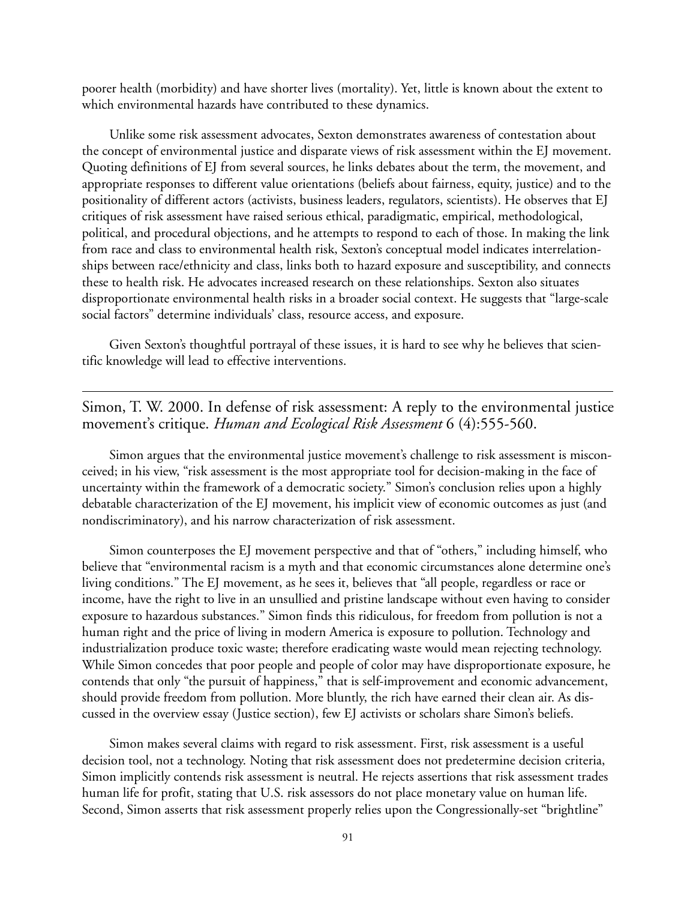poorer health (morbidity) and have shorter lives (mortality). Yet, little is known about the extent to which environmental hazards have contributed to these dynamics.

Unlike some risk assessment advocates, Sexton demonstrates awareness of contestation about the concept of environmental justice and disparate views of risk assessment within the EJ movement. Quoting definitions of EJ from several sources, he links debates about the term, the movement, and appropriate responses to different value orientations (beliefs about fairness, equity, justice) and to the positionality of different actors (activists, business leaders, regulators, scientists). He observes that EJ critiques of risk assessment have raised serious ethical, paradigmatic, empirical, methodological, political, and procedural objections, and he attempts to respond to each of those. In making the link from race and class to environmental health risk, Sexton's conceptual model indicates interrelationships between race/ethnicity and class, links both to hazard exposure and susceptibility, and connects these to health risk. He advocates increased research on these relationships. Sexton also situates disproportionate environmental health risks in a broader social context. He suggests that "large-scale social factors" determine individuals' class, resource access, and exposure.

Given Sexton's thoughtful portrayal of these issues, it is hard to see why he believes that scientific knowledge will lead to effective interventions.

Simon, T. W. 2000. In defense of risk assessment: A reply to the environmental justice movement's critique. *Human and Ecological Risk Assessment* 6 (4):555-560.

Simon argues that the environmental justice movement's challenge to risk assessment is misconceived; in his view, "risk assessment is the most appropriate tool for decision-making in the face of uncertainty within the framework of a democratic society." Simon's conclusion relies upon a highly debatable characterization of the EJ movement, his implicit view of economic outcomes as just (and nondiscriminatory), and his narrow characterization of risk assessment.

Simon counterposes the EJ movement perspective and that of "others," including himself, who believe that "environmental racism is a myth and that economic circumstances alone determine one's living conditions." The EJ movement, as he sees it, believes that "all people, regardless or race or income, have the right to live in an unsullied and pristine landscape without even having to consider exposure to hazardous substances." Simon finds this ridiculous, for freedom from pollution is not a human right and the price of living in modern America is exposure to pollution. Technology and industrialization produce toxic waste; therefore eradicating waste would mean rejecting technology. While Simon concedes that poor people and people of color may have disproportionate exposure, he contends that only "the pursuit of happiness," that is self-improvement and economic advancement, should provide freedom from pollution. More bluntly, the rich have earned their clean air. As discussed in the overview essay (Justice section), few EJ activists or scholars share Simon's beliefs.

Simon makes several claims with regard to risk assessment. First, risk assessment is a useful decision tool, not a technology. Noting that risk assessment does not predetermine decision criteria, Simon implicitly contends risk assessment is neutral. He rejects assertions that risk assessment trades human life for profit, stating that U.S. risk assessors do not place monetary value on human life. Second, Simon asserts that risk assessment properly relies upon the Congressionally-set "brightline"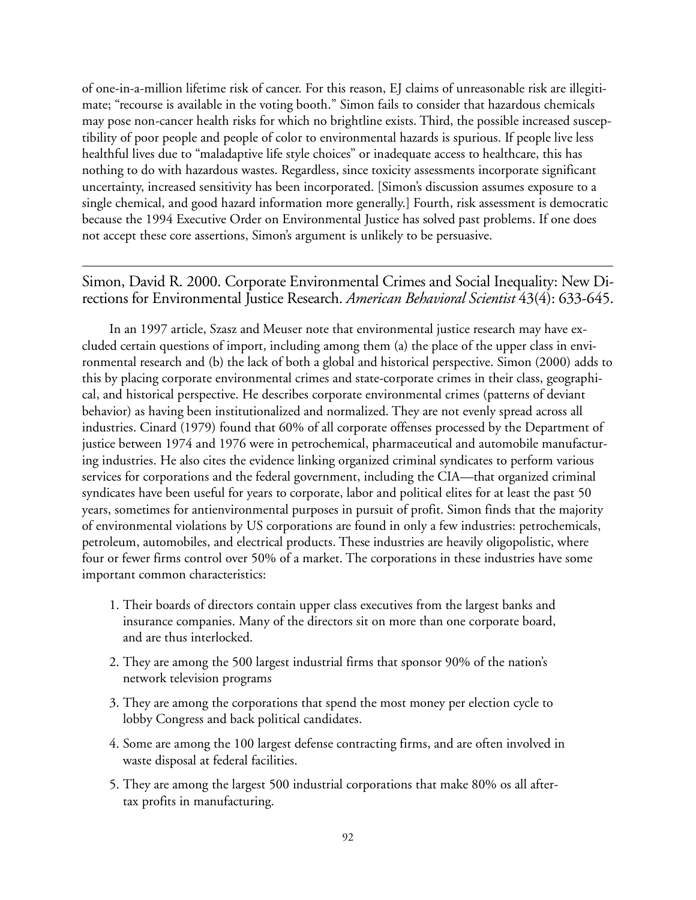of one-in-a-million lifetime risk of cancer. For this reason, EJ claims of unreasonable risk are illegitimate; "recourse is available in the voting booth." Simon fails to consider that hazardous chemicals may pose non-cancer health risks for which no brightline exists. Third, the possible increased susceptibility of poor people and people of color to environmental hazards is spurious. If people live less healthful lives due to "maladaptive life style choices" or inadequate access to healthcare, this has nothing to do with hazardous wastes. Regardless, since toxicity assessments incorporate significant uncertainty, increased sensitivity has been incorporated. [Simon's discussion assumes exposure to a single chemical, and good hazard information more generally.] Fourth, risk assessment is democratic because the 1994 Executive Order on Environmental Justice has solved past problems. If one does not accept these core assertions, Simon's argument is unlikely to be persuasive.

### Simon, David R. 2000. Corporate Environmental Crimes and Social Inequality: New Directions for Environmental Justice Research. *American Behavioral Scientist* 43(4): 633-645.

In an 1997 article, Szasz and Meuser note that environmental justice research may have excluded certain questions of import, including among them (a) the place of the upper class in environmental research and (b) the lack of both a global and historical perspective. Simon (2000) adds to this by placing corporate environmental crimes and state-corporate crimes in their class, geographical, and historical perspective. He describes corporate environmental crimes (patterns of deviant behavior) as having been institutionalized and normalized. They are not evenly spread across all industries. Cinard (1979) found that 60% of all corporate offenses processed by the Department of justice between 1974 and 1976 were in petrochemical, pharmaceutical and automobile manufacturing industries. He also cites the evidence linking organized criminal syndicates to perform various services for corporations and the federal government, including the CIA—that organized criminal syndicates have been useful for years to corporate, labor and political elites for at least the past 50 years, sometimes for antienvironmental purposes in pursuit of profit. Simon finds that the majority of environmental violations by US corporations are found in only a few industries: petrochemicals, petroleum, automobiles, and electrical products. These industries are heavily oligopolistic, where four or fewer firms control over 50% of a market. The corporations in these industries have some important common characteristics:

- 1. Their boards of directors contain upper class executives from the largest banks and insurance companies. Many of the directors sit on more than one corporate board, and are thus interlocked.
- 2. They are among the 500 largest industrial firms that sponsor 90% of the nation's network television programs
- 3. They are among the corporations that spend the most money per election cycle to lobby Congress and back political candidates.
- 4. Some are among the 100 largest defense contracting firms, and are often involved in waste disposal at federal facilities.
- 5. They are among the largest 500 industrial corporations that make 80% os all aftertax profits in manufacturing.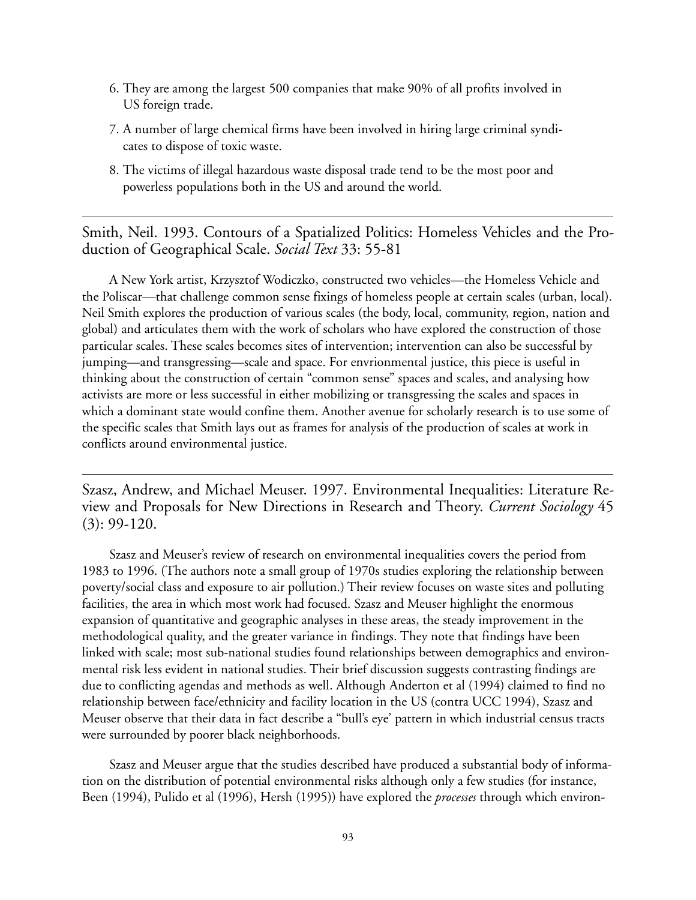- 6. They are among the largest 500 companies that make 90% of all profits involved in US foreign trade.
- 7. A number of large chemical firms have been involved in hiring large criminal syndicates to dispose of toxic waste.
- 8. The victims of illegal hazardous waste disposal trade tend to be the most poor and powerless populations both in the US and around the world.

Smith, Neil. 1993. Contours of a Spatialized Politics: Homeless Vehicles and the Production of Geographical Scale. *Social Text* 33: 55-81

A New York artist, Krzysztof Wodiczko, constructed two vehicles—the Homeless Vehicle and the Poliscar—that challenge common sense fixings of homeless people at certain scales (urban, local). Neil Smith explores the production of various scales (the body, local, community, region, nation and global) and articulates them with the work of scholars who have explored the construction of those particular scales. These scales becomes sites of intervention; intervention can also be successful by jumping—and transgressing—scale and space. For envrionmental justice, this piece is useful in thinking about the construction of certain "common sense" spaces and scales, and analysing how activists are more or less successful in either mobilizing or transgressing the scales and spaces in which a dominant state would confine them. Another avenue for scholarly research is to use some of the specific scales that Smith lays out as frames for analysis of the production of scales at work in conflicts around environmental justice.

Szasz, Andrew, and Michael Meuser. 1997. Environmental Inequalities: Literature Review and Proposals for New Directions in Research and Theory. *Current Sociology* 45 (3): 99-120.

Szasz and Meuser's review of research on environmental inequalities covers the period from 1983 to 1996. (The authors note a small group of 1970s studies exploring the relationship between poverty/social class and exposure to air pollution.) Their review focuses on waste sites and polluting facilities, the area in which most work had focused. Szasz and Meuser highlight the enormous expansion of quantitative and geographic analyses in these areas, the steady improvement in the methodological quality, and the greater variance in findings. They note that findings have been linked with scale; most sub-national studies found relationships between demographics and environmental risk less evident in national studies. Their brief discussion suggests contrasting findings are due to conflicting agendas and methods as well. Although Anderton et al (1994) claimed to find no relationship between face/ethnicity and facility location in the US (contra UCC 1994), Szasz and Meuser observe that their data in fact describe a "bull's eye' pattern in which industrial census tracts were surrounded by poorer black neighborhoods.

Szasz and Meuser argue that the studies described have produced a substantial body of information on the distribution of potential environmental risks although only a few studies (for instance, Been (1994), Pulido et al (1996), Hersh (1995)) have explored the *processes* through which environ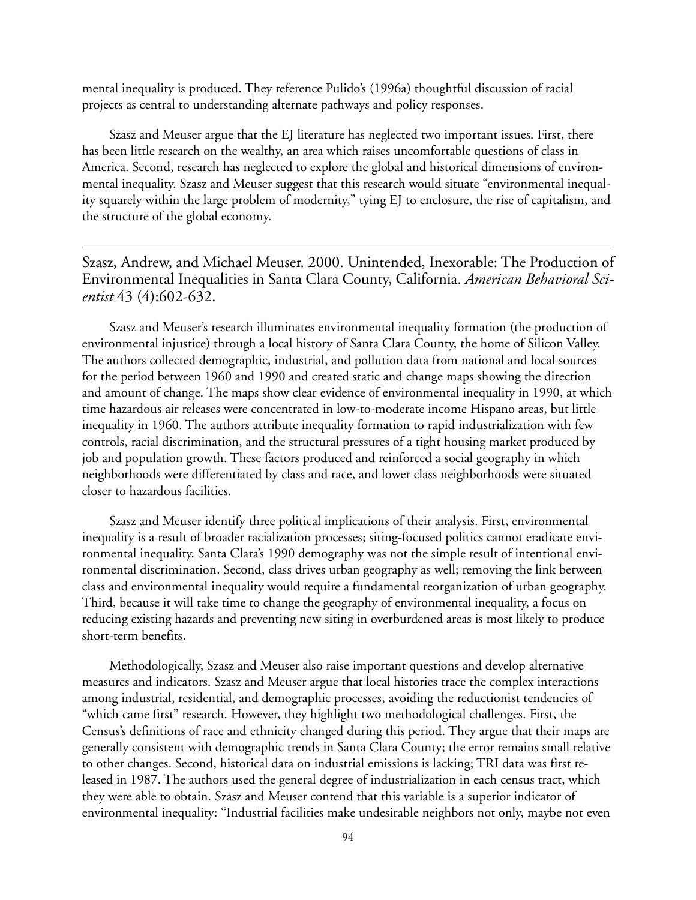mental inequality is produced. They reference Pulido's (1996a) thoughtful discussion of racial projects as central to understanding alternate pathways and policy responses.

Szasz and Meuser argue that the EJ literature has neglected two important issues. First, there has been little research on the wealthy, an area which raises uncomfortable questions of class in America. Second, research has neglected to explore the global and historical dimensions of environmental inequality. Szasz and Meuser suggest that this research would situate "environmental inequality squarely within the large problem of modernity," tying EJ to enclosure, the rise of capitalism, and the structure of the global economy.

Szasz, Andrew, and Michael Meuser. 2000. Unintended, Inexorable: The Production of Environmental Inequalities in Santa Clara County, California. *American Behavioral Scientist* 43 (4):602-632.

Szasz and Meuser's research illuminates environmental inequality formation (the production of environmental injustice) through a local history of Santa Clara County, the home of Silicon Valley. The authors collected demographic, industrial, and pollution data from national and local sources for the period between 1960 and 1990 and created static and change maps showing the direction and amount of change. The maps show clear evidence of environmental inequality in 1990, at which time hazardous air releases were concentrated in low-to-moderate income Hispano areas, but little inequality in 1960. The authors attribute inequality formation to rapid industrialization with few controls, racial discrimination, and the structural pressures of a tight housing market produced by job and population growth. These factors produced and reinforced a social geography in which neighborhoods were differentiated by class and race, and lower class neighborhoods were situated closer to hazardous facilities.

Szasz and Meuser identify three political implications of their analysis. First, environmental inequality is a result of broader racialization processes; siting-focused politics cannot eradicate environmental inequality. Santa Clara's 1990 demography was not the simple result of intentional environmental discrimination. Second, class drives urban geography as well; removing the link between class and environmental inequality would require a fundamental reorganization of urban geography. Third, because it will take time to change the geography of environmental inequality, a focus on reducing existing hazards and preventing new siting in overburdened areas is most likely to produce short-term benefits.

Methodologically, Szasz and Meuser also raise important questions and develop alternative measures and indicators. Szasz and Meuser argue that local histories trace the complex interactions among industrial, residential, and demographic processes, avoiding the reductionist tendencies of "which came first" research. However, they highlight two methodological challenges. First, the Census's definitions of race and ethnicity changed during this period. They argue that their maps are generally consistent with demographic trends in Santa Clara County; the error remains small relative to other changes. Second, historical data on industrial emissions is lacking; TRI data was first released in 1987. The authors used the general degree of industrialization in each census tract, which they were able to obtain. Szasz and Meuser contend that this variable is a superior indicator of environmental inequality: "Industrial facilities make undesirable neighbors not only, maybe not even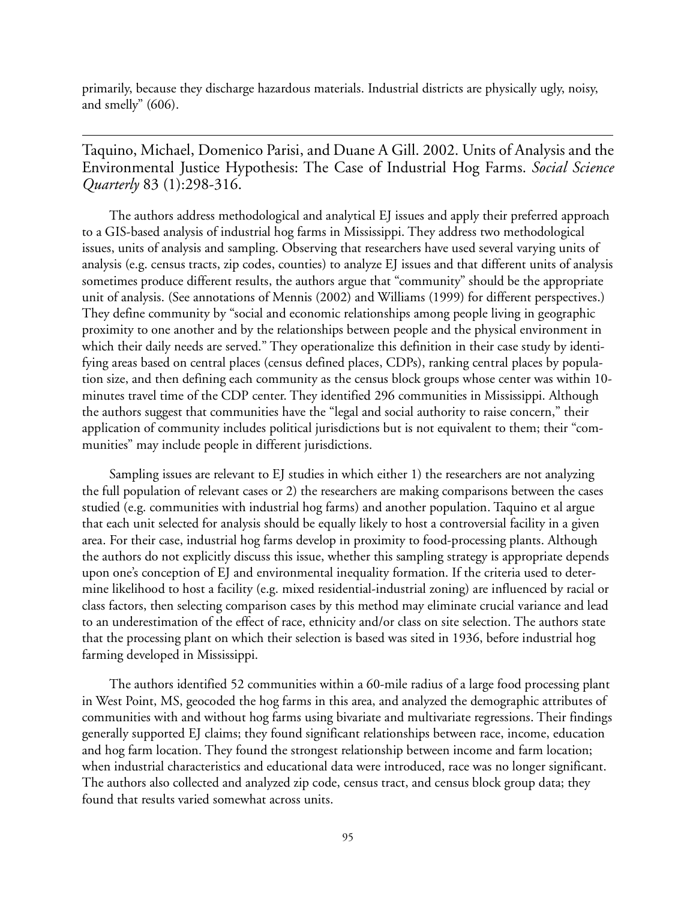primarily, because they discharge hazardous materials. Industrial districts are physically ugly, noisy, and smelly" (606).

Taquino, Michael, Domenico Parisi, and Duane A Gill. 2002. Units of Analysis and the Environmental Justice Hypothesis: The Case of Industrial Hog Farms. *Social Science Quarterly* 83 (1):298-316.

The authors address methodological and analytical EJ issues and apply their preferred approach to a GIS-based analysis of industrial hog farms in Mississippi. They address two methodological issues, units of analysis and sampling. Observing that researchers have used several varying units of analysis (e.g. census tracts, zip codes, counties) to analyze EJ issues and that different units of analysis sometimes produce different results, the authors argue that "community" should be the appropriate unit of analysis. (See annotations of Mennis (2002) and Williams (1999) for different perspectives.) They define community by "social and economic relationships among people living in geographic proximity to one another and by the relationships between people and the physical environment in which their daily needs are served." They operationalize this definition in their case study by identifying areas based on central places (census defined places, CDPs), ranking central places by population size, and then defining each community as the census block groups whose center was within 10 minutes travel time of the CDP center. They identified 296 communities in Mississippi. Although the authors suggest that communities have the "legal and social authority to raise concern," their application of community includes political jurisdictions but is not equivalent to them; their "communities" may include people in different jurisdictions.

Sampling issues are relevant to EJ studies in which either 1) the researchers are not analyzing the full population of relevant cases or 2) the researchers are making comparisons between the cases studied (e.g. communities with industrial hog farms) and another population. Taquino et al argue that each unit selected for analysis should be equally likely to host a controversial facility in a given area. For their case, industrial hog farms develop in proximity to food-processing plants. Although the authors do not explicitly discuss this issue, whether this sampling strategy is appropriate depends upon one's conception of EJ and environmental inequality formation. If the criteria used to determine likelihood to host a facility (e.g. mixed residential-industrial zoning) are influenced by racial or class factors, then selecting comparison cases by this method may eliminate crucial variance and lead to an underestimation of the effect of race, ethnicity and/or class on site selection. The authors state that the processing plant on which their selection is based was sited in 1936, before industrial hog farming developed in Mississippi.

The authors identified 52 communities within a 60-mile radius of a large food processing plant in West Point, MS, geocoded the hog farms in this area, and analyzed the demographic attributes of communities with and without hog farms using bivariate and multivariate regressions. Their findings generally supported EJ claims; they found significant relationships between race, income, education and hog farm location. They found the strongest relationship between income and farm location; when industrial characteristics and educational data were introduced, race was no longer significant. The authors also collected and analyzed zip code, census tract, and census block group data; they found that results varied somewhat across units.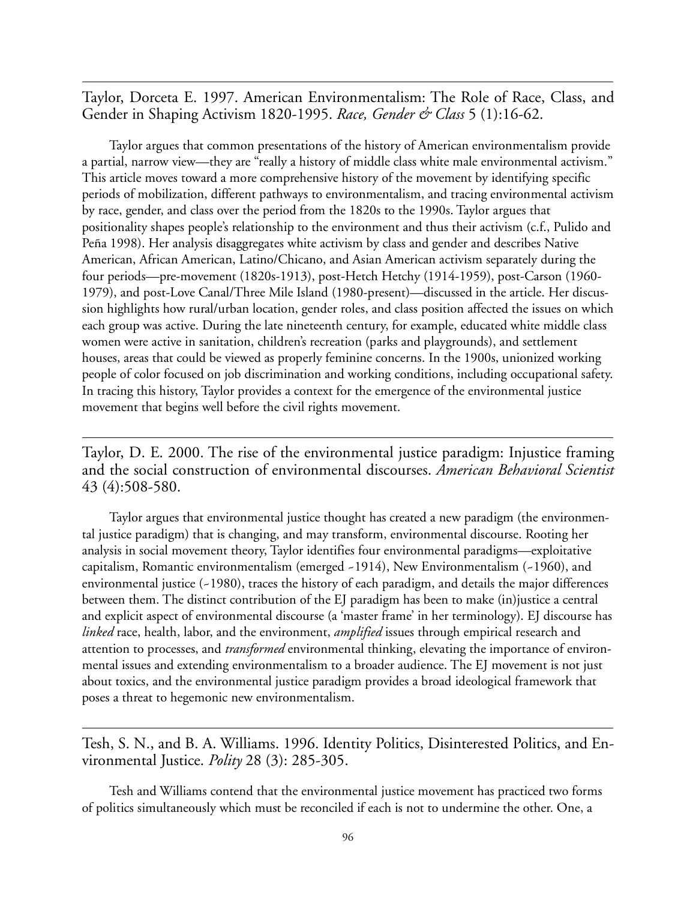Taylor, Dorceta E. 1997. American Environmentalism: The Role of Race, Class, and Gender in Shaping Activism 1820-1995. *Race, Gender & Class* 5 (1):16-62.

Taylor argues that common presentations of the history of American environmentalism provide a partial, narrow view—they are "really a history of middle class white male environmental activism." This article moves toward a more comprehensive history of the movement by identifying specific periods of mobilization, different pathways to environmentalism, and tracing environmental activism by race, gender, and class over the period from the 1820s to the 1990s. Taylor argues that positionality shapes people's relationship to the environment and thus their activism (c.f., Pulido and Peña 1998). Her analysis disaggregates white activism by class and gender and describes Native American, African American, Latino/Chicano, and Asian American activism separately during the four periods—pre-movement (1820s-1913), post-Hetch Hetchy (1914-1959), post-Carson (1960- 1979), and post-Love Canal/Three Mile Island (1980-present)—discussed in the article. Her discussion highlights how rural/urban location, gender roles, and class position affected the issues on which each group was active. During the late nineteenth century, for example, educated white middle class women were active in sanitation, children's recreation (parks and playgrounds), and settlement houses, areas that could be viewed as properly feminine concerns. In the 1900s, unionized working people of color focused on job discrimination and working conditions, including occupational safety. In tracing this history, Taylor provides a context for the emergence of the environmental justice movement that begins well before the civil rights movement.

Taylor, D. E. 2000. The rise of the environmental justice paradigm: Injustice framing and the social construction of environmental discourses. *American Behavioral Scientist* 43 (4):508-580.

Taylor argues that environmental justice thought has created a new paradigm (the environmental justice paradigm) that is changing, and may transform, environmental discourse. Rooting her analysis in social movement theory, Taylor identifies four environmental paradigms—exploitative capitalism, Romantic environmentalism (emerged ~1914), New Environmentalism (~1960), and environmental justice (~1980), traces the history of each paradigm, and details the major differences between them. The distinct contribution of the EJ paradigm has been to make (in)justice a central and explicit aspect of environmental discourse (a 'master frame' in her terminology). EJ discourse has *linked* race, health, labor, and the environment, *amplified* issues through empirical research and attention to processes, and *transformed* environmental thinking, elevating the importance of environmental issues and extending environmentalism to a broader audience. The EJ movement is not just about toxics, and the environmental justice paradigm provides a broad ideological framework that poses a threat to hegemonic new environmentalism.

Tesh, S. N., and B. A. Williams. 1996. Identity Politics, Disinterested Politics, and Environmental Justice. *Polity* 28 (3): 285-305.

Tesh and Williams contend that the environmental justice movement has practiced two forms of politics simultaneously which must be reconciled if each is not to undermine the other. One, a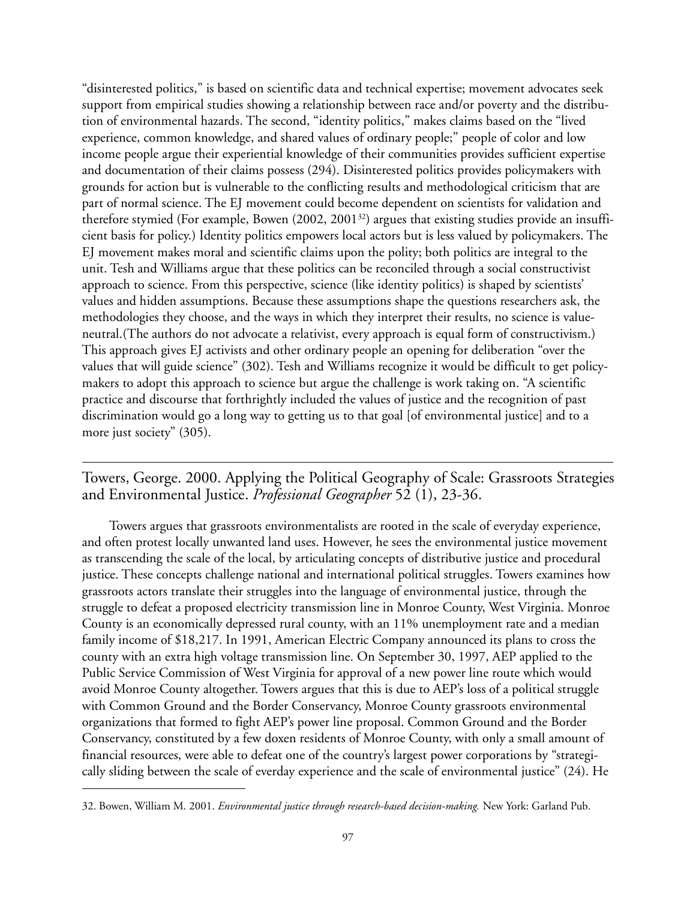"disinterested politics," is based on scientific data and technical expertise; movement advocates seek support from empirical studies showing a relationship between race and/or poverty and the distribution of environmental hazards. The second, "identity politics," makes claims based on the "lived experience, common knowledge, and shared values of ordinary people;" people of color and low income people argue their experiential knowledge of their communities provides sufficient expertise and documentation of their claims possess (294). Disinterested politics provides policymakers with grounds for action but is vulnerable to the conflicting results and methodological criticism that are part of normal science. The EJ movement could become dependent on scientists for validation and therefore stymied (For example, Bowen  $(2002, 2001^{32})$  argues that existing studies provide an insufficient basis for policy.) Identity politics empowers local actors but is less valued by policymakers. The EJ movement makes moral and scientific claims upon the polity; both politics are integral to the unit. Tesh and Williams argue that these politics can be reconciled through a social constructivist approach to science. From this perspective, science (like identity politics) is shaped by scientists' values and hidden assumptions. Because these assumptions shape the questions researchers ask, the methodologies they choose, and the ways in which they interpret their results, no science is valueneutral.(The authors do not advocate a relativist, every approach is equal form of constructivism.) This approach gives EJ activists and other ordinary people an opening for deliberation "over the values that will guide science" (302). Tesh and Williams recognize it would be difficult to get policymakers to adopt this approach to science but argue the challenge is work taking on. "A scientific practice and discourse that forthrightly included the values of justice and the recognition of past discrimination would go a long way to getting us to that goal [of environmental justice] and to a more just society" (305).

Towers, George. 2000. Applying the Political Geography of Scale: Grassroots Strategies and Environmental Justice. *Professional Geographer* 52 (1), 23-36.

Towers argues that grassroots environmentalists are rooted in the scale of everyday experience, and often protest locally unwanted land uses. However, he sees the environmental justice movement as transcending the scale of the local, by articulating concepts of distributive justice and procedural justice. These concepts challenge national and international political struggles. Towers examines how grassroots actors translate their struggles into the language of environmental justice, through the struggle to defeat a proposed electricity transmission line in Monroe County, West Virginia. Monroe County is an economically depressed rural county, with an 11% unemployment rate and a median family income of \$18,217. In 1991, American Electric Company announced its plans to cross the county with an extra high voltage transmission line. On September 30, 1997, AEP applied to the Public Service Commission of West Virginia for approval of a new power line route which would avoid Monroe County altogether. Towers argues that this is due to AEP's loss of a political struggle with Common Ground and the Border Conservancy, Monroe County grassroots environmental organizations that formed to fight AEP's power line proposal. Common Ground and the Border Conservancy, constituted by a few doxen residents of Monroe County, with only a small amount of financial resources, were able to defeat one of the country's largest power corporations by "strategically sliding between the scale of everday experience and the scale of environmental justice" (24). He

<sup>32.</sup> Bowen, William M. 2001. *Environmental justice through research-based decision-making.* New York: Garland Pub.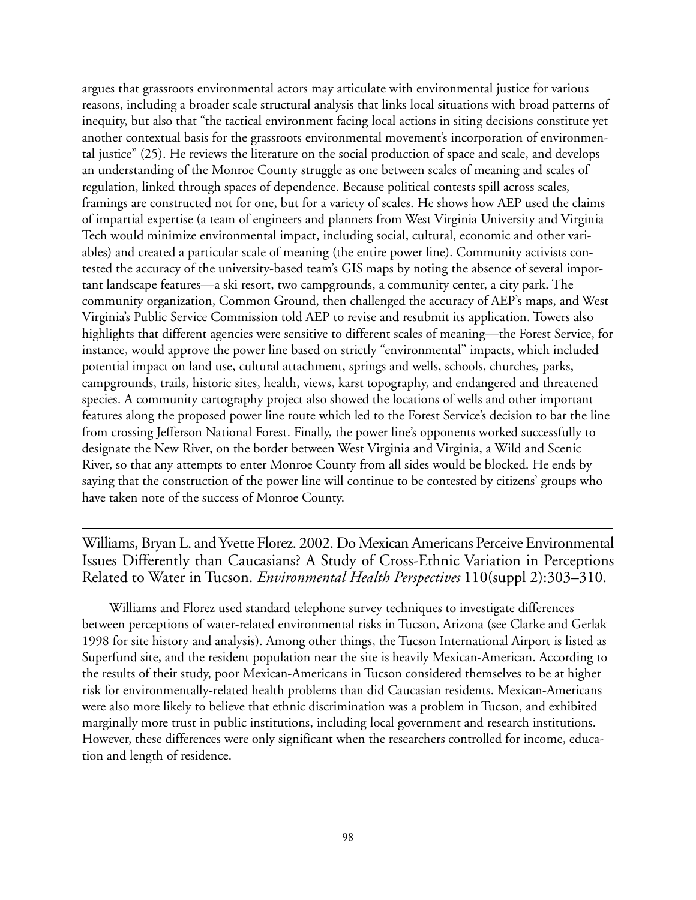argues that grassroots environmental actors may articulate with environmental justice for various reasons, including a broader scale structural analysis that links local situations with broad patterns of inequity, but also that "the tactical environment facing local actions in siting decisions constitute yet another contextual basis for the grassroots environmental movement's incorporation of environmental justice" (25). He reviews the literature on the social production of space and scale, and develops an understanding of the Monroe County struggle as one between scales of meaning and scales of regulation, linked through spaces of dependence. Because political contests spill across scales, framings are constructed not for one, but for a variety of scales. He shows how AEP used the claims of impartial expertise (a team of engineers and planners from West Virginia University and Virginia Tech would minimize environmental impact, including social, cultural, economic and other variables) and created a particular scale of meaning (the entire power line). Community activists contested the accuracy of the university-based team's GIS maps by noting the absence of several important landscape features—a ski resort, two campgrounds, a community center, a city park. The community organization, Common Ground, then challenged the accuracy of AEP's maps, and West Virginia's Public Service Commission told AEP to revise and resubmit its application. Towers also highlights that different agencies were sensitive to different scales of meaning—the Forest Service, for instance, would approve the power line based on strictly "environmental" impacts, which included potential impact on land use, cultural attachment, springs and wells, schools, churches, parks, campgrounds, trails, historic sites, health, views, karst topography, and endangered and threatened species. A community cartography project also showed the locations of wells and other important features along the proposed power line route which led to the Forest Service's decision to bar the line from crossing Jefferson National Forest. Finally, the power line's opponents worked successfully to designate the New River, on the border between West Virginia and Virginia, a Wild and Scenic River, so that any attempts to enter Monroe County from all sides would be blocked. He ends by saying that the construction of the power line will continue to be contested by citizens' groups who have taken note of the success of Monroe County.

Williams, Bryan L. and Yvette Florez. 2002. Do Mexican Americans Perceive Environmental Issues Differently than Caucasians? A Study of Cross-Ethnic Variation in Perceptions Related to Water in Tucson. *Environmental Health Perspectives* 110(suppl 2):303–310.

Williams and Florez used standard telephone survey techniques to investigate differences between perceptions of water-related environmental risks in Tucson, Arizona (see Clarke and Gerlak 1998 for site history and analysis). Among other things, the Tucson International Airport is listed as Superfund site, and the resident population near the site is heavily Mexican-American. According to the results of their study, poor Mexican-Americans in Tucson considered themselves to be at higher risk for environmentally-related health problems than did Caucasian residents. Mexican-Americans were also more likely to believe that ethnic discrimination was a problem in Tucson, and exhibited marginally more trust in public institutions, including local government and research institutions. However, these differences were only significant when the researchers controlled for income, education and length of residence.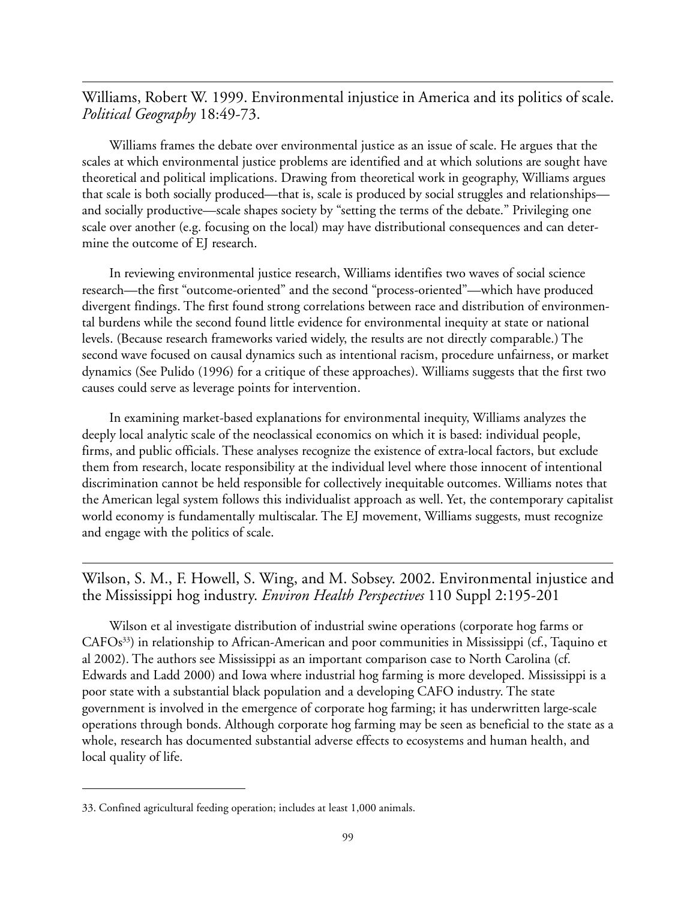# Williams, Robert W. 1999. Environmental injustice in America and its politics of scale. *Political Geography* 18:49-73.

Williams frames the debate over environmental justice as an issue of scale. He argues that the scales at which environmental justice problems are identified and at which solutions are sought have theoretical and political implications. Drawing from theoretical work in geography, Williams argues that scale is both socially produced—that is, scale is produced by social struggles and relationships and socially productive—scale shapes society by "setting the terms of the debate." Privileging one scale over another (e.g. focusing on the local) may have distributional consequences and can determine the outcome of EJ research.

In reviewing environmental justice research, Williams identifies two waves of social science research—the first "outcome-oriented" and the second "process-oriented"—which have produced divergent findings. The first found strong correlations between race and distribution of environmental burdens while the second found little evidence for environmental inequity at state or national levels. (Because research frameworks varied widely, the results are not directly comparable.) The second wave focused on causal dynamics such as intentional racism, procedure unfairness, or market dynamics (See Pulido (1996) for a critique of these approaches). Williams suggests that the first two causes could serve as leverage points for intervention.

In examining market-based explanations for environmental inequity, Williams analyzes the deeply local analytic scale of the neoclassical economics on which it is based: individual people, firms, and public officials. These analyses recognize the existence of extra-local factors, but exclude them from research, locate responsibility at the individual level where those innocent of intentional discrimination cannot be held responsible for collectively inequitable outcomes. Williams notes that the American legal system follows this individualist approach as well. Yet, the contemporary capitalist world economy is fundamentally multiscalar. The EJ movement, Williams suggests, must recognize and engage with the politics of scale.

Wilson, S. M., F. Howell, S. Wing, and M. Sobsey. 2002. Environmental injustice and the Mississippi hog industry. *Environ Health Perspectives* 110 Suppl 2:195-201

Wilson et al investigate distribution of industrial swine operations (corporate hog farms or  $CAFOs<sup>33</sup>$ ) in relationship to African-American and poor communities in Mississippi (cf., Taquino et al 2002). The authors see Mississippi as an important comparison case to North Carolina (cf. Edwards and Ladd 2000) and Iowa where industrial hog farming is more developed. Mississippi is a poor state with a substantial black population and a developing CAFO industry. The state government is involved in the emergence of corporate hog farming; it has underwritten large-scale operations through bonds. Although corporate hog farming may be seen as beneficial to the state as a whole, research has documented substantial adverse effects to ecosystems and human health, and local quality of life.

<sup>33.</sup> Confined agricultural feeding operation; includes at least 1,000 animals.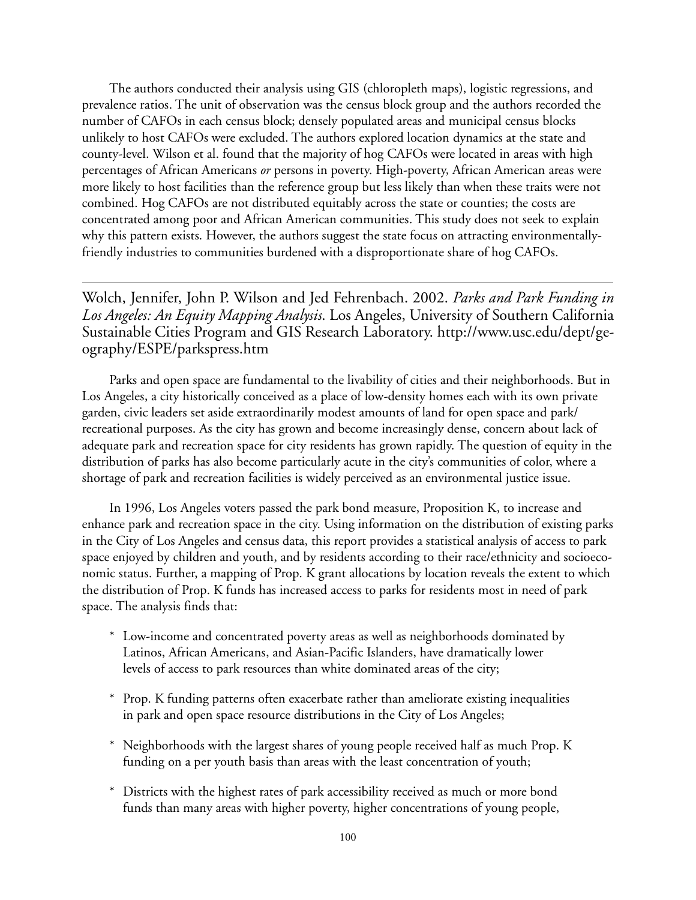The authors conducted their analysis using GIS (chloropleth maps), logistic regressions, and prevalence ratios. The unit of observation was the census block group and the authors recorded the number of CAFOs in each census block; densely populated areas and municipal census blocks unlikely to host CAFOs were excluded. The authors explored location dynamics at the state and county-level. Wilson et al. found that the majority of hog CAFOs were located in areas with high percentages of African Americans *or* persons in poverty. High-poverty, African American areas were more likely to host facilities than the reference group but less likely than when these traits were not combined. Hog CAFOs are not distributed equitably across the state or counties; the costs are concentrated among poor and African American communities. This study does not seek to explain why this pattern exists. However, the authors suggest the state focus on attracting environmentallyfriendly industries to communities burdened with a disproportionate share of hog CAFOs.

Wolch, Jennifer, John P. Wilson and Jed Fehrenbach. 2002. *Parks and Park Funding in Los Angeles: An Equity Mapping Analysis*. Los Angeles, University of Southern California Sustainable Cities Program and GIS Research Laboratory. http://www.usc.edu/dept/geography/ESPE/parkspress.htm

Parks and open space are fundamental to the livability of cities and their neighborhoods. But in Los Angeles, a city historically conceived as a place of low-density homes each with its own private garden, civic leaders set aside extraordinarily modest amounts of land for open space and park/ recreational purposes. As the city has grown and become increasingly dense, concern about lack of adequate park and recreation space for city residents has grown rapidly. The question of equity in the distribution of parks has also become particularly acute in the city's communities of color, where a shortage of park and recreation facilities is widely perceived as an environmental justice issue.

In 1996, Los Angeles voters passed the park bond measure, Proposition K, to increase and enhance park and recreation space in the city. Using information on the distribution of existing parks in the City of Los Angeles and census data, this report provides a statistical analysis of access to park space enjoyed by children and youth, and by residents according to their race/ethnicity and socioeconomic status. Further, a mapping of Prop. K grant allocations by location reveals the extent to which the distribution of Prop. K funds has increased access to parks for residents most in need of park space. The analysis finds that:

- \* Low-income and concentrated poverty areas as well as neighborhoods dominated by Latinos, African Americans, and Asian-Pacific Islanders, have dramatically lower levels of access to park resources than white dominated areas of the city;
- \* Prop. K funding patterns often exacerbate rather than ameliorate existing inequalities in park and open space resource distributions in the City of Los Angeles;
- \* Neighborhoods with the largest shares of young people received half as much Prop. K funding on a per youth basis than areas with the least concentration of youth;
- \* Districts with the highest rates of park accessibility received as much or more bond funds than many areas with higher poverty, higher concentrations of young people,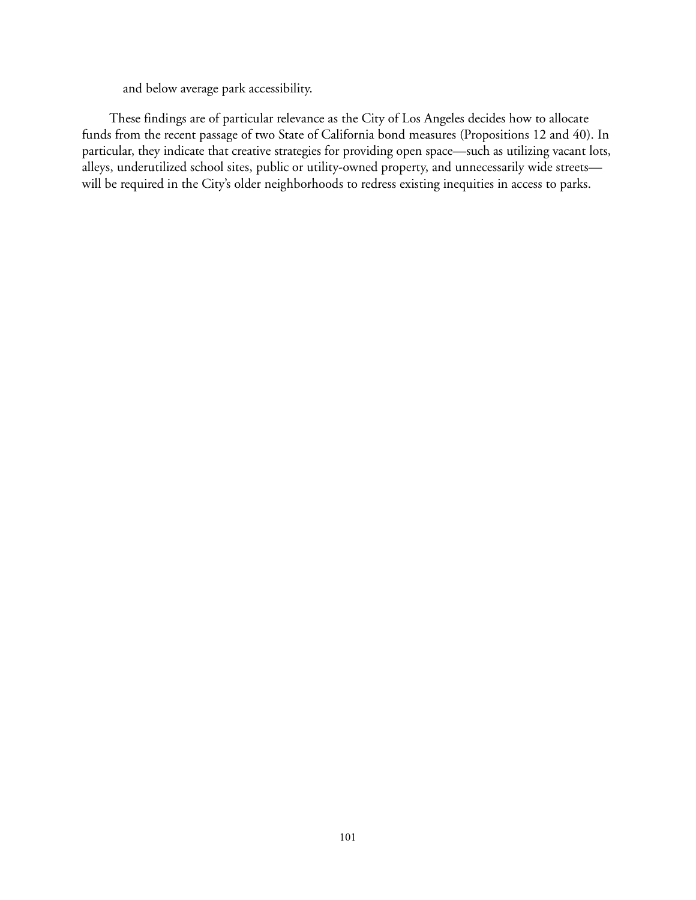and below average park accessibility.

These findings are of particular relevance as the City of Los Angeles decides how to allocate funds from the recent passage of two State of California bond measures (Propositions 12 and 40). In particular, they indicate that creative strategies for providing open space—such as utilizing vacant lots, alleys, underutilized school sites, public or utility-owned property, and unnecessarily wide streets will be required in the City's older neighborhoods to redress existing inequities in access to parks.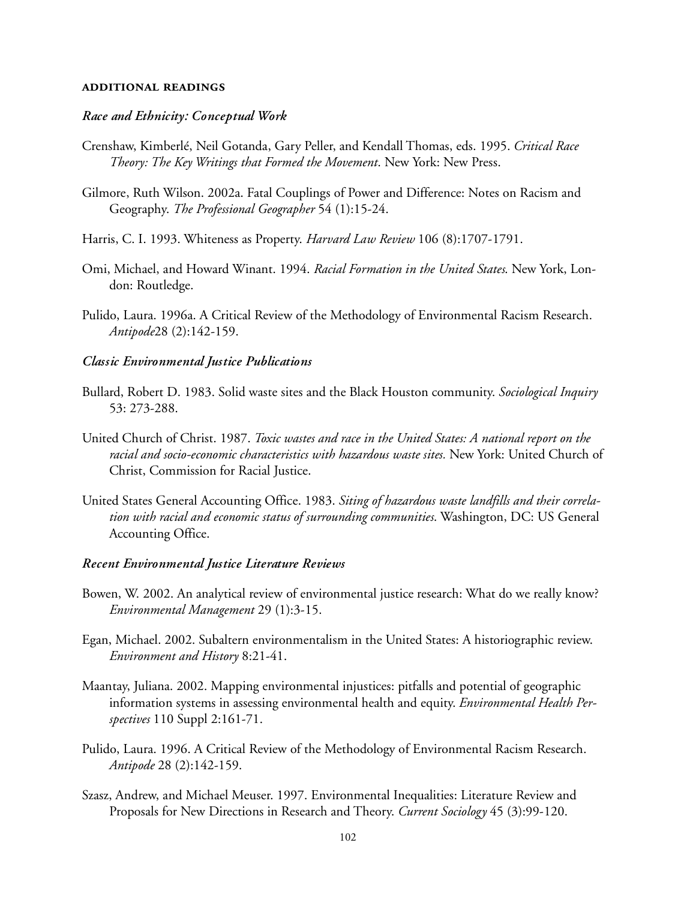### **ADDITIONAL READINGS**

### *Race and Ethnicity: Conceptual Work*

- Crenshaw, Kimberlé, Neil Gotanda, Gary Peller, and Kendall Thomas, eds. 1995. *Critical Race Theory: The Key Writings that Formed the Movement*. New York: New Press.
- Gilmore, Ruth Wilson. 2002a. Fatal Couplings of Power and Difference: Notes on Racism and Geography. *The Professional Geographer* 54 (1):15-24.
- Harris, C. I. 1993. Whiteness as Property. *Harvard Law Review* 106 (8):1707-1791.
- Omi, Michael, and Howard Winant. 1994. *Racial Formation in the United States*. New York, London: Routledge.
- Pulido, Laura. 1996a. A Critical Review of the Methodology of Environmental Racism Research. *Antipode*28 (2):142-159.

#### *Classic Environmental Justice Publications*

- Bullard, Robert D. 1983. Solid waste sites and the Black Houston community. *Sociological Inquiry* 53: 273-288.
- United Church of Christ. 1987. *Toxic wastes and race in the United States: A national report on the racial and socio-economic characteristics with hazardous waste sites.* New York: United Church of Christ, Commission for Racial Justice.
- United States General Accounting Office. 1983. *Siting of hazardous waste landfills and their correlation with racial and economic status of surrounding communities*. Washington, DC: US General Accounting Office.

#### *Recent Environmental Justice Literature Reviews*

- Bowen, W. 2002. An analytical review of environmental justice research: What do we really know? *Environmental Management* 29 (1):3-15.
- Egan, Michael. 2002. Subaltern environmentalism in the United States: A historiographic review. *Environment and History* 8:21-41.
- Maantay, Juliana. 2002. Mapping environmental injustices: pitfalls and potential of geographic information systems in assessing environmental health and equity. *Environmental Health Perspectives* 110 Suppl 2:161-71.
- Pulido, Laura. 1996. A Critical Review of the Methodology of Environmental Racism Research. *Antipode* 28 (2):142-159.
- Szasz, Andrew, and Michael Meuser. 1997. Environmental Inequalities: Literature Review and Proposals for New Directions in Research and Theory. *Current Sociology* 45 (3):99-120.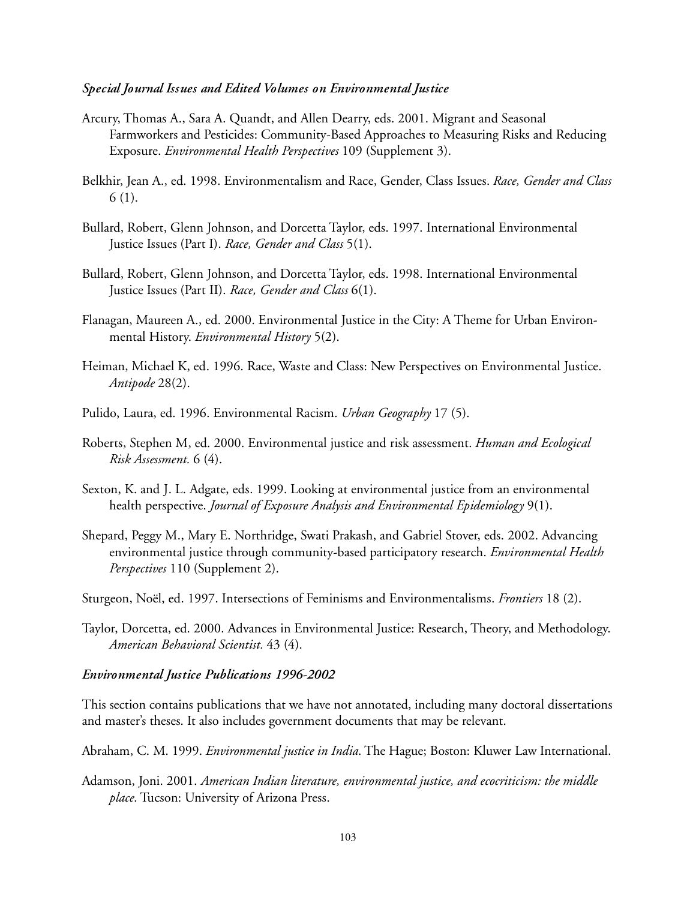#### *Special Journal Issues and Edited Volumes on Environmental Justice*

- Arcury, Thomas A., Sara A. Quandt, and Allen Dearry, eds. 2001. Migrant and Seasonal Farmworkers and Pesticides: Community-Based Approaches to Measuring Risks and Reducing Exposure. *Environmental Health Perspectives* 109 (Supplement 3).
- Belkhir, Jean A., ed. 1998. Environmentalism and Race, Gender, Class Issues. *Race, Gender and Class* 6 (1).
- Bullard, Robert, Glenn Johnson, and Dorcetta Taylor, eds. 1997. International Environmental Justice Issues (Part I). *Race, Gender and Class* 5(1).
- Bullard, Robert, Glenn Johnson, and Dorcetta Taylor, eds. 1998. International Environmental Justice Issues (Part II). *Race, Gender and Class* 6(1).
- Flanagan, Maureen A., ed. 2000. Environmental Justice in the City: A Theme for Urban Environmental History. *Environmental History* 5(2).
- Heiman, Michael K, ed. 1996. Race, Waste and Class: New Perspectives on Environmental Justice. *Antipode* 28(2).
- Pulido, Laura, ed. 1996. Environmental Racism. *Urban Geography* 17 (5).
- Roberts, Stephen M, ed. 2000. Environmental justice and risk assessment. *Human and Ecological Risk Assessment.* 6 (4).
- Sexton, K. and J. L. Adgate, eds. 1999. Looking at environmental justice from an environmental health perspective. *Journal of Exposure Analysis and Environmental Epidemiology* 9(1).
- Shepard, Peggy M., Mary E. Northridge, Swati Prakash, and Gabriel Stover, eds. 2002. Advancing environmental justice through community-based participatory research. *Environmental Health Perspectives* 110 (Supplement 2).
- Sturgeon, Noël, ed. 1997. Intersections of Feminisms and Environmentalisms. *Frontiers* 18 (2).
- Taylor, Dorcetta, ed. 2000. Advances in Environmental Justice: Research, Theory, and Methodology. *American Behavioral Scientist.* 43 (4).

#### *Environmental Justice Publications 1996-2002*

This section contains publications that we have not annotated, including many doctoral dissertations and master's theses. It also includes government documents that may be relevant.

- Abraham, C. M. 1999. *Environmental justice in India*. The Hague; Boston: Kluwer Law International.
- Adamson, Joni. 2001. *American Indian literature, environmental justice, and ecocriticism: the middle place*. Tucson: University of Arizona Press.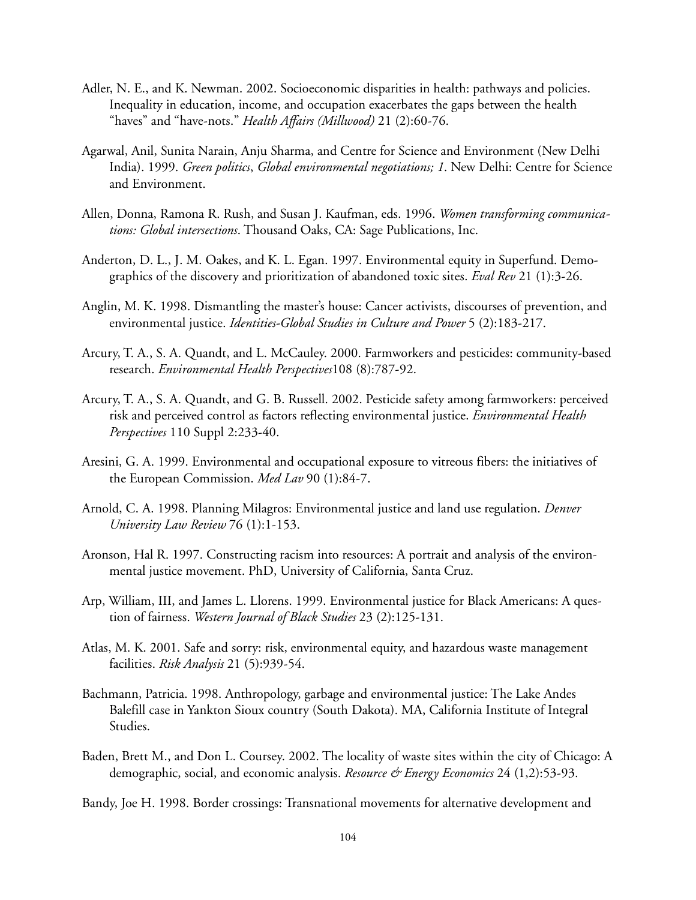- Adler, N. E., and K. Newman. 2002. Socioeconomic disparities in health: pathways and policies. Inequality in education, income, and occupation exacerbates the gaps between the health "haves" and "have-nots." *Health Affairs (Millwood)* 21 (2):60-76.
- Agarwal, Anil, Sunita Narain, Anju Sharma, and Centre for Science and Environment (New Delhi India). 1999. *Green politics*, *Global environmental negotiations; 1*. New Delhi: Centre for Science and Environment.
- Allen, Donna, Ramona R. Rush, and Susan J. Kaufman, eds. 1996. *Women transforming communications: Global intersections*. Thousand Oaks, CA: Sage Publications, Inc.
- Anderton, D. L., J. M. Oakes, and K. L. Egan. 1997. Environmental equity in Superfund. Demographics of the discovery and prioritization of abandoned toxic sites. *Eval Rev* 21 (1):3-26.
- Anglin, M. K. 1998. Dismantling the master's house: Cancer activists, discourses of prevention, and environmental justice. *Identities-Global Studies in Culture and Power* 5 (2):183-217.
- Arcury, T. A., S. A. Quandt, and L. McCauley. 2000. Farmworkers and pesticides: community-based research. *Environmental Health Perspectives*108 (8):787-92.
- Arcury, T. A., S. A. Quandt, and G. B. Russell. 2002. Pesticide safety among farmworkers: perceived risk and perceived control as factors reflecting environmental justice. *Environmental Health Perspectives* 110 Suppl 2:233-40.
- Aresini, G. A. 1999. Environmental and occupational exposure to vitreous fibers: the initiatives of the European Commission. *Med Lav* 90 (1):84-7.
- Arnold, C. A. 1998. Planning Milagros: Environmental justice and land use regulation. *Denver University Law Review* 76 (1):1-153.
- Aronson, Hal R. 1997. Constructing racism into resources: A portrait and analysis of the environmental justice movement. PhD, University of California, Santa Cruz.
- Arp, William, III, and James L. Llorens. 1999. Environmental justice for Black Americans: A question of fairness. *Western Journal of Black Studies* 23 (2):125-131.
- Atlas, M. K. 2001. Safe and sorry: risk, environmental equity, and hazardous waste management facilities. *Risk Analysis* 21 (5):939-54.
- Bachmann, Patricia. 1998. Anthropology, garbage and environmental justice: The Lake Andes Balefill case in Yankton Sioux country (South Dakota). MA, California Institute of Integral Studies.
- Baden, Brett M., and Don L. Coursey. 2002. The locality of waste sites within the city of Chicago: A demographic, social, and economic analysis. *Resource & Energy Economics* 24 (1,2):53-93.

Bandy, Joe H. 1998. Border crossings: Transnational movements for alternative development and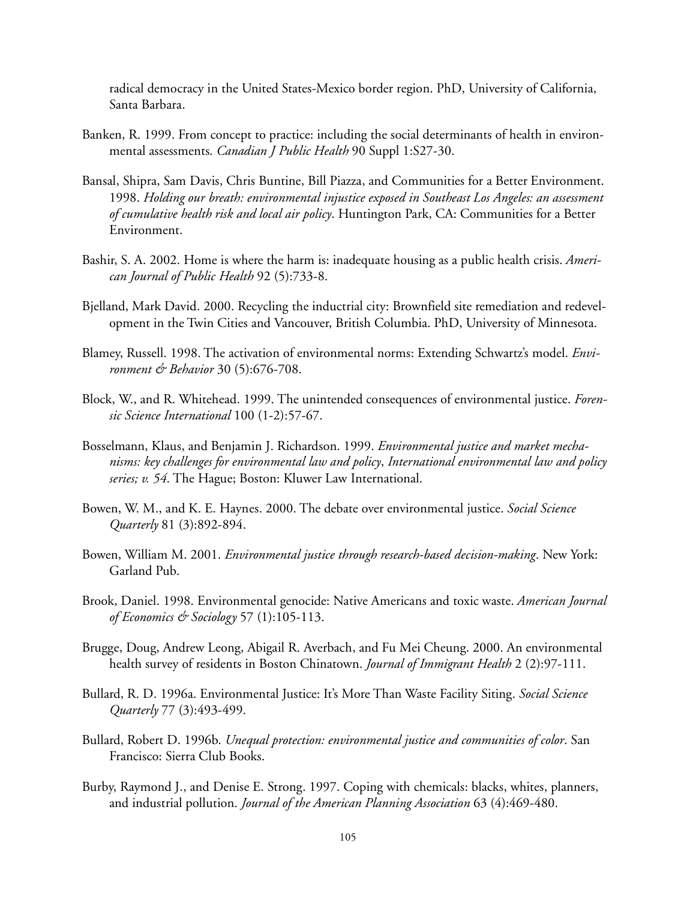radical democracy in the United States-Mexico border region. PhD, University of California, Santa Barbara.

- Banken, R. 1999. From concept to practice: including the social determinants of health in environmental assessments. *Canadian J Public Health* 90 Suppl 1:S27-30.
- Bansal, Shipra, Sam Davis, Chris Buntine, Bill Piazza, and Communities for a Better Environment. 1998. *Holding our breath: environmental injustice exposed in Southeast Los Angeles: an assessment of cumulative health risk and local air policy*. Huntington Park, CA: Communities for a Better Environment.
- Bashir, S. A. 2002. Home is where the harm is: inadequate housing as a public health crisis. *American Journal of Public Health* 92 (5):733-8.
- Bjelland, Mark David. 2000. Recycling the inductrial city: Brownfield site remediation and redevelopment in the Twin Cities and Vancouver, British Columbia. PhD, University of Minnesota.
- Blamey, Russell. 1998. The activation of environmental norms: Extending Schwartz's model. *Environment & Behavior* 30 (5):676-708.
- Block, W., and R. Whitehead. 1999. The unintended consequences of environmental justice. *Forensic Science International* 100 (1-2):57-67.
- Bosselmann, Klaus, and Benjamin J. Richardson. 1999. *Environmental justice and market mechanisms: key challenges for environmental law and policy*, *International environmental law and policy series; v. 54*. The Hague; Boston: Kluwer Law International.
- Bowen, W. M., and K. E. Haynes. 2000. The debate over environmental justice. *Social Science Quarterly* 81 (3):892-894.
- Bowen, William M. 2001. *Environmental justice through research-based decision-making*. New York: Garland Pub.
- Brook, Daniel. 1998. Environmental genocide: Native Americans and toxic waste. *American Journal of Economics & Sociology* 57 (1):105-113.
- Brugge, Doug, Andrew Leong, Abigail R. Averbach, and Fu Mei Cheung. 2000. An environmental health survey of residents in Boston Chinatown. *Journal of Immigrant Health* 2 (2):97-111.
- Bullard, R. D. 1996a. Environmental Justice: It's More Than Waste Facility Siting. *Social Science Quarterly* 77 (3):493-499.
- Bullard, Robert D. 1996b. *Unequal protection: environmental justice and communities of color*. San Francisco: Sierra Club Books.
- Burby, Raymond J., and Denise E. Strong. 1997. Coping with chemicals: blacks, whites, planners, and industrial pollution. *Journal of the American Planning Association* 63 (4):469-480.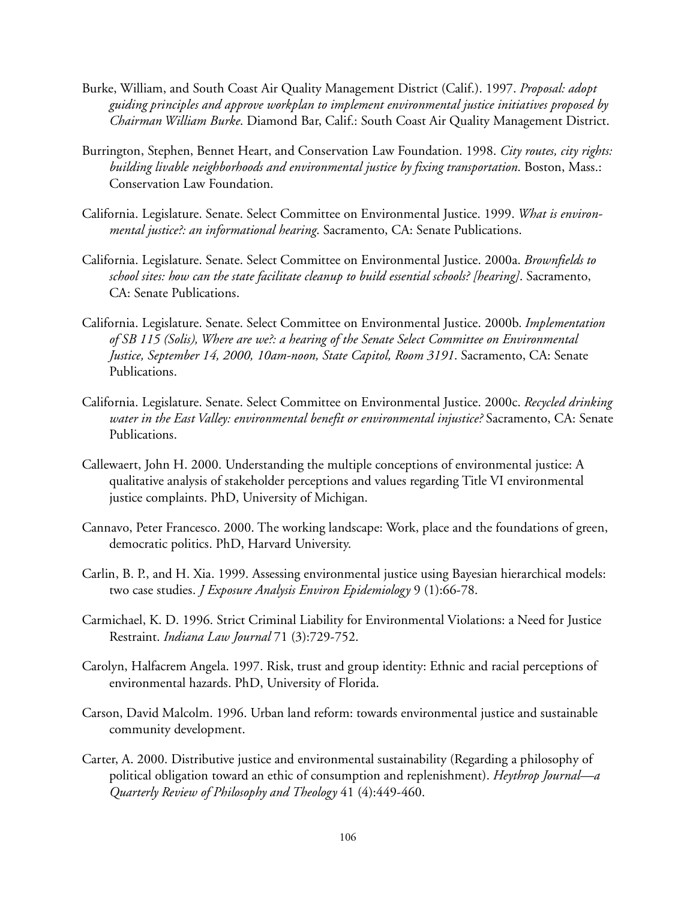- Burke, William, and South Coast Air Quality Management District (Calif.). 1997. *Proposal: adopt guiding principles and approve workplan to implement environmental justice initiatives proposed by Chairman William Burke*. Diamond Bar, Calif.: South Coast Air Quality Management District.
- Burrington, Stephen, Bennet Heart, and Conservation Law Foundation. 1998. *City routes, city rights: building livable neighborhoods and environmental justice by fixing transportation*. Boston, Mass.: Conservation Law Foundation.
- California. Legislature. Senate. Select Committee on Environmental Justice. 1999. *What is environmental justice?: an informational hearing*. Sacramento, CA: Senate Publications.
- California. Legislature. Senate. Select Committee on Environmental Justice. 2000a. *Brownfields to school sites: how can the state facilitate cleanup to build essential schools? [hearing]*. Sacramento, CA: Senate Publications.
- California. Legislature. Senate. Select Committee on Environmental Justice. 2000b. *Implementation of SB 115 (Solis), Where are we?: a hearing of the Senate Select Committee on Environmental Justice, September 14, 2000, 10am-noon, State Capitol, Room 3191*. Sacramento, CA: Senate Publications.
- California. Legislature. Senate. Select Committee on Environmental Justice. 2000c. *Recycled drinking water in the East Valley: environmental benefit or environmental injustice?* Sacramento, CA: Senate Publications.
- Callewaert, John H. 2000. Understanding the multiple conceptions of environmental justice: A qualitative analysis of stakeholder perceptions and values regarding Title VI environmental justice complaints. PhD, University of Michigan.
- Cannavo, Peter Francesco. 2000. The working landscape: Work, place and the foundations of green, democratic politics. PhD, Harvard University.
- Carlin, B. P., and H. Xia. 1999. Assessing environmental justice using Bayesian hierarchical models: two case studies. *J Exposure Analysis Environ Epidemiology* 9 (1):66-78.
- Carmichael, K. D. 1996. Strict Criminal Liability for Environmental Violations: a Need for Justice Restraint. *Indiana Law Journal* 71 (3):729-752.
- Carolyn, Halfacrem Angela. 1997. Risk, trust and group identity: Ethnic and racial perceptions of environmental hazards. PhD, University of Florida.
- Carson, David Malcolm. 1996. Urban land reform: towards environmental justice and sustainable community development.
- Carter, A. 2000. Distributive justice and environmental sustainability (Regarding a philosophy of political obligation toward an ethic of consumption and replenishment). *Heythrop Journal—a Quarterly Review of Philosophy and Theology* 41 (4):449-460.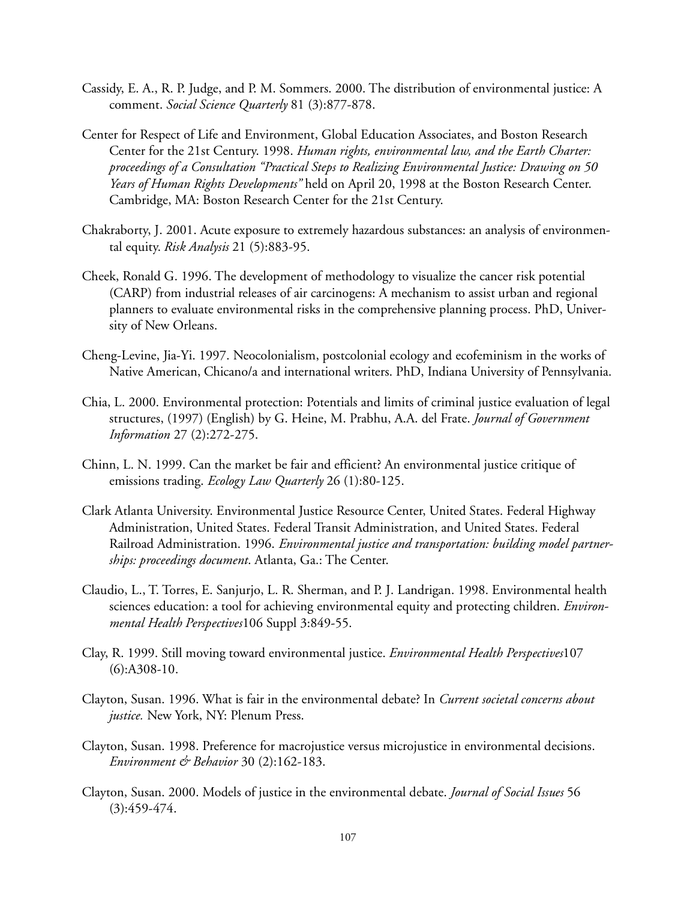- Cassidy, E. A., R. P. Judge, and P. M. Sommers. 2000. The distribution of environmental justice: A comment. *Social Science Quarterly* 81 (3):877-878.
- Center for Respect of Life and Environment, Global Education Associates, and Boston Research Center for the 21st Century. 1998. *Human rights, environmental law, and the Earth Charter: proceedings of a Consultation "Practical Steps to Realizing Environmental Justice: Drawing on 50 Years of Human Rights Developments"* held on April 20, 1998 at the Boston Research Center. Cambridge, MA: Boston Research Center for the 21st Century.
- Chakraborty, J. 2001. Acute exposure to extremely hazardous substances: an analysis of environmental equity. *Risk Analysis* 21 (5):883-95.
- Cheek, Ronald G. 1996. The development of methodology to visualize the cancer risk potential (CARP) from industrial releases of air carcinogens: A mechanism to assist urban and regional planners to evaluate environmental risks in the comprehensive planning process. PhD, University of New Orleans.
- Cheng-Levine, Jia-Yi. 1997. Neocolonialism, postcolonial ecology and ecofeminism in the works of Native American, Chicano/a and international writers. PhD, Indiana University of Pennsylvania.
- Chia, L. 2000. Environmental protection: Potentials and limits of criminal justice evaluation of legal structures, (1997) (English) by G. Heine, M. Prabhu, A.A. del Frate. *Journal of Government Information* 27 (2):272-275.
- Chinn, L. N. 1999. Can the market be fair and efficient? An environmental justice critique of emissions trading. *Ecology Law Quarterly* 26 (1):80-125.
- Clark Atlanta University. Environmental Justice Resource Center, United States. Federal Highway Administration, United States. Federal Transit Administration, and United States. Federal Railroad Administration. 1996. *Environmental justice and transportation: building model partnerships: proceedings document*. Atlanta, Ga.: The Center.
- Claudio, L., T. Torres, E. Sanjurjo, L. R. Sherman, and P. J. Landrigan. 1998. Environmental health sciences education: a tool for achieving environmental equity and protecting children. *Environmental Health Perspectives*106 Suppl 3:849-55.
- Clay, R. 1999. Still moving toward environmental justice. *Environmental Health Perspectives*107 (6):A308-10.
- Clayton, Susan. 1996. What is fair in the environmental debate? In *Current societal concerns about justice.* New York, NY: Plenum Press.
- Clayton, Susan. 1998. Preference for macrojustice versus microjustice in environmental decisions. *Environment & Behavior* 30 (2):162-183.
- Clayton, Susan. 2000. Models of justice in the environmental debate. *Journal of Social Issues* 56 (3):459-474.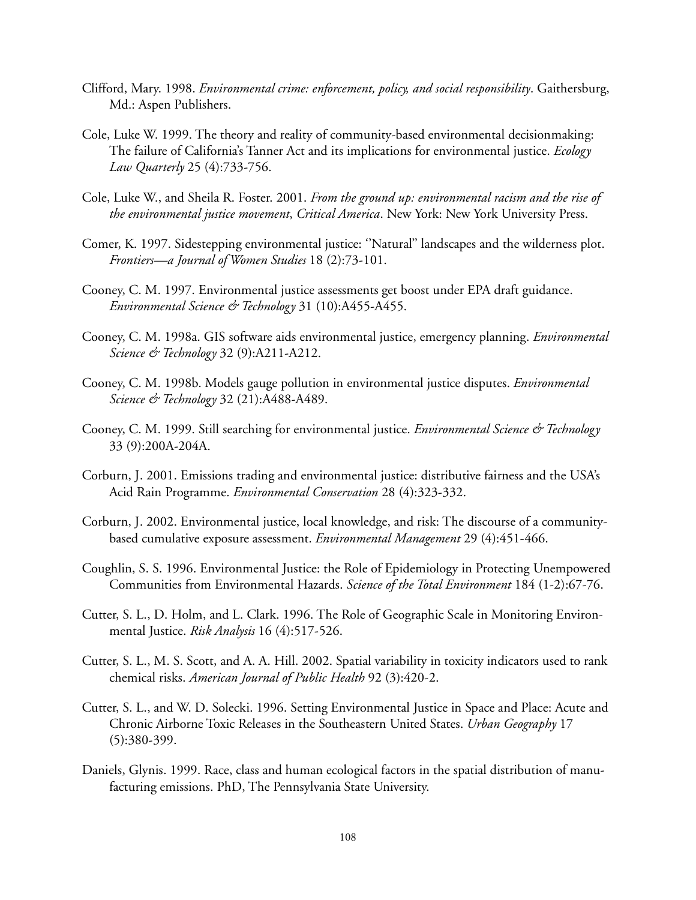- Clifford, Mary. 1998. *Environmental crime: enforcement, policy, and social responsibility*. Gaithersburg, Md.: Aspen Publishers.
- Cole, Luke W. 1999. The theory and reality of community-based environmental decisionmaking: The failure of California's Tanner Act and its implications for environmental justice. *Ecology Law Quarterly* 25 (4):733-756.
- Cole, Luke W., and Sheila R. Foster. 2001. *From the ground up: environmental racism and the rise of the environmental justice movement*, *Critical America*. New York: New York University Press.
- Comer, K. 1997. Sidestepping environmental justice: ''Natural'' landscapes and the wilderness plot. *Frontiers—a Journal of Women Studies* 18 (2):73-101.
- Cooney, C. M. 1997. Environmental justice assessments get boost under EPA draft guidance. *Environmental Science & Technology* 31 (10):A455-A455.
- Cooney, C. M. 1998a. GIS software aids environmental justice, emergency planning. *Environmental Science & Technology* 32 (9):A211-A212.
- Cooney, C. M. 1998b. Models gauge pollution in environmental justice disputes. *Environmental Science & Technology* 32 (21):A488-A489.
- Cooney, C. M. 1999. Still searching for environmental justice. *Environmental Science & Technology* 33 (9):200A-204A.
- Corburn, J. 2001. Emissions trading and environmental justice: distributive fairness and the USA's Acid Rain Programme. *Environmental Conservation* 28 (4):323-332.
- Corburn, J. 2002. Environmental justice, local knowledge, and risk: The discourse of a communitybased cumulative exposure assessment. *Environmental Management* 29 (4):451-466.
- Coughlin, S. S. 1996. Environmental Justice: the Role of Epidemiology in Protecting Unempowered Communities from Environmental Hazards. *Science of the Total Environment* 184 (1-2):67-76.
- Cutter, S. L., D. Holm, and L. Clark. 1996. The Role of Geographic Scale in Monitoring Environmental Justice. *Risk Analysis* 16 (4):517-526.
- Cutter, S. L., M. S. Scott, and A. A. Hill. 2002. Spatial variability in toxicity indicators used to rank chemical risks. *American Journal of Public Health* 92 (3):420-2.
- Cutter, S. L., and W. D. Solecki. 1996. Setting Environmental Justice in Space and Place: Acute and Chronic Airborne Toxic Releases in the Southeastern United States. *Urban Geography* 17 (5):380-399.
- Daniels, Glynis. 1999. Race, class and human ecological factors in the spatial distribution of manufacturing emissions. PhD, The Pennsylvania State University.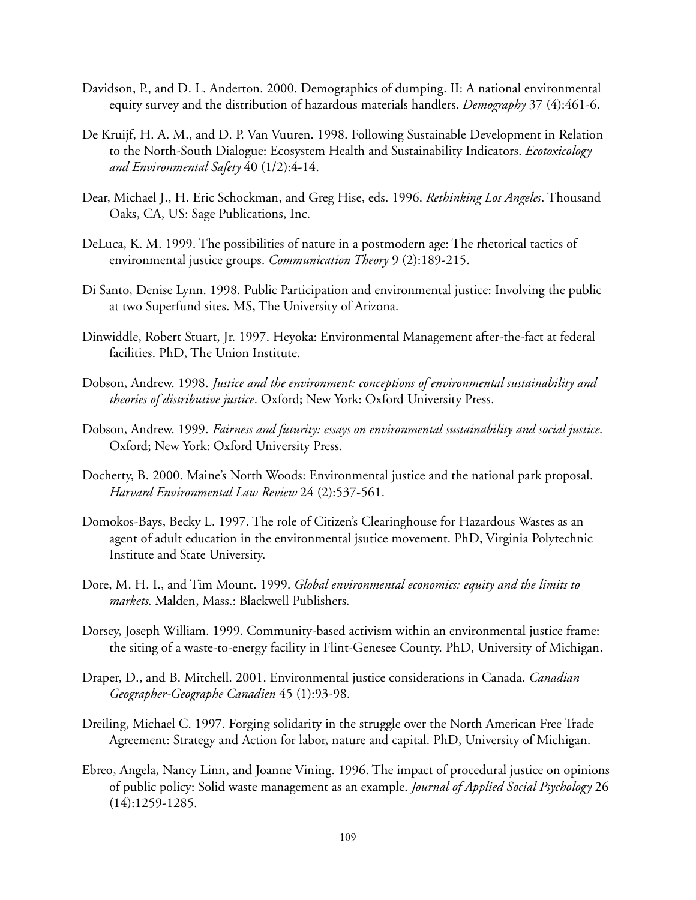- Davidson, P., and D. L. Anderton. 2000. Demographics of dumping. II: A national environmental equity survey and the distribution of hazardous materials handlers. *Demography* 37 (4):461-6.
- De Kruijf, H. A. M., and D. P. Van Vuuren. 1998. Following Sustainable Development in Relation to the North-South Dialogue: Ecosystem Health and Sustainability Indicators. *Ecotoxicology and Environmental Safety* 40 (1/2):4-14.
- Dear, Michael J., H. Eric Schockman, and Greg Hise, eds. 1996. *Rethinking Los Angeles*. Thousand Oaks, CA, US: Sage Publications, Inc.
- DeLuca, K. M. 1999. The possibilities of nature in a postmodern age: The rhetorical tactics of environmental justice groups. *Communication Theory* 9 (2):189-215.
- Di Santo, Denise Lynn. 1998. Public Participation and environmental justice: Involving the public at two Superfund sites. MS, The University of Arizona.
- Dinwiddle, Robert Stuart, Jr. 1997. Heyoka: Environmental Management after-the-fact at federal facilities. PhD, The Union Institute.
- Dobson, Andrew. 1998. *Justice and the environment: conceptions of environmental sustainability and theories of distributive justice*. Oxford; New York: Oxford University Press.
- Dobson, Andrew. 1999. *Fairness and futurity: essays on environmental sustainability and social justice*. Oxford; New York: Oxford University Press.
- Docherty, B. 2000. Maine's North Woods: Environmental justice and the national park proposal. *Harvard Environmental Law Review* 24 (2):537-561.
- Domokos-Bays, Becky L. 1997. The role of Citizen's Clearinghouse for Hazardous Wastes as an agent of adult education in the environmental jsutice movement. PhD, Virginia Polytechnic Institute and State University.
- Dore, M. H. I., and Tim Mount. 1999. *Global environmental economics: equity and the limits to markets*. Malden, Mass.: Blackwell Publishers.
- Dorsey, Joseph William. 1999. Community-based activism within an environmental justice frame: the siting of a waste-to-energy facility in Flint-Genesee County. PhD, University of Michigan.
- Draper, D., and B. Mitchell. 2001. Environmental justice considerations in Canada. *Canadian Geographer-Geographe Canadien* 45 (1):93-98.
- Dreiling, Michael C. 1997. Forging solidarity in the struggle over the North American Free Trade Agreement: Strategy and Action for labor, nature and capital. PhD, University of Michigan.
- Ebreo, Angela, Nancy Linn, and Joanne Vining. 1996. The impact of procedural justice on opinions of public policy: Solid waste management as an example. *Journal of Applied Social Psychology* 26 (14):1259-1285.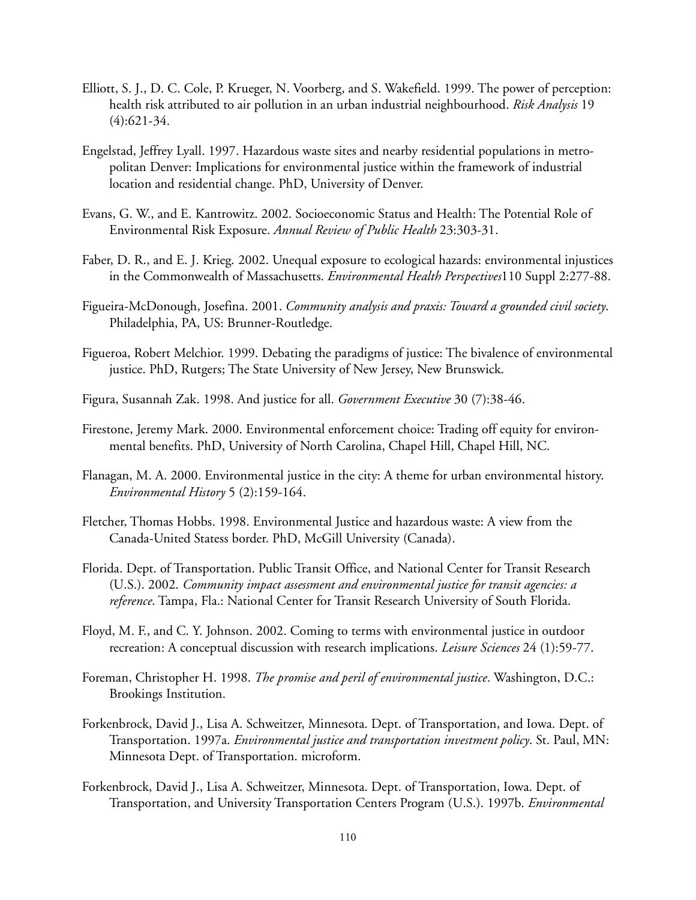- Elliott, S. J., D. C. Cole, P. Krueger, N. Voorberg, and S. Wakefield. 1999. The power of perception: health risk attributed to air pollution in an urban industrial neighbourhood. *Risk Analysis* 19 (4):621-34.
- Engelstad, Jeffrey Lyall. 1997. Hazardous waste sites and nearby residential populations in metropolitan Denver: Implications for environmental justice within the framework of industrial location and residential change. PhD, University of Denver.
- Evans, G. W., and E. Kantrowitz. 2002. Socioeconomic Status and Health: The Potential Role of Environmental Risk Exposure. *Annual Review of Public Health* 23:303-31.
- Faber, D. R., and E. J. Krieg. 2002. Unequal exposure to ecological hazards: environmental injustices in the Commonwealth of Massachusetts. *Environmental Health Perspectives*110 Suppl 2:277-88.
- Figueira-McDonough, Josefina. 2001. *Community analysis and praxis: Toward a grounded civil society*. Philadelphia, PA, US: Brunner-Routledge.
- Figueroa, Robert Melchior. 1999. Debating the paradigms of justice: The bivalence of environmental justice. PhD, Rutgers; The State University of New Jersey, New Brunswick.
- Figura, Susannah Zak. 1998. And justice for all. *Government Executive* 30 (7):38-46.
- Firestone, Jeremy Mark. 2000. Environmental enforcement choice: Trading off equity for environmental benefits. PhD, University of North Carolina, Chapel Hill, Chapel Hill, NC.
- Flanagan, M. A. 2000. Environmental justice in the city: A theme for urban environmental history. *Environmental History* 5 (2):159-164.
- Fletcher, Thomas Hobbs. 1998. Environmental Justice and hazardous waste: A view from the Canada-United Statess border. PhD, McGill University (Canada).
- Florida. Dept. of Transportation. Public Transit Office, and National Center for Transit Research (U.S.). 2002. *Community impact assessment and environmental justice for transit agencies: a reference*. Tampa, Fla.: National Center for Transit Research University of South Florida.
- Floyd, M. F., and C. Y. Johnson. 2002. Coming to terms with environmental justice in outdoor recreation: A conceptual discussion with research implications. *Leisure Sciences* 24 (1):59-77.
- Foreman, Christopher H. 1998. *The promise and peril of environmental justice*. Washington, D.C.: Brookings Institution.
- Forkenbrock, David J., Lisa A. Schweitzer, Minnesota. Dept. of Transportation, and Iowa. Dept. of Transportation. 1997a. *Environmental justice and transportation investment policy*. St. Paul, MN: Minnesota Dept. of Transportation. microform.
- Forkenbrock, David J., Lisa A. Schweitzer, Minnesota. Dept. of Transportation, Iowa. Dept. of Transportation, and University Transportation Centers Program (U.S.). 1997b. *Environmental*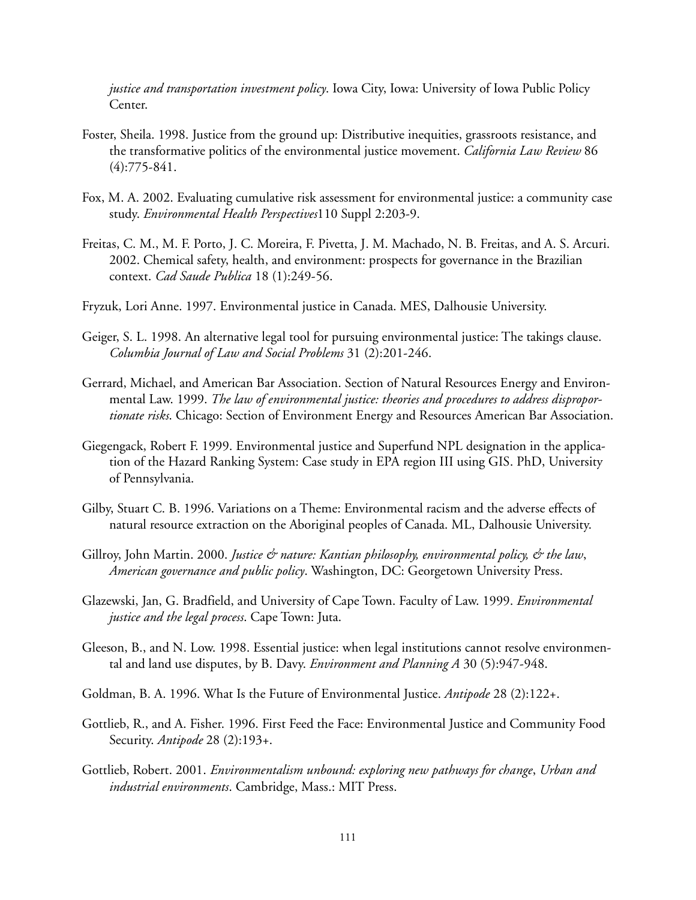*justice and transportation investment policy*. Iowa City, Iowa: University of Iowa Public Policy Center.

- Foster, Sheila. 1998. Justice from the ground up: Distributive inequities, grassroots resistance, and the transformative politics of the environmental justice movement. *California Law Review* 86 (4):775-841.
- Fox, M. A. 2002. Evaluating cumulative risk assessment for environmental justice: a community case study. *Environmental Health Perspectives*110 Suppl 2:203-9.
- Freitas, C. M., M. F. Porto, J. C. Moreira, F. Pivetta, J. M. Machado, N. B. Freitas, and A. S. Arcuri. 2002. Chemical safety, health, and environment: prospects for governance in the Brazilian context. *Cad Saude Publica* 18 (1):249-56.
- Fryzuk, Lori Anne. 1997. Environmental justice in Canada. MES, Dalhousie University.
- Geiger, S. L. 1998. An alternative legal tool for pursuing environmental justice: The takings clause. *Columbia Journal of Law and Social Problems* 31 (2):201-246.
- Gerrard, Michael, and American Bar Association. Section of Natural Resources Energy and Environmental Law. 1999. *The law of environmental justice: theories and procedures to address disproportionate risks*. Chicago: Section of Environment Energy and Resources American Bar Association.
- Giegengack, Robert F. 1999. Environmental justice and Superfund NPL designation in the application of the Hazard Ranking System: Case study in EPA region III using GIS. PhD, University of Pennsylvania.
- Gilby, Stuart C. B. 1996. Variations on a Theme: Environmental racism and the adverse effects of natural resource extraction on the Aboriginal peoples of Canada. ML, Dalhousie University.
- Gillroy, John Martin. 2000. *Justice & nature: Kantian philosophy, environmental policy, & the law*, *American governance and public policy*. Washington, DC: Georgetown University Press.
- Glazewski, Jan, G. Bradfield, and University of Cape Town. Faculty of Law. 1999. *Environmental justice and the legal process*. Cape Town: Juta.
- Gleeson, B., and N. Low. 1998. Essential justice: when legal institutions cannot resolve environmental and land use disputes, by B. Davy. *Environment and Planning A* 30 (5):947-948.
- Goldman, B. A. 1996. What Is the Future of Environmental Justice. *Antipode* 28 (2):122+.
- Gottlieb, R., and A. Fisher. 1996. First Feed the Face: Environmental Justice and Community Food Security. *Antipode* 28 (2):193+.
- Gottlieb, Robert. 2001. *Environmentalism unbound: exploring new pathways for change*, *Urban and industrial environments*. Cambridge, Mass.: MIT Press.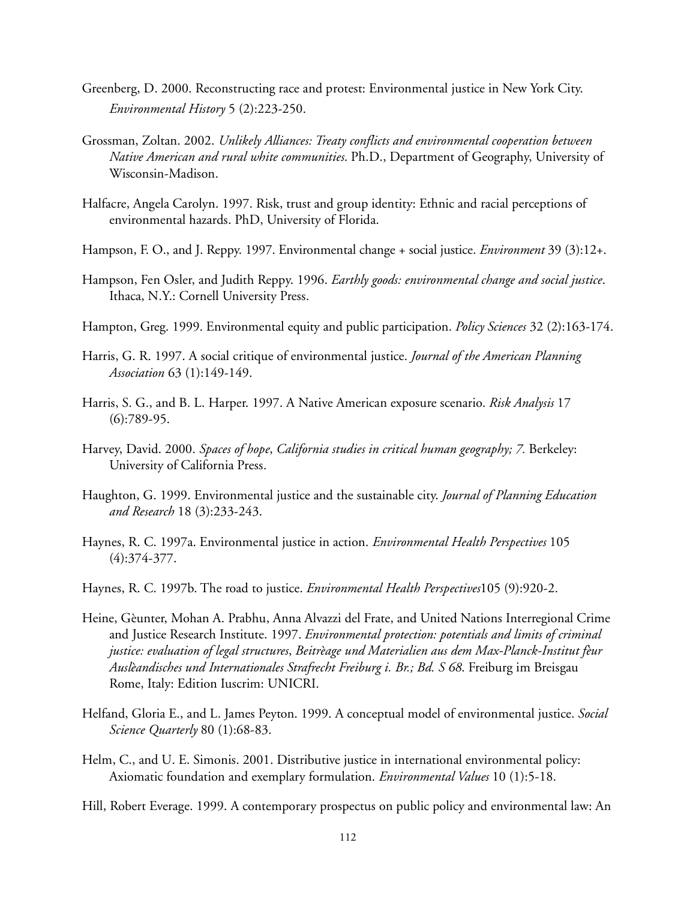- Greenberg, D. 2000. Reconstructing race and protest: Environmental justice in New York City. *Environmental History* 5 (2):223-250.
- Grossman, Zoltan. 2002. *Unlikely Alliances: Treaty conflicts and environmental cooperation between Native American and rural white communities*. Ph.D., Department of Geography, University of Wisconsin-Madison.
- Halfacre, Angela Carolyn. 1997. Risk, trust and group identity: Ethnic and racial perceptions of environmental hazards. PhD, University of Florida.
- Hampson, F. O., and J. Reppy. 1997. Environmental change + social justice. *Environment* 39 (3):12+.
- Hampson, Fen Osler, and Judith Reppy. 1996. *Earthly goods: environmental change and social justice*. Ithaca, N.Y.: Cornell University Press.
- Hampton, Greg. 1999. Environmental equity and public participation. *Policy Sciences* 32 (2):163-174.
- Harris, G. R. 1997. A social critique of environmental justice. *Journal of the American Planning Association* 63 (1):149-149.
- Harris, S. G., and B. L. Harper. 1997. A Native American exposure scenario. *Risk Analysis* 17  $(6):789-95.$
- Harvey, David. 2000. *Spaces of hope*, *California studies in critical human geography; 7.* Berkeley: University of California Press.
- Haughton, G. 1999. Environmental justice and the sustainable city. *Journal of Planning Education and Research* 18 (3):233-243.
- Haynes, R. C. 1997a. Environmental justice in action. *Environmental Health Perspectives* 105 (4):374-377.
- Haynes, R. C. 1997b. The road to justice. *Environmental Health Perspectives*105 (9):920-2.
- Heine, Gèunter, Mohan A. Prabhu, Anna Alvazzi del Frate, and United Nations Interregional Crime and Justice Research Institute. 1997. *Environmental protection: potentials and limits of criminal justice: evaluation of legal structures*, *Beitrèage und Materialien aus dem Max-Planck-Institut fèur Auslèandisches und Internationales Strafrecht Freiburg i. Br.; Bd. S 68*. Freiburg im Breisgau Rome, Italy: Edition Iuscrim: UNICRI.
- Helfand, Gloria E., and L. James Peyton. 1999. A conceptual model of environmental justice. *Social Science Quarterly* 80 (1):68-83.
- Helm, C., and U. E. Simonis. 2001. Distributive justice in international environmental policy: Axiomatic foundation and exemplary formulation. *Environmental Values* 10 (1):5-18.
- Hill, Robert Everage. 1999. A contemporary prospectus on public policy and environmental law: An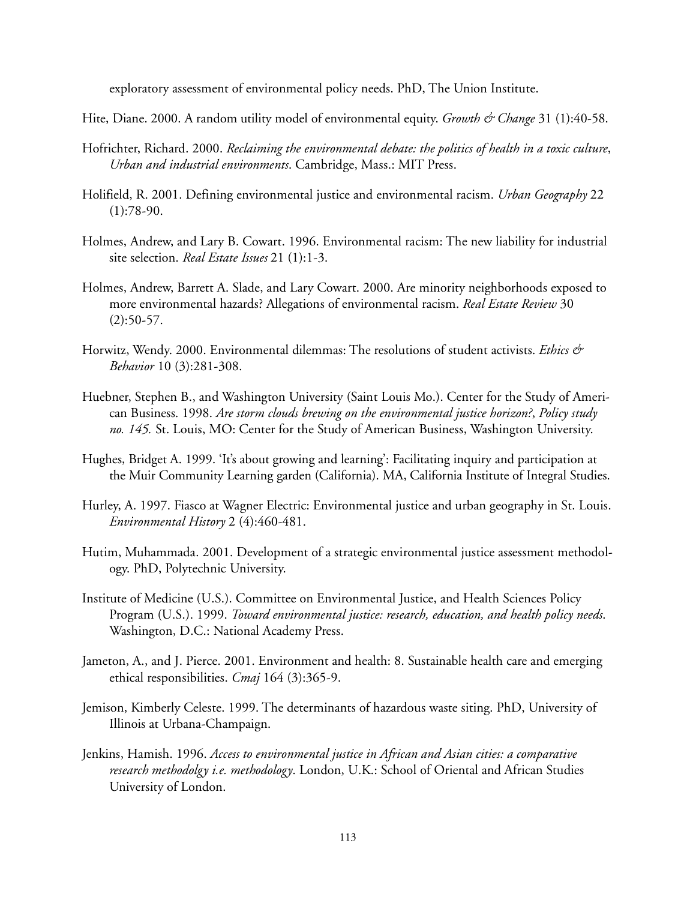exploratory assessment of environmental policy needs. PhD, The Union Institute.

Hite, Diane. 2000. A random utility model of environmental equity. *Growth & Change* 31 (1):40-58.

- Hofrichter, Richard. 2000. *Reclaiming the environmental debate: the politics of health in a toxic culture*, *Urban and industrial environments*. Cambridge, Mass.: MIT Press.
- Holifield, R. 2001. Defining environmental justice and environmental racism. *Urban Geography* 22  $(1):78-90.$
- Holmes, Andrew, and Lary B. Cowart. 1996. Environmental racism: The new liability for industrial site selection. *Real Estate Issues* 21 (1):1-3.
- Holmes, Andrew, Barrett A. Slade, and Lary Cowart. 2000. Are minority neighborhoods exposed to more environmental hazards? Allegations of environmental racism. *Real Estate Review* 30  $(2):$ 50-57.
- Horwitz, Wendy. 2000. Environmental dilemmas: The resolutions of student activists. *Ethics & Behavior* 10 (3):281-308.
- Huebner, Stephen B., and Washington University (Saint Louis Mo.). Center for the Study of American Business. 1998. *Are storm clouds brewing on the environmental justice horizon?*, *Policy study no. 145.* St. Louis, MO: Center for the Study of American Business, Washington University.
- Hughes, Bridget A. 1999. 'It's about growing and learning': Facilitating inquiry and participation at the Muir Community Learning garden (California). MA, California Institute of Integral Studies.
- Hurley, A. 1997. Fiasco at Wagner Electric: Environmental justice and urban geography in St. Louis. *Environmental History* 2 (4):460-481.
- Hutim, Muhammada. 2001. Development of a strategic environmental justice assessment methodology. PhD, Polytechnic University.
- Institute of Medicine (U.S.). Committee on Environmental Justice, and Health Sciences Policy Program (U.S.). 1999. *Toward environmental justice: research, education, and health policy needs*. Washington, D.C.: National Academy Press.
- Jameton, A., and J. Pierce. 2001. Environment and health: 8. Sustainable health care and emerging ethical responsibilities. *Cmaj* 164 (3):365-9.
- Jemison, Kimberly Celeste. 1999. The determinants of hazardous waste siting. PhD, University of Illinois at Urbana-Champaign.
- Jenkins, Hamish. 1996. *Access to environmental justice in African and Asian cities: a comparative research methodolgy i.e. methodology*. London, U.K.: School of Oriental and African Studies University of London.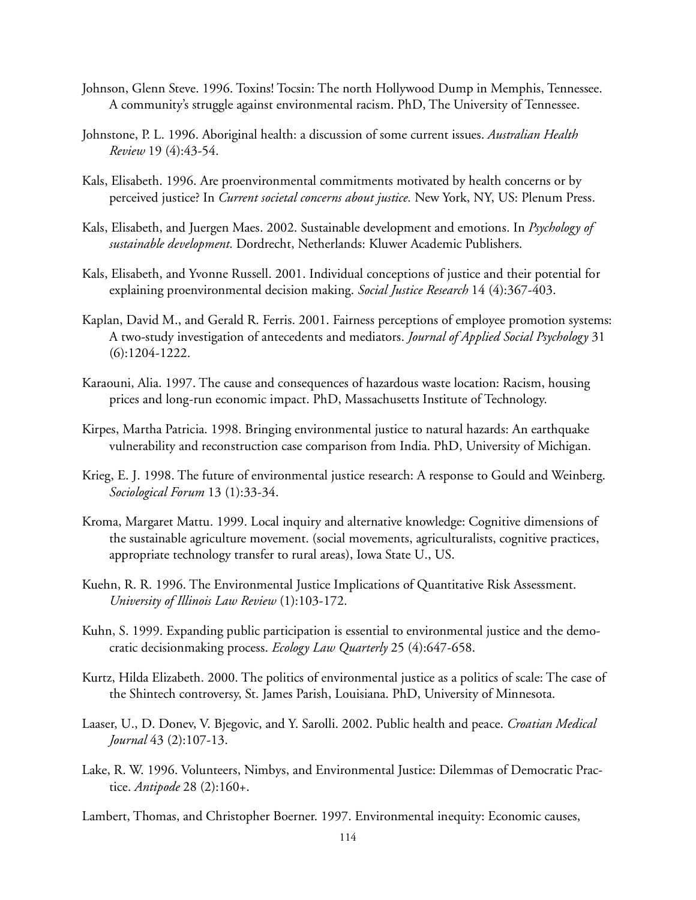- Johnson, Glenn Steve. 1996. Toxins! Tocsin: The north Hollywood Dump in Memphis, Tennessee. A community's struggle against environmental racism. PhD, The University of Tennessee.
- Johnstone, P. L. 1996. Aboriginal health: a discussion of some current issues. *Australian Health Review* 19 (4):43-54.
- Kals, Elisabeth. 1996. Are proenvironmental commitments motivated by health concerns or by perceived justice? In *Current societal concerns about justice.* New York, NY, US: Plenum Press.
- Kals, Elisabeth, and Juergen Maes. 2002. Sustainable development and emotions. In *Psychology of sustainable development.* Dordrecht, Netherlands: Kluwer Academic Publishers.
- Kals, Elisabeth, and Yvonne Russell. 2001. Individual conceptions of justice and their potential for explaining proenvironmental decision making. *Social Justice Research* 14 (4):367-403.
- Kaplan, David M., and Gerald R. Ferris. 2001. Fairness perceptions of employee promotion systems: A two-study investigation of antecedents and mediators. *Journal of Applied Social Psychology* 31 (6):1204-1222.
- Karaouni, Alia. 1997. The cause and consequences of hazardous waste location: Racism, housing prices and long-run economic impact. PhD, Massachusetts Institute of Technology.
- Kirpes, Martha Patricia. 1998. Bringing environmental justice to natural hazards: An earthquake vulnerability and reconstruction case comparison from India. PhD, University of Michigan.
- Krieg, E. J. 1998. The future of environmental justice research: A response to Gould and Weinberg. *Sociological Forum* 13 (1):33-34.
- Kroma, Margaret Mattu. 1999. Local inquiry and alternative knowledge: Cognitive dimensions of the sustainable agriculture movement. (social movements, agriculturalists, cognitive practices, appropriate technology transfer to rural areas), Iowa State U., US.
- Kuehn, R. R. 1996. The Environmental Justice Implications of Quantitative Risk Assessment. *University of Illinois Law Review* (1):103-172.
- Kuhn, S. 1999. Expanding public participation is essential to environmental justice and the democratic decisionmaking process. *Ecology Law Quarterly* 25 (4):647-658.
- Kurtz, Hilda Elizabeth. 2000. The politics of environmental justice as a politics of scale: The case of the Shintech controversy, St. James Parish, Louisiana. PhD, University of Minnesota.
- Laaser, U., D. Donev, V. Bjegovic, and Y. Sarolli. 2002. Public health and peace. *Croatian Medical Journal* 43 (2):107-13.
- Lake, R. W. 1996. Volunteers, Nimbys, and Environmental Justice: Dilemmas of Democratic Practice. *Antipode* 28 (2):160+.
- Lambert, Thomas, and Christopher Boerner. 1997. Environmental inequity: Economic causes,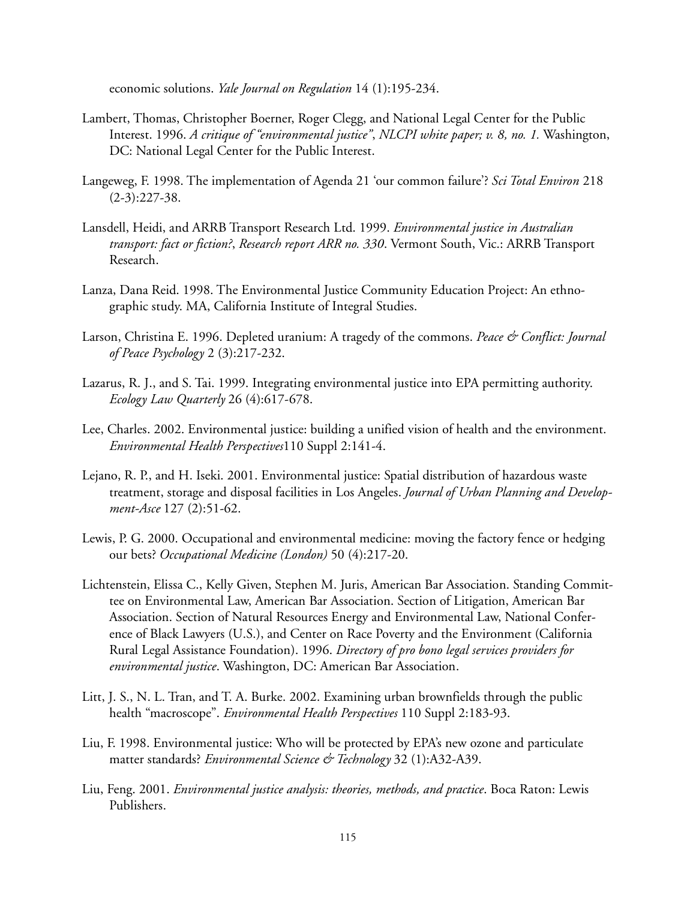economic solutions. *Yale Journal on Regulation* 14 (1):195-234.

- Lambert, Thomas, Christopher Boerner, Roger Clegg, and National Legal Center for the Public Interest. 1996. *A critique of "environmental justice"*, *NLCPI white paper; v. 8, no. 1.* Washington, DC: National Legal Center for the Public Interest.
- Langeweg, F. 1998. The implementation of Agenda 21 'our common failure'? *Sci Total Environ* 218  $(2-3):227-38.$
- Lansdell, Heidi, and ARRB Transport Research Ltd. 1999. *Environmental justice in Australian transport: fact or fiction?*, *Research report ARR no. 330*. Vermont South, Vic.: ARRB Transport Research.
- Lanza, Dana Reid. 1998. The Environmental Justice Community Education Project: An ethnographic study. MA, California Institute of Integral Studies.
- Larson, Christina E. 1996. Depleted uranium: A tragedy of the commons. *Peace & Conflict: Journal of Peace Psychology* 2 (3):217-232.
- Lazarus, R. J., and S. Tai. 1999. Integrating environmental justice into EPA permitting authority. *Ecology Law Quarterly* 26 (4):617-678.
- Lee, Charles. 2002. Environmental justice: building a unified vision of health and the environment. *Environmental Health Perspectives*110 Suppl 2:141-4.
- Lejano, R. P., and H. Iseki. 2001. Environmental justice: Spatial distribution of hazardous waste treatment, storage and disposal facilities in Los Angeles. *Journal of Urban Planning and Development-Asce* 127 (2):51-62.
- Lewis, P. G. 2000. Occupational and environmental medicine: moving the factory fence or hedging our bets? *Occupational Medicine (London)* 50 (4):217-20.
- Lichtenstein, Elissa C., Kelly Given, Stephen M. Juris, American Bar Association. Standing Committee on Environmental Law, American Bar Association. Section of Litigation, American Bar Association. Section of Natural Resources Energy and Environmental Law, National Conference of Black Lawyers (U.S.), and Center on Race Poverty and the Environment (California Rural Legal Assistance Foundation). 1996. *Directory of pro bono legal services providers for environmental justice*. Washington, DC: American Bar Association.
- Litt, J. S., N. L. Tran, and T. A. Burke. 2002. Examining urban brownfields through the public health "macroscope". *Environmental Health Perspectives* 110 Suppl 2:183-93.
- Liu, F. 1998. Environmental justice: Who will be protected by EPA's new ozone and particulate matter standards? *Environmental Science & Technology* 32 (1):A32-A39.
- Liu, Feng. 2001. *Environmental justice analysis: theories, methods, and practice*. Boca Raton: Lewis Publishers.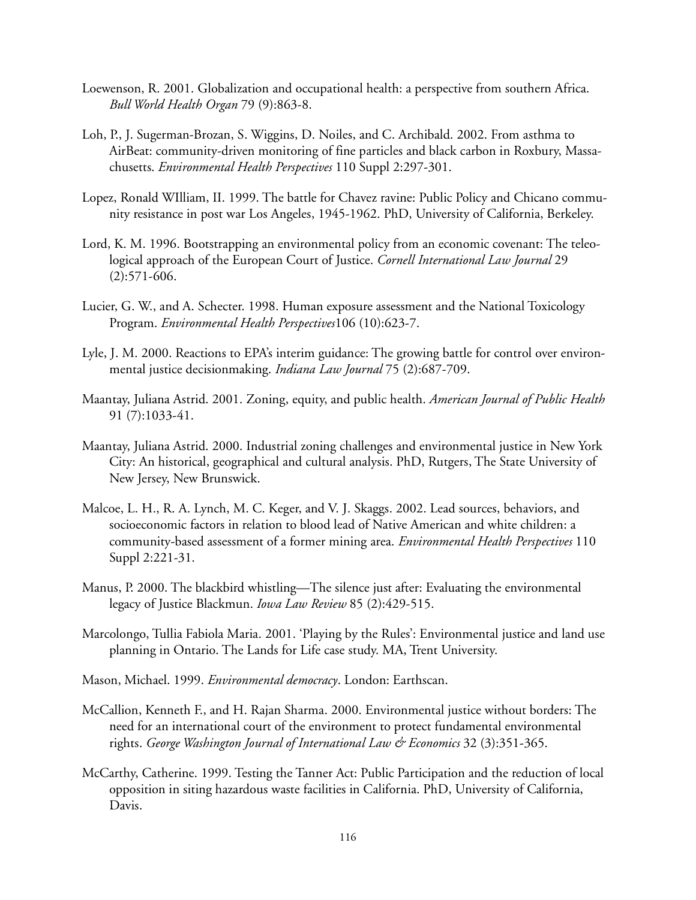- Loewenson, R. 2001. Globalization and occupational health: a perspective from southern Africa. *Bull World Health Organ* 79 (9):863-8.
- Loh, P., J. Sugerman-Brozan, S. Wiggins, D. Noiles, and C. Archibald. 2002. From asthma to AirBeat: community-driven monitoring of fine particles and black carbon in Roxbury, Massachusetts. *Environmental Health Perspectives* 110 Suppl 2:297-301.
- Lopez, Ronald WIlliam, II. 1999. The battle for Chavez ravine: Public Policy and Chicano community resistance in post war Los Angeles, 1945-1962. PhD, University of California, Berkeley.
- Lord, K. M. 1996. Bootstrapping an environmental policy from an economic covenant: The teleological approach of the European Court of Justice. *Cornell International Law Journal* 29 (2):571-606.
- Lucier, G. W., and A. Schecter. 1998. Human exposure assessment and the National Toxicology Program. *Environmental Health Perspectives*106 (10):623-7.
- Lyle, J. M. 2000. Reactions to EPA's interim guidance: The growing battle for control over environmental justice decisionmaking. *Indiana Law Journal* 75 (2):687-709.
- Maantay, Juliana Astrid. 2001. Zoning, equity, and public health. *American Journal of Public Health* 91 (7):1033-41.
- Maantay, Juliana Astrid. 2000. Industrial zoning challenges and environmental justice in New York City: An historical, geographical and cultural analysis. PhD, Rutgers, The State University of New Jersey, New Brunswick.
- Malcoe, L. H., R. A. Lynch, M. C. Keger, and V. J. Skaggs. 2002. Lead sources, behaviors, and socioeconomic factors in relation to blood lead of Native American and white children: a community-based assessment of a former mining area. *Environmental Health Perspectives* 110 Suppl 2:221-31.
- Manus, P. 2000. The blackbird whistling—The silence just after: Evaluating the environmental legacy of Justice Blackmun. *Iowa Law Review* 85 (2):429-515.
- Marcolongo, Tullia Fabiola Maria. 2001. 'Playing by the Rules': Environmental justice and land use planning in Ontario. The Lands for Life case study. MA, Trent University.
- Mason, Michael. 1999. *Environmental democracy*. London: Earthscan.
- McCallion, Kenneth F., and H. Rajan Sharma. 2000. Environmental justice without borders: The need for an international court of the environment to protect fundamental environmental rights. *George Washington Journal of International Law & Economics* 32 (3):351-365.
- McCarthy, Catherine. 1999. Testing the Tanner Act: Public Participation and the reduction of local opposition in siting hazardous waste facilities in California. PhD, University of California, Davis.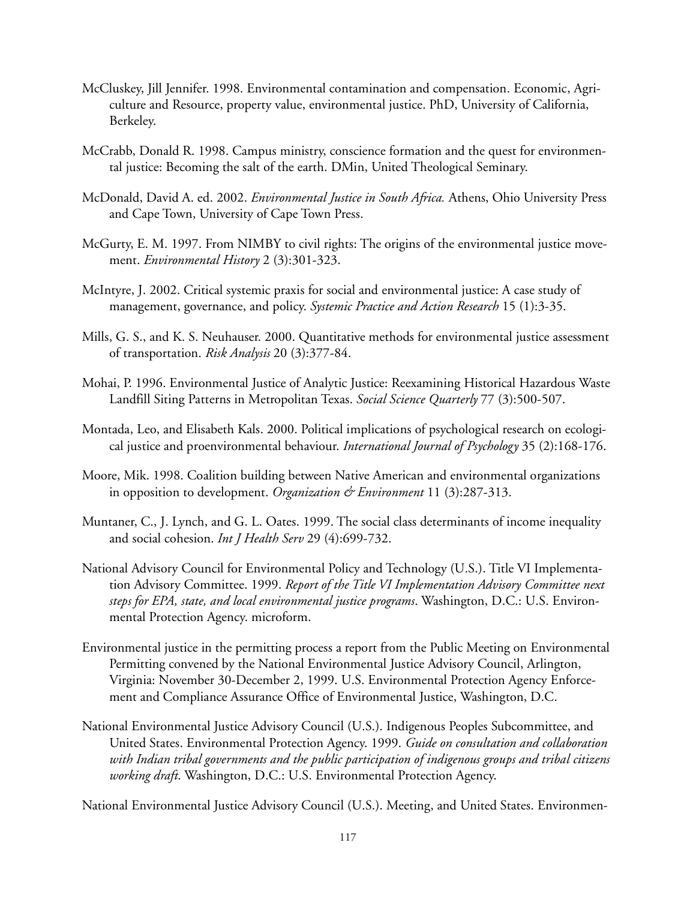- McCluskey, Jill Jennifer. 1998. Environmental contamination and compensation. Economic, Agriculture and Resource, property value, environmental justice. PhD, University of California, Berkeley.
- McCrabb, Donald R. 1998. Campus ministry, conscience formation and the quest for environmental justice: Becoming the salt of the earth. DMin, United Theological Seminary.
- McDonald, David A. ed. 2002. *Environmental Justice in South Africa.* Athens, Ohio University Press and Cape Town, University of Cape Town Press.
- McGurty, E. M. 1997. From NIMBY to civil rights: The origins of the environmental justice movement. *Environmental History* 2 (3):301-323.
- McIntyre, J. 2002. Critical systemic praxis for social and environmental justice: A case study of management, governance, and policy. *Systemic Practice and Action Research* 15 (1):3-35.
- Mills, G. S., and K. S. Neuhauser. 2000. Quantitative methods for environmental justice assessment of transportation. *Risk Analysis* 20 (3):377-84.
- Mohai, P. 1996. Environmental Justice of Analytic Justice: Reexamining Historical Hazardous Waste Landfill Siting Patterns in Metropolitan Texas. *Social Science Quarterly* 77 (3):500-507.
- Montada, Leo, and Elisabeth Kals. 2000. Political implications of psychological research on ecological justice and proenvironmental behaviour. *International Journal of Psychology* 35 (2):168-176.
- Moore, Mik. 1998. Coalition building between Native American and environmental organizations in opposition to development. *Organization & Environment* 11 (3):287-313.
- Muntaner, C., J. Lynch, and G. L. Oates. 1999. The social class determinants of income inequality and social cohesion. *Int J Health Serv* 29 (4):699-732.
- National Advisory Council for Environmental Policy and Technology (U.S.). Title VI Implementation Advisory Committee. 1999. *Report of the Title VI Implementation Advisory Committee next steps for EPA, state, and local environmental justice programs*. Washington, D.C.: U.S. Environmental Protection Agency. microform.
- Environmental justice in the permitting process a report from the Public Meeting on Environmental Permitting convened by the National Environmental Justice Advisory Council, Arlington, Virginia: November 30-December 2, 1999. U.S. Environmental Protection Agency Enforcement and Compliance Assurance Office of Environmental Justice, Washington, D.C.
- National Environmental Justice Advisory Council (U.S.). Indigenous Peoples Subcommittee, and United States. Environmental Protection Agency. 1999. *Guide on consultation and collaboration with Indian tribal governments and the public participation of indigenous groups and tribal citizens working draft*. Washington, D.C.: U.S. Environmental Protection Agency.

National Environmental Justice Advisory Council (U.S.). Meeting, and United States. Environmen-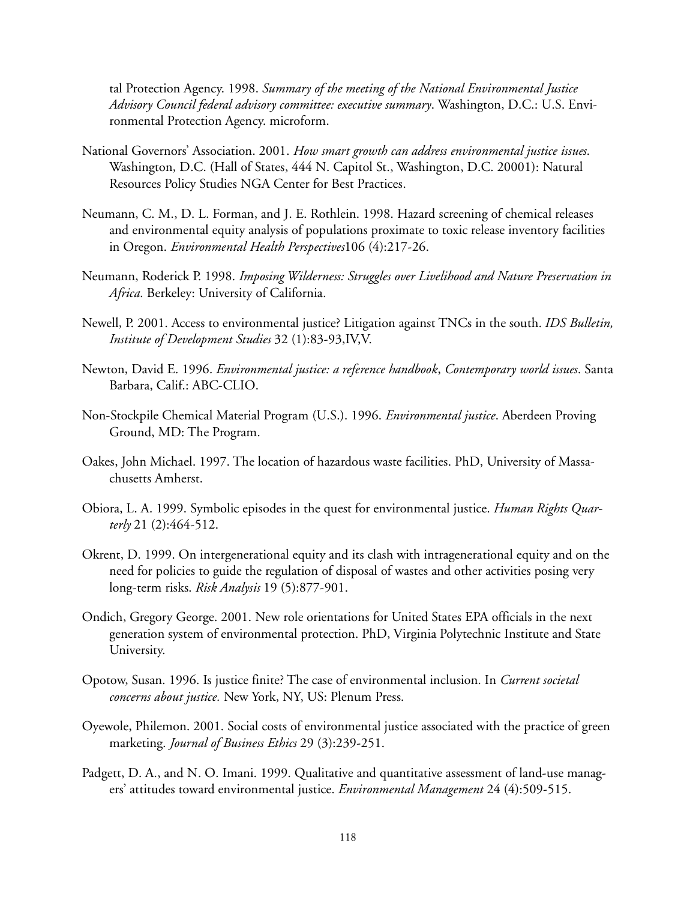tal Protection Agency. 1998. *Summary of the meeting of the National Environmental Justice Advisory Council federal advisory committee: executive summary*. Washington, D.C.: U.S. Environmental Protection Agency. microform.

- National Governors' Association. 2001. *How smart growth can address environmental justice issues*. Washington, D.C. (Hall of States, 444 N. Capitol St., Washington, D.C. 20001): Natural Resources Policy Studies NGA Center for Best Practices.
- Neumann, C. M., D. L. Forman, and J. E. Rothlein. 1998. Hazard screening of chemical releases and environmental equity analysis of populations proximate to toxic release inventory facilities in Oregon. *Environmental Health Perspectives*106 (4):217-26.
- Neumann, Roderick P. 1998. *Imposing Wilderness: Struggles over Livelihood and Nature Preservation in Africa*. Berkeley: University of California.
- Newell, P. 2001. Access to environmental justice? Litigation against TNCs in the south. *IDS Bulletin, Institute of Development Studies* 32 (1):83-93,IV,V.
- Newton, David E. 1996. *Environmental justice: a reference handbook*, *Contemporary world issues*. Santa Barbara, Calif.: ABC-CLIO.
- Non-Stockpile Chemical Material Program (U.S.). 1996. *Environmental justice*. Aberdeen Proving Ground, MD: The Program.
- Oakes, John Michael. 1997. The location of hazardous waste facilities. PhD, University of Massachusetts Amherst.
- Obiora, L. A. 1999. Symbolic episodes in the quest for environmental justice. *Human Rights Quarterly* 21 (2):464-512.
- Okrent, D. 1999. On intergenerational equity and its clash with intragenerational equity and on the need for policies to guide the regulation of disposal of wastes and other activities posing very long-term risks. *Risk Analysis* 19 (5):877-901.
- Ondich, Gregory George. 2001. New role orientations for United States EPA officials in the next generation system of environmental protection. PhD, Virginia Polytechnic Institute and State University.
- Opotow, Susan. 1996. Is justice finite? The case of environmental inclusion. In *Current societal concerns about justice.* New York, NY, US: Plenum Press.
- Oyewole, Philemon. 2001. Social costs of environmental justice associated with the practice of green marketing. *Journal of Business Ethics* 29 (3):239-251.
- Padgett, D. A., and N. O. Imani. 1999. Qualitative and quantitative assessment of land-use managers' attitudes toward environmental justice. *Environmental Management* 24 (4):509-515.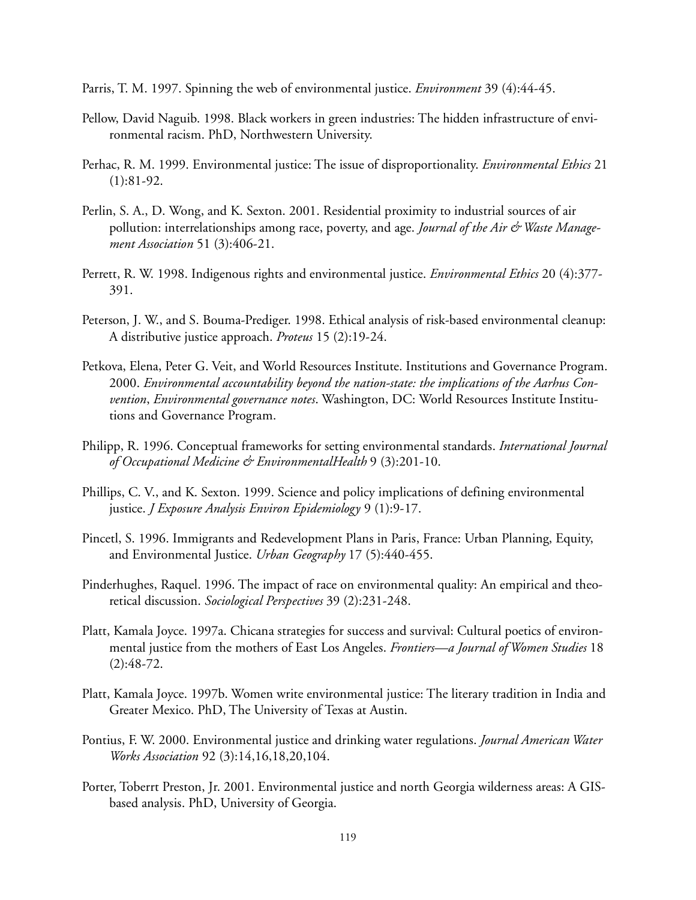- Parris, T. M. 1997. Spinning the web of environmental justice. *Environment* 39 (4):44-45.
- Pellow, David Naguib. 1998. Black workers in green industries: The hidden infrastructure of environmental racism. PhD, Northwestern University.
- Perhac, R. M. 1999. Environmental justice: The issue of disproportionality. *Environmental Ethics* 21 (1):81-92.
- Perlin, S. A., D. Wong, and K. Sexton. 2001. Residential proximity to industrial sources of air pollution: interrelationships among race, poverty, and age. *Journal of the Air & Waste Management Association* 51 (3):406-21.
- Perrett, R. W. 1998. Indigenous rights and environmental justice. *Environmental Ethics* 20 (4):377- 391.
- Peterson, J. W., and S. Bouma-Prediger. 1998. Ethical analysis of risk-based environmental cleanup: A distributive justice approach. *Proteus* 15 (2):19-24.
- Petkova, Elena, Peter G. Veit, and World Resources Institute. Institutions and Governance Program. 2000. *Environmental accountability beyond the nation-state: the implications of the Aarhus Convention*, *Environmental governance notes*. Washington, DC: World Resources Institute Institutions and Governance Program.
- Philipp, R. 1996. Conceptual frameworks for setting environmental standards. *International Journal of Occupational Medicine & EnvironmentalHealth* 9 (3):201-10.
- Phillips, C. V., and K. Sexton. 1999. Science and policy implications of defining environmental justice. *J Exposure Analysis Environ Epidemiology* 9 (1):9-17.
- Pincetl, S. 1996. Immigrants and Redevelopment Plans in Paris, France: Urban Planning, Equity, and Environmental Justice. *Urban Geography* 17 (5):440-455.
- Pinderhughes, Raquel. 1996. The impact of race on environmental quality: An empirical and theoretical discussion. *Sociological Perspectives* 39 (2):231-248.
- Platt, Kamala Joyce. 1997a. Chicana strategies for success and survival: Cultural poetics of environmental justice from the mothers of East Los Angeles. *Frontiers—a Journal of Women Studies* 18  $(2):48-72.$
- Platt, Kamala Joyce. 1997b. Women write environmental justice: The literary tradition in India and Greater Mexico. PhD, The University of Texas at Austin.
- Pontius, F. W. 2000. Environmental justice and drinking water regulations. *Journal American Water Works Association* 92 (3):14,16,18,20,104.
- Porter, Toberrt Preston, Jr. 2001. Environmental justice and north Georgia wilderness areas: A GISbased analysis. PhD, University of Georgia.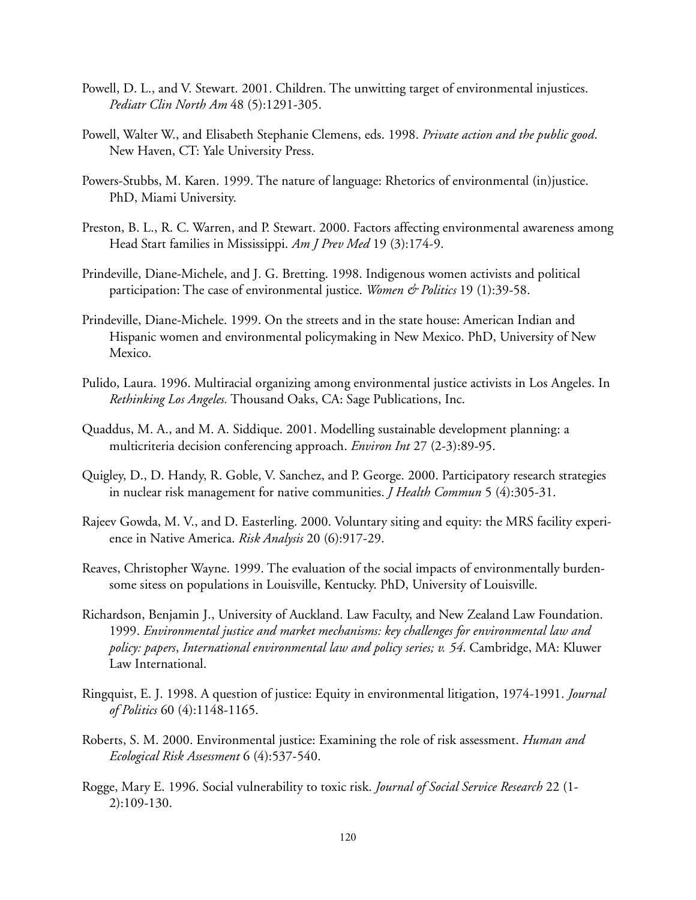- Powell, D. L., and V. Stewart. 2001. Children. The unwitting target of environmental injustices. *Pediatr Clin North Am* 48 (5):1291-305.
- Powell, Walter W., and Elisabeth Stephanie Clemens, eds. 1998. *Private action and the public good*. New Haven, CT: Yale University Press.
- Powers-Stubbs, M. Karen. 1999. The nature of language: Rhetorics of environmental (in)justice. PhD, Miami University.
- Preston, B. L., R. C. Warren, and P. Stewart. 2000. Factors affecting environmental awareness among Head Start families in Mississippi. *Am J Prev Med* 19 (3):174-9.
- Prindeville, Diane-Michele, and J. G. Bretting. 1998. Indigenous women activists and political participation: The case of environmental justice. *Women & Politics* 19 (1):39-58.
- Prindeville, Diane-Michele. 1999. On the streets and in the state house: American Indian and Hispanic women and environmental policymaking in New Mexico. PhD, University of New Mexico.
- Pulido, Laura. 1996. Multiracial organizing among environmental justice activists in Los Angeles. In *Rethinking Los Angeles.* Thousand Oaks, CA: Sage Publications, Inc.
- Quaddus, M. A., and M. A. Siddique. 2001. Modelling sustainable development planning: a multicriteria decision conferencing approach. *Environ Int* 27 (2-3):89-95.
- Quigley, D., D. Handy, R. Goble, V. Sanchez, and P. George. 2000. Participatory research strategies in nuclear risk management for native communities. *J Health Commun* 5 (4):305-31.
- Rajeev Gowda, M. V., and D. Easterling. 2000. Voluntary siting and equity: the MRS facility experience in Native America. *Risk Analysis* 20 (6):917-29.
- Reaves, Christopher Wayne. 1999. The evaluation of the social impacts of environmentally burdensome sitess on populations in Louisville, Kentucky. PhD, University of Louisville.
- Richardson, Benjamin J., University of Auckland. Law Faculty, and New Zealand Law Foundation. 1999. *Environmental justice and market mechanisms: key challenges for environmental law and policy: papers*, *International environmental law and policy series; v. 54*. Cambridge, MA: Kluwer Law International.
- Ringquist, E. J. 1998. A question of justice: Equity in environmental litigation, 1974-1991. *Journal of Politics* 60 (4):1148-1165.
- Roberts, S. M. 2000. Environmental justice: Examining the role of risk assessment. *Human and Ecological Risk Assessment* 6 (4):537-540.
- Rogge, Mary E. 1996. Social vulnerability to toxic risk. *Journal of Social Service Research* 22 (1- 2):109-130.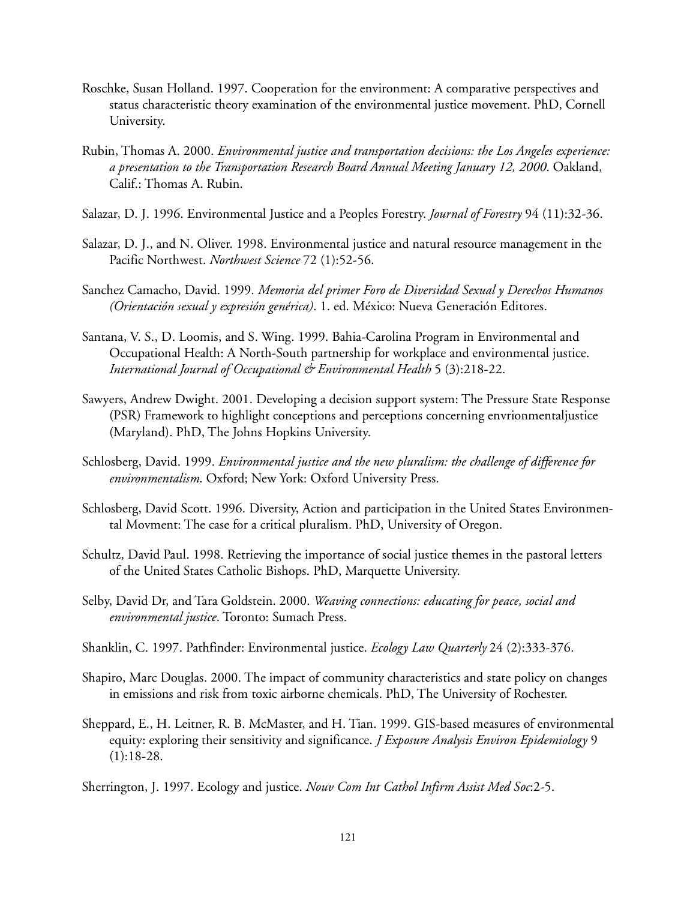- Roschke, Susan Holland. 1997. Cooperation for the environment: A comparative perspectives and status characteristic theory examination of the environmental justice movement. PhD, Cornell University.
- Rubin, Thomas A. 2000. *Environmental justice and transportation decisions: the Los Angeles experience: a presentation to the Transportation Research Board Annual Meeting January 12, 2000*. Oakland, Calif.: Thomas A. Rubin.
- Salazar, D. J. 1996. Environmental Justice and a Peoples Forestry. *Journal of Forestry* 94 (11):32-36.
- Salazar, D. J., and N. Oliver. 1998. Environmental justice and natural resource management in the Pacific Northwest. *Northwest Science* 72 (1):52-56.
- Sanchez Camacho, David. 1999. *Memoria del primer Foro de Diversidad Sexual y Derechos Humanos (Orientación sexual y expresión genérica)*. 1. ed. México: Nueva Generación Editores.
- Santana, V. S., D. Loomis, and S. Wing. 1999. Bahia-Carolina Program in Environmental and Occupational Health: A North-South partnership for workplace and environmental justice. *International Journal of Occupational & Environmental Health* 5 (3):218-22.
- Sawyers, Andrew Dwight. 2001. Developing a decision support system: The Pressure State Response (PSR) Framework to highlight conceptions and perceptions concerning envrionmentaljustice (Maryland). PhD, The Johns Hopkins University.
- Schlosberg, David. 1999. *Environmental justice and the new pluralism: the challenge of difference for environmentalism*. Oxford; New York: Oxford University Press.
- Schlosberg, David Scott. 1996. Diversity, Action and participation in the United States Environmental Movment: The case for a critical pluralism. PhD, University of Oregon.
- Schultz, David Paul. 1998. Retrieving the importance of social justice themes in the pastoral letters of the United States Catholic Bishops. PhD, Marquette University.
- Selby, David Dr, and Tara Goldstein. 2000. *Weaving connections: educating for peace, social and environmental justice*. Toronto: Sumach Press.
- Shanklin, C. 1997. Pathfinder: Environmental justice. *Ecology Law Quarterly* 24 (2):333-376.
- Shapiro, Marc Douglas. 2000. The impact of community characteristics and state policy on changes in emissions and risk from toxic airborne chemicals. PhD, The University of Rochester.
- Sheppard, E., H. Leitner, R. B. McMaster, and H. Tian. 1999. GIS-based measures of environmental equity: exploring their sensitivity and significance. *J Exposure Analysis Environ Epidemiology* 9 (1):18-28.
- Sherrington, J. 1997. Ecology and justice. *Nouv Com Int Cathol Infirm Assist Med Soc*:2-5.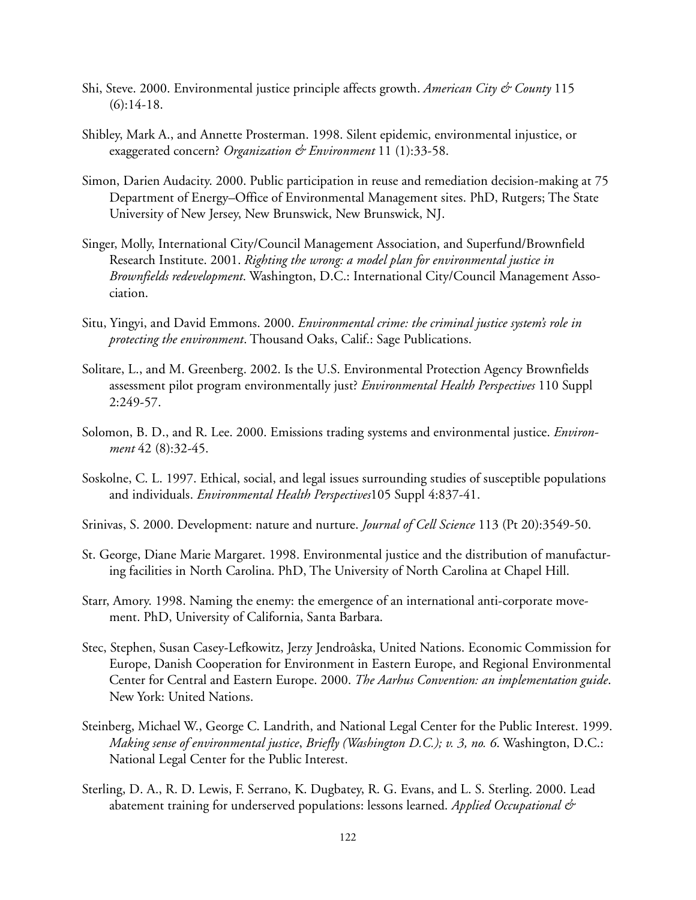- Shi, Steve. 2000. Environmental justice principle affects growth. *American City & County* 115  $(6):14-18.$
- Shibley, Mark A., and Annette Prosterman. 1998. Silent epidemic, environmental injustice, or exaggerated concern? *Organization & Environment* 11 (1):33-58.
- Simon, Darien Audacity. 2000. Public participation in reuse and remediation decision-making at 75 Department of Energy–Office of Environmental Management sites. PhD, Rutgers; The State University of New Jersey, New Brunswick, New Brunswick, NJ.
- Singer, Molly, International City/Council Management Association, and Superfund/Brownfield Research Institute. 2001. *Righting the wrong: a model plan for environmental justice in Brownfields redevelopment*. Washington, D.C.: International City/Council Management Association.
- Situ, Yingyi, and David Emmons. 2000. *Environmental crime: the criminal justice system's role in protecting the environment*. Thousand Oaks, Calif.: Sage Publications.
- Solitare, L., and M. Greenberg. 2002. Is the U.S. Environmental Protection Agency Brownfields assessment pilot program environmentally just? *Environmental Health Perspectives* 110 Suppl 2:249-57.
- Solomon, B. D., and R. Lee. 2000. Emissions trading systems and environmental justice. *Environment* 42 (8):32-45.
- Soskolne, C. L. 1997. Ethical, social, and legal issues surrounding studies of susceptible populations and individuals. *Environmental Health Perspectives*105 Suppl 4:837-41.
- Srinivas, S. 2000. Development: nature and nurture. *Journal of Cell Science* 113 (Pt 20):3549-50.
- St. George, Diane Marie Margaret. 1998. Environmental justice and the distribution of manufacturing facilities in North Carolina. PhD, The University of North Carolina at Chapel Hill.
- Starr, Amory. 1998. Naming the enemy: the emergence of an international anti-corporate movement. PhD, University of California, Santa Barbara.
- Stec, Stephen, Susan Casey-Lefkowitz, Jerzy Jendroâska, United Nations. Economic Commission for Europe, Danish Cooperation for Environment in Eastern Europe, and Regional Environmental Center for Central and Eastern Europe. 2000. *The Aarhus Convention: an implementation guide*. New York: United Nations.
- Steinberg, Michael W., George C. Landrith, and National Legal Center for the Public Interest. 1999. *Making sense of environmental justice*, *Briefly (Washington D.C.); v. 3, no. 6*. Washington, D.C.: National Legal Center for the Public Interest.
- Sterling, D. A., R. D. Lewis, F. Serrano, K. Dugbatey, R. G. Evans, and L. S. Sterling. 2000. Lead abatement training for underserved populations: lessons learned. *Applied Occupational &*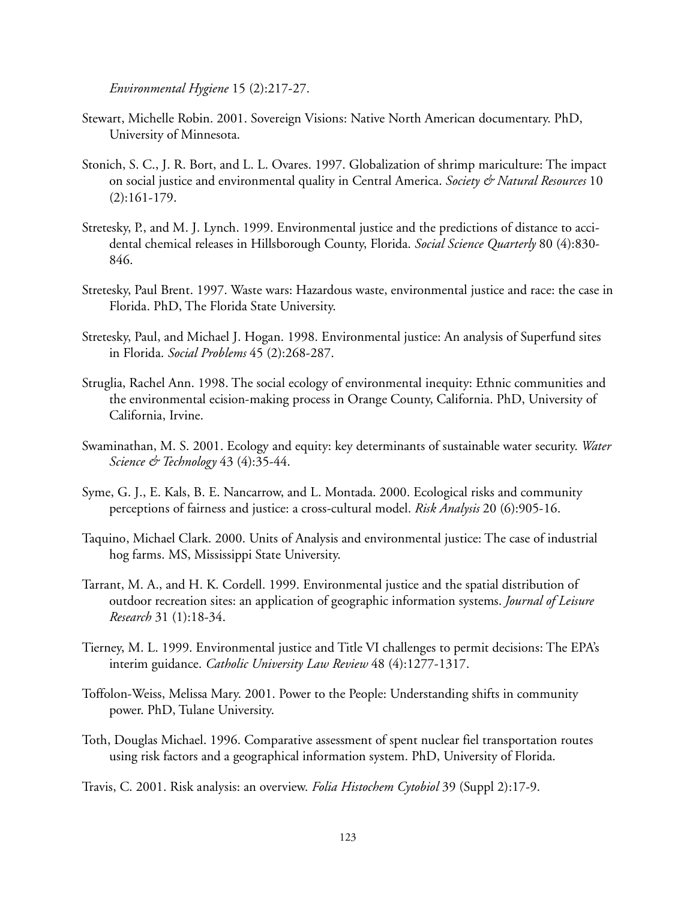*Environmental Hygiene* 15 (2):217-27.

- Stewart, Michelle Robin. 2001. Sovereign Visions: Native North American documentary. PhD, University of Minnesota.
- Stonich, S. C., J. R. Bort, and L. L. Ovares. 1997. Globalization of shrimp mariculture: The impact on social justice and environmental quality in Central America. *Society & Natural Resources* 10 (2):161-179.
- Stretesky, P., and M. J. Lynch. 1999. Environmental justice and the predictions of distance to accidental chemical releases in Hillsborough County, Florida. *Social Science Quarterly* 80 (4):830- 846.
- Stretesky, Paul Brent. 1997. Waste wars: Hazardous waste, environmental justice and race: the case in Florida. PhD, The Florida State University.
- Stretesky, Paul, and Michael J. Hogan. 1998. Environmental justice: An analysis of Superfund sites in Florida. *Social Problems* 45 (2):268-287.
- Struglia, Rachel Ann. 1998. The social ecology of environmental inequity: Ethnic communities and the environmental ecision-making process in Orange County, California. PhD, University of California, Irvine.
- Swaminathan, M. S. 2001. Ecology and equity: key determinants of sustainable water security. *Water Science & Technology* 43 (4):35-44.
- Syme, G. J., E. Kals, B. E. Nancarrow, and L. Montada. 2000. Ecological risks and community perceptions of fairness and justice: a cross-cultural model. *Risk Analysis* 20 (6):905-16.
- Taquino, Michael Clark. 2000. Units of Analysis and environmental justice: The case of industrial hog farms. MS, Mississippi State University.
- Tarrant, M. A., and H. K. Cordell. 1999. Environmental justice and the spatial distribution of outdoor recreation sites: an application of geographic information systems. *Journal of Leisure Research* 31 (1):18-34.
- Tierney, M. L. 1999. Environmental justice and Title VI challenges to permit decisions: The EPA's interim guidance. *Catholic University Law Review* 48 (4):1277-1317.
- Toffolon-Weiss, Melissa Mary. 2001. Power to the People: Understanding shifts in community power. PhD, Tulane University.
- Toth, Douglas Michael. 1996. Comparative assessment of spent nuclear fiel transportation routes using risk factors and a geographical information system. PhD, University of Florida.
- Travis, C. 2001. Risk analysis: an overview. *Folia Histochem Cytobiol* 39 (Suppl 2):17-9.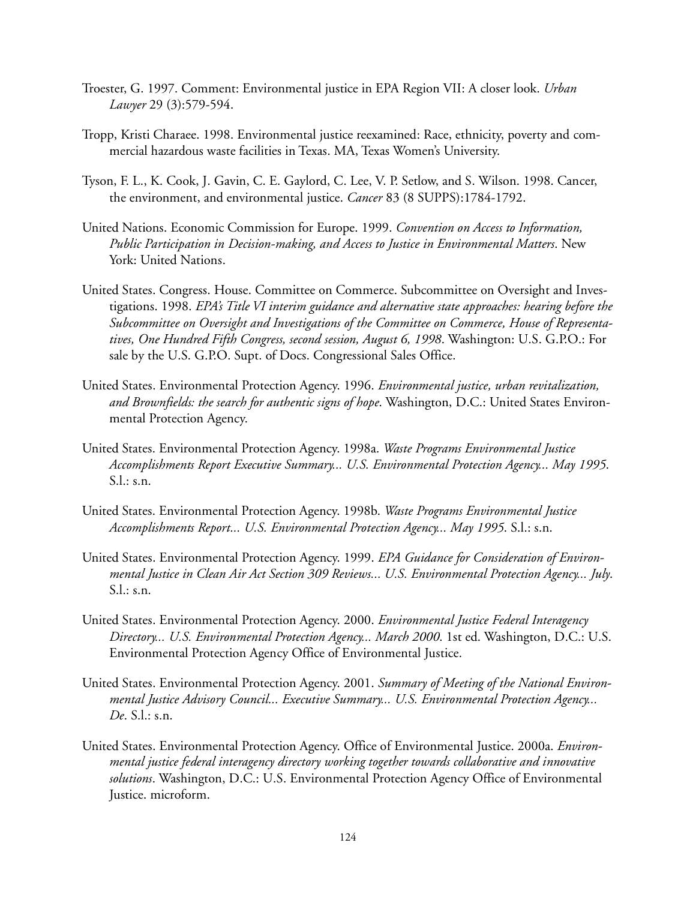- Troester, G. 1997. Comment: Environmental justice in EPA Region VII: A closer look. *Urban Lawyer* 29 (3):579-594.
- Tropp, Kristi Charaee. 1998. Environmental justice reexamined: Race, ethnicity, poverty and commercial hazardous waste facilities in Texas. MA, Texas Women's University.
- Tyson, F. L., K. Cook, J. Gavin, C. E. Gaylord, C. Lee, V. P. Setlow, and S. Wilson. 1998. Cancer, the environment, and environmental justice. *Cancer* 83 (8 SUPPS):1784-1792.
- United Nations. Economic Commission for Europe. 1999. *Convention on Access to Information, Public Participation in Decision-making, and Access to Justice in Environmental Matters*. New York: United Nations.
- United States. Congress. House. Committee on Commerce. Subcommittee on Oversight and Investigations. 1998. *EPA's Title VI interim guidance and alternative state approaches: hearing before the Subcommittee on Oversight and Investigations of the Committee on Commerce, House of Representatives, One Hundred Fifth Congress, second session, August 6, 1998*. Washington: U.S. G.P.O.: For sale by the U.S. G.P.O. Supt. of Docs. Congressional Sales Office.
- United States. Environmental Protection Agency. 1996. *Environmental justice, urban revitalization, and Brownfields: the search for authentic signs of hope*. Washington, D.C.: United States Environmental Protection Agency.
- United States. Environmental Protection Agency. 1998a. *Waste Programs Environmental Justice Accomplishments Report Executive Summary... U.S. Environmental Protection Agency... May 1995*. S.l.: s.n.
- United States. Environmental Protection Agency. 1998b. *Waste Programs Environmental Justice Accomplishments Report... U.S. Environmental Protection Agency... May 1995*. S.l.: s.n.
- United States. Environmental Protection Agency. 1999. *EPA Guidance for Consideration of Environmental Justice in Clean Air Act Section 309 Reviews... U.S. Environmental Protection Agency... July*.  $S.l.: s.n.$
- United States. Environmental Protection Agency. 2000. *Environmental Justice Federal Interagency Directory... U.S. Environmental Protection Agency... March 2000*. 1st ed. Washington, D.C.: U.S. Environmental Protection Agency Office of Environmental Justice.
- United States. Environmental Protection Agency. 2001. *Summary of Meeting of the National Environmental Justice Advisory Council... Executive Summary... U.S. Environmental Protection Agency... De*. S.l.: s.n.
- United States. Environmental Protection Agency. Office of Environmental Justice. 2000a. *Environmental justice federal interagency directory working together towards collaborative and innovative solutions*. Washington, D.C.: U.S. Environmental Protection Agency Office of Environmental Justice. microform.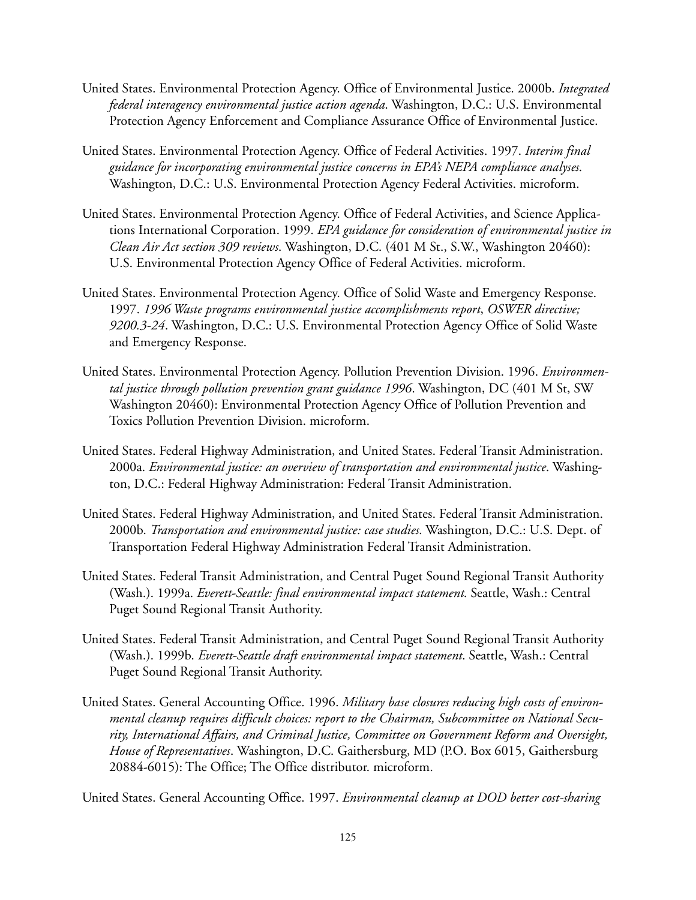- United States. Environmental Protection Agency. Office of Environmental Justice. 2000b. *Integrated federal interagency environmental justice action agenda*. Washington, D.C.: U.S. Environmental Protection Agency Enforcement and Compliance Assurance Office of Environmental Justice.
- United States. Environmental Protection Agency. Office of Federal Activities. 1997. *Interim final guidance for incorporating environmental justice concerns in EPA's NEPA compliance analyses*. Washington, D.C.: U.S. Environmental Protection Agency Federal Activities. microform.
- United States. Environmental Protection Agency. Office of Federal Activities, and Science Applications International Corporation. 1999. *EPA guidance for consideration of environmental justice in Clean Air Act section 309 reviews*. Washington, D.C. (401 M St., S.W., Washington 20460): U.S. Environmental Protection Agency Office of Federal Activities. microform.
- United States. Environmental Protection Agency. Office of Solid Waste and Emergency Response. 1997. *1996 Waste programs environmental justice accomplishments report*, *OSWER directive; 9200.3-24*. Washington, D.C.: U.S. Environmental Protection Agency Office of Solid Waste and Emergency Response.
- United States. Environmental Protection Agency. Pollution Prevention Division. 1996. *Environmental justice through pollution prevention grant guidance 1996*. Washington, DC (401 M St, SW Washington 20460): Environmental Protection Agency Office of Pollution Prevention and Toxics Pollution Prevention Division. microform.
- United States. Federal Highway Administration, and United States. Federal Transit Administration. 2000a. *Environmental justice: an overview of transportation and environmental justice*. Washington, D.C.: Federal Highway Administration: Federal Transit Administration.
- United States. Federal Highway Administration, and United States. Federal Transit Administration. 2000b. *Transportation and environmental justice: case studies*. Washington, D.C.: U.S. Dept. of Transportation Federal Highway Administration Federal Transit Administration.
- United States. Federal Transit Administration, and Central Puget Sound Regional Transit Authority (Wash.). 1999a. *Everett-Seattle: final environmental impact statement*. Seattle, Wash.: Central Puget Sound Regional Transit Authority.
- United States. Federal Transit Administration, and Central Puget Sound Regional Transit Authority (Wash.). 1999b. *Everett-Seattle draft environmental impact statement*. Seattle, Wash.: Central Puget Sound Regional Transit Authority.
- United States. General Accounting Office. 1996. *Military base closures reducing high costs of environmental cleanup requires difficult choices: report to the Chairman, Subcommittee on National Security, International Affairs, and Criminal Justice, Committee on Government Reform and Oversight, House of Representatives*. Washington, D.C. Gaithersburg, MD (P.O. Box 6015, Gaithersburg 20884-6015): The Office; The Office distributor. microform.

United States. General Accounting Office. 1997. *Environmental cleanup at DOD better cost-sharing*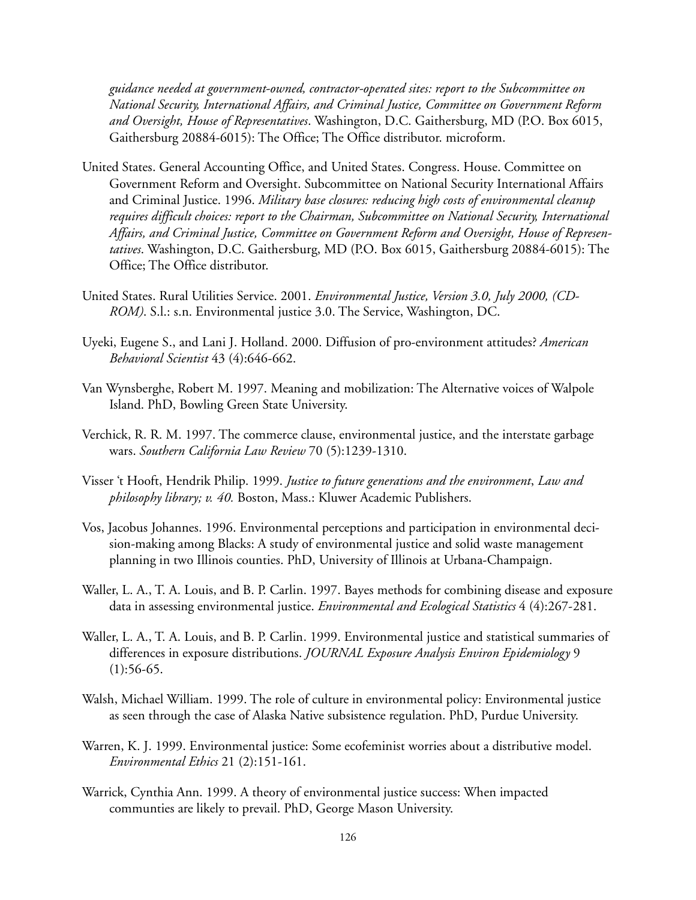*guidance needed at government-owned, contractor-operated sites: report to the Subcommittee on National Security, International Affairs, and Criminal Justice, Committee on Government Reform and Oversight, House of Representatives*. Washington, D.C. Gaithersburg, MD (P.O. Box 6015, Gaithersburg 20884-6015): The Office; The Office distributor. microform.

- United States. General Accounting Office, and United States. Congress. House. Committee on Government Reform and Oversight. Subcommittee on National Security International Affairs and Criminal Justice. 1996. *Military base closures: reducing high costs of environmental cleanup requires difficult choices: report to the Chairman, Subcommittee on National Security, International Affairs, and Criminal Justice, Committee on Government Reform and Oversight, House of Representatives*. Washington, D.C. Gaithersburg, MD (P.O. Box 6015, Gaithersburg 20884-6015): The Office; The Office distributor.
- United States. Rural Utilities Service. 2001. *Environmental Justice, Version 3.0, July 2000, (CD-ROM)*. S.l.: s.n. Environmental justice 3.0. The Service, Washington, DC.
- Uyeki, Eugene S., and Lani J. Holland. 2000. Diffusion of pro-environment attitudes? *American Behavioral Scientist* 43 (4):646-662.
- Van Wynsberghe, Robert M. 1997. Meaning and mobilization: The Alternative voices of Walpole Island. PhD, Bowling Green State University.
- Verchick, R. R. M. 1997. The commerce clause, environmental justice, and the interstate garbage wars. *Southern California Law Review* 70 (5):1239-1310.
- Visser 't Hooft, Hendrik Philip. 1999. *Justice to future generations and the environment*, *Law and philosophy library; v. 40.* Boston, Mass.: Kluwer Academic Publishers.
- Vos, Jacobus Johannes. 1996. Environmental perceptions and participation in environmental decision-making among Blacks: A study of environmental justice and solid waste management planning in two Illinois counties. PhD, University of Illinois at Urbana-Champaign.
- Waller, L. A., T. A. Louis, and B. P. Carlin. 1997. Bayes methods for combining disease and exposure data in assessing environmental justice. *Environmental and Ecological Statistics* 4 (4):267-281.
- Waller, L. A., T. A. Louis, and B. P. Carlin. 1999. Environmental justice and statistical summaries of differences in exposure distributions. *JOURNAL Exposure Analysis Environ Epidemiology* 9  $(1):$ 56-65.
- Walsh, Michael William. 1999. The role of culture in environmental policy: Environmental justice as seen through the case of Alaska Native subsistence regulation. PhD, Purdue University.
- Warren, K. J. 1999. Environmental justice: Some ecofeminist worries about a distributive model. *Environmental Ethics* 21 (2):151-161.
- Warrick, Cynthia Ann. 1999. A theory of environmental justice success: When impacted communties are likely to prevail. PhD, George Mason University.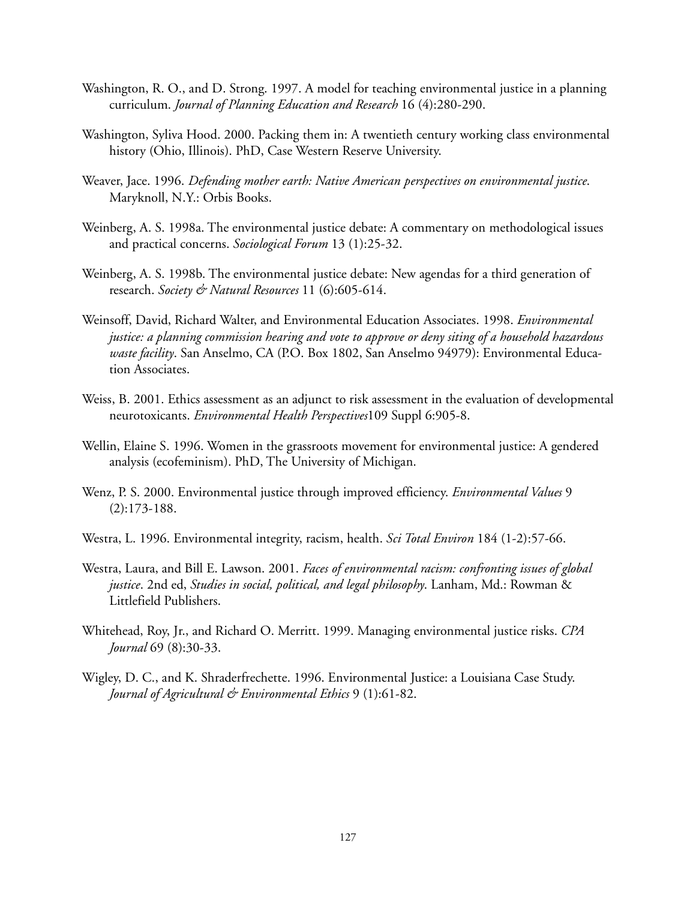- Washington, R. O., and D. Strong. 1997. A model for teaching environmental justice in a planning curriculum. *Journal of Planning Education and Research* 16 (4):280-290.
- Washington, Syliva Hood. 2000. Packing them in: A twentieth century working class environmental history (Ohio, Illinois). PhD, Case Western Reserve University.
- Weaver, Jace. 1996. *Defending mother earth: Native American perspectives on environmental justice*. Maryknoll, N.Y.: Orbis Books.
- Weinberg, A. S. 1998a. The environmental justice debate: A commentary on methodological issues and practical concerns. *Sociological Forum* 13 (1):25-32.
- Weinberg, A. S. 1998b. The environmental justice debate: New agendas for a third generation of research. *Society & Natural Resources* 11 (6):605-614.
- Weinsoff, David, Richard Walter, and Environmental Education Associates. 1998. *Environmental justice: a planning commission hearing and vote to approve or deny siting of a household hazardous waste facility*. San Anselmo, CA (P.O. Box 1802, San Anselmo 94979): Environmental Education Associates.
- Weiss, B. 2001. Ethics assessment as an adjunct to risk assessment in the evaluation of developmental neurotoxicants. *Environmental Health Perspectives*109 Suppl 6:905-8.
- Wellin, Elaine S. 1996. Women in the grassroots movement for environmental justice: A gendered analysis (ecofeminism). PhD, The University of Michigan.
- Wenz, P. S. 2000. Environmental justice through improved efficiency. *Environmental Values* 9 (2):173-188.
- Westra, L. 1996. Environmental integrity, racism, health. *Sci Total Environ* 184 (1-2):57-66.
- Westra, Laura, and Bill E. Lawson. 2001. *Faces of environmental racism: confronting issues of global justice*. 2nd ed, *Studies in social, political, and legal philosophy*. Lanham, Md.: Rowman & Littlefield Publishers.
- Whitehead, Roy, Jr., and Richard O. Merritt. 1999. Managing environmental justice risks. *CPA Journal* 69 (8):30-33.
- Wigley, D. C., and K. Shraderfrechette. 1996. Environmental Justice: a Louisiana Case Study. *Journal of Agricultural & Environmental Ethics* 9 (1):61-82.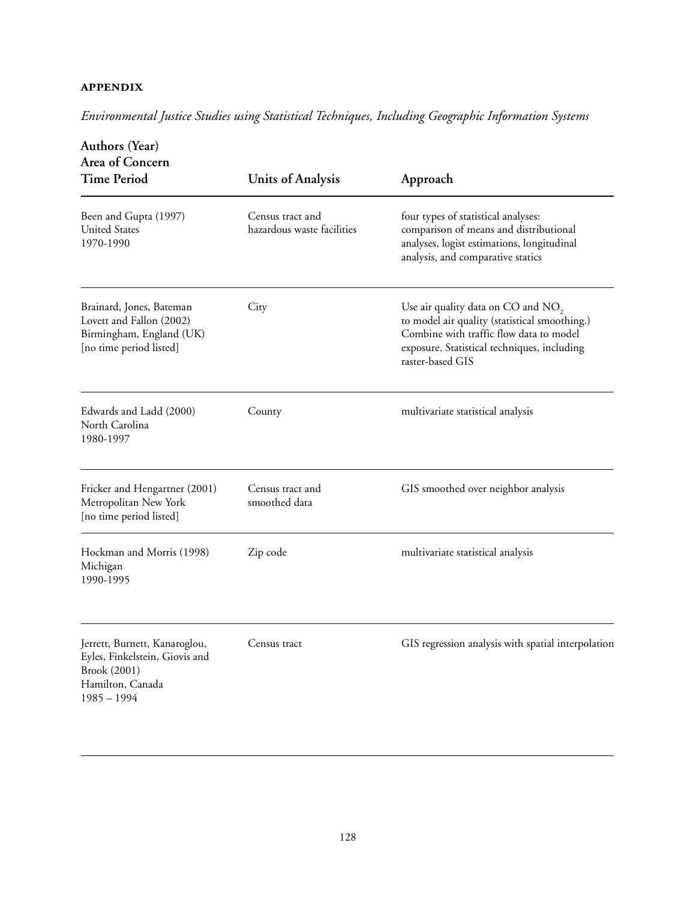#### **APPENDIX**

*Environmental Justice Studies using Statistical Techniques, Including Geographic Information Systems*

| Authors (Year)<br>Area of Concern                                                                                    | <b>Units of Analysis</b>                       | Approach                                                                                                                                                                                            |
|----------------------------------------------------------------------------------------------------------------------|------------------------------------------------|-----------------------------------------------------------------------------------------------------------------------------------------------------------------------------------------------------|
| <b>Time Period</b>                                                                                                   |                                                |                                                                                                                                                                                                     |
| Been and Gupta (1997)<br><b>United States</b><br>1970-1990                                                           | Census tract and<br>hazardous waste facilities | four types of statistical analyses:<br>comparison of means and distributional<br>analyses, logist estimations, longitudinal<br>analysis, and comparative statics                                    |
| Brainard, Jones, Bateman<br>Lovett and Fallon (2002)<br>Birmingham, England (UK)<br>[no time period listed]          | City                                           | Use air quality data on CO and $NO2$<br>to model air quality (statistical smoothing.)<br>Combine with traffic flow data to model<br>exposure. Statistical techniques, including<br>raster-based GIS |
| Edwards and Ladd (2000)<br>North Carolina<br>1980-1997                                                               | County                                         | multivariate statistical analysis                                                                                                                                                                   |
| Fricker and Hengartner (2001)<br>Metropolitan New York<br>[no time period listed]                                    | Census tract and<br>smoothed data              | GIS smoothed over neighbor analysis                                                                                                                                                                 |
| Hockman and Morris (1998)<br>Michigan<br>1990-1995                                                                   | Zip code                                       | multivariate statistical analysis                                                                                                                                                                   |
| Jerrett, Burnett, Kanaroglou,<br>Eyles, Finkelstein, Giovis and<br>Brook (2001)<br>Hamilton, Canada<br>$1985 - 1994$ | Census tract                                   | GIS regression analysis with spatial interpolation                                                                                                                                                  |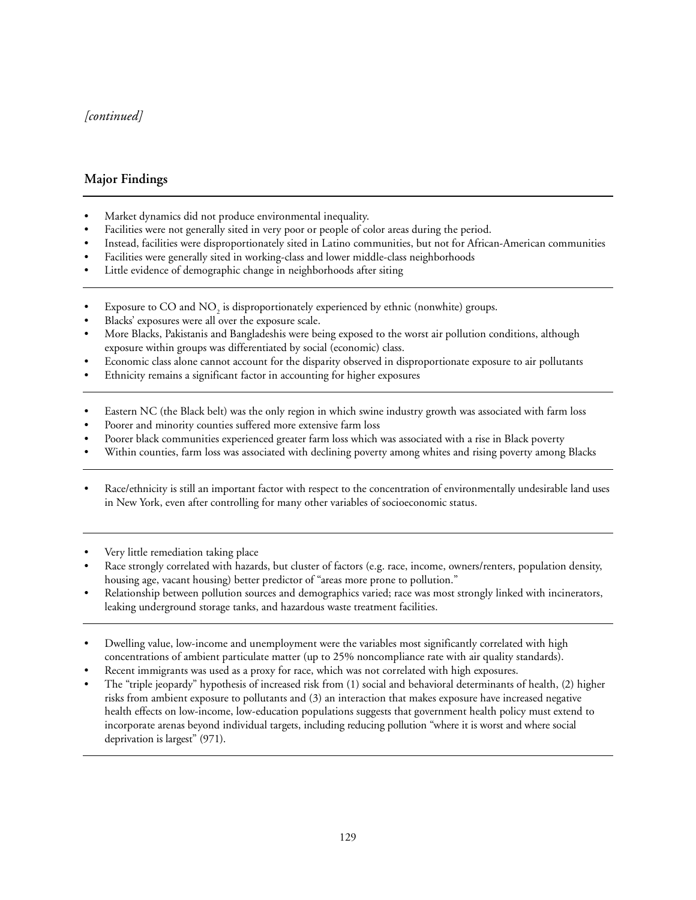# *[continued]*

# **Major Findings**

- Market dynamics did not produce environmental inequality.
- Facilities were not generally sited in very poor or people of color areas during the period.
- Instead, facilities were disproportionately sited in Latino communities, but not for African-American communities
- Facilities were generally sited in working-class and lower middle-class neighborhoods
- Little evidence of demographic change in neighborhoods after siting
- Exposure to  $CO$  and  $NO<sub>2</sub>$  is disproportionately experienced by ethnic (nonwhite) groups.
- Blacks' exposures were all over the exposure scale.
- More Blacks, Pakistanis and Bangladeshis were being exposed to the worst air pollution conditions, although exposure within groups was differentiated by social (economic) class.
- Economic class alone cannot account for the disparity observed in disproportionate exposure to air pollutants
- Ethnicity remains a significant factor in accounting for higher exposures
- Eastern NC (the Black belt) was the only region in which swine industry growth was associated with farm loss
- Poorer and minority counties suffered more extensive farm loss
- Poorer black communities experienced greater farm loss which was associated with a rise in Black poverty
- Within counties, farm loss was associated with declining poverty among whites and rising poverty among Blacks
- Race/ethnicity is still an important factor with respect to the concentration of environmentally undesirable land uses in New York, even after controlling for many other variables of socioeconomic status.
- Very little remediation taking place
- Race strongly correlated with hazards, but cluster of factors (e.g. race, income, owners/renters, population density, housing age, vacant housing) better predictor of "areas more prone to pollution."
- Relationship between pollution sources and demographics varied; race was most strongly linked with incinerators, leaking underground storage tanks, and hazardous waste treatment facilities.
- Dwelling value, low-income and unemployment were the variables most significantly correlated with high concentrations of ambient particulate matter (up to 25% noncompliance rate with air quality standards).
- Recent immigrants was used as a proxy for race, which was not correlated with high exposures.
- The "triple jeopardy" hypothesis of increased risk from (1) social and behavioral determinants of health, (2) higher risks from ambient exposure to pollutants and (3) an interaction that makes exposure have increased negative health effects on low-income, low-education populations suggests that government health policy must extend to incorporate arenas beyond individual targets, including reducing pollution "where it is worst and where social deprivation is largest" (971).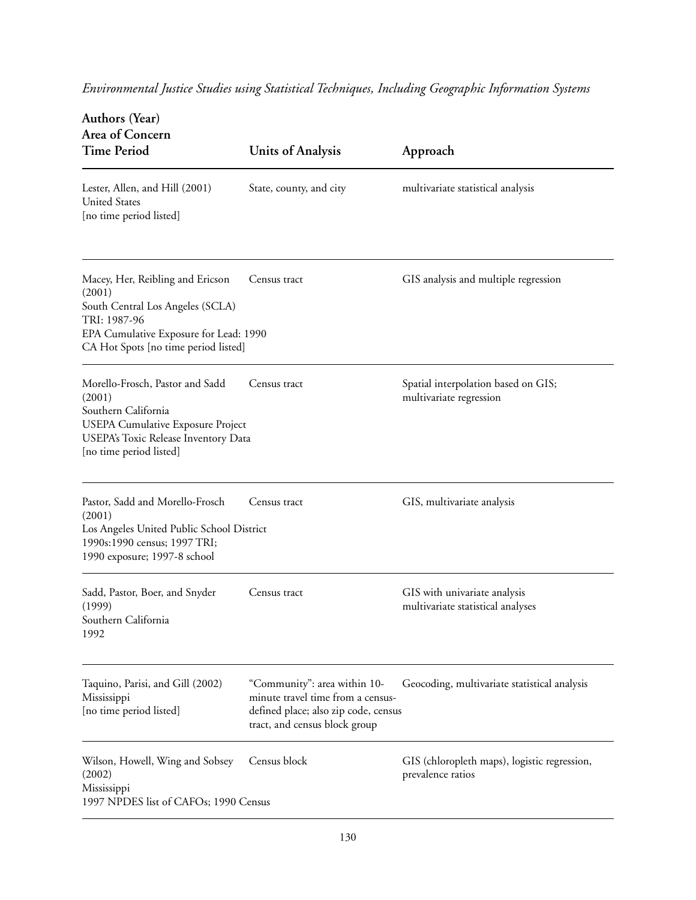*Environmental Justice Studies using Statistical Techniques, Including Geographic Information Systems*

| Authors (Year)<br>Area of Concern<br><b>Time Period</b>                                                                                                                          | <b>Units of Analysis</b>                                                                                                                   | Approach                                                          |
|----------------------------------------------------------------------------------------------------------------------------------------------------------------------------------|--------------------------------------------------------------------------------------------------------------------------------------------|-------------------------------------------------------------------|
|                                                                                                                                                                                  |                                                                                                                                            |                                                                   |
| Lester, Allen, and Hill (2001)<br><b>United States</b><br>[no time period listed]                                                                                                | State, county, and city                                                                                                                    | multivariate statistical analysis                                 |
| Macey, Her, Reibling and Ericson<br>(2001)<br>South Central Los Angeles (SCLA)<br>TRI: 1987-96<br>EPA Cumulative Exposure for Lead: 1990<br>CA Hot Spots [no time period listed] | Census tract                                                                                                                               | GIS analysis and multiple regression                              |
| Morello-Frosch, Pastor and Sadd<br>(2001)<br>Southern California<br><b>USEPA Cumulative Exposure Project</b><br>USEPA's Toxic Release Inventory Data<br>[no time period listed]  | Census tract                                                                                                                               | Spatial interpolation based on GIS;<br>multivariate regression    |
| Pastor, Sadd and Morello-Frosch<br>(2001)<br>Los Angeles United Public School District<br>1990s:1990 census; 1997 TRI;<br>1990 exposure; 1997-8 school                           | Census tract                                                                                                                               | GIS, multivariate analysis                                        |
| Sadd, Pastor, Boer, and Snyder<br>(1999)<br>Southern California<br>1992                                                                                                          | Census tract                                                                                                                               | GIS with univariate analysis<br>multivariate statistical analyses |
| Taquino, Parisi, and Gill (2002)<br>Mississippi<br>[no time period listed]                                                                                                       | "Community": area within 10-<br>minute travel time from a census-<br>defined place; also zip code, census<br>tract, and census block group | Geocoding, multivariate statistical analysis                      |
| Wilson, Howell, Wing and Sobsey<br>(2002)<br>Mississippi<br>1997 NPDES list of CAFOs; 1990 Census                                                                                | Census block                                                                                                                               | GIS (chloropleth maps), logistic regression,<br>prevalence ratios |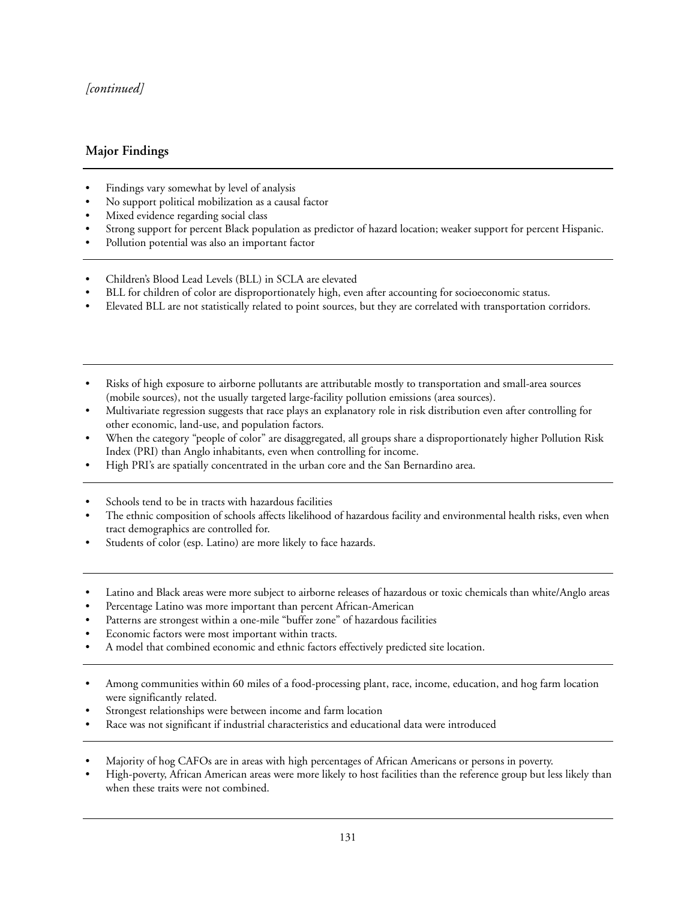### *[continued]*

# **Major Findings**

- Findings vary somewhat by level of analysis
- No support political mobilization as a causal factor
- Mixed evidence regarding social class
- Strong support for percent Black population as predictor of hazard location; weaker support for percent Hispanic.
- Pollution potential was also an important factor
- Children's Blood Lead Levels (BLL) in SCLA are elevated
- BLL for children of color are disproportionately high, even after accounting for socioeconomic status.
- Elevated BLL are not statistically related to point sources, but they are correlated with transportation corridors.
- Risks of high exposure to airborne pollutants are attributable mostly to transportation and small-area sources (mobile sources), not the usually targeted large-facility pollution emissions (area sources).
- Multivariate regression suggests that race plays an explanatory role in risk distribution even after controlling for other economic, land-use, and population factors.
- When the category "people of color" are disaggregated, all groups share a disproportionately higher Pollution Risk Index (PRI) than Anglo inhabitants, even when controlling for income.
- High PRI's are spatially concentrated in the urban core and the San Bernardino area.
- Schools tend to be in tracts with hazardous facilities
- The ethnic composition of schools affects likelihood of hazardous facility and environmental health risks, even when tract demographics are controlled for.
- Students of color (esp. Latino) are more likely to face hazards.
- Latino and Black areas were more subject to airborne releases of hazardous or toxic chemicals than white/Anglo areas
- Percentage Latino was more important than percent African-American
- Patterns are strongest within a one-mile "buffer zone" of hazardous facilities
- Economic factors were most important within tracts.
- A model that combined economic and ethnic factors effectively predicted site location.
- Among communities within 60 miles of a food-processing plant, race, income, education, and hog farm location were significantly related.
- Strongest relationships were between income and farm location
- Race was not significant if industrial characteristics and educational data were introduced
- Majority of hog CAFOs are in areas with high percentages of African Americans or persons in poverty.
- High-poverty, African American areas were more likely to host facilities than the reference group but less likely than when these traits were not combined.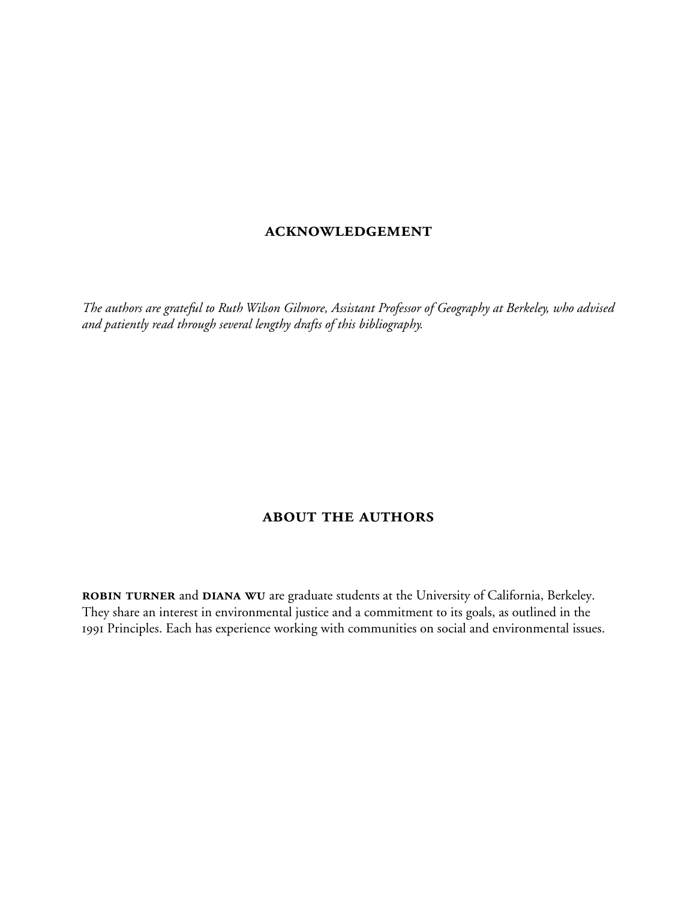# **ACKNOWLEDGEMENT**

*The authors are grateful to Ruth Wilson Gilmore, Assistant Professor of Geography at Berkeley, who advised and patiently read through several lengthy drafts of this bibliography.*

# **ABOUT THE AUTHORS**

**ROBIN TURNER** and **DIANA WU** are graduate students at the University of California, Berkeley. They share an interest in environmental justice and a commitment to its goals, as outlined in the Principles. Each has experience working with communities on social and environmental issues.